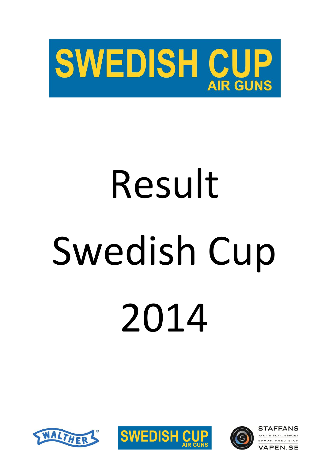

# Result Swedish Cup 2014





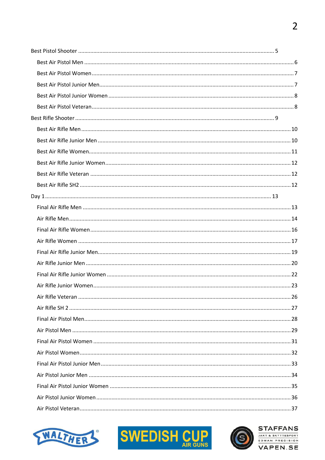



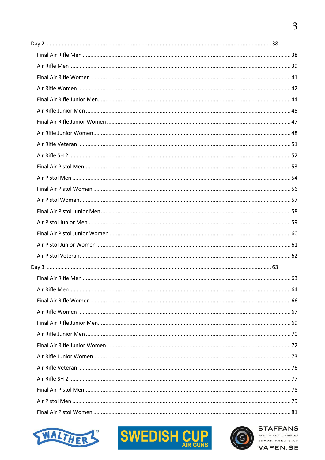



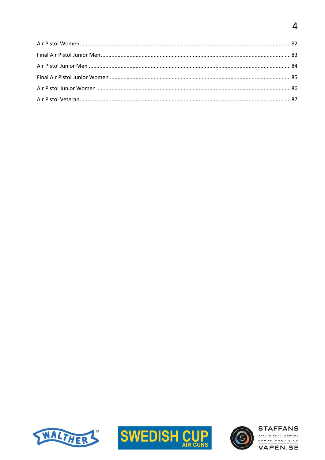# $\overline{4}$





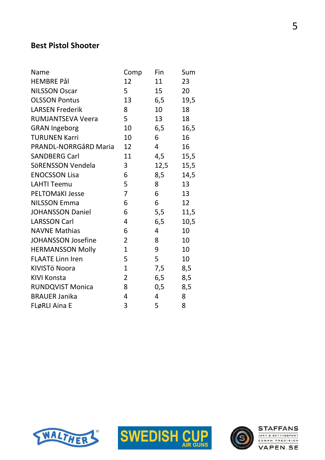#### Best Pistol Shooter

| Name                      | Comp           | Fin  | Sum  |
|---------------------------|----------------|------|------|
| <b>HEMBRE Pål</b>         | 12             | 11   | 23   |
| <b>NILSSON Oscar</b>      | 5              | 15   | 20   |
| <b>OLSSON Pontus</b>      | 13             | 6,5  | 19,5 |
| <b>LARSEN Frederik</b>    | 8              | 10   | 18   |
| <b>RUMJANTSEVA Veera</b>  | 5              | 13   | 18   |
| <b>GRAN Ingeborg</b>      | 10             | 6,5  | 16,5 |
| <b>TURUNEN Karri</b>      | 10             | 6    | 16   |
| PRANDL-NORRGåRD Maria     | 12             | 4    | 16   |
| <b>SANDBERG Carl</b>      | 11             | 4,5  | 15,5 |
| SöRENSSON Vendela         | 3              | 12,5 | 15,5 |
| <b>ENOCSSON Lisa</b>      | 6              | 8,5  | 14,5 |
| <b>LAHTI Teemu</b>        | 5              | 8    | 13   |
| <b>PELTOMÄKI Jesse</b>    | 7              | 6    | 13   |
| <b>NILSSON Emma</b>       | 6              | 6    | 12   |
| <b>JOHANSSON Daniel</b>   | 6              | 5,5  | 11,5 |
| <b>LARSSON Carl</b>       | 4              | 6,5  | 10,5 |
| <b>NAVNE Mathias</b>      | 6              | 4    | 10   |
| <b>JOHANSSON Josefine</b> | 2              | 8    | 10   |
| <b>HERMANSSON Molly</b>   | 1              | 9    | 10   |
| <b>FLAATE Linn Iren</b>   | 5              | 5    | 10   |
| KIVISTÖ Noora             | $\mathbf 1$    | 7,5  | 8,5  |
| <b>KIVI Konsta</b>        | $\overline{2}$ | 6,5  | 8,5  |
| <b>RUNDQVIST Monica</b>   | 8              | 0,5  | 8,5  |
| <b>BRAUER Janika</b>      | 4              | 4    | 8    |
| FLøRLI Aina E             | 3              | 5    | 8    |
|                           |                |      |      |





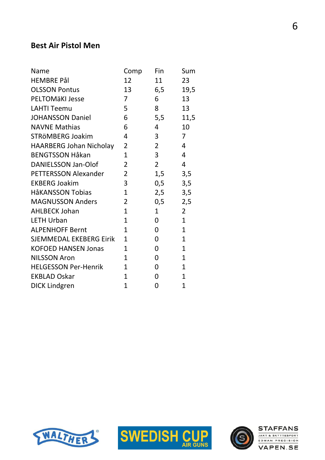#### Best Air Pistol Men

| Name                           | Comp           | Fin            | Sum            |
|--------------------------------|----------------|----------------|----------------|
| <b>HEMBRE Pål</b>              | 12             | 11             | 23             |
| <b>OLSSON Pontus</b>           | 13             | 6,5            | 19,5           |
| <b>PELTOMÄKI Jesse</b>         | 7              | 6              | 13             |
| <b>LAHTI Teemu</b>             | 5              | 8              | 13             |
| <b>JOHANSSON Daniel</b>        | 6              | 5,5            | 11,5           |
| <b>NAVNE Mathias</b>           | 6              | 4              | 10             |
| STRÖMBERG Joakim               | 4              | 3              | $\overline{7}$ |
| <b>HAARBERG Johan Nicholay</b> | 2              | $\overline{2}$ | $\overline{4}$ |
| <b>BENGTSSON Håkan</b>         | $\mathbf{1}$   | 3              | 4              |
| <b>DANIELSSON Jan-Olof</b>     | $\overline{2}$ | $\overline{2}$ | 4              |
| <b>PETTERSSON Alexander</b>    | 2              | 1,5            | 3,5            |
| <b>EKBERG Joakim</b>           | 3              | 0,5            | 3,5            |
| <b>HåKANSSON Tobias</b>        | $\mathbf{1}$   | 2,5            | 3,5            |
| <b>MAGNUSSON Anders</b>        | $\overline{2}$ | 0,5            | 2,5            |
| <b>AHLBECK Johan</b>           | $\mathbf{1}$   | $\mathbf{1}$   | $\overline{2}$ |
| <b>LETH Urban</b>              | $\mathbf{1}$   | $\overline{0}$ | $\mathbf{1}$   |
| <b>ALPENHOFF Bernt</b>         | $\mathbf{1}$   | $\overline{0}$ | $\mathbf{1}$   |
| <b>SJEMMEDAL EKEBERG Eirik</b> | $\mathbf{1}$   | $\overline{0}$ | $\mathbf{1}$   |
| <b>KOFOED HANSEN Jonas</b>     | $\mathbf{1}$   | 0              | $\mathbf{1}$   |
| <b>NILSSON Aron</b>            | $\mathbf{1}$   | $\overline{0}$ | $\mathbf{1}$   |
| <b>HELGESSON Per-Henrik</b>    | $\mathbf{1}$   | 0              | $\mathbf{1}$   |
| <b>EKBLAD Oskar</b>            | $\mathbf{1}$   | 0              | $\mathbf{1}$   |
| <b>DICK Lindgren</b>           | 1              | 0              | $\overline{1}$ |
|                                |                |                |                |





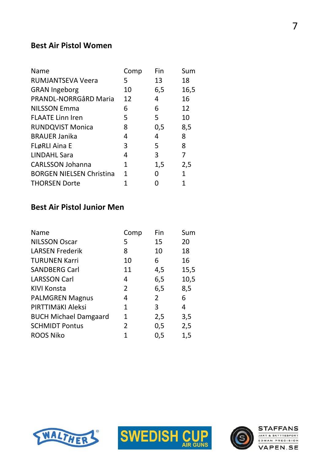#### Best Air Pistol Women

| <b>Name</b>                     | Comp | Fin | Sum          |
|---------------------------------|------|-----|--------------|
| <b>RUMJANTSEVA Veera</b>        | 5    | 13  | 18           |
| <b>GRAN Ingeborg</b>            | 10   | 6,5 | 16,5         |
| <b>PRANDL-NORRGÅRD Maria</b>    | 12   | 4   | 16           |
| <b>NILSSON Emma</b>             | 6    | 6   | 12           |
| <b>FLAATE Linn Iren</b>         | 5    | 5   | 10           |
| <b>RUNDQVIST Monica</b>         | 8    | 0,5 | 8,5          |
| <b>BRAUER Janika</b>            | 4    | 4   | 8            |
| <b>FLøRLI Aina E</b>            | 3    | 5   | 8            |
| <b>LINDAHL Sara</b>             | 4    | 3   | 7            |
| <b>CARLSSON Johanna</b>         | 1    | 1,5 | 2,5          |
| <b>BORGEN NIELSEN Christina</b> | 1    | 0   | $\mathbf{1}$ |
| <b>THORSEN Dorte</b>            |      |     |              |

#### Best Air Pistol Junior Men

| <b>Name</b>                  | Comp           | Fin            | Sum  |
|------------------------------|----------------|----------------|------|
| <b>NILSSON Oscar</b>         | 5              | 15             | 20   |
| <b>LARSEN Frederik</b>       | 8              | 10             | 18   |
| <b>TURUNEN Karri</b>         | 10             | 6              | 16   |
| <b>SANDBERG Carl</b>         | 11             | 4,5            | 15,5 |
| <b>LARSSON Carl</b>          | 4              | 6,5            | 10,5 |
| <b>KIVI Konsta</b>           | $\overline{2}$ | 6,5            | 8,5  |
| <b>PALMGREN Magnus</b>       | 4              | $\overline{2}$ | 6    |
| PIRTTIMÄKI Aleksi            | $\mathbf{1}$   | 3              | 4    |
| <b>BUCH Michael Damgaard</b> | 1              | 2,5            | 3,5  |
| <b>SCHMIDT Pontus</b>        | 2              | 0,5            | 2,5  |
| <b>ROOS Niko</b>             | 1              | 0,5            | 1,5  |





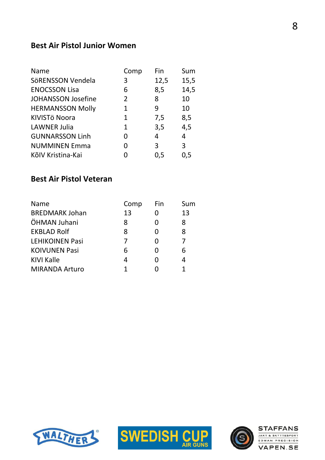#### Best Air Pistol Junior Women

| <b>Name</b>               | Comp           | Fin  | Sum  |
|---------------------------|----------------|------|------|
| SöRENSSON Vendela         | 3              | 12,5 | 15,5 |
| <b>ENOCSSON Lisa</b>      | 6              | 8,5  | 14,5 |
| <b>JOHANSSON Josefine</b> | $\overline{2}$ | 8    | 10   |
| <b>HERMANSSON Molly</b>   | 1              | 9    | 10   |
| KIVISTÖ Noora             | 1              | 7,5  | 8,5  |
| <b>LAWNER Julia</b>       | 1              | 3,5  | 4,5  |
| <b>GUNNARSSON Linh</b>    | O              | 4    | 4    |
| <b>NUMMINEN Emma</b>      | O              | 3    | 3    |
| KõIV Kristina-Kai         |                | 0,5  | 0,5  |

#### Best Air Pistol Veteran

| <b>Name</b>            | Comp | Fin               | Sum |
|------------------------|------|-------------------|-----|
| <b>BREDMARK Johan</b>  | 13   |                   | 13  |
| ÖHMAN Juhani           | 8    | $\mathbf{\Omega}$ | 8   |
| <b>EKBLAD Rolf</b>     | 8    | O                 | 8   |
| <b>LEHIKOINEN Pasi</b> | 7    | O                 |     |
| <b>KOIVUNEN Pasi</b>   | 6    | 0                 | 6   |
| <b>KIVI Kalle</b>      | 4    | O                 | 4   |
| <b>MIRANDA Arturo</b>  |      |                   |     |





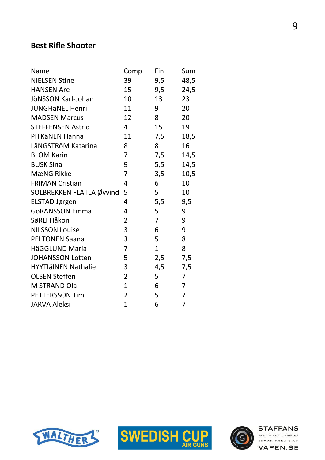### Best Rifle Shooter

| Name                       | Comp           | Fin            | Sum  |
|----------------------------|----------------|----------------|------|
| <b>NIELSEN Stine</b>       | 39             | 9,5            | 48,5 |
| <b>HANSEN Are</b>          | 15             | 9,5            | 24,5 |
| JÖNSSON Karl-Johan         | 10             | 13             | 23   |
| <b>JUNGHÄNEL Henri</b>     | 11             | 9              | 20   |
| <b>MADSEN Marcus</b>       | 12             | 8              | 20   |
| <b>STEFFENSEN Astrid</b>   | $\overline{4}$ | 15             | 19   |
| PITKäNEN Hanna             | 11             | 7,5            | 18,5 |
| LåNGSTRöM Katarina         | 8              | 8              | 16   |
| <b>BLOM Karin</b>          | 7              | 7,5            | 14,5 |
| <b>BUSK Sina</b>           | 9              | 5,5            | 14,5 |
| <b>MæNG Rikke</b>          | 7              | 3,5            | 10,5 |
| <b>FRIMAN Cristian</b>     | 4              | 6              | 10   |
| SOLBREKKEN FLATLA Øyvind   | 5              | 5              | 10   |
| <b>ELSTAD Jørgen</b>       | 4              | 5,5            | 9,5  |
| <b>GöRANSSON Emma</b>      | 4              | 5              | 9    |
| SøRLI Håkon                | $\overline{2}$ | $\overline{7}$ | 9    |
| <b>NILSSON Louise</b>      | 3              | 6              | 9    |
| <b>PELTONEN Saana</b>      | 3              | 5              | 8    |
| HäGGLUND Maria             | 7              | $\mathbf{1}$   | 8    |
| <b>JOHANSSON Lotten</b>    | 5              | 2,5            | 7,5  |
| <b>HYYTIäINEN Nathalie</b> | 3              | 4,5            | 7,5  |
| <b>OLSEN Steffen</b>       | $\overline{2}$ | 5              | 7    |
| M STRAND Ola               | $\mathbf{1}$   | 6              | 7    |
| <b>PETTERSSON Tim</b>      | $\overline{2}$ | 5              | 7    |
| <b>JARVA Aleksi</b>        | $\mathbf{1}$   | 6              | 7    |
|                            |                |                |      |





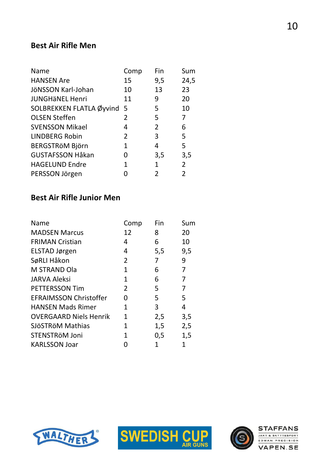# Best Air Rifle Men

| <b>Name</b>                | Comp | Fin            | Sum            |
|----------------------------|------|----------------|----------------|
| <b>HANSEN Are</b>          | 15   | 9,5            | 24,5           |
| JÖNSSON Karl-Johan         | 10   | 13             | 23             |
| <b>JUNGHÄNEL Henri</b>     | 11   | 9              | 20             |
| SOLBREKKEN FLATLA Øyvind 5 |      | 5              | 10             |
| <b>OLSEN Steffen</b>       | 2    | 5              | 7              |
| <b>SVENSSON Mikael</b>     | 4    | $\overline{2}$ | 6              |
| <b>LINDBERG Robin</b>      | 2    | 3              | 5              |
| <b>BERGSTRÖM Björn</b>     | 1    | 4              | 5              |
| <b>GUSTAFSSON Håkan</b>    | O    | 3,5            | 3,5            |
| <b>HAGELUND Endre</b>      | 1    | 1              | $\overline{2}$ |
| PERSSON Jörgen             |      | 2              | 2              |

### Best Air Rifle Junior Men

| <b>Name</b>                   | Comp | Fin | Sum |
|-------------------------------|------|-----|-----|
| <b>MADSEN Marcus</b>          | 12   | 8   | 20  |
| <b>FRIMAN Cristian</b>        | 4    | 6   | 10  |
| ELSTAD Jørgen                 | 4    | 5,5 | 9,5 |
| SøRLI Håkon                   | 2    | 7   | 9   |
| <b>M STRAND Ola</b>           | 1    | 6   | 7   |
| <b>JARVA Aleksi</b>           | 1    | 6   | 7   |
| <b>PETTERSSON Tim</b>         | 2    | 5   | 7   |
| <b>EFRAIMSSON Christoffer</b> | O    | 5   | 5   |
| <b>HANSEN Mads Rimer</b>      | 1    | 3   | 4   |
| <b>OVERGAARD Niels Henrik</b> | 1    | 2,5 | 3,5 |
| SJÖSTRÖM Mathias              | 1    | 1,5 | 2,5 |
| STENSTRöM Joni                | 1    | 0,5 | 1,5 |
| <b>KARLSSON Joar</b>          |      | 1   |     |





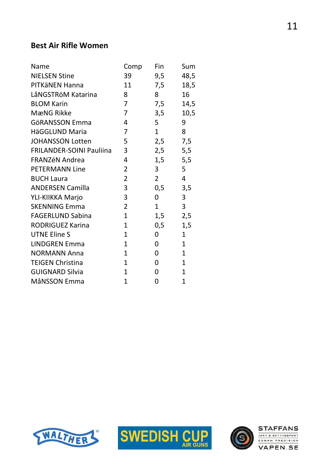#### Best Air Rifle Women

| 39<br>9,5<br>7,5<br>8<br>7,5 | 48,5<br>18,5<br>16 |
|------------------------------|--------------------|
|                              |                    |
|                              |                    |
|                              |                    |
|                              | 14,5               |
| 3,5                          | 10,5               |
| 5                            | 9                  |
| $\mathbf{1}$                 | 8                  |
| 2,5                          | 7,5                |
| 2,5                          | 5,5                |
| 1,5                          | 5,5                |
| 3                            | 5                  |
| $2^{\circ}$                  | 4                  |
| 0,5                          | 3,5                |
| 0                            | 3                  |
| $\mathbf{1}$                 | 3                  |
| 1,5                          | 2,5                |
| 0,5                          | 1,5                |
| 0                            | $\mathbf{1}$       |
| 0                            | $\mathbf{1}$       |
| 0                            | $\mathbf{1}$       |
| 0                            | $\mathbf{1}$       |
| $\Omega$                     | $\mathbf{1}$       |
|                              | 1                  |
|                              | 0                  |





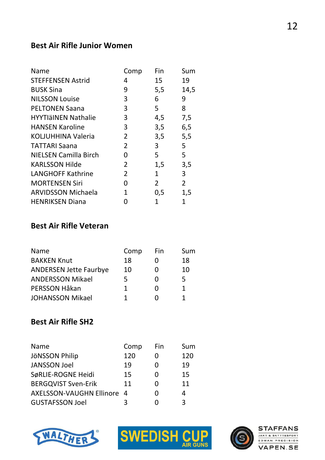#### Best Air Rifle Junior Women

| Name                       | Comp | Fin            | Sum            |
|----------------------------|------|----------------|----------------|
| <b>STEFFENSEN Astrid</b>   | 4    | 15             | 19             |
| <b>BUSK Sina</b>           | 9    | 5,5            | 14,5           |
| <b>NILSSON Louise</b>      | 3    | 6              | 9              |
| <b>PELTONEN Saana</b>      | 3    | 5              | 8              |
| <b>HYYTIäINEN Nathalie</b> | 3    | 4,5            | 7,5            |
| <b>HANSEN Karoline</b>     | 3    | 3,5            | 6,5            |
| KOLJUHHINA Valeria         | 2    | 3,5            | 5,5            |
| <b>TATTARI Saana</b>       | 2    | 3              | 5              |
| NIELSEN Camilla Birch      | 0    | 5              | 5              |
| <b>KARLSSON Hilde</b>      | 2    | 1,5            | 3,5            |
| <b>LANGHOFF Kathrine</b>   | 2    | 1              | 3              |
| <b>MORTENSEN Siri</b>      | 0    | $\overline{2}$ | $\overline{2}$ |
| <b>ARVIDSSON Michaela</b>  | 1    | 0,5            | 1,5            |
| <b>HENRIKSEN Diana</b>     |      | 1              | 1              |

# Best Air Rifle Veteran

| Name                          | Comp | Fin               | Sum |
|-------------------------------|------|-------------------|-----|
| <b>BAKKEN Knut</b>            | 18   |                   | 18  |
| <b>ANDERSEN Jette Faurbye</b> | 10   | $\mathbf{\Omega}$ | 10  |
| <b>ANDERSSON Mikael</b>       | 5    | O                 | 5   |
| PERSSON Håkan                 | 1    | O                 |     |
| <b>JOHANSSON Mikael</b>       | 1    | 0                 |     |

## Best Air Rifle SH2

| <b>Name</b>                | Comp | Fin | Sum |
|----------------------------|------|-----|-----|
| <b>JÖNSSON Philip</b>      | 120  |     | 120 |
| <b>JANSSON Joel</b>        | 19   |     | 19  |
| SøRLIE-ROGNE Heidi         | 15   |     | 15  |
| <b>BERGQVIST Sven-Erik</b> | 11   |     | 11  |
| AXELSSON-VAUGHN Ellinore 4 |      |     | 4   |
| <b>GUSTAFSSON Joel</b>     | ર    |     | ર   |





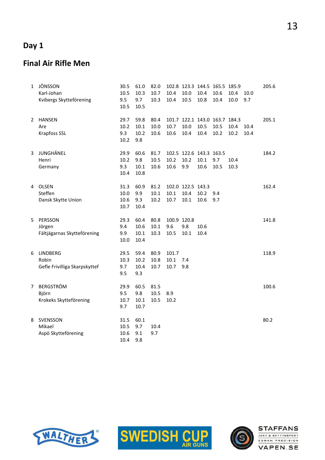# Day 1

#### Final Air Rifle Men

| 1              | JÖNSSON<br>Karl-Johan<br>Kvibergs Skytteförening          | 30.5<br>10.5<br>9.5<br>10.5  | 61.0<br>10.3<br>9.7<br>10.5  | 82.0<br>10.7<br>10.3 | 10.4<br>10.4               | 10.0<br>10.5                      | 10.4<br>10.8                            | 102.8 123.3 144.5 165.5 185.9<br>10.6<br>10.4 | 10.4<br>10.0 | 10.0<br>9.7  | 205.6 |
|----------------|-----------------------------------------------------------|------------------------------|------------------------------|----------------------|----------------------------|-----------------------------------|-----------------------------------------|-----------------------------------------------|--------------|--------------|-------|
| $\overline{2}$ | <b>HANSEN</b><br>Are<br>Krapfoss SSL                      | 29.7<br>10.2<br>9.3<br>10.2  | 59.8<br>10.1<br>10.2<br>9.8  | 80.4<br>10.0<br>10.6 | 10.7<br>10.6               | 10.0<br>10.4                      | 10.5<br>10.4                            | 101.7 122.1 143.0 163.7 184.3<br>10.5<br>10.2 | 10.4<br>10.2 | 10.4<br>10.4 | 205.1 |
| 3              | JUNGHÄNEL<br>Henri<br>Germany                             | 29.9<br>10.2<br>9.3<br>10.4  | 60.6<br>9.8<br>10.1<br>10.8  | 81.7<br>10.5<br>10.6 | 10.2<br>10.6               | 10.2<br>9.9                       | 102.5 122.6 143.3 163.5<br>10.1<br>10.6 | 9.7<br>10.5                                   | 10.4<br>10.3 |              | 184.2 |
| 4              | OLSEN<br>Steffen<br>Dansk Skytte Union                    | 31.3<br>10.0<br>10.6<br>10.7 | 60.9<br>9.9<br>9.3<br>10.4   | 81.2<br>10.1<br>10.2 | $10.1\,$<br>10.7           | 102.0 122.5 143.3<br>10.4<br>10.1 | 10.2<br>10.6                            | 9.4<br>9.7                                    |              |              | 162.4 |
| 5.             | PERSSON<br>Jörgen<br>Fältjägarnas Skytteförening          | 29.3<br>9.4<br>9.9<br>10.0   | 60.4<br>10.6<br>10.1<br>10.4 | 80.8<br>10.1<br>10.3 | 100.9 120.8<br>9.6<br>10.5 | 9.8<br>10.1                       | 10.6<br>10.4                            |                                               |              |              | 141.8 |
| 6              | <b>LINDBERG</b><br>Robin<br>Gefle Frivilliga Skarpskyttef | 29.5<br>10.3<br>9.7<br>9.5   | 59.4<br>10.2<br>10.4<br>9.3  | 80.9<br>10.8<br>10.7 | 101.7<br>10.1<br>10.7      | 7.4<br>9.8                        |                                         |                                               |              |              | 118.9 |
| $7^{\circ}$    | <b>BERGSTRÖM</b><br>Björn<br>Krokeks Skytteförening       | 29.9<br>9.5<br>10.7<br>9.7   | 60.5<br>9.8<br>10.1<br>10.7  | 81.5<br>10.5<br>10.5 | 8.9<br>10.2                |                                   |                                         |                                               |              |              | 100.6 |
| 8              | SVENSSON<br>Mikael<br>Aspö Skytteförening                 | 31.5<br>10.5<br>10.6<br>10.4 | 60.1<br>9.7<br>9.1<br>9.8    | 10.4<br>9.7          |                            |                                   |                                         |                                               |              |              | 80.2  |





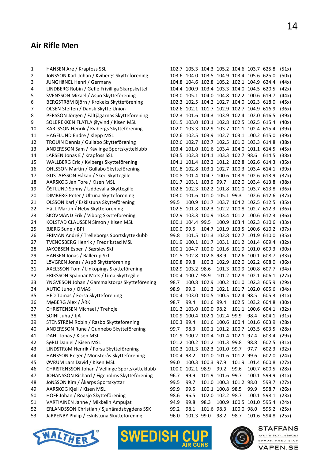#### Air Rifle Men

| 1              | HANSEN Are / Krapfoss SSL                      |            |                              |                  |                  | 102.7 105.3 104.3 105.2 104.6 103.7 625.8 |                   |                                          | (51x) |
|----------------|------------------------------------------------|------------|------------------------------|------------------|------------------|-------------------------------------------|-------------------|------------------------------------------|-------|
| $\overline{2}$ | JöNSSON Karl-Johan / Kvibergs Skytteförening   |            |                              |                  |                  | 103.6 104.0 103.5 104.9 103.4 105.6 625.0 |                   |                                          | (50x) |
| 3              | JUNGHäNEL Henri / Germany                      |            |                              |                  |                  | 104.8 104.6 102.8 105.2 102.1 104.9 624.4 |                   |                                          | (44x) |
| 4              | LINDBERG Robin / Gefle Frivilliga Skarpskyttef |            |                              |                  |                  | 104.4 100.9 103.4 103.3 104.0 104.5 620.5 |                   |                                          | (42x) |
| 5              | SVENSSON Mikael / Aspö Skytteförening          |            |                              |                  |                  | 103.0 105.1 104.0 104.8 102.2 100.6 619.7 |                   |                                          | (44x) |
| 6              | BERGSTRÖM Björn / Krokeks Skytteförening       |            |                              |                  |                  | 102.3 102.5 104.2 102.7 104.0 102.3 618.0 |                   |                                          | (45x) |
| 7              | OLSEN Steffen / Dansk Skytte Union             |            |                              |                  |                  | 102.6 102.1 101.7 102.9 102.7 104.9 616.9 |                   |                                          | (36x) |
| 8              | PERSSON Jörgen / Fältjägarnas Skytteförening   |            |                              |                  |                  | 102.3 101.6 104.3 103.9 102.4 102.0 616.5 |                   |                                          | (39x) |
| 9              | SOLBREKKEN FLATLA Øyvind / Kisen MSL           |            |                              |                  |                  | 101.5 103.0 103.1 102.8 102.5 102.5 615.4 |                   |                                          | (40x) |
| 10             | KARLSSON Henrik / Kvibergs Skytteförening      |            |                              |                  |                  | 102.0 103.3 102.9 103.7 101.1 102.4 615.4 |                   |                                          | (39x) |
| 11             | HAGELUND Endre / Klepp MSL                     |            |                              |                  |                  | 102.6 102.5 103.9 102.7 103.1 100.2 615.0 |                   |                                          | (39x) |
| 12             | TROUIN Dennis / Gullabo Skytteförening         |            |                              |                  |                  | 102.6 102.7 102.7 102.5 101.0 103.3 614.8 |                   |                                          | (38x) |
| 13             | ANDERSSON Sam / Kävlinge Sportskytteklubb      |            |                              |                  |                  | 103.4 101.0 101.6 103.4 104.0 101.1 614.5 |                   |                                          | (45x) |
| 14             | LARSEN Jonas E / Krapfoss SSL                  |            |                              |                  |                  | 103.5 102.3 104.1 103.3 102.7 98.6        |                   | 614.5                                    | (38x) |
| 15             | WALLBERG Eric / Kvibergs Skytteförening        |            |                              |                  |                  | 104.1 101.4 102.2 101.2 102.8 102.6 614.3 |                   |                                          | (35x) |
| 16             | OHLSSON Martin / Gullabo Skytteförening        |            |                              |                  |                  | 101.8 102.8 103.1 102.7 100.3 103.4 614.1 |                   |                                          | (39x) |
| 17             | GUSTAFSSON Håkan / Skee Skyttegille            |            |                              |                  |                  | 100.8 101.4 104.7 100.6 103.8 102.6 613.9 |                   |                                          | (37x) |
| 18             | AARSKOG Jan Tore / Kisen MSL                   |            | 101.7 103.1 103.9 99.7       |                  |                  |                                           | 102.0 103.4 613.8 |                                          | (38x) |
| 19             | ÖSTLUND Sonny / Uddevalla Skyttegille          |            |                              |                  |                  | 102.8 102.3 102.2 101.8 101.0 103.7 613.8 |                   |                                          | (36x) |
| 20             | DIMBERG Peter / Ultuna Skytteförening          |            | 103.0 101.6 101.0 105.1 99.3 |                  |                  |                                           |                   | 102.6 612.6                              | (37x) |
| 21             | OLSSON Karl / Eskilstuna Skytteförening        | 99.5       |                              |                  |                  | 100.9 101.7 103.7 104.2 102.5 612.5       |                   |                                          | (35x) |
| 22             | HäLL Martin / Heby Skytteförening              |            |                              |                  |                  | 102.5 101.8 102.3 102.2 100.8 102.7 612.3 |                   |                                          | (36x) |
| 23             | SKOVMAND Erik / Viborg Skytteforening          |            |                              |                  |                  | 102.9 103.3 100.9 103.4 101.2 100.6 612.3 |                   |                                          | (36x) |
| 24             | KOLSTAD CLAUSSEN Simon / Kisen MSL             |            | 100.1 104.4 99.5             |                  |                  | 100.9 103.4 102.3 610.6                   |                   |                                          | (33x) |
| 25             | BJERG Sune / BPI                               | 100.0 99.5 |                              |                  |                  | 104.7 101.9 103.5 100.6 610.2             |                   |                                          | (37x) |
| 26             | FRIMAN André / Trelleborgs Sportskytteklubb    | 99.8       |                              |                  |                  | 101.5 101.3 102.8 102.7 101.9 610.0       |                   |                                          | (35x) |
| 27             | TVENGSBERG Henrik / Fredrikstad MSL            |            |                              |                  |                  | 101.9 100.1 101.7 103.1 101.2 101.4 609.4 |                   |                                          | (32x) |
| 28             | JAKOBSEN Esben / Særslev Skf                   |            |                              |                  |                  | 100.1 104.7 100.0 101.6 101.9 101.0 609.3 |                   |                                          | (30x) |
| 29             | HANSEN Jonas / Ballerup Skf                    |            | 101.5 102.8 102.8 98.9       |                  |                  |                                           | 102.6 100.1 608.7 |                                          | (33x) |
| 30             | LöVGREN Jonas / Aspö Skytteförening            | 100.8 99.8 |                              |                  |                  | 100.3 102.9 102.0 102.2 608.0             |                   |                                          | (36x) |
| 31             | AXELSSON Tom / Linköpings Skytteförening       |            | 102.9 103.2 98.6             |                  |                  | 101.3 100.9 100.8 607.7                   |                   |                                          | (34x) |
| 32             | ERIKSSON Spännar Mats / Lima Skyttegille       |            | 100.4 100.7 98.9             |                  |                  | 101.2 102.8 102.1 606.1                   |                   |                                          | (27x) |
| 33             | YNGVESON Johan / Gammalstorps Skytteförening   | 98.7       |                              |                  |                  | 100.8 102.9 100.2 101.0 102.3 605.9       |                   |                                          | (29x) |
| 34             | AUTIO Juho / OMAS                              | 98.9       | 99.6                         |                  |                  | 101.3 102.1 101.7 102.0 605.6             |                   |                                          | (34x) |
| 35             | HED Tomas / Forsa Skytteförening               |            |                              |                  |                  | 100.4 103.0 100.5 100.5 102.4 98.5        |                   | 605.3                                    | (31x) |
| 36             | MøBERG Alex / ÅRK                              | 98.7       | 99.4                         | 101.6 99.4       |                  |                                           | 102.5 103.2 604.8 |                                          | (30x) |
| 37             | CHRISTENSEN Michael / Trehøje                  |            |                              |                  |                  |                                           |                   | 101.2 103.0 100.0 98.2 101.1 100.6 604.1 | (32x) |
| 38             | SOINI Juha / JjA                               |            |                              |                  |                  | 100.9 100.4 102.1 102.4 99.9 98.4         |                   | 604.1                                    | (31x) |
| 39             | STENSTRöM Robin / Rasbo Skytteförening         | 100.3 99.4 |                              |                  |                  | 101.6 100.6 100.4 101.6 603.9             |                   |                                          | (28x) |
| 40             | ANDERSSON Rune / Gunnebo Skytteförening        | 99.7       | 98.3                         |                  |                  | 100.1 101.2 100.7 103.5 603.5             |                   |                                          | (28x) |
| 41             | DAHL Jonas / Kisen MSL                         |            |                              |                  |                  | 101.9 100.2 100.4 101.4 102.1 97.4        |                   | 603.4                                    | (29x) |
| 42             | SøRLI Daniel / Kisen MSL                       |            | 101.2 100.2 101.2 101.3 99.8 |                  |                  |                                           | 98.8              | 602.5                                    | (31x) |
| 43             | LINDSTRöM Henrik / Forsa Skytteförening        |            | 100.3 101.3 102.3 101.0 99.7 |                  |                  |                                           | 97.7              | 602.3                                    | (32x) |
| 44             | HANSSON Roger / Mönsterås Skytteförening       | 100.4 98.2 |                              |                  |                  | 101.0 101.6 101.2 99.6                    |                   | 602.0                                    | (24x) |
|                | ØVRUM Lars David / Kisen MSL                   | 99.0       |                              | 100.3 100.3 97.9 |                  |                                           | 101.9 101.4 600.8 |                                          |       |
| 45             | CHRISTENSSON Johan / Vellinge Sportskytteklubb |            | 100.0 102.1 98.9             |                  | 99.2             | 99.6                                      |                   | 100.7 600.5                              | (27x) |
| 46             |                                                |            |                              |                  |                  |                                           |                   |                                          | (28x) |
| 47             | JOHANSSON Richard / Figeholms Skytteförening   | 96.7       | 99.9                         |                  | 101.9 101.6 99.7 |                                           |                   | 100.1 599.9                              | (31x) |
| 48             | JÖNSSON Kim / Åkarps Sportskyttar              | 99.5       | 99.7                         |                  |                  | 101.0 100.3 101.2 98.0                    |                   | 599.7                                    | (27x) |
| 49             | AARSKOG Kjell / Kisen MSL                      | 99.9       | 99.5                         |                  | 100.1 100.8 98.5 |                                           | 99.9              | 598.7                                    | (26x) |
| 50             | HOFF Johan / Roasjö Skytteförening             | 98.6       | 96.5                         |                  | 102.0 102.2 98.7 |                                           |                   | 100.1 598.1                              | (23x) |
| 51             | VARTIAINEN Janne / Mikkelin Ampujat            | 94.9       | 99.8                         | 98.3             |                  | 100.9 100.5 101.0 595.4                   |                   |                                          | (24x) |
| 52             | ERLANDSSON Christian / Sjuhäradsbygdens SSK    | 99.2       | 98.1                         | 101.6 98.3       |                  | 100.0 98.0                                |                   | 595.2                                    | (25x) |
| 53             | JäRPENBY Philip / Eskilstuna Skytteförening    | 96.0       | 101.3 99.0                   |                  | 98.2             | 98.7                                      |                   | 101.6 594.8                              | (25x) |





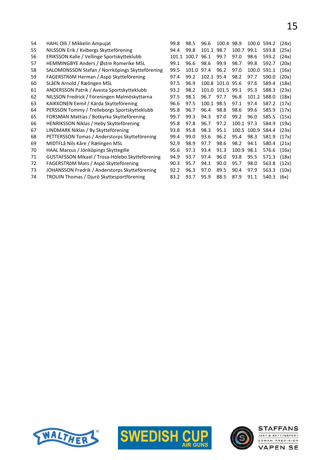| 54 | HAHL Olli / Mikkelin Ampujat                    | 99.8  | 98.5  | 96.6       | 100.4 98.9       |       | 100.0 | 594.2 | (24x) |
|----|-------------------------------------------------|-------|-------|------------|------------------|-------|-------|-------|-------|
| 55 | NILSSON Erik / Kvibergs Skytteförening          | 94.4  | 99.8  | 101.1      | 98.7             | 100.7 | 99.1  | 593.8 | (25x) |
| 56 | ERIKSSON Kalle / Vellinge Sportskytteklubb      | 101.1 | 100.7 | 96.1       | 99.7             | 97.0  | 98.6  | 593.2 | (24x) |
| 57 | HEMMINGBYE Anders / Østre Romerike MSL          | 99.1  | 96.6  | 98.6       | 99.9             | 98.7  | 99.8  | 592.7 | (20x) |
| 58 | SALOMONSSON Stefan / Norrköpings Skytteförening | 99.5  | 101.0 | 97.4       | 96.2             | 97.0  | 100.0 | 591.1 | (16x) |
| 59 | FAGERSTRÖM Herman / Aspö Skytteförening         | 97.4  | 99.2  | 102.1 95.4 |                  | 98.2  | 97.7  | 590.0 | (20x) |
| 60 | SLåEN Arnold / Rælingen MSL                     | 97.5  | 96.9  |            | 100.8 101.0 95.6 |       | 97.6  | 589.4 | (18x) |
| 61 | ANDERSSON Patrik / Avesta Sportskytteklubb      | 93.2  | 98.2  |            | 101.0 101.5 99.1 |       | 95.3  | 588.3 | (23x) |
| 62 | NILSSON Fredrick / Föreningen Malmöskyttarna    | 97.5  | 98.1  | 96.7       | 97.7             | 96.8  | 101.2 | 588.0 | (18x) |
| 63 | KAIKKONEN Eemil / Kärda Skytteförening          | 96.6  | 97.5  | 100.1 98.5 |                  | 97.1  | 97.4  | 587.2 | (17x) |
| 64 | PERSSON Tommy / Trelleborgs Sportskytteklubb    | 95.8  | 96.7  | 96.4       | 98.8             | 98.6  | 99.6  | 585.9 | (17x) |
| 65 | FORSMAN Mattias / Botkyrka Skytteförening       | 99.7  | 99.3  | 94.3       | 97.0             | 99.2  | 96.0  | 585.5 | (15x) |
| 66 | HENRIKSSON Niklas / Heby Skytteförening         | 95.8  | 97.8  | 96.7       | 97.2             | 100.1 | 97.3  | 584.9 | (19x) |
| 67 | LINDMARK Niklas / By Skytteförening             | 93.8  | 95.8  | 98.3       | 95.1             | 100.5 | 100.9 | 584.4 | (23x) |
| 68 | PETTERSSON Tomas / Anderstorps Skytteförening   | 99.4  | 99.0  | 93.6       | 96.2             | 95.4  | 98.3  | 581.9 | (17x) |
| 69 | MIDTFLå Nils Kåre / Rælingen MSL                | 92.9  | 98.9  | 97.7       | 98.6             | 98.2  | 94.1  | 580.4 | (21x) |
| 70 | HAAL Marcus / Jönköpings Skyttegille            | 95.6  | 97.3  | 93.4       | 91.3             | 100.9 | 98.1  | 576.6 | (16x) |
| 71 | GUSTAFSSON Mikael / Trosa-Hölebo Skytteförening | 94.9  | 93.7  | 97.4       | 96.0             | 93.8  | 95.5  | 571.3 | (18x) |
| 72 | FAGERSTRöM Mats / Aspö Skytteförening           | 90.3  | 95.7  | 94.1       | 90.0             | 95.7  | 98.0  | 563.8 | (12x) |
| 73 | JOHANSSON Fredrik / Anderstorps Skytteförening  | 92.2  | 96.3  | 97.0       | 89.5             | 90.4  | 97.9  | 563.3 | (10x) |
| 74 | TROUIN Thomas / Djurö Skyttesportförening       | 83.2  | 93.7  | 95.9       | 88.5             | 87.9  | 91.1  | 540.3 | (6x)  |





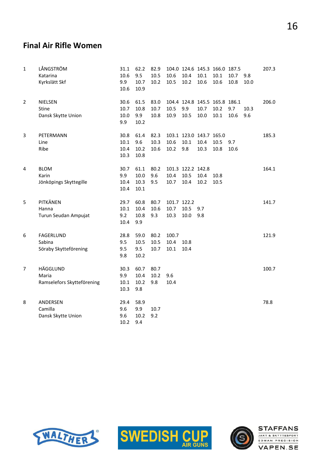#### Final Air Rifle Women

| $\mathbf{1}$ | LÅNGSTRÖM<br>Katarina<br>Kyrkslätt Skf              | 31.1<br>10.6<br>9.9<br>10.6     | 62.2<br>9.5<br>10.7<br>10.9  | 82.9<br>10.5<br>10.2 | 10.6<br>10.5                | 104.0 124.6 145.3 166.0 187.5<br>10.4<br>10.2 | 10.1<br>10.6 | 10.1<br>10.6 | 10.7<br>10.8 | 9.8<br>10.0 | 207.3 |
|--------------|-----------------------------------------------------|---------------------------------|------------------------------|----------------------|-----------------------------|-----------------------------------------------|--------------|--------------|--------------|-------------|-------|
| 2            | <b>NIELSEN</b><br>Stine<br>Dansk Skytte Union       | 30.6<br>10.7<br>10.0<br>9.9     | 61.5<br>10.8<br>9.9<br>10.2  | 83.0<br>10.7<br>10.8 | 10.5<br>10.9                | 104.4 124.8 145.5 165.8 186.1<br>9.9<br>10.5  | 10.7<br>10.0 | 10.2<br>10.1 | 9.7<br>10.6  | 10.3<br>9.6 | 206.0 |
| 3            | PETERMANN<br>Line<br>Ribe                           | 30.8<br>10.1<br>10.4<br>10.3    | 61.4<br>9.6<br>10.2<br>10.8  | 82.3<br>10.3<br>10.6 | 10.6<br>10.2                | 103.1 123.0 143.7 165.0<br>10.1<br>9.8        | 10.4<br>10.3 | 10.5<br>10.8 | 9.7<br>10.6  |             | 185.3 |
| 4            | <b>BLOM</b><br>Karin<br>Jönköpings Skyttegille      | 30.7<br>9.9<br>10.4<br>10.4     | 61.1<br>10.0<br>10.3<br>10.1 | 80.2<br>9.6<br>9.5   | 10.4<br>10.7                | 101.3 122.2 142.8<br>10.5<br>10.4             | 10.4<br>10.2 | 10.8<br>10.5 |              |             | 164.1 |
| 5            | PITKÄNEN<br>Hanna<br>Turun Seudan Ampujat           | 29.7<br>$10.1\,$<br>9.2<br>10.4 | 60.8<br>10.4<br>10.8<br>9.9  | 80.7<br>10.6<br>9.3  | 101.7 122.2<br>10.7<br>10.3 | 10.5<br>10.0                                  | 9.7<br>9.8   |              |              |             | 141.7 |
| 6            | <b>FAGERLUND</b><br>Sabina<br>Söraby Skytteförening | 28.8<br>9.5<br>9.5<br>9.8       | 59.0<br>10.5<br>9.5<br>10.2  | 80.2<br>10.5<br>10.7 | 100.7<br>10.4<br>10.1       | 10.8<br>10.4                                  |              |              |              |             | 121.9 |
| 7            | HÄGGLUND<br>Maria<br>Ramselefors Skytteförening     | 30.3<br>9.9<br>$10.1\,$<br>10.3 | 60.7<br>10.4<br>10.2<br>9.8  | 80.7<br>10.2<br>9.8  | 9.6<br>10.4                 |                                               |              |              |              |             | 100.7 |
| 8            | ANDERSEN<br>Camilla<br>Dansk Skytte Union           | 29.4<br>9.6<br>9.6<br>10.2      | 58.9<br>9.9<br>10.2<br>9.4   | 10.7<br>9.2          |                             |                                               |              |              |              |             | 78.8  |





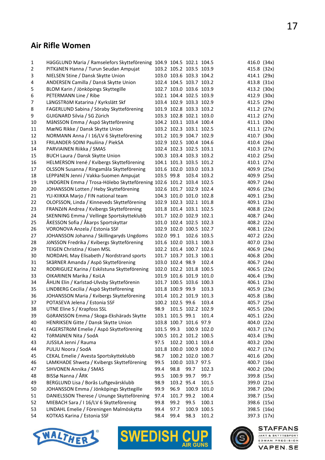#### Air Rifle Women

| 1              | HäGGLUND Maria / Ramselefors Skytteförening 104.9 104.5 102.1 104.5 |            |                         |                   |             | 416.0 (34x) |  |
|----------------|---------------------------------------------------------------------|------------|-------------------------|-------------------|-------------|-------------|--|
| $\overline{c}$ | PITKäNEN Hanna / Turun Seudan Ampujat                               |            | 103.2 105.2 103.5 103.9 |                   |             | 415.8 (32x) |  |
| 3              | NIELSEN Stine / Dansk Skytte Union                                  |            | 103.0 103.6 103.3 104.2 |                   |             | 414.1 (29x) |  |
| 4              | ANDERSEN Camilla / Dansk Skytte Union                               |            | 102.4 104.5 103.7 103.2 |                   |             | 413.8 (31x) |  |
| 5              | BLOM Karin / Jönköpings Skyttegille                                 |            | 102.7 103.0 103.6 103.9 |                   |             | 413.2 (30x) |  |
| 6              | PETERMANN Line / Ribe                                               |            | 102.1 104.4 102.5 103.9 |                   |             | 412.9 (30x) |  |
| 7              | LåNGSTRöM Katarina / Kyrkslätt Skf                                  |            | 103.4 102.9 103.3 102.9 |                   |             | 412.5 (29x) |  |
| 8              | FAGERLUND Sabina / Söraby Skytteförening                            |            | 101.9 102.8 103.3 103.2 |                   |             | 411.2 (27x) |  |
| 9              | GUIGNARD Silvia / SG Zürich                                         |            | 103.3 102.8 102.1 103.0 |                   |             | 411.2 (27x) |  |
| 10             | MåNSSON Emma / Aspö Skytteförening                                  |            | 104.2 103.1 103.4 100.4 |                   |             | 411.1 (30x) |  |
| 11             | MæNG Rikke / Dansk Skytte Union                                     |            | 103.2 102.3 103.1 102.5 |                   |             | 411.1 (27x) |  |
| 12             | NORMANN Anna / I 16/LV 6 Skytteförening                             |            | 101.2 101.9 104.7 102.9 |                   |             | 410.7 (30x) |  |
| 13             | FRILANDER-SOINI Pauliina / PiekSA                                   |            | 102.9 102.5 100.4 104.6 |                   |             | 410.4 (26x) |  |
| 14             | PARVIAINEN Riikka / SMAS                                            |            | 102.4 102.3 102.5 103.1 |                   |             | 410.3 (27x) |  |
| 15             | BUCH Laura / Dansk Skytte Union                                     |            | 100.3 103.4 103.3 103.2 |                   |             | 410.2 (25x) |  |
| 16             | HELMERSON Irené / Kvibergs Skytteförening                           |            | 104.1 101.3 103.5 101.2 |                   |             | 410.1 (27x) |  |
| 17             | OLSSON Susanna / Ringamåla Skytteförening                           |            | 101.6 102.0 103.0 103.3 |                   |             | 409.9 (25x) |  |
| 18             | LEPPäNEN Jenni / Vakka-Suomen Ampujat                               | 103.5 99.8 |                         | 103.4 103.2       |             | 409.9 (25x) |  |
| 19             | LINDGREN Emma / Trosa-Hölebo Skytteförening 102.6 101.2 103.4 102.5 |            |                         |                   |             | 409.7 (24x) |  |
| 20             | JOHANSSON Lotten / Heby Skytteförening                              |            | 102.6 101.7 102.9 102.4 |                   |             | 409.6 (23x) |  |
| 21             | YLI-KIIKKA Marjo / FIN national team                                |            | 104.3 101.0 101.0 102.8 |                   |             | 409.1 (23x) |  |
| 22             | OLOFSSON, Linda / Kinneveds Skytteförening                          |            | 102.9 102.3 102.1 101.8 |                   |             | 409.1 (23x) |  |
| 23             | FRANZéN Andrea / Kvibergs Skytteförening                            |            | 101.8 101.4 103.1 102.5 |                   |             | 408.8 (22x) |  |
| 24             | SKENNING Emma / Vellinge Sportskytteklubb                           |            | 101.7 102.0 102.9 102.1 |                   |             | 408.7 (24x) |  |
| 25             | ÅKESSON Sofia / Åkarps Sportskyttar                                 |            | 101.0 102.4 102.5 102.3 |                   |             | 408.2 (22x) |  |
| 26             | VORONOVA Anzela / Estonia SSF                                       |            | 102.9 102.0 100.5 102.7 |                   |             | 408.1 (22x) |  |
| 27             | JOHANSSON Johanna / Skillingaryds Ungdoms                           | 102.0 99.1 |                         | 102.6 103.5       |             | 407.2 (22x) |  |
| 28             | JöNSSON Fredrika / Kvibergs Skytteförening                          |            | 101.6 102.0 103.1 100.3 |                   |             | 407.0 (23x) |  |
| 29             | TEIGEN Christina / Kisen MSL                                        |            | 102.2 101.4 100.7 102.6 |                   |             | 406.9 (24x) |  |
| 30             | NORDAHL May Elisabeth / Nordstrand sports                           |            | 101.7 103.7 101.3 100.1 |                   |             | 406.8 (20x) |  |
| 31             | SKåRNER Amanda / Aspö Skytteförening                                |            | 103.0 102.4 98.9        |                   | 102.4       | 406.7 (24x) |  |
| 32             | RODRIGUEZ Karina / Eskilstuna Skytteförening                        |            | 102.0 102.2 101.8 100.5 |                   |             | 406.5 (22x) |  |
| 33             | OIKARINEN Marika / KoiLA                                            |            | 101.9 101.6 101.9 101.0 |                   |             | 406.4 (19x) |  |
| 34             | ÅHLIN Elin / Karlstad-Ulvsby Skytteförenin                          |            | 101.7 100.5 103.6 100.3 |                   |             | 406.1 (23x) |  |
| 35             | LINDBERG Cecilia / Aspö Skytteförening                              |            | 101.8 100.9 99.9        |                   | 103.3       | 405.9 (23x) |  |
| 36             | JOHANSSON Maria / Kvibergs Skytteförening                           |            | 101.4 101.2 101.9 101.3 |                   |             | 405.8 (18x) |  |
| 37             | POTASEVA Jelena / Estonia SSF                                       |            | 100.2 102.5 99.6        |                   | 103.4       | 405.7 (25x) |  |
| 38             | UTNE Eline S / Krapfoss SSL                                         | 98.9       |                         | 101.5 102.2 102.9 |             | 405.5 (20x) |  |
| 39             | GöRANSSON Emma / Skoga-Ekshärads Skytte                             |            | 103.1 101.5 99.1        |                   | 101.4       | 405.1 (22x) |  |
| 40             | HENRIKSEN Gitte / Dansk Skytte Union                                |            | 103.8 100.7 101.6 97.9  |                   |             | 404.0 (22x) |  |
| 41             | FAGERSTRöM Emelie / Aspö Skytteförening                             | 101.5 99.3 |                         | 100.9 102.0       |             | 403.7 (17x) |  |
| 42             | TÖRMÄNEN Nita / SodA                                                |            | 100.5 101.2 101.2 100.5 |                   |             | 403.4 (19x) |  |
| 43             | JUSSILA Jenni / Rauma                                               | 97.5       |                         | 102.2 100.1 103.4 |             | 403.2 (20x) |  |
| 44             | PULJU Noora / SodA                                                  |            | 101.8 100.0 100.9 100.0 |                   |             | 402.7 (17x) |  |
| 45             | CEKAL Emelie / Avesta Sportskytteklubb                              | 98.7       |                         | 100.2 102.0 100.7 |             | 401.6 (20x) |  |
| 46             | LAMKHADE Shweta / Kvibergs Skytteförening                           | 99.5       |                         | 100.0 103.7 97.5  |             | 400.7 (16x) |  |
| 47             | SIHVONEN Annika / SMAS                                              | 99.4       | 98.8                    | 99.7              | 102.3       | 400.2 (20x) |  |
| 48             | BISSø Nanna / ÅRK                                                   | 99.5       | 100.9 99.7              |                   | 99.7        | 399.8 (15x) |  |
| 49             | BERGLUND Lisa / Borås Luftgevärsklubb                               | 98.9       | 103.2 95.4              |                   | 101.5       | 399.0 (21x) |  |
| 50             | JOHANSSON Emma / Jönköpings Skyttegille                             | 99.9       | 96.9                    |                   | 100.9 101.0 | 398.7 (20x) |  |
| 51             | DANIELSSON Therese / Ununge Skytteförening                          | 97.4       | 101.7 99.2              |                   | 100.4       | 398.7 (15x) |  |
| 52             | MIEBACH Sara / I 16/LV 6 Skytteförening                             | 99.8       | 99.2                    | 99.5              | 100.1       | 398.6 (15x) |  |
| 53             | LINDAHL Emelie / Föreningen Malmöskytta                             | 99.4       | 97.7                    | 100.9 100.5       |             | 398.5 (16x) |  |
| 54             | KOTKAS Karina / Estonia SSF                                         | 98.4       | 99.4                    | 98.3              | 101.2       | 397.3 (17x) |  |
|                |                                                                     |            |                         |                   |             |             |  |





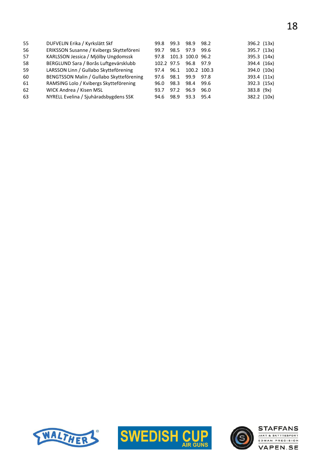| 55 | DUFVELIN Erika / Kyrkslätt Skf           | 99.8       | 99.3 | 98.9             | 98.2 | 396.2 (13x) |  |
|----|------------------------------------------|------------|------|------------------|------|-------------|--|
| 56 | ERIKSSON Susanne / Kvibergs Skytteföreni | 99.7       | 98.5 | 97.9             | 99.6 | 395.7 (13x) |  |
| 57 | KARLSSON Jessica / Mjölby Ungdomssk      | 97.8       |      | 101.3 100.0 96.2 |      | 395.3 (14x) |  |
| 58 | BERGLUND Sara / Borås Luftgevärsklubb    | 102.2 97.5 |      | 96.8             | 97.9 | 394.4 (16x) |  |
| 59 | LARSSON Linn / Gullabo Skytteförening    | 97.4       | 96.1 | 100.2 100.3      |      | 394.0 (10x) |  |
| 60 | BENGTSSON Malin / Gullabo Skytteförening | 97.6       | 98.1 | 99.9             | 97.8 | 393.4 (11x) |  |
| 61 | RAMSING Lolo / Kvibergs Skytteförening   | 96.0       | 98.3 | 98.4             | 99.6 | 392.3 (15x) |  |
| 62 | WICK Andrea / Kisen MSL                  | 93.7       | 97.2 | 96.9             | 96.0 | 383.8 (9x)  |  |
| 63 | NYRELL Evelina / Sjuhäradsbygdens SSK    | 94.6       | 98.9 | 93.3             | 95.4 | 382.2 (10x) |  |





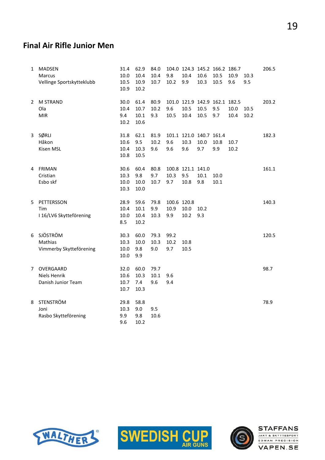#### Final Air Rifle Junior Men

| 1 | <b>MADSEN</b><br>Marcus<br>Vellinge Sportskytteklubb | 31.4<br>10.0<br>10.5<br>10.9 | 62.9<br>10.4<br>10.9<br>10.2 | 84.0<br>10.4<br>10.7 | 9.8<br>10.2                | 10.4<br>9.9                            | 10.6<br>10.3 | 104.0 124.3 145.2 166.2 186.7<br>10.5<br>10.5 | 10.9<br>9.6  | 10.3<br>9.5  | 206.5 |
|---|------------------------------------------------------|------------------------------|------------------------------|----------------------|----------------------------|----------------------------------------|--------------|-----------------------------------------------|--------------|--------------|-------|
| 2 | <b>M STRAND</b><br>Ola<br><b>MIR</b>                 | 30.0<br>10.4<br>9.4<br>10.2  | 61.4<br>10.7<br>10.1<br>10.6 | 80.9<br>10.2<br>9.3  | 9.6<br>10.5                | 10.5<br>10.4                           | 10.5<br>10.5 | 101.0 121.9 142.9 162.1 182.5<br>9.5<br>9.7   | 10.0<br>10.4 | 10.5<br>10.2 | 203.2 |
| 3 | SØRLI<br>Håkon<br>Kisen MSL                          | 31.8<br>10.6<br>10.4<br>10.8 | 62.1<br>9.5<br>10.3<br>10.5  | 81.9<br>10.2<br>9.6  | 9.6<br>9.6                 | 101.1 121.0 140.7 161.4<br>10.3<br>9.6 | 10.0<br>9.7  | 10.8<br>9.9                                   | 10.7<br>10.2 |              | 182.3 |
|   | 4 FRIMAN<br>Cristian<br>Esbo skf                     | 30.6<br>10.3<br>10.0<br>10.3 | 60.4<br>9.8<br>10.0<br>10.0  | 80.8<br>9.7<br>10.7  | 10.3<br>9.7                | 100.8 121.1 141.0<br>9.5<br>10.8       | 10.1<br>9.8  | 10.0<br>$10.1\,$                              |              |              | 161.1 |
| 5 | PETTERSSON<br>Tim<br>I 16/LV6 Skytteförening         | 28.9<br>10.4<br>10.0<br>8.5  | 59.6<br>10.1<br>10.4<br>10.2 | 79.8<br>9.9<br>10.3  | 100.6 120.8<br>10.9<br>9.9 | 10.0<br>10.2                           | 10.2<br>9.3  |                                               |              |              | 140.3 |
| 6 | SJÖSTRÖM<br>Mathias<br>Vimmerby Skytteförening       | 30.3<br>10.3<br>10.0<br>10.0 | 60.0<br>10.0<br>9.8<br>9.9   | 79.3<br>10.3<br>9.0  | 99.2<br>10.2<br>9.7        | 10.8<br>10.5                           |              |                                               |              |              | 120.5 |
| 7 | OVERGAARD<br>Niels Henrik<br>Danish Junior Team      | 32.0<br>10.6<br>10.7<br>10.7 | 60.0<br>10.3<br>7.4<br>10.3  | 79.7<br>10.1<br>9.6  | 9.6<br>9.4                 |                                        |              |                                               |              |              | 98.7  |
| 8 | <b>STENSTRÖM</b><br>Joni<br>Rasbo Skytteförening     | 29.8<br>10.3<br>9.9<br>9.6   | 58.8<br>9.0<br>9.8<br>10.2   | 9.5<br>10.6          |                            |                                        |              |                                               |              |              | 78.9  |





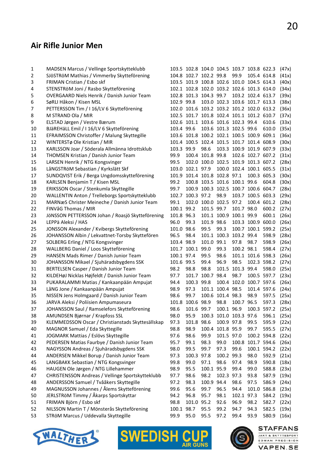# Air Rifle Junior Men

| $\mathbf 1$ | MADSEN Marcus / Vellinge Sportskytteklubb         |            | 103.5 102.8 104.0 104.5 103.7 103.8 622.3 |                  |                                     |                         |                   |             | (47x) |
|-------------|---------------------------------------------------|------------|-------------------------------------------|------------------|-------------------------------------|-------------------------|-------------------|-------------|-------|
| 2           | SJÖSTRÖM Mathias / Vimmerby Skytteförening        |            | 104.8 102.7 102.2 99.8                    |                  |                                     | 99.9                    | 105.4 614.8       |             | (41x) |
| 3           | FRIMAN Cristian / Esbo skf                        |            | 103.5 101.9 100.8 102.6 101.0 104.5 614.3 |                  |                                     |                         |                   |             | (40x) |
| 4           | STENSTRöM Joni / Rasbo Skytteförening             |            | 102.1 102.8 102.0 103.2 102.6 101.3 614.0 |                  |                                     |                         |                   |             | (34x) |
| 5           | OVERGAARD Niels Henrik / Danish Junior Team       |            | 102.8 101.3 104.3 99.7                    |                  |                                     |                         | 103.2 102.4 613.7 |             | (39x) |
| 6           | SøRLI Håkon / Kisen MSL                           | 102.9 99.8 |                                           |                  | 103.0 102.3 103.6 101.7 613.3       |                         |                   |             | (38x) |
| 7           | PETTERSSON Tim / I 16/LV 6 Skytteförening         |            | 102.0 101.6 103.2 103.2 101.2 102.0 613.2 |                  |                                     |                         |                   |             | (36x) |
| 8           | M STRAND Ola / MIR                                |            | 102.5 101.7 101.8 102.4 101.1 101.2 610.7 |                  |                                     |                         |                   |             | (37x) |
| 9           | ELSTAD Jørgen / Vestre Bærum                      |            | 102.6 101.1 103.6 101.6 102.3 99.4        |                  |                                     |                         |                   | 610.6       | (33x) |
| 10          | BJäREHäLL Emil / I 16/LV 6 Skytteförening         | 103.4 99.6 |                                           |                  | 103.6 101.3 102.5 99.6              |                         |                   | 610.0       | (35x) |
| 11          | EFRAIMSSON Christoffer / Malung Skyttegille       |            | 103.6 101.8 100.2 102.1 100.5 100.9 609.1 |                  |                                     |                         |                   |             | (36x) |
| 12          | WINTERSTø Ole Kristian / MIR                      |            | 101.4 100.5 102.4 101.5 101.7 101.4 608.9 |                  |                                     |                         |                   |             | (30x) |
| 13          | KARLSSON Joar / Söderala Allmänna Idrottsklub     | 103.3 99.9 |                                           | 98.6             |                                     | 103.3 100.9 101.9 607.9 |                   |             | (33x) |
| 14          | THOMSEN Kristian / Danish Junior Team             | 99.9       |                                           | 100.4 101.8 99.8 |                                     |                         | 102.6 102.7 607.2 |             | (31x) |
| 15          | LARSEN Henrik / NTG Kongsvinger                   | 99.5       |                                           |                  | 102.0 100.0 102.5 101.9 101.3 607.2 |                         |                   |             | (28x) |
|             | LåNGSTRöM Sebastian / Kyrkslätt Skf               |            | 103.0 102.1 97.9                          |                  |                                     | 100.0 102.4 100.1 605.5 |                   |             |       |
| 16          |                                                   |            | 101.9 101.4 101.8 102.8 97.1              |                  |                                     |                         |                   |             | (31x) |
| 17          | SUNDQVIST Erik / Berga Ungdomsskytteförening      |            |                                           |                  |                                     |                         | 100.3 605.3       |             | (30x) |
| 18          | KARLSEN Benjamin T / Kisen MSL                    | 99.2       |                                           |                  | 100.8 103.5 101.6 100.1 99.6        |                         |                   | 604.8       | (30x) |
| 19          | ERIKSSON Oscar / Stenkumla Skyttegille            | 99.7       |                                           |                  | 100.9 100.3 102.5 100.7 100.6 604.7 |                         |                   |             | (28x) |
| 20          | WALLENTIN Anton / Trelleborgs Sportskytteklubb    |            | 102.7 100.3 97.2                          |                  | 98.9                                |                         | 103.7 100.5 603.3 |             | (29x) |
| 21          | MARNæS Christer Meineche / Danish Junior Team     | 99.1       |                                           |                  | 102.0 100.0 102.5 97.2              |                         | 100.4 601.2       |             | (28x) |
| 22          | FINVåG Thomas / MIR                               | 100.1 99.2 |                                           | 101.5 99.7       |                                     | 101.7 98.0              |                   | 600.2       | (27x) |
| 23          | JÖNSSON PETTERSSON Johan / Roasjö Skytteförening  | 101.8 96.3 |                                           |                  | 101.1 100.9 100.1 99.9              |                         |                   | 600.1       | (26x) |
| 24          | LEPPä Aleksi / HAS                                | 96.0       | 99.3                                      | 101.9 98.6       |                                     |                         | 103.3 100.9 600.0 |             | (26x) |
| 25          | JONSSON Alexander / Kvibergs Skytteförening       | 101.0 98.6 |                                           | 99.5             | 99.3                                |                         | 100.7 100.1 599.2 |             | (25x) |
| 26          | JOHANSSON Albin / Lekvattnet-Torsby Skyttefören   | 96.5       | 98.4                                      |                  | 101.1 100.3 103.2 99.4              |                         |                   | 598.9       | (28x) |
| 27          | SOLBERG Erling / NTG Kongsvinger                  | 103.4 98.9 |                                           | 101.0 99.1       |                                     | 97.8                    | 98.7              | 598.9       | (26x) |
| 28          | WALLBERG Daniel / Loos Skytteförening             |            | 101.7 100.1 99.0                          |                  | 99.3                                | 100.2 98.1              |                   | 598.4       | (27x) |
| 29          | HANSEN Mads Rimer / Danish Junior Team            | 100.1 97.4 |                                           | 99.5             | 98.6                                |                         | 101.1 101.6 598.3 |             | (26x) |
| 30          | JOHANSSON Mikael / Sjuhäradsbygdens SSK           | 101.6 99.5 |                                           | 99.4             | 96.9                                | 98.5                    | 102.3 598.2       |             | (27x) |
| 31          | BERTELSEN Casper / Danish Junior Team             | 98.2       | 98.8                                      | 98.8             |                                     | 101.5 101.3 99.4        |                   | 598.0       | (25x) |
| 32          | KILDEHøJ Nicklas Højfeldt / Danish Junior Team    | 97.7       |                                           | 101.7 100.7 98.4 |                                     | 98.7                    | 100.5 597.7       |             | (23x) |
| 33          | PUKARALAMMI Matias / Kankaanpään Ampujat          | 94.4       | 100.3 99.8                                |                  |                                     | 100.4 102.0 100.7 597.6 |                   |             | (26x) |
| 34          | LåNG Jone / Kankaanpään Ampujat                   | 98.9       | 97.3                                      |                  | 101.1 100.4 98.5                    |                         | 101.4 597.6       |             | (24x) |
| 35          | NISSEN Jens Holmgaard / Danish Junior Team        | 98.6       | 99.7                                      |                  | 100.6 101.4 98.3                    |                         | 98.9              | 597.5       | (25x) |
| 36          | JARVA Aleksi / Poliisien Ampumaseura              |            | 101.8 100.6 98.9                          |                  | 98.8                                | 100.7 96.5              |                   | 597.3       | (28x) |
| 37          | JOHANSSON Saul / Ramselefors Skytteförening       | 98.6       | 101.6 99.7                                |                  | 100.1 96.9                          |                         | 100.3 597.2       |             | (25x) |
| 38          | AMUNDSEN Bjørnar / Krapfoss SSL                   | 98.0       | 95.9                                      |                  | 100.3 101.0 103.3 97.6              |                         |                   | 596.1       | (25x) |
| 39          | KLEMMEDSSON Oscar / Christianstads Skyttesällskap | 97.3       | 101.8 98.6                                |                  | 100.9 97.8                          |                         | 99.5              | 595.9       | (22x) |
| 40          | MAGNOR Samuel / Eda Skyttegille                   | 98.8       | 98.9                                      |                  | 100.4 101.8 95.9                    |                         | 99.7              | 595.5       | (27x) |
| 41          | JOGMARK Mattias / Eslövs Skyttegille              | 97.6       | 98.6                                      | 99.9             | 101.5 97.0                          |                         | 100.2 594.8       |             | (22x) |
| 42          | PEDERSEN Matias Faurbye / Danish Junior Team      | 95.7       | 99.1                                      | 98.3             | 99.0                                |                         | 100.8 101.7 594.6 |             | (26x) |
| 43          | NAGYSSON Andreas / Sjuhäradsbygdens SSK           | 98.0       | 99.5                                      | 99.7             | 97.3                                | 99.6                    |                   | 100.1 594.2 | (22x) |
| 44          | ANDERSEN Mikkel Borup / Danish Junior Team        | 97.3       | 100.3 97.8                                |                  | 100.2 99.3                          |                         | 98.0              | 592.9       | (21x) |
| 45          | LANGBAKK Sebastian / NTG Kongsvinger              | 99.8       | 99.0                                      | 97.1             | 98.6                                | 97.4                    | 98.9              | 590.8       | (18x) |
| 46          | HAUGEN Ole Jørgen / NTG Lillehammer               | 98.9       | 95.5                                      | 100.1 95.9       |                                     | 99.4                    | 99.0              | 588.8       | (23x) |
| 47          | CHRISTENSSON Andreas / Vellinge Sportskytteklubb  | 97.7       | 98.6                                      | 98.2             | 102.3 97.3                          |                         | 93.8              | 587.9       | (19x) |
| 48          | ANDERSSON Samuel / Tvååkers Skyttegille           | 97.2       | 98.3                                      | 100.9 94.4       |                                     | 98.6                    | 97.5              | 586.9       | (24x) |
| 49          | MAGNUSSON Johannes / Ålems Skytteförening         | 99.6       | 95.6                                      | 99.7             | 96.5                                | 94.4                    | 101.0             | 586.8       | (23x) |
| 50          | JERLSTRöM Timmy / Åkarps Sportskyttar             | 94.2       | 96.8                                      | 95.7             | 98.1                                | 102.1 97.3              |                   | 584.2       | (19x) |
| 51          | FRIMAN Björn / Esbo skf                           | 98.8       | 101.0 95.2                                |                  | 92.6                                | 96.9                    | 98.2              | 582.7       | (22x) |
| 52          | NILSSON Martin T / Mönsterås Skytteförening       | 100.1 98.7 |                                           | 95.5             | 99.2                                | 94.7                    | 94.3              | 582.5       | (19x) |
| 53          | STRÖM Marcus / Uddevalla Skyttegille              | 99.9       | 95.0                                      | 95.5             | 97.2                                | 99.4                    | 93.9              | 580.9       | (16x) |







#### **STAFFANS** JAKT & SKYTTESPORT

EDMAN PRECISION **VAPEN.SE**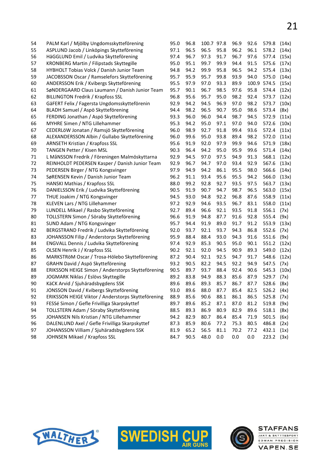| 54 | PALM Karl / Mjölby Ungdomsskytteförening           | 95.0 | 96.8 | 100.7 97.8 |      | 96.9 | 92.6  | 579.8        | (14x) |
|----|----------------------------------------------------|------|------|------------|------|------|-------|--------------|-------|
| 55 | ASPLUND Jacob / Linköpings Skytteförening          | 97.1 | 96.5 | 96.5       | 95.8 | 96.2 | 96.1  | 578.2        | (14x) |
| 56 | HäGGLUND Emil / Ludvika Skytteförening             | 97.4 | 96.7 | 97.3       | 91.7 | 96.7 | 97.6  | 577.4        | (15x) |
| 57 | KRONBERG Martin / Filipstads Skyttegille           | 95.0 | 95.1 | 99.7       | 99.9 | 94.4 | 91.5  | 575.6        | (17x) |
| 58 | HYBHOLT Tobias Volck / Danish Junior Team          | 94.8 | 94.2 | 99.9       | 95.8 | 96.5 | 94.2  | 575.4        | (13x) |
| 59 | JACOBSSON Oscar / Ramselefors Skytteförening       | 95.7 | 95.9 | 95.7       | 99.8 | 93.9 | 94.0  | 575.0        | (14x) |
| 60 | ANDERSSON Erik / Kvibergs Skytteförening           | 95.5 | 97.9 | 97.0       | 93.3 | 89.9 | 100.9 | 574.5        | (15x) |
| 61 | SøNDERGAARD Claus Laumann / Danish Junior Team     | 95.7 | 90.1 | 96.7       | 98.5 | 97.6 | 95.8  | 574.4        | (12x) |
| 62 | <b>BILLINGTON Fredrik / Krapfoss SSL</b>           | 96.8 | 95.6 | 95.7       | 95.0 | 98.2 | 92.4  | 573.7        | (12x) |
| 63 | GäFERT Felix / Fagersta Ungdomsskytteförenin       | 92.9 | 94.2 | 94.5       | 96.9 | 97.0 | 98.2  | 573.7        | (10x) |
| 64 | BLADH Samuel / Aspö Skytteförening                 | 94.4 | 98.2 | 96.5       | 90.7 | 95.0 | 98.6  | 573.4        | (8x)  |
| 65 | FERDING Jonathan / Aspö Skytteförening             | 93.3 | 96.0 | 96.0       | 94.4 | 98.7 | 94.5  | 572.9        | (11x) |
| 66 | MYHRE Simen / NTG Lillehammer                      | 95.3 | 94.2 | 95.0       | 97.1 | 97.0 | 94.0  | 572.6        | (10x) |
| 67 | CEDERLÖW Jonatan / Ramsjö Skytteförening           | 96.0 | 98.9 | 92.7       | 91.8 | 99.4 | 93.6  | 572.4        | (11x) |
| 68 | ALEXANDERSSON Albin / Gullabo Skytteförening       | 96.0 | 99.6 | 95.0       | 93.8 | 89.4 | 98.2  | 572.0        | (11x) |
| 69 | <b>ARNSETH Kristian / Krapfoss SSL</b>             | 95.6 | 91.9 | 92.0       | 97.9 | 99.9 | 94.6  | 571.9        | (18x) |
| 70 | TANGEN Petter / Kisen MSL                          | 90.3 | 96.4 | 94.2       | 95.0 | 95.9 | 99.6  | 571.4        | (14x) |
| 71 | L MåNSSON Fredrik / Föreningen Malmöskyttarna      | 92.9 | 94.5 | 97.0       | 97.5 | 94.9 | 91.3  | 568.1        | (12x) |
| 72 | REINHOLDT PEDERSEN Kasper / Danish Junior Team     | 92.9 | 96.7 | 94.7       | 97.0 | 93.4 | 92.9  | 567.6        | (13x) |
| 73 | PEDERSEN Birger / NTG Kongsvinger                  | 97.9 | 94.9 | 94.2       | 86.1 | 95.5 | 98.0  | 566.6        | (14x) |
| 74 | SøRENSEN Kevin / Danish Junior Team                | 96.2 | 91.1 | 93.4       | 95.6 | 95.5 | 94.2  | 566.0        | (13x) |
| 75 | HANSKI Mathias / Krapfoss SSL                      | 88.0 | 99.2 | 92.8       | 92.7 | 93.5 | 97.5  | 563.7        | (13x) |
| 76 | DANIELSSON Erik / Ludvika Skytteförening           | 90.5 | 91.9 | 90.7       | 94.7 | 98.7 | 96.5  | 563.0        | (15x) |
| 77 | THUE Joakim / NTG Kongsvinger                      | 94.5 | 93.0 | 94.8       | 92.2 | 96.8 | 87.6  | 558.9        | (11x) |
| 78 | KLEVEN Lars / NTG Lillehammer                      | 97.2 | 92.9 | 94.6       | 93.5 | 96.7 | 83.1  | 558.0        | (11x) |
| 79 | LUNDELL Mikael / Rasbo Skytteförening              | 92.7 | 89.4 | 96.6       | 92.1 | 93.5 | 91.8  | 556.1        | (7x)  |
| 80 | TOLLSTERN Simon / Söraby Skytteförening            | 96.6 | 91.9 | 94.8       | 87.7 | 91.6 | 92.8  | 555.4        | (9x)  |
| 81 | SUND Adam / NTG Kongsvinger                        | 95.7 | 94.4 | 91.9       | 89.0 | 91.7 | 91.2  | 553.9        | (13x) |
| 82 | BERGSTRAND Fredrik / Ludvika Skytteförening        | 92.0 | 93.7 | 92.1       | 93.7 | 94.3 | 86.8  | 552.6        | (7x)  |
| 83 | JOHANSSON Filip / Anderstorps Skytteförening       | 95.9 | 88.4 | 88.4       | 93.0 | 94.3 | 91.6  | 551.6        | (9x)  |
| 84 | ENGVALL Dennis / Ludvika Skytteförening            | 97.4 | 92.9 | 85.3       | 90.5 | 95.0 | 90.1  | 551.2        | (12x) |
| 85 | OLSEN Henrik J / Krapfoss SSL                      | 90.2 | 92.1 | 92.0       | 94.5 | 90.9 | 89.3  | 549.0        | (12x) |
| 86 | MARKSTRÖM Oscar / Trosa-Hölebo Skytteförening      | 87.2 | 90.4 | 92.1       | 92.5 | 94.7 | 91.7  | 548.6        | (12x) |
| 87 | GRAHN David / Aspö Skytteförening                  | 93.2 | 90.5 | 82.2       | 94.5 | 92.2 | 94.9  | 547.5        | (7x)  |
| 88 | ERIKSSON HEIGE Simon / Anderstorps Skytteförening  | 90.5 | 89.7 | 93.7       | 88.4 | 92.4 | 90.6  | 545.3        | (10x) |
| 89 | JOGMARK Niklas / Eslövs Skyttegille                | 89.2 | 83.8 | 94.9       | 88.3 | 85.6 | 87.9  | 529.7        | (7x)  |
| 90 | KäCK Arvid / Sjuhäradsbygdens SSK                  | 89.6 | 89.6 | 89.3       | 85.7 | 86.7 | 87.7  | 528.6 (8x)   |       |
| 91 | JONSSON David / Kvibergs Skytteförening            | 93.0 | 89.6 | 88.0       | 87.7 | 85.4 | 82.5  | 526.2 $(4x)$ |       |
| 92 | ERIKSSON HEIGE Viktor / Anderstorps Skytteförening | 88.9 | 85.6 | 90.6       | 88.1 | 86.1 | 86.5  | 525.8        | (7x)  |
| 93 | FESSé Simon / Gefle Frivilliga Skarpskyttef        | 89.7 | 89.6 | 85.2       | 87.1 | 87.0 | 81.2  | 519.8        | (9x)  |
| 94 | TOLLSTERN Adam / Söraby Skytteförening             | 88.5 | 89.3 | 86.9       | 80.9 | 82.9 | 89.6  | 518.1        | (8x)  |
| 95 | JOHANSEN Nils Kristian / NTG Lillehammer           | 94.2 | 82.9 | 80.7       | 86.4 | 85.4 | 71.9  | 501.5        | (6x)  |
| 96 | DALENLUND Axel / Gefle Frivilliga Skarpskyttef     | 87.3 | 85.9 | 80.6       | 77.2 | 75.3 | 80.5  | 486.8        | (2x)  |
| 97 | JOHANSSON Villiam / Sjuhäradsbygdens SSK           | 81.9 | 65.2 | 56.5       | 81.1 | 70.2 | 77.2  | 432.1        | (1x)  |
| 98 | JOHNSEN Mikael / Krapfoss SSL                      | 84.7 | 90.5 | 48.0       | 0.0  | 0.0  | 0.0   | 223.2        | (3x)  |
|    |                                                    |      |      |            |      |      |       |              |       |





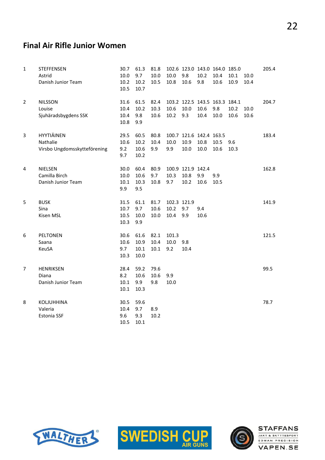#### Final Air Rifle Junior Women

| $\mathbf{1}$   | <b>STEFFENSEN</b><br>Astrid<br>Danish Junior Team             | 30.7<br>10.0<br>10.2<br>10.5 | 61.3<br>9.7<br>10.2<br>10.7  | 81.8<br>10.0<br>10.5 | 10.0<br>10.8                | 102.6 123.0 143.0 164.0 185.0<br>9.8<br>10.6 | 10.2<br>9.8  | 10.4<br>10.6 | 10.1<br>10.9 | 10.0<br>10.4 | 205.4 |
|----------------|---------------------------------------------------------------|------------------------------|------------------------------|----------------------|-----------------------------|----------------------------------------------|--------------|--------------|--------------|--------------|-------|
| $\overline{2}$ | <b>NILSSON</b><br>Louise<br>Sjuhäradsbygdens SSK              | 31.6<br>10.4<br>10.4<br>10.8 | 61.5<br>10.2<br>9.8<br>9.9   | 82.4<br>10.3<br>10.6 | 10.6<br>10.2                | 103.2 122.5 143.5 163.3 184.1<br>10.0<br>9.3 | 10.6<br>10.4 | 9.8<br>10.0  | 10.2<br>10.6 | 10.0<br>10.6 | 204.7 |
| 3              | HYYTIÄINEN<br><b>Nathalie</b><br>Virsbo Ungdomsskytteförening | 29.5<br>10.6<br>9.2<br>9.7   | 60.5<br>10.2<br>10.6<br>10.2 | 80.8<br>10.4<br>9.9  | 10.0<br>9.9                 | 100.7 121.6 142.4 163.5<br>10.9<br>10.0      | 10.8<br>10.0 | 10.5<br>10.6 | 9.6<br>10.3  |              | 183.4 |
| 4              | NIELSEN<br>Camilla Birch<br>Danish Junior Team                | 30.0<br>10.0<br>10.1<br>9.9  | 60.4<br>10.6<br>10.3<br>9.5  | 80.9<br>9.7<br>10.8  | 10.3<br>9.7                 | 100.9 121.9 142.4<br>10.8<br>10.2            | 9.9<br>10.6  | 9.9<br>10.5  |              |              | 162.8 |
| 5              | <b>BUSK</b><br>Sina<br>Kisen MSL                              | 31.5<br>10.7<br>10.5<br>10.3 | 61.1<br>9.7<br>10.0<br>9.9   | 81.7<br>10.6<br>10.0 | 102.3 121.9<br>10.2<br>10.4 | 9.7<br>9.9                                   | 9.4<br>10.6  |              |              |              | 141.9 |
| 6              | PELTONEN<br>Saana<br><b>KeuSA</b>                             | 30.6<br>10.6<br>9.7<br>10.3  | 61.6<br>10.9<br>10.1<br>10.0 | 82.1<br>10.4<br>10.1 | 101.3<br>10.0<br>9.2        | 9.8<br>10.4                                  |              |              |              |              | 121.5 |
| 7              | <b>HENRIKSEN</b><br>Diana<br>Danish Junior Team               | 28.4<br>8.2<br>10.1<br>10.1  | 59.2<br>10.6<br>9.9<br>10.3  | 79.6<br>10.6<br>9.8  | 9.9<br>10.0                 |                                              |              |              |              |              | 99.5  |
| 8              | KOLJUHHINA<br>Valeria<br>Estonia SSF                          | 30.5<br>10.4<br>9.6<br>10.5  | 59.6<br>9.7<br>9.3<br>10.1   | 8.9<br>10.2          |                             |                                              |              |              |              |              | 78.7  |





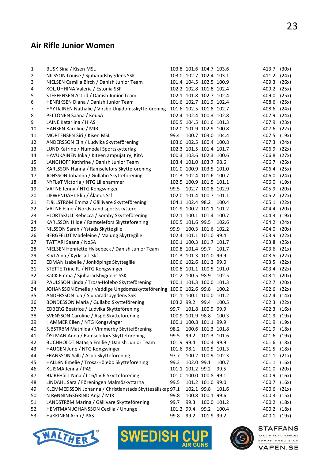#### Air Rifle Junior Women

| 1  | BUSK Sina / Kisen MSL                                             |            | 103.8 101.6 104.7 103.6 |                   |             | 413.7       | (30x) |
|----|-------------------------------------------------------------------|------------|-------------------------|-------------------|-------------|-------------|-------|
| 2  | NILSSON Louise / Sjuhäradsbygdens SSK                             |            | 103.0 102.7 102.4 103.1 |                   |             | 411.2       | (24x) |
| 3  | NIELSEN Camilla Birch / Danish Junior Team                        |            | 101.4 104.5 102.5 100.9 |                   |             | 409.3       | (26x) |
| 4  | KOLJUHHINA Valeria / Estonia SSF                                  |            | 102.2 102.8 101.8 102.4 |                   |             | 409.2       | (25x) |
| 5  | STEFFENSEN Astrid / Danish Junior Team                            |            | 102.1 101.8 102.7 102.4 |                   |             | 409.0       | (25x) |
| 6  | HENRIKSEN Diana / Danish Junior Team                              |            | 101.6 102.7 101.9 102.4 |                   |             | 408.6       | (25x) |
| 7  | HYYTIäINEN Nathalie / Virsbo Ungdomsskytteförening                |            | 101.6 102.5 101.8 102.7 |                   |             | 408.6       | (24x) |
| 8  | PELTONEN Saana / KeuSA                                            |            | 102.4 102.4 100.3 102.8 |                   |             | 407.9       | (24x) |
| 9  | LAINE Katariina / HIAS                                            |            | 100.5 104.5 101.6 101.3 |                   |             | 407.9       | (23x) |
| 10 | HANSEN Karoline / MIR                                             |            | 102.0 101.9 102.9 100.8 |                   |             | 407.6       | (22x) |
| 11 | MORTENSEN Siri / Kisen MSL                                        | 99.4       |                         | 100.7 103.0 104.4 |             | 407.5       | (19x) |
| 12 | ANDERSSON Elin / Ludvika Skytteförening                           |            | 103.6 102.5 100.4 100.8 |                   |             | 407.3       | (24x) |
| 13 | LUND Katrine / Numedal Sportskytterlag                            |            | 102.3 101.5 101.4 101.7 |                   |             | 406.9       | (22x) |
| 14 | HAVUKAINEN Inka / Kiteen ampujat ry, KitA                         |            | 100.3 103.6 102.3 100.6 |                   |             | 406.8       | (27x) |
| 15 | LANGHOFF Kathrine / Danish Junior Team                            |            | 103.4 101.0 103.7 98.6  |                   |             | 406.7       | (25x) |
| 16 | KARLSSON Hanna / Ramselefors Skytteförening                       |            | 101.0 100.9 103.5 101.0 |                   |             | 406.4       | (25x) |
| 17 | JONSSON Johanna / Gullabo Skytteförening                          |            | 101.3 102.4 101.6 100.7 |                   |             | 406.0       | (24x) |
| 18 | NYFLøT Victoria / NTG Lillehammer                                 |            | 102.5 100.9 101.5 101.1 |                   |             | 406.0       | (19x) |
| 19 | VATNE Jenny / NTG Kongsvinger                                     | 99.5       |                         | 102.7 100.8 102.9 |             | 405.9       | (20x) |
| 20 | LIEWENDAHL Elin / Ålands Ssf                                      |            | 102.0 101.4 100.7 101.1 |                   |             | 405.2       | (22x) |
| 21 | FJäLLSTRöM Emma / Gällivare Skytteförening                        |            | 104.1 102.4 98.2        |                   | 100.4       | 405.1       | (22x) |
| 22 | VATNE Eline / Nordstrand sportsskyttere                           |            | 101.9 100.2 101.1 101.2 |                   |             | 404.4       | (20x) |
| 23 | HJORTSKULL Rebecca / Söraby Skytteförening                        |            | 102.1 100.1 101.4 100.7 |                   |             | 404.3       | (19x) |
| 24 | KARLSSON Hilde / Ramselefors Skytteförening                       |            | 100.5 101.6 99.5        |                   | 102.6       | 404.2       | (24x) |
| 25 | NILSSON Sarah / Ystads Skyttegille                                | 99.9       |                         | 100.3 101.6 102.2 |             | 404.0       | (20x) |
| 26 | BERGFELDT Madeleine / Malung Skyttegille                          |            | 102.4 101.1 101.0 99.4  |                   |             | 403.9       | (22x) |
| 27 | <b>TATTARI Saana / NoSA</b>                                       |            | 100.1 100.3 101.7 101.7 |                   |             | 403.8       | (25x) |
| 28 | NIELSEN Henriette Hylsebeck / Danish Junior Team                  |            | 100.8 101.4 99.7        |                   | 101.7       | 403.6       | (21x) |
| 29 | KIVI Aina / Kyrkslätt Skf                                         |            | 101.3 101.3 101.0 99.9  |                   |             | 403.5       | (22x) |
| 30 | EDMAN Isabelle / Jönköpings Skyttegille                           |            | 100.6 102.6 101.3 99.0  |                   |             | 403.5       | (22x) |
| 31 | STETTE Trine R. / NTG Kongsvinger                                 |            | 100.8 101.1 100.5 101.0 |                   |             | 403.4       | (22x) |
| 32 | KäCK Emma / Sjuhäradsbygdens SSK                                  |            | 101.2 100.5 98.9        |                   | 102.5       | 403.1       | (20x) |
| 33 | PAULSSON Linda / Trosa-Hölebo Skytteförening                      |            | 100.1 101.3 100.0 101.3 |                   |             | 402.7       | (20x) |
| 34 | JOHANSSON Emelie / Veddige Ungdomsskytteförening 100.0 102.6 99.8 |            |                         |                   | 100.2       | 402.6       | (22x) |
| 35 | ANDERSSON Ida / Sjuhäradsbygdens SSK                              |            | 101.1 100.1 100.0 101.2 |                   |             | 402.4       | (14x) |
| 36 | BONDESSON Maria / Gullabo Skytteförening                          |            | 103.2 99.2 99.4         |                   | 100.5       | 402.3       | (22x) |
| 37 | EDBERG Beatrice / Ludvika Skytteförening                          |            | 99.7 101.8 100.9 99.9   |                   |             | 402.3 (16x) |       |
| 38 | SVENSSON Caroline / Aspö Skytteförening                           |            | 100.9 101.9 98.8        |                   | 100.3       | 401.9 (19x) |       |
| 39 | HAMMER Eilen / NTG Kongsvinger                                    |            | 100.1 100.8 101.1 99.9  |                   |             | 401.9       | (19x) |
| 40 | SJÖSTRÖM Mathilda / Vimmerby Skytteförening                       | 98.2       |                         | 100.6 101.3 101.8 |             | 401.9       | (18x) |
| 41 | ÖSTMAN Anna / Ramselefors Skytteförening                          | 99.5       | 99.2                    |                   | 101.3 101.6 | 401.6       | (19x) |
| 42 | BUCHHOLDT Natasja Emilie / Danish Junior Team                     | 101.9 99.4 |                         | 100.4 99.9        |             | 401.6       | (18x) |
| 43 | HAUGEN June / NTG Kongsvinger                                     | 101.6 98.1 |                         | 100.5 101.3       |             | 401.5       | (18x) |
| 44 | FRANSSON Salli / Aspö Skytteförening                              | 97.7       |                         | 100.2 100.9 102.3 |             | 401.1       | (21x) |
| 45 | HALLéN Emelie / Trosa-Hölebo Skytteförening                       | 99.3       | 102.0 99.1              |                   | 100.7       | 401.1       | (16x) |
| 46 | KUISMA Jenna / PAS                                                |            | 101.1 101.2 99.2        |                   | 99.5        | 401.0       | (20x) |
| 47 | BJäREHäLL Nina / I 16/LV 6 Skytteförening                         |            | 101.0 100.0 100.8 99.1  |                   |             | 400.9       | (16x) |
| 48 | LINDAHL Sara / Föreningen Malmöskyttarna                          | 99.5       |                         | 101.2 101.0 99.0  |             | 400.7       | (16x) |
| 49 | KLEMMEDSSON Johanna / Christianstads Skyttesällskap 97.1          |            | 102.1 99.8              |                   | 101.6       | 400.6       | (21x) |
| 50 | N RøNNINGSGRIND Anja / MIR                                        | 99.8       |                         | 100.8 100.1 99.6  |             | 400.3       | (15x) |
| 51 | LANDSTRöM Marina / Gällivare Skytteförening                       | 99.7       | 99.3                    |                   | 100.0 101.2 | 400.2       | (18x) |
| 52 | HEMTMAN JOHANSSON Cecilia / Ununge                                | 101.2 99.4 |                         | 99.2              | 100.4       | 400.2       | (18x) |
| 53 | HäKKINEN Armi / PAS                                               | 99.8       | 99.2                    | 101.9 99.2        |             | 400.1       | (19x) |







JAKT & SKYTTESPORT EDMAN PRECISION **VAPEN.SE** 

**STAFFANS**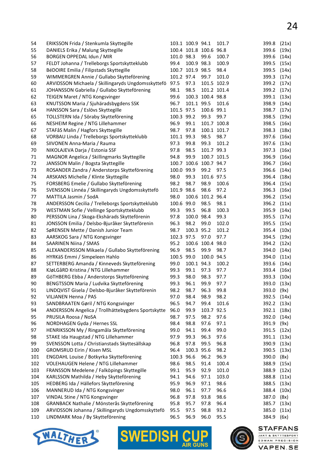| 54         | ERIKSSON Frida / Stenkumla Skyttegille                                                |                    | 103.1 100.9 94.1       |                  | 101.7          | 399.8          | (21x)          |
|------------|---------------------------------------------------------------------------------------|--------------------|------------------------|------------------|----------------|----------------|----------------|
| 55         | DANIELS Erika / Malung Skyttegille                                                    |                    | 100.4 101.8 100.6 96.8 |                  |                | 399.6          | (19x)          |
| 56         | BORGEN OPPEDAL Idun / MIR                                                             | 101.0 98.3         |                        | 99.6             | 100.7          | 399.6          | (14x)          |
| 57         | FELDT Johanna / Trelleborgs Sportskytteklubb                                          | 99.4               | 100.9 98.3             |                  | 100.9          | 399.5          | (15x)          |
| 58         | BéDOIRE Emilia / Filipstads Skyttegille                                               |                    | 100.7 101.9 98.5       |                  | 98.4           | 399.5          | (14x)          |
| 59         | WIMMERGREN Annie / Gullabo Skytteförening                                             | 101.2 97.4         |                        | 99.7             | 101.0          | 399.3          | (17x)          |
| 60         | ARVIDSSON Michaela / Skillingaryds Ungdomsskyttefö                                    | 97.5               | 97.3                   |                  | 101.5 102.9    | 399.2          | (17x)          |
| 61         | JOHANSSON Gabriella / Gullabo Skytteförening                                          | 98.1               | 98.5                   |                  | 101.2 101.4    | 399.2          | (17x)          |
| 62         | TEIGEN Maret / NTG Kongsvinger                                                        | 99.6               |                        | 100.3 100.4 98.8 |                | 399.1          | (13x)          |
| 63         | KNUTSSON Maria / Sjuhäradsbygdens SSK                                                 | 96.7               | 101.1 99.5             |                  | 101.6          | 398.9          | (14x)          |
| 64         | HANSSON Sara / Eslövs Skyttegille                                                     | 101.5 97.5         |                        | 100.6 99.1       |                | 398.7          | (17x)          |
| 65         | TOLLSTERN Ida / Söraby Skytteförening                                                 | 100.3 99.2         |                        | 99.3             | 99.7           | 398.5          | (19x)          |
| 66         | NESHEIM Regine / NTG Lillehammer                                                      | 96.9               | 99.1                   |                  | 101.7 100.8    | 398.5          | (16x)          |
| 67         | STAFåS Malin / Hagfors Skyttegille                                                    | 98.7               | 97.8                   |                  | 100.1 101.7    | 398.3          | (18x)          |
| 68         | VORBAU Linda / Trelleborgs Sportskytteklubb                                           | 101.1 99.3         |                        | 98.5             | 98.7           | 397.6          | (16x)          |
| 69         | SIIVONEN Anna-Maria / Rauma                                                           | 97.3               | 99.8                   | 99.3             | 101.2          | 397.6          | (13x)          |
| 70         | NIKOLAJEVA Darja / Estonia SSF                                                        | 97.8               | 98.5                   | 101.7 99.3       |                | 397.3          | (16x)          |
| 71         | MAGNOR Angelica / Skillingmarks Skyttegille                                           | 94.8               | 99.9                   |                  | 100.7 101.5    | 396.9          | (16x)          |
| 72         | JANSSON Malin / Bogsta Skyttegille                                                    |                    | 100.7 100.6 100.7 94.7 |                  |                | 396.7          | (16x)          |
| 73         | ROSANDER Zandra / Anderstorps Skytteförening                                          | 100.0 99.9         |                        | 99.2             | 97.5           | 396.6          | (14x)          |
| 74         | ARSKANS Michelle / Klinte Skyttegille                                                 | 98.0               | 99.3                   | 101.6 97.5       |                | 396.4          | (18x)          |
| 75         | FORSBERG Emelie / Gullabo Skytteförening                                              | 98.2               | 98.7                   | 98.9             | 100.6          | 396.4          | (15x)          |
| 76         | SVENSSON Linnéa / Skillingaryds Ungdomsskyttefö                                       | 101.9 98.6         |                        | 98.6             | 97.2           | 396.3          | (16x)          |
| 77         | MATTILA Jasmin / SodA                                                                 | 98.0               |                        | 100.6 101.2 96.4 |                | 396.2          | (15x)          |
| 78         | ANDERSSON Cecilia / Trelleborgs Sportskytteklubb                                      | 100.6 99.0         |                        | 98.5             | 98.1           | 396.2          | (11x)          |
| 79         | WESTMAN Sofie / Vellinge Sportskytteklubb                                             | 99.3               | 99.5                   | 96.8             | 100.3          | 395.9          | (14x)          |
| 80         | PERSSON Lina / Skoga-Ekshärads Skytteförenin                                          | 97.8               | 100.0 98.4             |                  | 99.3           | 395.5          | (17x)          |
| 81         | JONSSON Emilia / Delsbo-Bjuråker Skytteförenin                                        | 96.3               | 98.2                   | 99.0             | 102.0          | 395.5          | (15x)          |
| 82         | SøRENSEN Mette / Danish Junior Team                                                   | 98.7               | 100.3 95.2             |                  | 101.2          | 395.4          | (10x)          |
| 83         | AARSKOG Sara / NTG Kongsvinger                                                        | 102.3 97.5         |                        | 97.0             | 97.7           | 394.5          | (19x)          |
| 84         | <b>SAARINEN Niina / SMAS</b>                                                          | 95.2               |                        | 100.6 100.4 98.0 |                | 394.2          | (12x)          |
| 85         | ALEXANDERSSON Mikaela / Gullabo Skytteförening                                        | 96.9               | 98.5                   | 99.9             | 98.7           | 394.0          | (14x)          |
| 86         | HYRKäS Emmi / Simpeleen Hahlo                                                         | 100.5              | 99.0                   | 100.0 94.5       |                | 394.0          | (11x)          |
| 87         | SETTERBERG Amanda / Kinneveds Skytteförening                                          | 99.0               | 100.1 94.3             |                  | 100.2          | 393.6          | (14x)          |
| 88         | KJøLGåRD Kristina / NTG Lillehammer                                                   | 99.3               | 99.1                   | 97.3             | 97.7           | 393.4          | (16x)          |
| 89         | GöTHBERG Ebba / Anderstorps Skytteförening                                            | 99.3               | 98.0                   | 98.3             | 97.7           | 393.3          | (10x)          |
| 90         | BENGTSSON Maria / Ludvika Skytteförening                                              | 99.3               | 96.1                   | 99.9             | 97.7           | 393.0 (13x)    |                |
| 91         | LINDQVIST Gisela / Delsbo-Bjuråker Skytteförenin                                      | 98.2               | 98.7                   | 96.3             | 99.8           | 393.0          | (9x)           |
| 92         | VILJANEN Henna / PAS                                                                  | 97.0               | 98.4                   | 98.9             | 98.2           | 392.5          | (14x)          |
| 93         | SANDBRAATEN Gøril / NTG Kongsvinger                                                   | 96.5               | 94.7                   | 99.4             | 101.6          | 392.2          | (13x)          |
| 94         | ANDERSSON Angelica / Trollhättebygdens Sportskytte                                    | 96.0               | 99.9                   | 103.7 92.5       |                | 392.1          | (18x)          |
| 95         | PRUSILA Roosa / NoSA                                                                  | 98.7               | 97.5                   | 98.2             | 97.6           | 392.0          | (14x)          |
| 96         | NORDHAGEN Gyda / Hernes SSL                                                           | 98.4               | 98.8                   | 97.6             | 97.1           | 391.9          | (9x)           |
| 97         | HENRIKSSON My / Ringamåla Skytteförening                                              | 99.0               | 94.1                   | 99.4             | 99.0           | 391.5          | (12x)          |
| 98         | STAKE Ida Haugstad / NTG Lillehammer                                                  | 97.9               | 99.3                   | 96.3             | 97.6           | 391.1          | (13x)          |
| 99         | SVENSSON Lotta / Christianstads Skyttesällskap                                        | 96.8               | 97.8                   | 99.5             | 96.8           | 390.9          | (13x)          |
| 100        | <b>GROMSRUD Eirin / Kisen MSL</b>                                                     | 96.4<br>100.3 96.6 | 100.3 95.6             |                  | 98.2           | 390.5          | (13x)          |
| 101<br>102 | ENGDAHL Louise / Botkyrka Skytteförening                                              | 98.6               | 98.5                   | 96.2<br>91.4     | 96.9           | 390.0<br>388.9 | (8x)           |
| 103        | VOLEHAUGEN Helene / NTG Lillehammer                                                   | 99.1               | 95.9                   | 92.9             | 100.4<br>101.0 | 388.9          | (15x)          |
| 104        | FRANSSON Medelene / Falköpings Skyttegille<br>KARLSSON Mathilda / Heby Skytteförening | 94.1               | 94.6                   | 97.1             | 103.0          | 388.8          | (12x)<br>(11x) |
|            |                                                                                       |                    |                        |                  | 98.6           |                |                |
| 105<br>106 | HEDBERG Ida / Hällefors Skytteförening<br>MANNERUD Ida / NTG Kongsvinger              | 95.9<br>98.0       | 96.9<br>96.1           | 97.1<br>97.7     | 96.6           | 388.5<br>388.4 | (13x)<br>(10x) |
| 107        | VINDAL Stine / NTG Kongsvinger                                                        | 96.8               |                        | 93.8             | 98.6           |                |                |
| 108        | GRANBACK Nathalie / Mönsterås Skytteförening                                          | 95.8               | 97.8<br>95.7           | 97.8             | 96.4           | 387.0<br>385.7 | (8x)<br>(13x)  |
| 109        | ARVIDSSON Johanna / Skillingaryds Ungdomsskyttefö                                     | 95.5               | 97.5                   | 98.8             | 93.2           | 385.0          |                |
| 110        | LINDMARK Moa / By Skytteförening                                                      | 96.5               | 96.9                   | 96.0             | 95.5           | 384.9          | (11x)<br>(6x)  |
|            |                                                                                       |                    |                        |                  |                |                |                |





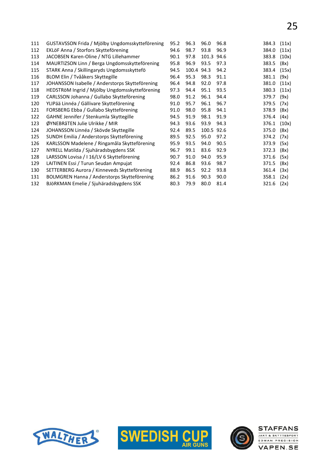| 111 | GUSTAVSSON Frida / Mjölby Ungdomsskytteförening | 95.2 | 96.3  | 96.0  | 96.8 | 384.3 | (11x) |
|-----|-------------------------------------------------|------|-------|-------|------|-------|-------|
| 112 | EKLÖF Anna / Storfors Skytteförening            | 94.6 | 98.7  | 93.8  | 96.9 | 384.0 | (11x) |
| 113 | JACOBSEN Karen-Oline / NTG Lillehammer          | 90.1 | 97.8  | 101.3 | 94.6 | 383.8 | (10x) |
| 114 | MAURTIZSON Linn / Berga Ungdomsskytteförening   | 95.8 | 96.9  | 93.5  | 97.3 | 383.5 | (8x)  |
| 115 | STARK Anna / Skillingaryds Ungdomsskyttefö      | 94.5 | 100.4 | 94.3  | 94.2 | 383.4 | (15x) |
| 116 | BLOM Elin / Tvååkers Skyttegille                | 96.4 | 95.3  | 98.3  | 91.1 | 381.1 | (9x)  |
| 117 | JOHANSSON Isabelle / Anderstorps Skytteförening | 96.4 | 94.8  | 92.0  | 97.8 | 381.0 | (11x) |
| 118 | HEDSTRöM Ingrid / Mjölby Ungdomsskytteförening  | 97.3 | 94.4  | 95.1  | 93.5 | 380.3 | (11x) |
| 119 | CARLSSON Johanna / Gullabo Skytteförening       | 98.0 | 91.2  | 96.1  | 94.4 | 379.7 | (9x)  |
| 120 | YLIPää Linnéa / Gällivare Skytteförening        | 91.0 | 95.7  | 96.1  | 96.7 | 379.5 | (7x)  |
| 121 | FORSBERG Ebba / Gullabo Skytteförening          | 91.0 | 98.0  | 95.8  | 94.1 | 378.9 | (8x)  |
| 122 | GAHNE Jennifer / Stenkumla Skyttegille          | 94.5 | 91.9  | 98.1  | 91.9 | 376.4 | (4x)  |
| 123 | ØYNEBRåTEN Julie Ulrikke / MIR                  | 94.3 | 93.6  | 93.9  | 94.3 | 376.1 | (10x) |
| 124 | JOHANSSON Linnéa / Skövde Skyttegille           | 92.4 | 89.5  | 100.5 | 92.6 | 375.0 | (8x)  |
| 125 | SUNDH Emilia / Anderstorps Skytteförening       | 89.5 | 92.5  | 95.0  | 97.2 | 374.2 | (7x)  |
| 126 | KARLSSON Madelene / Ringamåla Skytteförening    | 95.9 | 93.5  | 94.0  | 90.5 | 373.9 | (5x)  |
| 127 | NYRELL Matilda / Sjuhäradsbygdens SSK           | 96.7 | 99.1  | 83.6  | 92.9 | 372.3 | (8x)  |
| 128 | LARSSON Lovisa / I 16/LV 6 Skytteförening       | 90.7 | 91.0  | 94.0  | 95.9 | 371.6 | (5x)  |
| 129 | LAITINEN Essi / Turun Seudan Ampujat            | 92.4 | 86.8  | 93.6  | 98.7 | 371.5 | (8x)  |
| 130 | SETTERBERG Aurora / Kinneveds Skytteförening    | 88.9 | 86.5  | 92.2  | 93.8 | 361.4 | (3x)  |
| 131 | BOLMGREN Hanna / Anderstorps Skytteförening     | 86.2 | 91.6  | 90.3  | 90.0 | 358.1 | (2x)  |
| 132 | BJöRKMAN Emelie / Sjuhäradsbygdens SSK          | 80.3 | 79.9  | 80.0  | 81.4 | 321.6 | (2x)  |
|     |                                                 |      |       |       |      |       |       |





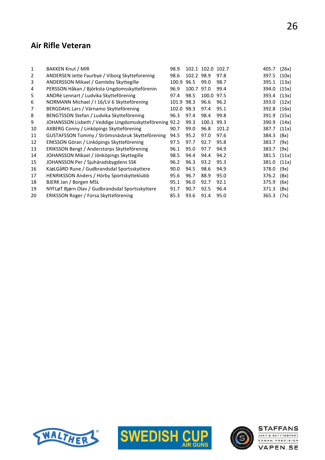#### Air Rifle Veteran

| 1  | <b>BAKKEN Knut / MIR</b>                               | 98.9  |            | 102.1 102.0 102.7 |       | 405.7 | (26x) |
|----|--------------------------------------------------------|-------|------------|-------------------|-------|-------|-------|
| 2  | ANDERSEN Jette Faurbye / Viborg Skytteforening         | 98.6  | 102.2 98.9 |                   | 97.8  | 397.5 | (10x) |
| 3  | ANDERSSON Mikael / Gamleby Skyttegille                 | 100.9 | 96.5       | 99.0              | 98.7  | 395.1 | (13x) |
| 4  | PERSSON Håkan / Björksta Ungdomsskytteförenin          | 96.9  | 100.7      | 97.0              | 99.4  | 394.0 | (15x) |
| 5  | ANDRé Lennart / Ludvika Skytteförening                 | 97.4  | 98.5       | 100.0             | 97.5  | 393.4 | (13x) |
| 6  | NORMANN Michael / I 16/LV 6 Skytteförening             | 101.9 | 98.3       | 96.6              | 96.2  | 393.0 | (12x) |
| 7  | BERGDAHL Lars / Värnamo Skytteförening                 | 102.0 | 98.3       | 97.4              | 95.1  | 392.8 | (16x) |
| 8  | BENGTSSON Stefan / Ludvika Skytteförening              | 96.3  | 97.4       | 98.4              | 99.8  | 391.9 | (15x) |
| 9  | JOHANSSON Lisbeth / Veddige Ungdomsskytteförening 92.2 |       | 99.3       | 100.1             | 99.3  | 390.9 | (14x) |
| 10 | AXBERG Conny / Linköpings Skytteförening               | 90.7  | 99.0       | 96.8              | 101.2 | 387.7 | (11x) |
| 11 | GUSTAFSSON Tommy / Strömsnäsbruk Skytteförening        | 94.5  | 95.2       | 97.0              | 97.6  | 384.3 | (8x)  |
| 12 | ERKSSON Göran / Linköpings Skytteförening              | 97.5  | 97.7       | 92.7              | 95.8  | 383.7 | (9x)  |
| 13 | ERIKSSON Bengt / Anderstorps Skytteförening            | 96.1  | 95.0       | 97.7              | 94.9  | 383.7 | (9x)  |
| 14 | JOHANSSON Mikael / Jönköpings Skyttegille              | 98.5  | 94.4       | 94.4              | 94.2  | 381.5 | (11x) |
| 15 | JOHANSSON Per / Sjuhäradsbygdens SSK                   | 96.2  | 96.3       | 93.2              | 95.3  | 381.0 | (11x) |
| 16 | KJøLGåRD Rune / Gudbrandsdal Sportsskyttere            | 90.0  | 94.5       | 98.6              | 94.9  | 378.0 | (9x)  |
| 17 | HENRIKSSON Anders / Hörby Sportskytteklubb             | 95.6  | 96.7       | 88.9              | 95.0  | 376.2 | (8x)  |
| 18 | BJERK Jan / Borgen MSL                                 | 95.1  | 96.0       | 92.7              | 92.1  | 375.9 | (6x)  |
| 19 | NYFLøT Bjørn Olav / Gudbrandsdal Sportsskyttere        | 91.7  | 90.7       | 92.5              | 96.4  | 371.3 | (8x)  |
| 20 | ERIKSSON Roger / Forsa Skytteförening                  | 85.3  | 93.6       | 91.4              | 95.0  | 365.3 | (7x)  |
|    |                                                        |       |            |                   |       |       |       |





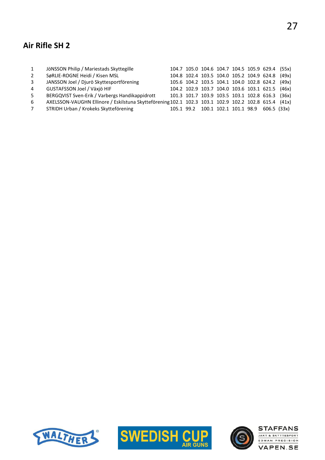# Air Rifle SH 2

| 1              | JÖNSSON Philip / Mariestads Skyttegille                                                              |  |  |  | 104.7 105.0 104.6 104.7 104.5 105.9 629.4 (55x) |  |
|----------------|------------------------------------------------------------------------------------------------------|--|--|--|-------------------------------------------------|--|
| $\overline{2}$ | SøRLIE-ROGNE Heidi / Kisen MSL                                                                       |  |  |  | 104.8 102.4 103.5 104.0 105.2 104.9 624.8 (49x) |  |
| $\mathbf{3}$   | JANSSON Joel / Djurö Skyttesportförening                                                             |  |  |  | 105.6 104.2 103.5 104.1 104.0 102.8 624.2 (49x) |  |
| 4              | GUSTAFSSON Joel / Växjö HIF                                                                          |  |  |  | 104.2 102.9 103.7 104.0 103.6 103.1 621.5 (46x) |  |
| 5              | BERGQVIST Sven-Erik / Varbergs Handikappidrott                                                       |  |  |  | 101.3 101.7 103.9 103.5 103.1 102.8 616.3 (36x) |  |
| 6              | AXELSSON-VAUGHN Ellinore / Eskilstuna Skytteförening 102.1 102.3 103.1 102.9 102.2 102.8 615.4 (41x) |  |  |  |                                                 |  |
| $\overline{7}$ | STRIDH Urban / Krokeks Skytteförening                                                                |  |  |  | 105.1 99.2 100.1 102.1 101.1 98.9 606.5 (33x)   |  |
|                |                                                                                                      |  |  |  |                                                 |  |





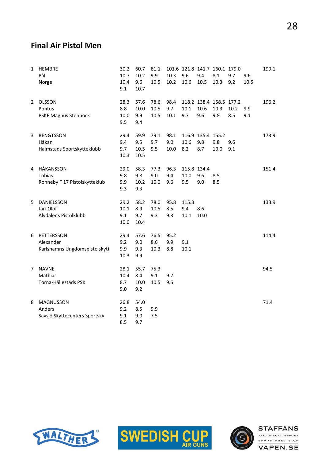#### Final Air Pistol Men

| 1            | <b>HEMBRE</b><br>Pål<br>Norge                            | 30.2<br>10.7<br>10.4<br>9.1 | 60.7<br>10.2<br>9.6<br>10.7 | 81.1<br>9.9<br>10.5  | 10.3<br>10.2        | 101.6 121.8 141.7 160.1 179.0<br>9.6<br>10.6 | 9.4<br>10.5                     | 8.1<br>10.3                            | 9.7<br>9.2  | 9.6<br>10.5 | 199.1 |
|--------------|----------------------------------------------------------|-----------------------------|-----------------------------|----------------------|---------------------|----------------------------------------------|---------------------------------|----------------------------------------|-------------|-------------|-------|
| $\mathbf{2}$ | <b>OLSSON</b><br>Pontus<br><b>PSKF Magnus Stenbock</b>   | 28.3<br>8.8<br>10.0<br>9.5  | 57.6<br>10.0<br>9.9<br>9.4  | 78.6<br>10.5<br>10.5 | 98.4<br>9.7<br>10.1 | 10.1<br>9.7                                  | 10.6<br>9.6                     | 118.2 138.4 158.5 177.2<br>10.3<br>9.8 | 10.2<br>8.5 | 9.9<br>9.1  | 196.2 |
| 3            | <b>BENGTSSON</b><br>Håkan<br>Halmstads Sportskytteklubb  | 29.4<br>9.4<br>9.7<br>10.3  | 59.9<br>9.5<br>10.5<br>10.5 | 79.1<br>9.7<br>9.5   | 98.1<br>9.0<br>10.0 | 10.6<br>8.2                                  | 116.9 135.4 155.2<br>9.8<br>8.7 | 9.8<br>10.0                            | 9.6<br>9.1  |             | 173.9 |
| 4            | HÅKANSSON<br>Tobias<br>Ronneby F 17 Pistolskytteklub     | 29.0<br>9.8<br>9.9<br>9.3   | 58.3<br>9.8<br>10.2<br>9.3  | 77.3<br>9.0<br>10.0  | 96.3<br>9.4<br>9.6  | 115.8 134.4<br>10.0<br>9.5                   | 9.6<br>9.0                      | 8.5<br>8.5                             |             |             | 151.4 |
| 5            | DANIELSSON<br>Jan-Olof<br>Älvdalens Pistolklubb          | 29.2<br>10.1<br>9.1<br>10.0 | 58.2<br>8.9<br>9.7<br>10.4  | 78.0<br>10.5<br>9.3  | 95.8<br>8.5<br>9.3  | 115.3<br>9.4<br>10.1                         | 8.6<br>10.0                     |                                        |             |             | 133.9 |
| 6            | PETTERSSON<br>Alexander<br>Karlshamns Ungdomspistolskytt | 29.4<br>9.2<br>9.9<br>10.3  | 57.6<br>9.0<br>9.3<br>9.9   | 76.5<br>8.6<br>10.3  | 95.2<br>9.9<br>8.8  | 9.1<br>10.1                                  |                                 |                                        |             |             | 114.4 |
| 7            | <b>NAVNE</b><br>Mathias<br>Torna-Hällestads PSK          | 28.1<br>10.4<br>8.7<br>9.0  | 55.7<br>8.4<br>10.0<br>9.2  | 75.3<br>9.1<br>10.5  | 9.7<br>9.5          |                                              |                                 |                                        |             |             | 94.5  |
| 8            | MAGNUSSON<br>Anders<br>Sävsjö Skyttecenters Sportsky     | 26.8<br>9.2<br>9.1<br>8.5   | 54.0<br>8.5<br>9.0<br>9.7   | 9.9<br>7.5           |                     |                                              |                                 |                                        |             |             | 71.4  |





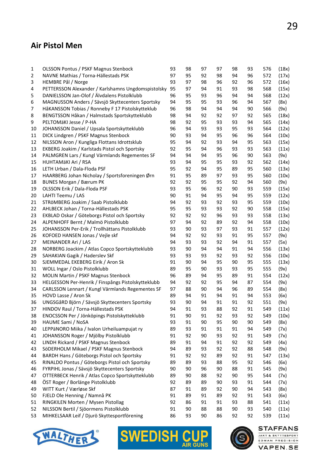#### Air Pistol Men

| $\mathbf 1$    | <b>OLSSON Pontus / PSKF Magnus Stenbock</b>        | 93 | 98 | 97 | 97 | 98 | 93 | 576 | (18x) |
|----------------|----------------------------------------------------|----|----|----|----|----|----|-----|-------|
| $\overline{2}$ | NAVNE Mathias / Torna-Hällestads PSK               | 97 | 95 | 92 | 98 | 94 | 96 | 572 | (17x) |
| 3              | HEMBRE Pål / Norge                                 | 93 | 97 | 98 | 96 | 92 | 96 | 572 | (16x) |
| 4              | PETTERSSON Alexander / Karlshamns Ungdomspistolsky | 95 | 97 | 94 | 91 | 93 | 98 | 568 | (15x) |
| 5              | DANIELSSON Jan-Olof / Älvdalens Pistolklubb        | 96 | 95 | 93 | 96 | 94 | 94 | 568 | (12x) |
| 6              | MAGNUSSON Anders / Sävsjö Skyttecenters Sportsky   | 94 | 95 | 95 | 93 | 96 | 94 | 567 | (8x)  |
| 7              | HåKANSSON Tobias / Ronneby F 17 Pistolskytteklub   | 96 | 98 | 94 | 94 | 94 | 90 | 566 | (9x)  |
| 8              | BENGTSSON Håkan / Halmstads Sportskytteklubb       | 98 | 94 | 92 | 92 | 97 | 92 | 565 | (18x) |
| 9              | PELTOMäKI Jesse / P-HA                             | 98 | 92 | 95 | 93 | 93 | 94 | 565 | (14x) |
| 10             | JOHANSSON Daniel / Upsala Sportskytteklubb         | 96 | 94 | 93 | 93 | 95 | 93 | 564 | (12x) |
| 11             | DICK Lindgren / PSKF Magnus Stenbock               | 90 | 93 | 94 | 95 | 96 | 96 | 564 | (10x) |
| 12             | NILSSON Aron / Kungliga Flottans Idrottsklub       | 95 | 94 | 92 | 93 | 94 | 95 | 563 | (15x) |
| 13             | EKBERG Joakim / Karlstads Pistol och Sportsky      | 92 | 95 | 94 | 96 | 93 | 93 | 563 | (11x) |
| 14             | PALMGREN Lars / Kungl Värmlands Regementes SF      | 94 | 94 | 94 | 95 | 96 | 90 | 563 | (9x)  |
| 15             | HUHTAMÄKI Ari / RSA                                | 93 | 94 | 95 | 95 | 93 | 92 | 562 | (14x) |
| 16             | LETH Urban / Dala-Floda PSF                        | 95 | 92 | 94 | 95 | 89 | 95 | 560 | (13x) |
| 17             | HAARBERG Johan Nicholay / Sportsforeningen Ørn     | 91 | 95 |    | 97 | 93 | 95 | 560 |       |
|                |                                                    | 92 |    | 89 |    |    |    |     | (10x) |
| 18             | BUNES Morgan / Bærum PK                            |    | 92 | 95 | 95 | 92 | 94 | 560 | (9x)  |
| 19             | OLSSON Erik / Dala-Floda PSF                       | 93 | 95 | 96 | 92 | 90 | 93 | 559 | (15x) |
| 20             | LAHTI Teemu / LAS                                  | 90 | 91 | 94 | 95 | 94 | 95 | 559 | (12x) |
| 21             | STRÖMBERG Joakim / Saab Pistolklubb                | 94 | 92 | 93 | 92 | 93 | 95 | 559 | (10x) |
| 22             | AHLBECK Johan / Torna-Hällestads PSK               | 95 | 95 | 93 | 93 | 92 | 90 | 558 | (15x) |
| 23             | EKBLAD Oskar / Göteborgs Pistol och Sportsky       | 92 | 92 | 92 | 96 | 93 | 93 | 558 | (13x) |
| 24             | ALPENHOFF Bernt / Malmö Pistolklubb                | 97 | 94 | 92 | 89 | 92 | 94 | 558 | (10x) |
| 25             | JOHANSSON Per-Erik / Trollhättans Pistolklubb      | 93 | 90 | 93 | 97 | 93 | 91 | 557 | (12x) |
| 26             | KOFOED HANSEN Jonas / Vejle skf                    | 94 | 92 | 92 | 93 | 91 | 95 | 557 | (9x)  |
| 27             | MEINANDER Ari / LAS                                | 94 | 93 | 93 | 92 | 94 | 91 | 557 | (5x)  |
| 28             | NORBERG Joackim / Atlas Copco Sportskytteklubb     | 93 | 90 | 94 | 94 | 91 | 94 | 556 | (13x) |
| 29             | SAHAKIAN Gagik / Haderslev Skf                     | 93 | 93 | 93 | 92 | 93 | 92 | 556 | (10x) |
| 30             | SJEMMEDAL EKEBERG Eirik / Aron Sk                  | 91 | 90 | 94 | 95 | 90 | 95 | 555 | (13x) |
| 31             | WOLL Ingar / Oslo Pistolklubb                      | 89 | 95 | 90 | 93 | 93 | 95 | 555 | (9x)  |
| 32             | MOLIN Martin / PSKF Magnus Stenbock                | 96 | 89 | 94 | 95 | 89 | 91 | 554 | (12x) |
| 33             | HELGESSON Per-Henrik / Finspångs Pistolskytteklubb | 94 | 92 | 92 | 95 | 94 | 87 | 554 | (9x)  |
| 34             | CARLSSON Lennart / Kungl Värmlands Regementes SF   | 97 | 88 | 90 | 94 | 96 | 89 | 554 | (8x)  |
| 35             | HOVD Lasse / Aron Sk                               | 89 | 94 | 91 | 94 | 91 | 94 | 553 | (6x)  |
| 36             | UNGSGåRD Björn / Sävsjö Skyttecenters Sportsky     | 93 | 90 | 94 | 91 | 91 | 92 | 551 | (9x)  |
| 37             | HINDOV Raul / Torna-Hällestads PSK                 | 94 | 91 | 93 | 88 | 92 | 91 | 549 | (11x) |
| 38             | ENOCSSON Per / Jönköpings Pistolskytteklubb        | 91 | 90 | 91 | 92 | 93 | 92 | 549 | (10x) |
| 39             | HAUME Sami / NoSA                                  | 93 | 91 | 90 | 95 | 90 | 90 | 549 | (8x)  |
| 40             | LEPPäNORO Miika / Ivalon Urheiluampujat ry         | 89 | 93 | 91 | 91 | 91 | 94 | 549 | (7x)  |
| 41             | JOHANSSON Roger / Mjölby Pistolklubb               | 91 | 92 | 90 | 93 | 92 | 91 | 549 | (7x)  |
| 42             | LINDH Rickard / PSKF Magnus Stenbock               | 89 | 91 | 94 | 91 | 92 | 92 | 549 | (4x)  |
| 43             | SöDERHOLM Mikael / PSKF Magnus Stenbock            | 94 | 89 | 93 | 92 | 92 | 88 | 548 | (9x)  |
| 44             | BARDH Hans / Göteborgs Pistol och Sportsky         | 91 | 92 | 92 | 89 | 92 | 91 | 547 | (13x) |
| 45             | RINALDO Pontus / Göteborgs Pistol och Sportsky     | 89 | 89 | 93 | 88 | 95 | 92 | 546 | (6x)  |
| 46             | FYRPIHL Jonas / Sävsjö Skyttecenters Sportsky      | 90 | 90 | 96 | 90 | 88 | 91 | 545 | (9x)  |
| 47             | OTTERBECK Henrik / Atlas Copco Sportskytteklubb    | 89 | 90 | 88 | 92 | 90 | 95 | 544 | (7x)  |
| 48             | ÖST Roger / Borlänge Pistolklubb                   | 92 | 89 | 89 | 90 | 93 | 91 | 544 | (7x)  |
| 49             | WITT Kurt / Værløse Skf                            | 87 | 91 | 89 | 92 | 90 | 94 | 543 | (8x)  |
| 50             | FJELD Ole Henning / Namnå PK                       | 91 | 89 | 91 | 89 | 92 | 91 | 543 | (6x)  |
| 51             | RINGKILEN Morten / Mysen Pistollag                 | 92 | 86 | 91 | 91 | 93 | 88 | 541 | (11x) |
| 52             | NILSSON Bertil / Sjöormens Pistolklubb             | 91 | 90 | 88 | 88 | 90 | 93 | 540 | (11x) |
| 53             | MIHKELSAAR Leif / Djurö Skyttesportförening        | 86 | 93 | 90 | 86 | 92 | 92 | 539 | (11x) |







**STAFFANS** JAKT & SKYTTESPORT

EDMAN PRECISION **VAPEN.SE**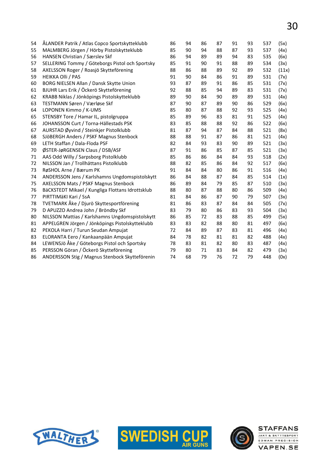| 54 | ÅLANDER Patrik / Atlas Copco Sportskytteklubb    | 86 | 94 | 86 | 87 | 91 | 93 | 537 | (5x)  |
|----|--------------------------------------------------|----|----|----|----|----|----|-----|-------|
| 55 | MALMBERG Jörgen / Hörby Pistolskytteklubb        | 85 | 90 | 94 | 88 | 87 | 93 | 537 | (4x)  |
| 56 | HANSEN Christian / Særslev Skf                   | 86 | 94 | 89 | 89 | 94 | 83 | 535 | (6x)  |
| 57 | SELLERING Tommy / Göteborgs Pistol och Sportsky  | 85 | 91 | 90 | 91 | 88 | 89 | 534 | (3x)  |
| 58 | AXELSSON Roger / Roasjö Skytteförening           | 88 | 86 | 88 | 89 | 92 | 89 | 532 | (11x) |
| 59 | <b>HEIKKA Olli / PAS</b>                         | 91 | 90 | 84 | 86 | 91 | 89 | 531 | (7x)  |
| 60 | BORG NIELSEN Allan / Dansk Skytte Union          | 93 | 87 | 89 | 91 | 86 | 85 | 531 | (7x)  |
| 61 | BJUHR Lars Erik / Öckerö Skytteförening          | 92 | 88 | 85 | 94 | 89 | 83 | 531 | (7x)  |
| 62 | KRABB Niklas / Jönköpings Pistolskytteklubb      | 89 | 90 | 84 | 90 | 89 | 89 | 531 | (4x)  |
| 63 | TESTMANN Søren / Værløse Skf                     | 87 | 90 | 87 | 89 | 90 | 86 | 529 | (6x)  |
| 64 | LOPONEN Kimmo / K-UMS                            | 85 | 80 | 87 | 88 | 92 | 93 | 525 | (4x)  |
| 65 | STENSBY Tore / Hamar IL, pistolgruppa            | 85 | 89 | 96 | 83 | 81 | 91 | 525 | (4x)  |
| 66 | JOHANSSON Curt / Torna-Hällestads PSK            | 83 | 85 | 88 | 88 | 92 | 86 | 522 | (6x)  |
| 67 | AURSTAD Øyvind / Steinkjer Pistolklubb           | 81 | 87 | 94 | 87 | 84 | 88 | 521 | (8x)  |
| 68 | SJÖBERGH Anders / PSKF Magnus Stenbock           | 88 | 88 | 91 | 87 | 86 | 81 | 521 | (4x)  |
| 69 | LETH Staffan / Dala-Floda PSF                    | 82 | 84 | 93 | 83 | 90 | 89 | 521 | (3x)  |
| 70 | ØSTER-JøRGENSEN Claus / DSB/ASF                  | 87 | 91 | 86 | 85 | 87 | 85 | 521 | (3x)  |
| 71 | AAS Odd Willy / Sarpsborg Pistolklubb            | 85 | 86 | 86 | 84 | 84 | 93 | 518 | (2x)  |
| 72 | NILSSON Jan / Trollhättans Pistolklubb           | 88 | 82 | 85 | 86 | 84 | 92 | 517 | (6x)  |
| 73 | RøSHOL Arne / Bærum PK                           | 91 | 84 | 84 | 80 | 86 | 91 | 516 | (4x)  |
| 74 | ANDERSSON Jens / Karlshamns Ungdomspistolskytt   | 86 | 84 | 88 | 87 | 84 | 85 | 514 | (1x)  |
| 75 | AXELSSON Mats / PSKF Magnus Stenbock             | 86 | 89 | 84 | 79 | 85 | 87 | 510 | (3x)  |
| 76 | BäCKSTEDT Mikael / Kungliga Flottans Idrottsklub | 88 | 80 | 87 | 88 | 80 | 86 | 509 | (4x)  |
| 77 | PIRTTIMÄKI Kari / SsA                            | 81 | 84 | 86 | 87 | 90 | 79 | 507 | (3x)  |
| 78 | TVETMARK Åke / Djurö Skyttesportförening         | 81 | 86 | 83 | 87 | 84 | 84 | 505 | (7x)  |
| 79 | D APUZZO Andrea John / Bröndby Skf               | 83 | 79 | 80 | 86 | 83 | 93 | 504 | (3x)  |
| 80 | NILSSON Mattias / Karlshamns Ungdomspistolskytt  | 86 | 85 | 72 | 83 | 88 | 85 | 499 | (5x)  |
| 81 | APPELGREN Jörgen / Jönköpings Pistolskytteklubb  | 83 | 83 | 82 | 88 | 80 | 81 | 497 | (6x)  |
| 82 | PEKOLA Harri / Turun Seudan Ampujat              | 72 | 84 | 89 | 87 | 83 | 81 | 496 | (4x)  |
| 83 | ELORANTA Eero / Kankaanpään Ampujat              | 84 | 78 | 82 | 81 | 81 | 82 | 488 | (4x)  |
| 84 | LEWENSJö Åke / Göteborgs Pistol och Sportsky     | 78 | 83 | 81 | 82 | 80 | 83 | 487 | (4x)  |
| 85 | PERSSON Göran / Öckerö Skytteförening            | 79 | 80 | 71 | 83 | 84 | 82 | 479 | (3x)  |
| 86 | ANDERSSON Stig / Magnus Stenbock Skytteförenin   | 74 | 68 | 79 | 76 | 72 | 79 | 448 | (0x)  |
|    |                                                  |    |    |    |    |    |    |     |       |





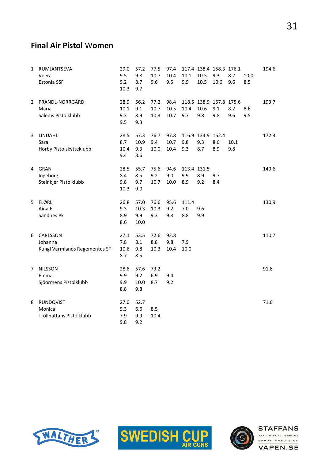#### Final Air Pistol Women

| 1  | RUMJANTSEVA<br>Veera<br><b>Estonia SSF</b>           | 29.0<br>9.5<br>9.2<br>10.3 | 57.2<br>9.8<br>8.7<br>9.7   | 77.5<br>10.7<br>9.6  | 97.4<br>10.4<br>9.5  | 10.1<br>9.9               | 10.5<br>10.5                    | 117.4 138.4 158.3 176.1<br>9.3<br>10.6 | 8.2<br>9.6  | 10.0<br>8.5 | 194.6 |
|----|------------------------------------------------------|----------------------------|-----------------------------|----------------------|----------------------|---------------------------|---------------------------------|----------------------------------------|-------------|-------------|-------|
| 2  | PRANDL-NORRGÅRD<br>Maria<br>Salems Pistolklubb       | 28.9<br>10.1<br>9.3<br>9.5 | 56.2<br>9.1<br>8.9<br>9.3   | 77.2<br>10.7<br>10.3 | 98.4<br>10.5<br>10.7 | 10.4<br>9.7               | 10.6<br>9.8                     | 118.5 138.9 157.8 175.6<br>9.1<br>9.8  | 8.2<br>9.6  | 8.6<br>9.5  | 193.7 |
| 3  | LINDAHL<br>Sara<br>Hörby Pistolskytteklubb           | 28.5<br>8.7<br>10.4<br>9.4 | 57.3<br>10.9<br>9.3<br>8.6  | 76.7<br>9.4<br>10.0  | 97.8<br>10.7<br>10.4 | 9.8<br>9.3                | 116.9 134.9 152.4<br>9.3<br>8.7 | 8.6<br>8.9                             | 10.1<br>9.8 |             | 172.3 |
| 4  | <b>GRAN</b><br>Ingeborg<br>Steinkjer Pistolklubb     | 28.5<br>8.4<br>9.8<br>10.3 | 55.7<br>8.5<br>9.7<br>9.0   | 75.6<br>9.2<br>10.7  | 94.6<br>9.0<br>10.0  | 113.4 131.5<br>9.9<br>8.9 | 8.9<br>9.2                      | 9.7<br>8.4                             |             |             | 149.6 |
| 5. | <b>FLØRLI</b><br>Aina E<br>Sandnes Pk                | 26.8<br>9.3<br>8.9<br>8.6  | 57.0<br>10.3<br>9.9<br>10.0 | 76.6<br>10.3<br>9.3  | 95.6<br>9.2<br>9.8   | 111.4<br>7.0<br>8.8       | 9.6<br>9.9                      |                                        |             |             | 130.9 |
| 6  | CARLSSON<br>Johanna<br>Kungl Värmlands Regementes SF | 27.1<br>7.8<br>10.6<br>8.7 | 53.5<br>8.1<br>9.8<br>8.5   | 72.6<br>8.8<br>10.3  | 92.8<br>9.8<br>10.4  | 7.9<br>10.0               |                                 |                                        |             |             | 110.7 |
| 7  | <b>NILSSON</b><br>Emma<br>Sjöormens Pistolklubb      | 28.6<br>9.9<br>9.9<br>8.8  | 57.6<br>9.2<br>10.0<br>9.8  | 73.2<br>6.9<br>8.7   | 9.4<br>9.2           |                           |                                 |                                        |             |             | 91.8  |
| 8  | RUNDQVIST<br>Monica<br>Trollhättans Pistolklubb      | 27.0<br>9.3<br>7.9<br>9.8  | 52.7<br>6.6<br>9.9<br>9.2   | 8.5<br>10.4          |                      |                           |                                 |                                        |             |             | 71.6  |





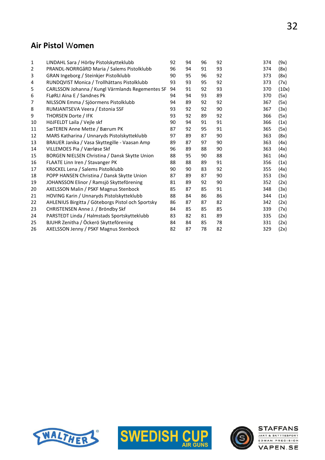#### Air Pistol Women

| $\mathbf{1}$   | LINDAHL Sara / Hörby Pistolskytteklubb            | 92 | 94 | 96 | 92 | 374 | (9x)  |
|----------------|---------------------------------------------------|----|----|----|----|-----|-------|
| $\overline{2}$ | PRANDL-NORRGåRD Maria / Salems Pistolklubb        | 96 | 94 | 91 | 93 | 374 | (8x)  |
| 3              | GRAN Ingeborg / Steinkjer Pistolklubb             | 90 | 95 | 96 | 92 | 373 | (8x)  |
| 4              | RUNDQVIST Monica / Trollhättans Pistolklubb       | 93 | 93 | 95 | 92 | 373 | (7x)  |
| 5              | CARLSSON Johanna / Kungl Värmlands Regementes SF  | 94 | 91 | 92 | 93 | 370 | (10x) |
| 6              | FLøRLI Aina E / Sandnes Pk                        | 94 | 94 | 93 | 89 | 370 | (5x)  |
| 7              | NILSSON Emma / Sjöormens Pistolklubb              | 94 | 89 | 92 | 92 | 367 | (5x)  |
| 8              | RUMJANTSEVA Veera / Estonia SSF                   | 93 | 92 | 92 | 90 | 367 | (3x)  |
| 9              | THORSEN Dorte / IFK                               | 93 | 92 | 89 | 92 | 366 | (5x)  |
| 10             | HöJFELDT Laila / Vejle skf                        | 90 | 94 | 91 | 91 | 366 | (1x)  |
| 11             | SæTEREN Anne Mette / Bærum PK                     | 87 | 92 | 95 | 91 | 365 | (5x)  |
| 12             | MARS Katharina / Unnaryds Pistolskytteklubb       | 97 | 89 | 87 | 90 | 363 | (8x)  |
| 13             | BRAUER Janika / Vasa Skyttegille - Vaasan Amp     | 89 | 87 | 97 | 90 | 363 | (4x)  |
| 14             | VILLEMOES Pia / Værløse Skf                       | 96 | 89 | 88 | 90 | 363 | (4x)  |
| 15             | BORGEN NIELSEN Christina / Dansk Skytte Union     | 88 | 95 | 90 | 88 | 361 | (4x)  |
| 16             | FLAATE Linn Iren / Stavanger PK                   | 88 | 88 | 89 | 91 | 356 | (1x)  |
| 17             | KRöCKEL Lena / Salems Pistolklubb                 | 90 | 90 | 83 | 92 | 355 | (4x)  |
| 18             | POPP HANSEN Christina / Dansk Skytte Union        | 87 | 89 | 87 | 90 | 353 | (3x)  |
| 19             | JOHANSSON Elinor / Ramsjö Skytteförening          | 81 | 89 | 92 | 90 | 352 | (2x)  |
| 20             | AXELSSON Malin / PSKF Magnus Stenbock             | 85 | 87 | 85 | 91 | 348 | (3x)  |
| 21             | HOVING Karin / Unnaryds Pistolskytteklubb         | 88 | 84 | 86 | 86 | 344 | (1x)  |
| 22             | AHLENIUS Birgitta / Göteborgs Pistol och Sportsky | 86 | 87 | 87 | 82 | 342 | (2x)  |
| 23             | CHRISTENSEN Anne J. / Bröndby Skf                 | 84 | 85 | 85 | 85 | 339 | (7x)  |
| 24             | PARSTEDT Linda / Halmstads Sportskytteklubb       | 83 | 82 | 81 | 89 | 335 | (2x)  |
| 25             | BJUHR Zenitha / Öckerö Skytteförening             | 84 | 84 | 85 | 78 | 331 | (2x)  |
| 26             | AXELSSON Jenny / PSKF Magnus Stenbock             | 82 | 87 | 78 | 82 | 329 | (2x)  |





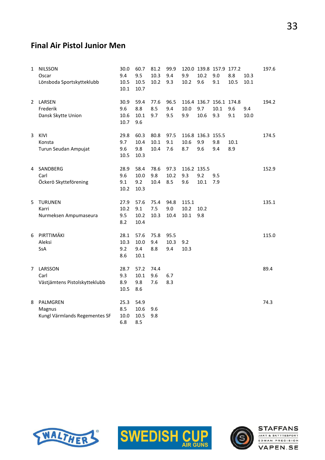#### Final Air Pistol Junior Men

| $\mathbf{1}$ | <b>NILSSON</b>                | 30.0         | 60.7         | 81.2 | 99.9 |             | 120.0 139.8 157.9 177.2 |      |      |      | 197.6 |
|--------------|-------------------------------|--------------|--------------|------|------|-------------|-------------------------|------|------|------|-------|
|              | Oscar                         | 9.4          | 9.5          | 10.3 | 9.4  | 9.9         | 10.2                    | 9.0  | 8.8  | 10.3 |       |
|              | Lönsboda Sportskytteklubb     | 10.5<br>10.1 | 10.5<br>10.7 | 10.2 | 9.3  | 10.2        | 9.6                     | 9.1  | 10.5 | 10.1 |       |
|              |                               |              |              |      |      |             |                         |      |      |      |       |
| 2            | LARSEN                        | 30.9         | 59.4         | 77.6 | 96.5 |             | 116.4 136.7 156.1 174.8 |      |      |      | 194.2 |
|              | Frederik                      | 9.6          | 8.8          | 8.5  | 9.4  | 10.0        | 9.7                     | 10.1 | 9.6  | 9.4  |       |
|              | Dansk Skytte Union            | 10.6         | 10.1         | 9.7  | 9.5  | 9.9         | 10.6                    | 9.3  | 9.1  | 10.0 |       |
|              |                               | 10.7         | 9.6          |      |      |             |                         |      |      |      |       |
| 3            | KIVI                          | 29.8         | 60.3         | 80.8 | 97.5 |             | 116.8 136.3 155.5       |      |      |      | 174.5 |
|              | Konsta                        | 9.7          | 10.4         | 10.1 | 9.1  | 10.6        | 9.9                     | 9.8  | 10.1 |      |       |
|              | Turun Seudan Ampujat          | 9.6          | 9.8          | 10.4 | 7.6  | 8.7         | 9.6                     | 9.4  | 8.9  |      |       |
|              |                               | 10.5         | 10.3         |      |      |             |                         |      |      |      |       |
| 4            | SANDBERG                      | 28.9         | 58.4         | 78.6 | 97.3 | 116.2 135.5 |                         |      |      |      | 152.9 |
|              | Carl                          | 9.6          | 10.0         | 9.8  | 10.2 | 9.3         | 9.2                     | 9.5  |      |      |       |
|              | Öckerö Skytteförening         | 9.1          | 9.2          | 10.4 | 8.5  | 9.6         | 10.1                    | 7.9  |      |      |       |
|              |                               | 10.2         | 10.3         |      |      |             |                         |      |      |      |       |
|              |                               |              |              |      |      |             |                         |      |      |      |       |
| 5            | <b>TURUNEN</b>                | 27.9         | 57.6         | 75.4 | 94.8 | 115.1       |                         |      |      |      | 135.1 |
|              | Karri                         | 10.2         | 9.1          | 7.5  | 9.0  | 10.2        | 10.2                    |      |      |      |       |
|              | Nurmeksen Ampumaseura         | 9.5          | 10.2         | 10.3 | 10.4 | 10.1        | 9.8                     |      |      |      |       |
|              |                               | 8.2          | 10.4         |      |      |             |                         |      |      |      |       |
| 6            | PIRTTIMÄKI                    | 28.1         | 57.6         | 75.8 | 95.5 |             |                         |      |      |      | 115.0 |
|              | Aleksi                        | 10.3         | 10.0         | 9.4  | 10.3 | 9.2         |                         |      |      |      |       |
|              | SsA                           | 9.2          | 9.4          | 8.8  | 9.4  | 10.3        |                         |      |      |      |       |
|              |                               | 8.6          | 10.1         |      |      |             |                         |      |      |      |       |
| 7            | LARSSON                       | 28.7         | 57.2         | 74.4 |      |             |                         |      |      |      | 89.4  |
|              | Carl                          | 9.3          | 10.1         | 9.6  | 6.7  |             |                         |      |      |      |       |
|              | Västjämtens Pistolskytteklubb | 8.9          | 9.8          | 7.6  | 8.3  |             |                         |      |      |      |       |
|              |                               | 10.5         | 8.6          |      |      |             |                         |      |      |      |       |
| 8            | PALMGREN                      | 25.3         | 54.9         |      |      |             |                         |      |      |      | 74.3  |
|              | Magnus                        | 8.5          | 10.6         | 9.6  |      |             |                         |      |      |      |       |
|              | Kungl Värmlands Regementes SF | 10.0         | 10.5         | 9.8  |      |             |                         |      |      |      |       |
|              |                               | 6.8          | 8.5          |      |      |             |                         |      |      |      |       |





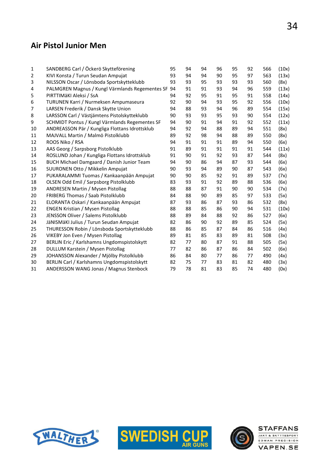#### Air Pistol Junior Men

| 1  | SANDBERG Carl / Öckerö Skytteförening           | 95 | 94 | 94 | 96 | 95 | 92 | 566 | (10x) |
|----|-------------------------------------------------|----|----|----|----|----|----|-----|-------|
| 2  | KIVI Konsta / Turun Seudan Ampujat              | 93 | 94 | 94 | 90 | 95 | 97 | 563 | (13x) |
| 3  | NILSSON Oscar / Lönsboda Sportskytteklubb       | 93 | 93 | 95 | 93 | 93 | 93 | 560 | (8x)  |
| 4  | PALMGREN Magnus / Kungl Värmlands Regementes SF | 94 | 91 | 91 | 93 | 94 | 96 | 559 | (13x) |
| 5  | PIRTTIMÄKI Aleksi / SsA                         | 94 | 92 | 95 | 91 | 95 | 91 | 558 | (14x) |
| 6  | TURUNEN Karri / Nurmeksen Ampumaseura           | 92 | 90 | 94 | 93 | 95 | 92 | 556 | (10x) |
| 7  | LARSEN Frederik / Dansk Skytte Union            | 94 | 88 | 93 | 94 | 96 | 89 | 554 | (15x) |
| 8  | LARSSON Carl / Västjämtens Pistolskytteklubb    | 90 | 93 | 93 | 95 | 93 | 90 | 554 | (12x) |
| 9  | SCHMIDT Pontus / Kungl Värmlands Regementes SF  | 94 | 90 | 91 | 94 | 91 | 92 | 552 | (11x) |
| 10 | ANDREASSON Pär / Kungliga Flottans Idrottsklub  | 94 | 92 | 94 | 88 | 89 | 94 | 551 | (8x)  |
| 11 | MAJVALL Martin / Malmö Pistolklubb              | 89 | 92 | 98 | 94 | 88 | 89 | 550 | (8x)  |
| 12 | ROOS Niko / RSA                                 | 94 | 91 | 91 | 91 | 89 | 94 | 550 | (6x)  |
| 13 | AAS Georg / Sarpsborg Pistolklubb               | 91 | 89 | 91 | 91 | 91 | 91 | 544 | (11x) |
| 14 | ROSLUND Johan / Kungliga Flottans Idrottsklub   | 91 | 90 | 91 | 92 | 93 | 87 | 544 | (8x)  |
| 15 | BUCH Michael Damgaard / Danish Junior Team      | 94 | 90 | 86 | 94 | 87 | 93 | 544 | (6x)  |
| 16 | SUURONEN Otto / Mikkelin Ampujat                | 90 | 93 | 94 | 89 | 90 | 87 | 543 | (6x)  |
| 17 | PUKARALAMMI Tuomas / Kankaanpään Ampujat        | 90 | 90 | 85 | 92 | 91 | 89 | 537 | (7x)  |
| 18 | OLSEN Odd Emil / Sarpsborg Pistolklubb          | 83 | 93 | 91 | 92 | 89 | 88 | 536 | (6x)  |
| 19 | ANDRESEN Martin / Mysen Pistollag               | 88 | 88 | 87 | 91 | 90 | 90 | 534 | (7x)  |
| 20 | FRIBERG Thomas / Saab Pistolklubb               | 84 | 88 | 90 | 89 | 85 | 97 | 533 | (5x)  |
| 21 | ELORANTA Oskari / Kankaanpään Ampujat           | 87 | 93 | 86 | 87 | 93 | 86 | 532 | (8x)  |
| 22 | <b>ENGEN Kristian / Mysen Pistollag</b>         | 88 | 88 | 85 | 86 | 90 | 94 | 531 | (10x) |
| 23 | JENSSON Oliver / Salems Pistolklubb             | 88 | 89 | 84 | 88 | 92 | 86 | 527 | (6x)  |
| 24 | JäNISMäKI Julius / Turun Seudan Ampujat         | 82 | 86 | 90 | 92 | 89 | 85 | 524 | (5x)  |
| 25 | THURESSON Robin / Lönsboda Sportskytteklubb     | 88 | 86 | 85 | 87 | 84 | 86 | 516 | (4x)  |
| 26 | VIKEBY Jon Even / Mysen Pistollag               | 89 | 81 | 85 | 83 | 89 | 81 | 508 | (3x)  |
| 27 | BERLIN Eric / Karlshamns Ungdomspistolskytt     | 82 | 77 | 80 | 87 | 91 | 88 | 505 | (5x)  |
| 28 | DULLUM Karstein / Mysen Pistollag               | 77 | 82 | 86 | 87 | 86 | 84 | 502 | (6x)  |
| 29 | JOHANSSON Alexander / Mjölby Pistolklubb        | 86 | 84 | 80 | 77 | 86 | 77 | 490 | (4x)  |
| 30 | BERLIN Carl / Karlshamns Ungdomspistolskytt     | 82 | 75 | 77 | 83 | 81 | 82 | 480 | (3x)  |
| 31 | ANDERSSON WANG Jonas / Magnus Stenbock          | 79 | 78 | 81 | 83 | 85 | 74 | 480 | (0x)  |
|    |                                                 |    |    |    |    |    |    |     |       |





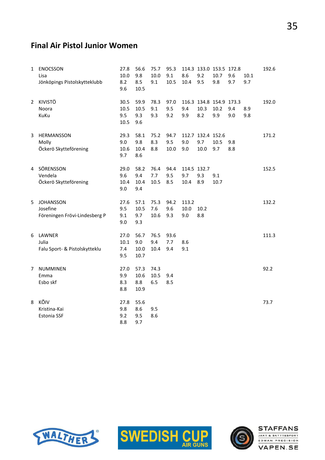# Final Air Pistol Junior Women

| 1  | <b>ENOCSSON</b><br>Lisa<br>Jönköpings Pistolskytteklubb       | 27.8<br>10.0<br>8.2<br>9.6  | 56.6<br>9.8<br>8.5<br>10.5  | 75.7<br>10.0<br>9.1 | 95.3<br>9.1<br>10.5 | 8.6<br>10.4                | 9.2<br>9.5                       | 114.3 133.0 153.5 172.8<br>10.7<br>9.8 | 9.6<br>9.7 | 10.1<br>9.7 | 192.6 |
|----|---------------------------------------------------------------|-----------------------------|-----------------------------|---------------------|---------------------|----------------------------|----------------------------------|----------------------------------------|------------|-------------|-------|
| 2  | KIVISTÖ<br>Noora<br>KuKu                                      | 30.5<br>10.5<br>9.5<br>10.5 | 59.9<br>10.5<br>9.3<br>9.6  | 78.3<br>9.1<br>9.3  | 97.0<br>9.5<br>9.2  | 9.4<br>9.9                 | 10.3<br>8.2                      | 116.3 134.8 154.9 173.3<br>10.2<br>9.9 | 9.4<br>9.0 | 8.9<br>9.8  | 192.0 |
| 3  | HERMANSSON<br>Molly<br>Öckerö Skytteförening                  | 29.3<br>9.0<br>10.6<br>9.7  | 58.1<br>9.8<br>10.4<br>8.6  | 75.2<br>8.3<br>8.8  | 94.7<br>9.5<br>10.0 | 9.0<br>9.0                 | 112.7 132.4 152.6<br>9.7<br>10.0 | 10.5<br>9.7                            | 9.8<br>8.8 |             | 171.2 |
|    | 4 SÖRENSSON<br>Vendela<br>Öckerö Skytteförening               | 29.0<br>9.6<br>10.4<br>9.0  | 58.2<br>9.4<br>10.4<br>9.4  | 76.4<br>7.7<br>10.5 | 94.4<br>9.5<br>8.5  | 114.5 132.7<br>9.7<br>10.4 | 9.3<br>8.9                       | 9.1<br>10.7                            |            |             | 152.5 |
| 5. | <b>JOHANSSON</b><br>Josefine<br>Föreningen Frövi-Lindesberg P | 27.6<br>9.5<br>9.1<br>9.0   | 57.1<br>10.5<br>9.7<br>9.3  | 75.3<br>7.6<br>10.6 | 94.2<br>9.6<br>9.3  | 113.2<br>10.0<br>9.0       | 10.2<br>8.8                      |                                        |            |             | 132.2 |
| 6  | LAWNER<br>Julia<br>Falu Sport- & Pistolskytteklu              | 27.0<br>10.1<br>7.4<br>9.5  | 56.7<br>9.0<br>10.0<br>10.7 | 76.5<br>9.4<br>10.4 | 93.6<br>7.7<br>9.4  | 8.6<br>9.1                 |                                  |                                        |            |             | 111.3 |
| 7  | <b>NUMMINEN</b><br>Emma<br>Esbo skf                           | 27.0<br>9.9<br>8.3<br>8.8   | 57.3<br>10.6<br>8.8<br>10.9 | 74.3<br>10.5<br>6.5 | 9.4<br>8.5          |                            |                                  |                                        |            |             | 92.2  |
| 8  | KÕIV<br>Kristina-Kai<br><b>Estonia SSF</b>                    | 27.8<br>9.8<br>9.2<br>8.8   | 55.6<br>8.6<br>9.5<br>9.7   | 9.5<br>8.6          |                     |                            |                                  |                                        |            |             | 73.7  |





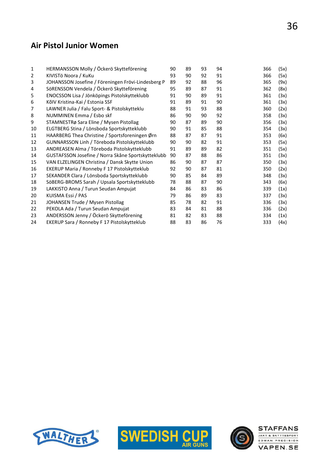### Air Pistol Junior Women

| $\mathbf{1}$ | HERMANSSON Molly / Öckerö Skytteförening           | 90 | 89 | 93 | 94 | 366 | (5x) |
|--------------|----------------------------------------------------|----|----|----|----|-----|------|
| 2            | KIVISTö Noora / KuKu                               | 93 | 90 | 92 | 91 | 366 | (5x) |
| 3            | JOHANSSON Josefine / Föreningen Frövi-Lindesberg P | 89 | 92 | 88 | 96 | 365 | (9x) |
| 4            | SöRENSSON Vendela / Öckerö Skytteförening          | 95 | 89 | 87 | 91 | 362 | (8x) |
| 5            | ENOCSSON Lisa / Jönköpings Pistolskytteklubb       | 91 | 90 | 89 | 91 | 361 | (3x) |
| 6            | KõIV Kristina-Kai / Estonia SSF                    | 91 | 89 | 91 | 90 | 361 | (3x) |
| 7            | LAWNER Julia / Falu Sport- & Pistolskytteklu       | 88 | 91 | 93 | 88 | 360 | (2x) |
| 8            | NUMMINEN Emma / Esbo skf                           | 86 | 90 | 90 | 92 | 358 | (3x) |
| 9            | STAMNESTRø Sara Eline / Mysen Pistollag            | 90 | 87 | 89 | 90 | 356 | (3x) |
| 10           | ELGTBERG Stina / Lönsboda Sportskytteklubb         | 90 | 91 | 85 | 88 | 354 | (3x) |
| 11           | HAARBERG Thea Christine / Sportsforeningen Ørn     | 88 | 87 | 87 | 91 | 353 | (6x) |
| 12           | GUNNARSSON Linh / Töreboda Pistolskytteklubb       | 90 | 90 | 82 | 91 | 353 | (5x) |
| 13           | ANDREASEN Alma / Töreboda Pistolskytteklubb        | 91 | 89 | 89 | 82 | 351 | (5x) |
| 14           | GUSTAFSSON Josefine / Norra Skåne Sportskytteklubb | 90 | 87 | 88 | 86 | 351 | (3x) |
| 15           | VAN ELZELINGEN Christina / Dansk Skytte Union      | 86 | 90 | 87 | 87 | 350 | (3x) |
| 16           | EKERUP Maria / Ronneby F 17 Pistolskytteklub       | 92 | 90 | 87 | 81 | 350 | (2x) |
| 17           | SEKANDER Clara / Lönsboda Sportskytteklubb         | 90 | 85 | 84 | 89 | 348 | (3x) |
| 18           | SöBERG-BROMS Sarah / Upsala Sportskytteklubb       | 78 | 88 | 87 | 90 | 343 | (6x) |
| 19           | LAKKISTO Anna / Turun Seudan Ampujat               | 84 | 86 | 83 | 86 | 339 | (1x) |
| 20           | KUISMA Essi / PAS                                  | 79 | 86 | 89 | 83 | 337 | (3x) |
| 21           | JOHANSEN Trude / Mysen Pistollag                   | 85 | 78 | 82 | 91 | 336 | (3x) |
| 22           | PEKOLA Ada / Turun Seudan Ampujat                  | 83 | 84 | 81 | 88 | 336 | (2x) |
| 23           | ANDERSSON Jenny / Öckerö Skytteförening            | 81 | 82 | 83 | 88 | 334 | (1x) |
| 24           | EKERUP Sara / Ronneby F 17 Pistolskytteklub        | 88 | 83 | 86 | 76 | 333 | (4x) |





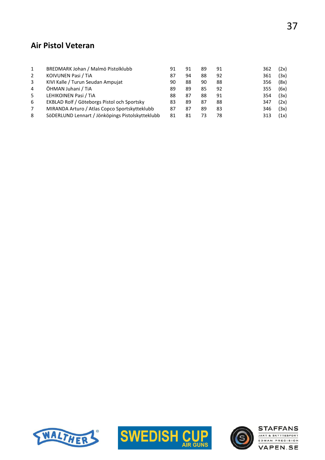#### Air Pistol Veteran

| BREDMARK Johan / Malmö Pistolklubb<br>KOIVUNEN Pasi / TiA | 91<br>87<br>90                    | 91<br>94<br>88 | 89<br>88<br>90 | 91<br>92<br>88 | 362<br>361<br>356 | (2x)<br>(3x)<br>(8x) |
|-----------------------------------------------------------|-----------------------------------|----------------|----------------|----------------|-------------------|----------------------|
| ÖHMAN Juhani / TiA                                        | 89                                | 89             | 85             | 92             | 355               | (6x)                 |
| LEHIKOINEN Pasi / TiA                                     | 88                                | 87             | 88             | 91             | 354               | (3x)                 |
| EKBLAD Rolf / Göteborgs Pistol och Sportsky               | 83                                | 89             | 87             | 88             | 347               | (2x)                 |
| MIRANDA Arturo / Atlas Copco Sportskytteklubb             | 87                                | 87             | 89             | 83             | 346               | (3x)                 |
| SöDERLUND Lennart / Jönköpings Pistolskytteklubb          | 81                                | 81             | 73             | 78             | 313               | (1x)                 |
|                                                           | KIVI Kalle / Turun Seudan Ampujat |                |                |                |                   |                      |





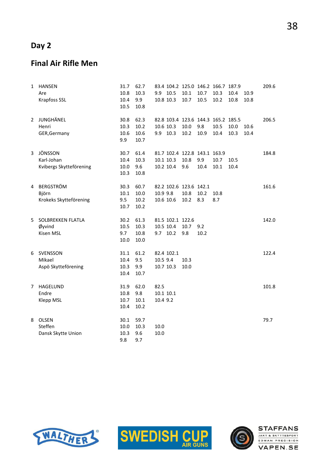## Day 2

#### Final Air Rifle Men

| 1  | <b>HANSEN</b><br>Are<br><b>Krapfoss SSL</b>         | 31.7<br>10.8<br>10.4<br>10.5 | 62.7<br>10.3<br>9.9<br>10.8  | 9.9                           | 10.5<br>10.8 10.3                         | 83.4 104.2 125.0 146.2 166.7 187.9<br>10.1<br>10.7 | 10.7<br>10.5 | 10.3<br>10.2 | 10.4<br>10.8 | 10.9<br>10.8 | 209.6 |
|----|-----------------------------------------------------|------------------------------|------------------------------|-------------------------------|-------------------------------------------|----------------------------------------------------|--------------|--------------|--------------|--------------|-------|
|    | 2 JUNGHÄNEL<br>Henri<br>GER, Germany                | 30.8<br>10.3<br>10.6<br>9.9  | 62.3<br>10.2<br>10.6<br>10.7 |                               | 10.6 10.3<br>9.9 10.3                     | 82.8 103.4 123.6 144.3 165.2 185.5<br>10.0<br>10.2 | 9.8<br>10.9  | 10.5<br>10.4 | 10.0<br>10.3 | 10.6<br>10.4 | 206.5 |
| 3  | JÖNSSON<br>Karl-Johan<br>Kvibergs Skytteförening    | 30.7<br>10.4<br>10.0<br>10.3 | 61.4<br>10.3<br>9.6<br>10.8  |                               | 10.1 10.3<br>10.2 10.4                    | 81.7 102.4 122.8 143.1 163.9<br>10.8<br>9.6        | 9.9<br>10.4  | 10.7<br>10.1 | 10.5<br>10.4 |              | 184.8 |
| 4  | <b>BERGSTRÖM</b><br>Björn<br>Krokeks Skytteförening | 30.3<br>10.1<br>9.5<br>10.7  | 60.7<br>10.0<br>10.2<br>10.2 | 10.9 9.8                      | 10.6 10.6                                 | 82.2 102.6 123.6 142.1<br>10.8<br>10.2             | 10.2<br>8.3  | 10.8<br>8.7  |              |              | 161.6 |
| 5. | SOLBREKKEN FLATLA<br>Øyvind<br>Kisen MSL            | 30.2<br>10.5<br>9.7<br>10.0  | 61.3<br>10.3<br>10.8<br>10.0 |                               | 81.5 102.1 122.6<br>10.5 10.4<br>9.7 10.2 | 10.7<br>9.8                                        | 9.2<br>10.2  |              |              |              | 142.0 |
| 6  | SVENSSON<br>Mikael<br>Aspö Skytteförening           | 31.1<br>10.4<br>10.3<br>10.4 | 61.2<br>9.5<br>9.9<br>10.7   | 10.5 9.4                      | 82.4 102.1<br>10.7 10.3                   | 10.3<br>10.0                                       |              |              |              |              | 122.4 |
| 7  | HAGELUND<br>Endre<br>Klepp MSL                      | 31.9<br>10.8<br>10.7<br>10.4 | 62.0<br>9.8<br>10.1<br>10.2  | 82.5<br>10.1 10.1<br>10.4 9.2 |                                           |                                                    |              |              |              |              | 101.8 |
| 8  | <b>OLSEN</b><br>Steffen<br>Dansk Skytte Union       | 30.1<br>10.0<br>10.3<br>9.8  | 59.7<br>10.3<br>9.6<br>9.7   | 10.0<br>10.0                  |                                           |                                                    |              |              |              |              | 79.7  |





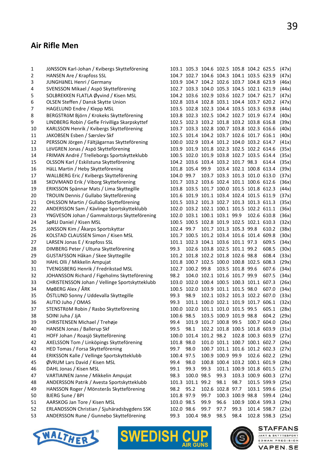# Air Rifle Men

| 1  | JöNSSON Karl-Johan / Kvibergs Skytteförening   |            | 103.1 105.3 104.6 102.5 105.8 104.2 625.5 |      |                                                  |                         |                   |                                          | (47x) |
|----|------------------------------------------------|------------|-------------------------------------------|------|--------------------------------------------------|-------------------------|-------------------|------------------------------------------|-------|
| 2  | HANSEN Are / Krapfoss SSL                      |            | 104.7 102.7 104.6 104.3 104.1 103.5 623.9 |      |                                                  |                         |                   |                                          | (47x) |
| 3  | JUNGHäNEL Henri / Germany                      |            | 103.9 104.7 104.2 102.6 103.7 104.8 623.9 |      |                                                  |                         |                   |                                          | (46x) |
| 4  | SVENSSON Mikael / Aspö Skytteförening          |            | 102.7 103.3 104.0 105.3 104.5 102.1 621.9 |      |                                                  |                         |                   |                                          | (44x) |
| 5  | SOLBREKKEN FLATLA Øyvind / Kisen MSL           |            | 104.2 103.6 102.9 103.6 102.7 104.7 621.7 |      |                                                  |                         |                   |                                          | (47x) |
| 6  | OLSEN Steffen / Dansk Skytte Union             |            | 102.8 103.4 102.8 103.1 104.4 103.7 620.2 |      |                                                  |                         |                   |                                          | (47x) |
| 7  | HAGELUND Endre / Klepp MSL                     |            | 103.5 102.8 102.3 104.4 103.5 103.3 619.8 |      |                                                  |                         |                   |                                          | (44x) |
| 8  | BERGSTRÖM Björn / Krokeks Skytteförening       |            | 103.8 102.3 102.5 104.2 102.7 101.9 617.4 |      |                                                  |                         |                   |                                          | (40x) |
| 9  | LINDBERG Robin / Gefle Frivilliga Skarpskyttef |            | 102.5 102.3 103.2 101.8 103.2 103.8 616.8 |      |                                                  |                         |                   |                                          | (39x) |
| 10 | KARLSSON Henrik / Kvibergs Skytteförening      |            | 103.7 103.3 102.8 100.7 103.8 102.3 616.6 |      |                                                  |                         |                   |                                          | (40x) |
| 11 | JAKOBSEN Esben / Særslev Skf                   |            | 102.5 101.4 104.2 103.7 102.6 101.7 616.1 |      |                                                  |                         |                   |                                          | (40x) |
| 12 | PERSSON Jörgen / Fältjägarnas Skytteförening   |            | 100.0 102.9 103.4 101.2 104.0 103.2 614.7 |      |                                                  |                         |                   |                                          | (41x) |
| 13 | LöVGREN Jonas / Aspö Skytteförening            |            | 103.9 101.9 101.8 102.3 102.5 102.2 614.6 |      |                                                  |                         |                   |                                          | (35x) |
| 14 | FRIMAN André / Trelleborgs Sportskytteklubb    |            | 100.5 102.0 101.9 103.8 102.7 103.5 614.4 |      |                                                  |                         |                   |                                          | (35x) |
| 15 | OLSSON Karl / Eskilstuna Skytteförening        |            | 104.2 103.6 103.4 103.2 101.7 98.3        |      |                                                  |                         |                   | 614.4                                    | (35x) |
| 16 | HäLL Martin / Heby Skytteförening              |            | 101.8 105.4 99.9                          |      |                                                  | 103.4 102.1 100.8 613.4 |                   |                                          | (39x) |
| 17 | WALLBERG Eric / Kvibergs Skytteförening        | 104.0 99.7 |                                           |      | 103.7 103.3 101.3 101.0 613.0                    |                         |                   |                                          | (37x) |
| 18 | SKOVMAND Erik / Viborg Skytteforening          |            | 101.7 103.2 103.6 102.4 101.1 100.6 612.6 |      |                                                  |                         |                   |                                          | (36x) |
| 19 | ERIKSSON Spännar Mats / Lima Skyttegille       |            | 103.8 103.5 101.7 100.0 101.5 101.8 612.3 |      |                                                  |                         |                   |                                          | (44x) |
| 20 | TROUIN Dennis / Gullabo Skytteförening         |            | 101.6 101.9 101.1 103.4 102.4 101.5 611.9 |      |                                                  |                         |                   |                                          | (37x) |
| 21 | OHLSSON Martin / Gullabo Skytteförening        |            | 101.5 103.2 101.3 102.7 101.3 101.3 611.3 |      |                                                  |                         |                   |                                          | (35x) |
| 22 | ANDERSSON Sam / Kävlinge Sportskytteklubb      |            | 102.0 103.2 102.1 100.1 101.5 102.2 611.1 |      |                                                  |                         |                   |                                          | (36x) |
| 23 | YNGVESON Johan / Gammalstorps Skytteförening   |            | 102.0 103.1 100.1 103.1 99.9              |      |                                                  |                         | 102.6 610.8       |                                          | (36x) |
| 24 | SøRLI Daniel / Kisen MSL                       |            | 100.5 100.5 102.8 101.9 102.5 102.1 610.3 |      |                                                  |                         |                   |                                          | (32x) |
| 25 | JöNSSON Kim / Åkarps Sportskyttar              | 102.4 99.7 |                                           |      | 101.7 101.3 105.3 99.8                           |                         |                   | 610.2                                    | (38x) |
| 26 | KOLSTAD CLAUSSEN Simon / Kisen MSL             |            | 101.7 100.5 101.2 103.4 101.6 101.4 609.8 |      |                                                  |                         |                   |                                          | (30x) |
| 27 | LARSEN Jonas E / Krapfoss SSL                  |            | 101.1 102.3 104.1 103.6 101.1 97.3        |      |                                                  |                         |                   | 609.5                                    | (34x) |
| 28 | DIMBERG Peter / Ultuna Skytteförening          | 99.3       |                                           |      | 102.6 103.8 102.5 101.1 99.2                     |                         |                   | 608.5                                    | (30x) |
| 29 | GUSTAFSSON Håkan / Skee Skyttegille            |            | 101.2 101.8 102.2 101.8 102.6 98.8        |      |                                                  |                         |                   | 608.4                                    | (33x) |
| 30 | HAHL Olli / Mikkelin Ampujat                   |            | 101.8 100.7 102.5 100.0 100.8 102.5 608.3 |      |                                                  |                         |                   |                                          | (29x) |
| 31 | TVENGSBERG Henrik / Fredrikstad MSL            |            | 102.7 100.2 99.8                          |      |                                                  | 103.5 101.8 99.6        |                   | 607.6                                    | (34x) |
| 32 | JOHANSSON Richard / Figeholms Skytteförening   | 98.2       |                                           |      | 104.0 102.1 101.6 101.7 99.9                     |                         |                   | 607.5                                    | (34x) |
| 33 | CHRISTENSSON Johan / Vellinge Sportskytteklubb |            | 103.0 102.0 100.4 100.5 100.3 101.1 607.3 |      |                                                  |                         |                   |                                          | (26x) |
| 34 | MøBERG Alex / ÅRK                              |            | 100.5 102.0 103.9 101.1 101.5 98.0        |      |                                                  |                         |                   | 607.0                                    | (34x) |
| 35 | ÖSTLUND Sonny / Uddevalla Skyttegille          | 99.3       | 98.9                                      |      | 102.1 103.2 101.3 102.2 607.0                    |                         |                   |                                          | (33x) |
| 36 | AUTIO Juho / OMAS                              | 99.3       |                                           |      | 101.1 100.0 102.1 101.9 101.7 606.1              |                         |                   |                                          | (32x) |
|    |                                                |            |                                           |      |                                                  |                         |                   | 100.0 102.0 101.1 101.0 101.5 99.5 605.1 |       |
| 37 | STENSTRöM Robin / Rasbo Skytteförening         |            |                                           |      |                                                  |                         |                   | 604.2                                    | (28x) |
| 38 | SOINI Juha / JjA                               | 100.6 98.5 |                                           |      | 103.5 100.9 101.9 98.8<br>101.9 101.7 100.8 99.5 |                         |                   |                                          | (29x) |
| 39 | CHRISTENSEN Michael / Trehøje                  | 99.4       |                                           |      |                                                  |                         | 100.7 604.0       |                                          | (26x) |
| 40 | HANSEN Jonas / Ballerup Skf                    | 99.5       | 98.1                                      |      | 102.2 101.8 100.5 101.8 603.9                    |                         |                   |                                          | (31x) |
| 41 | HOFF Johan / Roasjö Skytteförening             |            | 100.0 101.4 101.2 98.2                    |      |                                                  |                         | 102.8 100.3 603.9 |                                          | (27x) |
| 42 | AXELSSON Tom / Linköpings Skytteförening       | 101.8 98.0 |                                           |      | 101.0 101.1 100.7 100.1 602.7                    |                         |                   |                                          | (26x) |
| 43 | HED Tomas / Forsa Skytteförening               | 99.7       | 98.0                                      |      | 100.7 101.1 101.6 101.2 602.3                    |                         |                   |                                          | (27x) |
| 44 | ERIKSSON Kalle / Vellinge Sportskytteklubb     | 100.4 97.5 |                                           |      | 100.9 100.9 99.9                                 |                         | 102.6 602.2       |                                          | (29x) |
| 45 | ØVRUM Lars David / Kisen MSL                   | 99.4       | 98.0                                      |      | 100.8 100.4 103.2 100.1 601.9                    |                         |                   |                                          | (28x) |
| 46 | DAHL Jonas / Kisen MSL                         | 99.1       | 99.3                                      | 99.3 |                                                  | 101.1 100.9 101.8 601.5 |                   |                                          | (27x) |
| 47 | VARTIAINEN Janne / Mikkelin Ampujat            | 98.3       | 100.0 98.5                                |      | 99.3                                             |                         | 103.3 100.9 600.3 |                                          | (27x) |
| 48 | ANDERSSON Patrik / Avesta Sportskytteklubb     |            | 101.3 101.1 99.2                          |      | 98.1                                             | 98.7                    | 101.5 599.9       |                                          | (25x) |
| 49 | HANSSON Roger / Mönsterås Skytteförening       | 98.2       | 95.2                                      |      | 102.6 102.8 97.7                                 |                         |                   | 103.1 599.6                              | (25x) |
| 50 | BJERG Sune / BPI                               | 101.8 97.9 |                                           | 99.7 |                                                  | 100.3 100.9 98.8        |                   | 599.4                                    | (24x) |
| 51 | AARSKOG Jan Tore / Kisen MSL                   | 103.0 98.5 |                                           | 99.9 | 96.6                                             |                         | 100.9 100.4 599.3 |                                          | (29x) |
| 52 | ERLANDSSON Christian / Sjuhäradsbygdens SSK    | 102.0 98.6 |                                           | 99.7 | 97.7                                             | 99.3                    | 101.4 598.7       |                                          | (22x) |
| 53 | ANDERSSON Rune / Gunnebo Skytteförening        | 99.3       | 100.4 98.9                                |      | 98.5                                             | 98.4                    |                   | 102.8 598.3                              | (25x) |





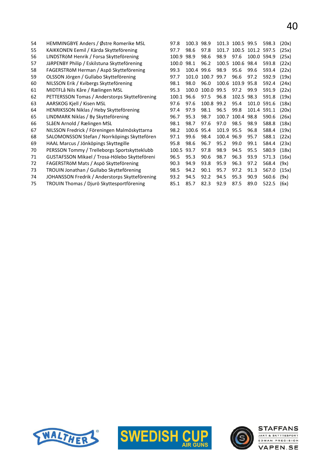| 54 | HEMMINGBYE Anders / Østre Romerike MSL         | 97.8  | 100.3 98.9 |            |            | 101.3 100.5 99.5 |                   | 598.3       | (20x) |
|----|------------------------------------------------|-------|------------|------------|------------|------------------|-------------------|-------------|-------|
| 55 | KAIKKONEN Eemil / Kärda Skytteförening         | 97.7  | 98.6       | 97.8       | 101.7      |                  | 100.5 101.2 597.5 |             | (25x) |
| 56 | LINDSTRÖM Henrik / Forsa Skytteförening        | 100.9 | 98.9       | 98.6       | 98.9       | 97.6             | 100.0             | 594.9       | (25x) |
| 57 | JäRPENBY Philip / Eskilstuna Skytteförening    | 100.0 | 98.1       | 96.2       | 100.5      | 100.6            | 98.4              | 593.8       | (22x) |
| 58 | FAGERSTRÖM Herman / Aspö Skytteförening        | 99.3  | 100.4      | 99.6       | 98.9       | 95.6             | 99.6              | 593.4       | (22x) |
| 59 | OLSSON Jörgen / Gullabo Skytteförening         | 97.7  | 101.0      | 100.7      | 99.7       | 96.6             | 97.2              | 592.9       | (19x) |
| 60 | NILSSON Erik / Kvibergs Skytteförening         | 98.1  | 98.0       | 96.0       |            | 100.6 103.9 95.8 |                   | 592.4       | (24x) |
| 61 | MIDTFLå Nils Kåre / Rælingen MSL               | 95.3  | 100.0      | 100.0      | 99.5       | 97.2             | 99.9              | 591.9       | (22x) |
| 62 | PETTERSSON Tomas / Anderstorps Skytteförening  | 100.1 | 96.6       | 97.5       | 96.8       | 102.5            | 98.3              | 591.8       | (19x) |
| 63 | AARSKOG Kjell / Kisen MSL                      | 97.6  | 97.6       | 100.8 99.2 |            | 95.4             |                   | 101.0 591.6 | (18x) |
| 64 | HENRIKSSON Niklas / Heby Skytteförening        | 97.4  | 97.9       | 98.1       | 96.5       | 99.8             |                   | 101.4 591.1 | (20x) |
| 65 | LINDMARK Niklas / By Skytteförening            | 96.7  | 95.3       | 98.7       | 100.7      | 100.4            | 98.8              | 590.6       | (26x) |
| 66 | SLåEN Arnold / Rælingen MSL                    | 98.1  | 98.7       | 97.6       | 97.0       | 98.5             | 98.9              | 588.8       | (18x) |
| 67 | NILSSON Fredrick / Föreningen Malmöskyttarna   | 98.2  | 100.6      | 95.4       | 101.9 95.5 |                  | 96.8              | 588.4       | (19x) |
| 68 | SALOMONSSON Stefan / Norrköpings Skyttefören   | 97.1  | 99.6       | 98.4       | 100.4 96.9 |                  | 95.7              | 588.1       | (22x) |
| 69 | HAAL Marcus / Jönköpings Skyttegille           | 95.8  | 98.6       | 96.7       | 95.2       | 99.0             | 99.1              | 584.4       | (23x) |
| 70 | PERSSON Tommy / Trelleborgs Sportskytteklubb   | 100.5 | 93.7       | 97.8       | 98.9       | 94.5             | 95.5              | 580.9       | (18x) |
| 71 | GUSTAFSSON Mikael / Trosa-Hölebo Skytteföreni  | 96.5  | 95.3       | 90.6       | 98.7       | 96.3             | 93.9              | 571.3       | (16x) |
| 72 | FAGERSTRöM Mats / Aspö Skytteförening          | 90.3  | 94.9       | 93.8       | 95.9       | 96.3             | 97.2              | 568.4       | (9x)  |
| 73 | TROUIN Jonathan / Gullabo Skytteförening       | 98.5  | 94.2       | 90.1       | 95.7       | 97.2             | 91.3              | 567.0       | (15x) |
| 74 | JOHANSSON Fredrik / Anderstorps Skytteförening | 93.2  | 94.5       | 92.2       | 94.5       | 95.3             | 90.9              | 560.6       | (9x)  |

TROUIN Thomas / Djurö Skyttesportförening 85.1 85.7 82.3 92.9 87.5 89.0 522.5 (6x)





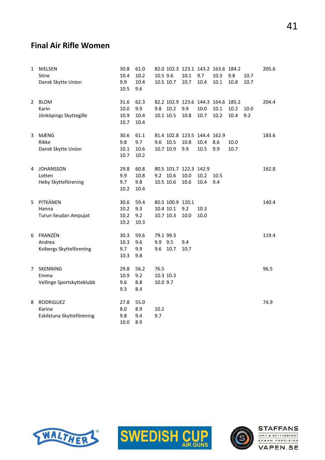#### Final Air Rifle Women

| 1 | NIELSEN<br><b>Stine</b><br>Dansk Skytte Union           | 30.8<br>10.4<br>9.9<br>10.5  | 61.0<br>10.2<br>10.4<br>9.6 | 10.5 9.6                      | 10.5 10.7                                  | 10.1<br>10.7                           | 9.7<br>10.4                                  | 82.0 102.3 123.1 143.2 163.6 184.2<br>10.3<br>10.1 | 9.8<br>10.8  | 10.7<br>10.7 | 205.6 |
|---|---------------------------------------------------------|------------------------------|-----------------------------|-------------------------------|--------------------------------------------|----------------------------------------|----------------------------------------------|----------------------------------------------------|--------------|--------------|-------|
| 2 | <b>BLOM</b><br>Karin<br>Jönköpings Skyttegille          | 31.6<br>10.0<br>10.9<br>10.7 | 62.3<br>9.9<br>10.4<br>10.4 |                               | 9.8 10.2<br>10.1 10.5                      | 9.9<br>10.8                            | 10.0<br>10.7                                 | 82.2 102.9 123.6 144.3 164.6 185.2<br>10.1<br>10.2 | 10.2<br>10.4 | 10.0<br>9.2  | 204.4 |
| 3 | <b>MÆNG</b><br>Rikke<br>Dansk Skytte Union              | 30.6<br>9.8<br>10.1<br>10.7  | 61.1<br>9.7<br>10.6<br>10.2 |                               | 9.6 10.5<br>10.7 10.9                      | 10.8<br>9.9                            | 81.4 102.8 123.5 144.4 162.9<br>10.4<br>10.5 | 8.6<br>9.9                                         | 10.0<br>10.7 |              | 183.6 |
| 4 | <b>JOHANSSON</b><br>Lotten<br>Heby Skytteförening       | 29.8<br>9.9<br>9.7<br>10.2   | 60.8<br>10.8<br>9.8<br>10.4 |                               | 9.2 10.6<br>10.5 10.6                      | 80.5 101.7 122.3 142.9<br>10.0<br>10.6 | 10.2<br>10.4                                 | 10.5<br>9.4                                        |              |              | 162.8 |
| 5 | PITKÄNEN<br>Hanna<br>Turun Seudan Ampujat               | 30.6<br>10.2<br>10.2<br>10.2 | 59.4<br>9.3<br>9.2<br>10.3  |                               | 80.5 100.9 120.1<br>10.4 10.1<br>10.7 10.3 | 9.2<br>10.0                            | 10.3<br>10.0                                 |                                                    |              |              | 140.4 |
| 6 | FRANZÉN<br>Andrea<br>Kvibergs Skytteförening            | 30.3<br>10.3<br>9.7<br>10.3  | 59.6<br>9.6<br>9.9<br>9.8   | 79.1 99.3<br>9.9 9.5          | 9.6 10.7                                   | 9.4<br>10.7                            |                                              |                                                    |              |              | 119.4 |
| 7 | SKENNING<br>Emma<br>Vellinge Sportskytteklubb           | 29.8<br>10.9<br>9.6<br>9.3   | 56.2<br>9.2<br>8.8<br>8.4   | 76.5<br>10.3 10.3<br>10.0 9.7 |                                            |                                        |                                              |                                                    |              |              | 96.5  |
| 8 | <b>RODRIGUEZ</b><br>Karina<br>Eskilstuna Skytteförening | 27.8<br>8.0<br>9.8<br>10.0   | 55.0<br>8.9<br>9.4<br>8.9   | 10.2<br>9.7                   |                                            |                                        |                                              |                                                    |              |              | 74.9  |





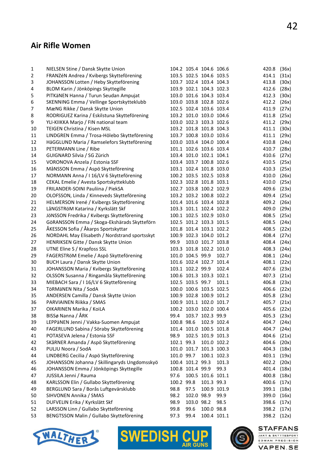#### Air Rifle Women

| $\mathbf{1}$   | NIELSEN Stine / Dansk Skytte Union            |            | 104.2 105.4 104.6 106.6 |                   |             | 420.8       | (36x) |
|----------------|-----------------------------------------------|------------|-------------------------|-------------------|-------------|-------------|-------|
| $\overline{2}$ | FRANZÉN Andrea / Kvibergs Skytteförening      |            | 103.5 102.5 104.6 103.5 |                   |             | 414.1       | (31x) |
| 3              | JOHANSSON Lotten / Heby Skytteförening        |            | 103.7 102.4 103.4 104.3 |                   |             | 413.8       | (30x) |
| 4              | BLOM Karin / Jönköpings Skyttegille           |            | 103.9 102.1 104.3 102.3 |                   |             | 412.6       | (28x) |
| 5              | PITKäNEN Hanna / Turun Seudan Ampujat         |            | 103.0 101.6 104.3 103.4 |                   |             | 412.3       | (30x) |
| 6              | SKENNING Emma / Vellinge Sportskytteklubb     |            | 103.0 103.8 102.8 102.6 |                   |             | 412.2       | (26x) |
| 7              | MæNG Rikke / Dansk Skytte Union               |            | 102.5 102.4 103.6 103.4 |                   |             | 411.9       | (27x) |
| 8              | RODRIGUEZ Karina / Eskilstuna Skytteförening  |            | 103.2 101.0 103.0 104.6 |                   |             | 411.8       | (25x) |
| 9              | YLI-KIIKKA Marjo / FIN national team          |            | 103.0 102.3 103.3 102.6 |                   |             | 411.2       | (29x) |
| 10             | TEIGEN Christina / Kisen MSL                  |            | 103.2 101.8 101.8 104.3 |                   |             | 411.1       | (30x) |
| 11             | LINDGREN Emma / Trosa-Hölebo Skytteförening   |            | 103.7 100.8 103.0 103.6 |                   |             | 411.1       | (29x) |
| 12             | HäGGLUND Maria / Ramselefors Skytteförening   |            | 103.0 103.4 104.0 100.4 |                   |             | 410.8       | (24x) |
| 13             | PETERMANN Line / Ribe                         |            | 101.1 102.6 103.6 103.4 |                   |             | 410.7       | (28x) |
| 14             | GUIGNARD Silvia / SG Zürich                   |            | 103.4 101.0 102.1 104.1 |                   |             | 410.6       | (27x) |
| 15             | VORONOVA Anzela / Estonia SSF                 |            | 103.4 103.7 100.8 102.6 |                   |             | 410.5       | (25x) |
| 16             | MåNSSON Emma / Aspö Skytteförening            |            | 103.1 102.4 101.8 103.0 |                   |             | 410.3       | (25x) |
| 17             | NORMANN Anna / I 16/LV 6 Skytteförening       |            | 100.2 103.5 102.5 103.8 |                   |             | 410.0       | (26x) |
| 18             | CEKAL Emelie / Avesta Sportskytteklubb        |            | 102.3 102.8 101.8 103.1 |                   |             | 410.0       | (25x) |
| 19             | FRILANDER-SOINI Pauliina / PiekSA             |            | 102.7 103.8 100.2 102.9 |                   |             | 409.6       | (23x) |
| 20             | OLOFSSON, Linda / Kinneveds Skytteförening    |            | 103.2 103.2 100.8 102.2 |                   |             | 409.4       | (25x) |
| 21             | HELMERSON Irené / Kvibergs Skytteförening     |            | 101.4 101.6 103.4 102.8 |                   |             | 409.2       | (26x) |
| 22             | LåNGSTRöM Katarina / Kyrkslätt Skf            |            | 103.3 101.1 102.4 102.2 |                   |             | 409.0       | (29x) |
| 23             | JöNSSON Fredrika / Kvibergs Skytteförening    |            | 100.1 102.5 102.9 103.0 |                   |             | 408.5       | (25x) |
| 24             | GöRANSSON Emma / Skoga-Ekshärads Skytteförn   |            | 102.5 101.2 103.3 101.5 |                   |             | 408.5       | (24x) |
| 25             | ÅKESSON Sofia / Åkarps Sportskyttar           |            | 101.8 101.4 103.1 102.2 |                   |             | 408.5       | (22x) |
| 26             | NORDAHL May Elisabeth / Nordstrand sportsskyt |            | 100.9 102.3 104.0 101.2 |                   |             | 408.4       | (27x) |
| 27             | HENRIKSEN Gitte / Dansk Skytte Union          | 99.9       |                         | 103.0 101.7 103.8 |             | 408.4       | (24x) |
| 28             | UTNE Eline S / Krapfoss SSL                   |            | 103.3 101.8 102.2 101.0 |                   |             | 408.3       | (24x) |
| 29             | FAGERSTRöM Emelie / Aspö Skytteförening       |            | 101.0 104.5 99.9        |                   | 102.7       | 408.1       | (24x) |
| 30             | BUCH Laura / Dansk Skytte Union               |            | 101.6 102.4 102.7 101.4 |                   |             | 408.1       | (22x) |
| 31             | JOHANSSON Maria / Kvibergs Skytteförening     |            | 103.1 102.2 99.9        |                   | 102.4       | 407.6       | (23x) |
| 32             | OLSSON Susanna / Ringamåla Skytteförening     |            | 100.6 101.3 103.3 102.1 |                   |             | 407.3       | (21x) |
| 33             | MIEBACH Sara / I 16/LV 6 Skytteförening       |            | 102.5 103.5 99.7        |                   | 101.1       | 406.8       | (23x) |
| 34             | TÖRMÄNEN Nita / SodA                          |            | 100.0 100.6 103.5 102.5 |                   |             | 406.6       | (22x) |
| 35             | ANDERSEN Camilla / Dansk Skytte Union         |            | 100.9 102.8 100.9 101.2 |                   |             | 405.8       | (23x) |
| 36             | PARVIAINEN Riikka / SMAS                      |            | 100.9 101.1 102.0 101.7 |                   |             | 405.7       | (21x) |
| 37             | OIKARINEN Marika / KoiLA                      |            | 100.2 103.0 102.0 100.4 |                   |             | 405.6 (22x) |       |
| 38             | BISSø Nanna / ÅRK                             | 99.4       |                         | 103.7 102.3 99.9  |             | 405.3       | (23x) |
| 39             | LEPPäNEN Jenni / Vakka-Suomen Ampujat         | 100.8 98.6 |                         |                   | 102.9 102.4 | 404.7       | (24x) |
| 40             | FAGERLUND Sabina / Söraby Skytteförening      |            | 101.4 101.0 100.5 101.8 |                   |             | 404.7       | (24x) |
| 41             | POTASEVA Jelena / Estonia SSF                 | 98.9       |                         | 102.5 101.9 101.3 |             | 404.6       | (21x) |
| 42             | SKåRNER Amanda / Aspö Skytteförening          | 102.1 99.3 |                         |                   | 101.0 102.2 | 404.6       | (20x) |
| 43             | PULJU Noora / SodA                            |            | 101.0 101.7 101.3 100.3 |                   |             | 404.3       | (18x) |
| 44             | LINDBERG Cecilia / Aspö Skytteförening        |            | 101.0 99.7              | 100.1 102.3       |             | 403.1       | (19x) |
|                | JOHANSSON Johanna / Skillingaryds Ungdomsskyö |            | 100.4 101.2 99.3        |                   |             | 402.2       |       |
| 45             | JOHANSSON Emma / Jönköpings Skyttegille       |            | 100.8 101.4 99.9        |                   | 101.3       |             | (20x) |
| 46             | JUSSILA Jenni / Rauma                         | 97.6       |                         | 100.5 101.6 101.1 | 99.3        | 401.4       | (18x) |
| 47             |                                               |            |                         |                   |             | 400.8       | (18x) |
| 48             | KARLSSON Elin / Gullabo Skytteförening        | 100.2 99.8 |                         | 101.3 99.3        |             | 400.6       | (17x) |
| 49             | BERGLUND Sara / Borås Luftgevärsklubb         | 98.8       | 97.5                    |                   | 100.9 101.9 | 399.1       | (18x) |
| 50             | SIHVONEN Annika / SMAS                        | 98.2       | 102.0 98.9              |                   | 99.9        | 399.0       | (16x) |
| 51             | DUFVELIN Erika / Kyrkslätt Skf                | 98.9       | 103.0 98.2              |                   | 98.5        | 398.6       | (17x) |
| 52             | LARSSON Linn / Gullabo Skytteförening         | 99.8       | 99.6                    | 100.0 98.8        |             | 398.2       | (17x) |
| 53             | BENGTSSON Malin / Gullabo Skytteförening      | 97.3       | 99.4                    |                   | 100.4 101.1 | 398.2       | (12x) |





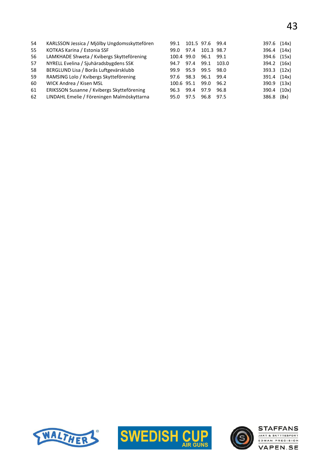| 54 | KARLSSON Jessica / Mjölby Ungdomsskyttefören | 99.1       | 101.5 97.6 |            | 99.4  | 397.6       | (14x) |
|----|----------------------------------------------|------------|------------|------------|-------|-------------|-------|
| 55 | KOTKAS Karina / Estonia SSF                  | 99.0       | 97.4       | 101.3 98.7 |       | 396.4 (14x) |       |
| 56 | LAMKHADE Shweta / Kvibergs Skytteförening    | 100.4 99.0 |            | 96.1       | 99.1  | 394.6 (15x) |       |
| 57 | NYRELL Evelina / Sjuhäradsbygdens SSK        | 94.7       | 97.4       | 99.1       | 103.0 | 394.2 (16x) |       |
| 58 | BERGLUND Lisa / Borås Luftgevärsklubb        | 99.9       | 95.9       | 99.5       | 98.0  | 393.3 (12x) |       |
| 59 | RAMSING Lolo / Kvibergs Skytteförening       | 97.6       | 98.3       | 96.1       | 99.4  | 391.4 (14x) |       |
| 60 | WICK Andrea / Kisen MSL                      | 100.6 95.1 |            | 99.0       | 96.2  | 390.9 (13x) |       |
| 61 | ERIKSSON Susanne / Kvibergs Skytteförening   | 96.3       | 99.4       | 97.9       | 96.8  | 390.4       | (10x) |
| 62 | LINDAHL Emelie / Föreningen Malmöskyttarna   | 95.0       | 97.5       | 96.8       | 97.5  | 386.8       | (8x)  |
|    |                                              |            |            |            |       |             |       |





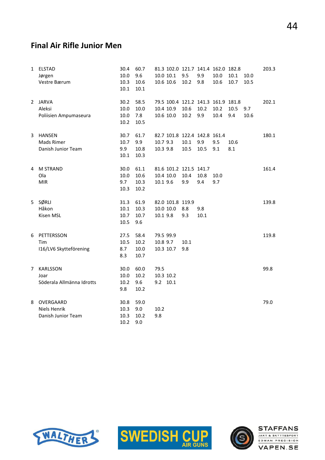#### Final Air Rifle Junior Men

| $\mathbf{1}$ | <b>ELSTAD</b><br>Jørgen<br>Vestre Bærum         | 30.4<br>10.0<br>10.3<br>10.1 | 60.7<br>9.6<br>10.6<br>10.1  |                                    | 10.0 10.1<br>10.6 10.6 | 9.5<br>10.2                           | 81.3 102.0 121.7 141.4 162.0 182.8<br>9.9<br>9.8  | 10.0<br>10.6 | 10.1<br>10.7 | 10.0<br>10.5 | 203.3 |
|--------------|-------------------------------------------------|------------------------------|------------------------------|------------------------------------|------------------------|---------------------------------------|---------------------------------------------------|--------------|--------------|--------------|-------|
|              | 2 JARVA<br>Aleksi<br>Poliisien Ampumaseura      | 30.2<br>10.0<br>10.0<br>10.2 | 58.5<br>10.0<br>7.8<br>10.5  |                                    | 10.4 10.9<br>10.6 10.0 | 10.6<br>10.2                          | 79.5 100.4 121.2 141.3 161.9 181.8<br>10.2<br>9.9 | 10.2<br>10.4 | 10.5<br>9.4  | 9.7<br>10.6  | 202.1 |
|              | 3 HANSEN<br>Mads Rimer<br>Danish Junior Team    | 30.7<br>10.7<br>9.9<br>10.1  | 61.7<br>9.9<br>10.8<br>10.3  | 10.7 9.3<br>10.3 9.8               |                        | 10.1<br>10.5                          | 82.7 101.8 122.4 142.8 161.4<br>9.9<br>10.5       | 9.5<br>9.1   | 10.6<br>8.1  |              | 180.1 |
| 4            | <b>M STRAND</b><br>Ola<br><b>MIR</b>            | 30.0<br>10.0<br>9.7<br>10.3  | 61.1<br>10.6<br>10.3<br>10.2 | 10.1 9.6                           | 10.4 10.0              | 81.6 101.2 121.5 141.7<br>10.4<br>9.9 | 10.8<br>9.4                                       | 10.0<br>9.7  |              |              | 161.4 |
|              | 5 SØRLI<br>Håkon<br>Kisen MSL                   | 31.3<br>10.1<br>10.7<br>10.5 | 61.9<br>10.3<br>10.7<br>9.6  | 10.0 10.0<br>10.1 9.8              |                        | 82.0 101.8 119.9<br>8.8<br>9.3        | 9.8<br>10.1                                       |              |              |              | 139.8 |
| 6            | PETTERSSON<br>Tim<br>I16/LV6 Skytteförening     | 27.5<br>10.5<br>8.7<br>8.3   | 58.4<br>10.2<br>10.0<br>10.7 | 79.5 99.9<br>10.8 9.7<br>10.3 10.7 |                        | 10.1<br>9.8                           |                                                   |              |              |              | 119.8 |
| $7^{\circ}$  | KARLSSON<br>Joar<br>Söderala Allmänna Idrotts   | 30.0<br>10.0<br>10.2<br>9.8  | 60.0<br>10.2<br>9.6<br>10.2  | 79.5<br>10.3 10.2<br>9.2 10.1      |                        |                                       |                                                   |              |              |              | 99.8  |
| 8            | OVERGAARD<br>Niels Henrik<br>Danish Junior Team | 30.8<br>10.3<br>10.3<br>10.2 | 59.0<br>9.0<br>10.2<br>9.0   | 10.2<br>9.8                        |                        |                                       |                                                   |              |              |              | 79.0  |





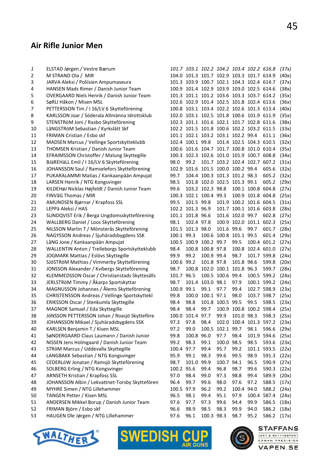# Air Rifle Junior Men

| 1  | ELSTAD Jørgen / Vestre Bærum                       |            | 101.7 103.1 102.2 104.2 103.4 102.2 616.8 |                  |                  |                               |                   |                                    | (37x) |
|----|----------------------------------------------------|------------|-------------------------------------------|------------------|------------------|-------------------------------|-------------------|------------------------------------|-------|
| 2  | M STRAND Ola / MIR                                 |            | 104.0 101.3 101.7 102.9 103.3 101.7 614.9 |                  |                  |                               |                   |                                    | (40x) |
| 3  | JARVA Aleksi / Poliisien Ampumaseura               |            | 101.3 103.9 100.7 102.1 104.3 102.4 614.7 |                  |                  |                               |                   |                                    | (37x) |
| 4  | HANSEN Mads Rimer / Danish Junior Team             |            | 100.9 101.4 102.9 103.9 103.0 102.5 614.6 |                  |                  |                               |                   |                                    | (38x) |
| 5  | <b>OVERGAARD Niels Henrik / Danish Junior Team</b> |            | 101.3 101.1 101.2 103.6 103.3 103.7 614.2 |                  |                  |                               |                   |                                    | (35x) |
| 6  | SøRLI Håkon / Misen MSL                            |            | 102.6 102.9 101.4 102.5 101.8 102.4 613.6 |                  |                  |                               |                   |                                    | (36x) |
| 7  | PETTERSSON Tim / I 16/LV 6 Skytteförening          |            | 100.8 103.1 103.4 102.2 102.6 101.3 613.4 |                  |                  |                               |                   |                                    | (40x) |
| 8  | KARLSSON Joar / Söderala Allmänna Idrottsklub      |            | 102.0 103.1 102.5 101.8 100.6 101.9 611.9 |                  |                  |                               |                   |                                    | (35x) |
| 9  | STENSTRöM Joni / Rasbo Skytteförening              |            | 102.3 101.1 101.6 102.1 101.7 102.8 611.6 |                  |                  |                               |                   |                                    | (38x) |
| 10 | LåNGSTRöM Sebastian / Kyrkslätt Skf                |            | 102.2 101.5 101.8 100.6 102.2 103.2 611.5 |                  |                  |                               |                   |                                    | (33x) |
| 11 | FRIMAN Cristian / Esbo skf                         |            | 101.1 102.1 103.2 103.1 102.2 99.4        |                  |                  |                               |                   | 611.1                              | (36x) |
| 12 | MADSEN Marcus / Vellinge Sportskytteklubb          |            | 102.4 100.1 99.8 101.4 102.5 104.3 610.5  |                  |                  |                               |                   |                                    | (32x) |
| 13 | THOMSEN Kristian / Danish Junior Team              |            | 100.6 101.6 104.7 101.7 100.8 101.0 610.4 |                  |                  |                               |                   |                                    | (35x) |
| 14 | EFRAIMSSON Christoffer / Malung Skyttegille        |            | 100.3 102.3 102.6 101.0 101.9 100.7 608.8 |                  |                  |                               |                   |                                    | (34x) |
| 15 | BJäREHäLL Emil / I 16/LV 6 Skytteförening          | 98.0       | 99.2                                      |                  |                  | 101.7 103.2 102.4 102.7 607.2 |                   |                                    | (31x) |
| 16 | JOHANSSON Saul / Ramselefors Skytteförening        | 102.9      |                                           |                  |                  | 101.6 101.5 100.0 100.2 99.4  |                   | 605.6                              | (32x) |
| 17 | PUKARALAMMI Matias / Kankaanpään Ampujat           | 99.7       |                                           |                  |                  | 104.4 100.3 101.3 101.2 98.3  |                   | 605.2                              | (32x) |
| 18 | LARSEN Henrik / NTG Kongsvinger                    | 98.5       |                                           |                  |                  | 101.8 102.0 102.5 101.3 99.1  |                   | 605.2                              | (29x) |
| 19 | KILDEHøJ Nicklas Højfeldt / Danish Junior Team     | 99.6       |                                           | 103.2 102.3 98.8 |                  |                               | 100.1 100.8 604.8 |                                    | (27x) |
| 20 | FINVåG Thomas / MIR                                | 100.3      |                                           | 102.1 100.4 99.3 |                  |                               | 100.9 101.8 604.8 |                                    | (25x) |
| 21 | AMUNDSEN Bjørnar / Krapfoss SSL                    | 99.5       | 101.5 99.8                                |                  |                  | 101.9 100.2 101.6 604.5       |                   |                                    | (31x) |
| 22 | LEPPä Aleksi / HAS                                 |            | 102.2 101.3 96.9                          |                  |                  | 101.7 100.1 101.6 603.8       |                   |                                    | (28x) |
| 23 | SUNDQVIST Erik / Berga Ungdomsskytteförening       |            | 101.1 101.8 96.6                          |                  |                  | 101.6 102.0 99.7              |                   | 602.8                              | (27x) |
| 24 | WALLBERG Daniel / Loos Skytteförening              | 98.1       | 102.4 97.8                                |                  |                  | 100.9 102.0 101.1 602.3       |                   |                                    | (25x) |
| 25 | NILSSON Martin T / Mönsterås Skytteförening        |            | 101.5 101.3 98.0                          |                  | 101.6 99.6       |                               | 99.7              | 601.7                              | (28x) |
| 26 | NAGYSSON Andreas / Sjuhäradsbygdens SSK            | 100.1 99.3 |                                           |                  |                  | 100.6 100.8 101.1 99.5        |                   | 601.4                              | (29x) |
| 27 | LåNG Jone / Kankaanpään Ampujat                    |            | 100.5 100.9 100.2 99.7                    |                  |                  | 99.5                          |                   | 100.4 601.2                        | (27x) |
| 28 | WALLENTIN Anton / Trelleborgs Sportskytteklubb     | 98.4       |                                           | 100.8 100.8 97.8 |                  |                               | 100.8 102.4 601.0 |                                    | (27x) |
| 29 | JOGMARK Mattias / Eslövs Skyttegille               | 99.9       | 99.2                                      | 100.9 99.4       |                  | 98.7                          | 101.7 599.8       |                                    | (24x) |
| 30 | SJÖSTRÖM Mathias / Vimmerby Skytteförening         | 100.6 99.2 |                                           | 101.8 97.8       |                  | 101.8 98.6                    |                   | 599.8                              | (20x) |
| 31 | JONSSON Alexander / Kvibergs Skytteförening        | 98.7       |                                           |                  |                  | 100.8 102.0 100.1 101.8 96.3  |                   | 599.7                              | (28x) |
| 32 | KLEMMEDSSON Oscar / Christianstads Skyttesälls     | 101.7      | 96.5                                      |                  | 100.5 100.6 99.4 |                               | 100.5 599.2       |                                    | (24x) |
| 33 | JERLSTRöM Timmy / Åkarps Sportskyttar              | 98.7       |                                           | 101.4 103.0 98.1 |                  | 97.9                          | 100.1 599.2       |                                    | (24x) |
| 34 | MAGNUSSON Johannes / Ålems Skytteförening          | 100.9      | 99.1                                      | 99.1             | 97.7             | 99.4                          | 102.7 598.9       |                                    | (23x) |
| 35 | CHRISTENSSON Andreas / Vellinge Sportskyttekl      | 99.8       |                                           | 100.0 100.1 97.1 |                  | 98.0                          | 103.7 598.7       |                                    | (25x) |
| 36 | ERIKSSON Oscar / Stenkumla Skyttegille             | 98.4       | 98.8                                      |                  | 101.8 100.5 99.5 |                               | 99.5              | 598.5                              | (23x) |
| 37 | MAGNOR Samuel / Eda Skyttegille                    | 98.4       | 98.4                                      |                  |                  |                               |                   | 99.7 100.9 100.8 100.2 598.4 (25x) |       |
| 38 | JÖNSSON PETTERSSON Johan / Roasjö Skytteföre       |            | 100.0 101.4 97.7                          |                  | 99.9             | 101.0 98.3                    |                   | 598.3                              | (25x) |
| 39 | JOHANSSON Mikael / Sjuhäradsbygdens SSK            | 97.3       | 97.8                                      | 98.4             |                  | 102.0 100.4 101.3 597.2       |                   |                                    | (23x) |
| 40 | KARLSEN Benjamin T / Kisen MSL                     | 97.2       | 99.0                                      |                  | 100.5 102.1 99.7 |                               | 98.1              | 596.6                              | (29x) |
| 41 | SøNDERGAARD Claus Laumann / Danish Junior          | 99.8       | 100.8 96.0                                |                  | 97.7             | 98.4                          | 101.9 594.6       |                                    | (25x) |
| 42 | NISSEN Jens Holmgaard / Danish Junior Team         | 99.2       | 98.3                                      | 99.1             | 100.0 98.5       |                               | 98.5              | 593.6                              | (23x) |
| 43 | STRöM Marcus / Uddevalla Skyttegille               | 100.4 97.7 |                                           | 99.4             | 95.7             | 99.2                          | 101.1 593.5       |                                    | (22x) |
| 44 | LANGBAKK Sebastian / NTG Kongsvinger               | 95.9       | 99.1                                      | 98.3             | 99.6             | 99.5                          | 98.9              | 591.3                              | (22x) |
| 45 | CEDERLÖW Jonatan / Ramsjö Skytteförening           | 98.7       | 101.0 99.9                                |                  | 100.7 94.1       |                               | 96.5              | 590.9                              | (27x) |
| 46 | SOLBERG Erling / NTG Kongsvinger                   | 100.2 95.6 |                                           | 99.4             | 96.8             | 98.7                          | 99.6              | 590.3                              | (22x) |
| 47 | <b>ARNSETH Kristian / Krapfoss SSL</b>             | 97.0       | 98.4                                      | 99.0             | 97.3             | 98.8                          | 99.4              | 589.9                              | (20x) |
| 48 | JOHANSSON Albin / Lekvattnet-Torsby Skyttefören    | 96.4       | 99.7                                      | 99.6             | 98.0             | 97.6                          | 97.2              | 588.5                              | (17x) |
| 49 | MYHRE Simen / NTG Lillehammer                      | 100.5 97.9 |                                           | 96.2             | 99.2             | 100.4 94.0                    |                   | 588.2                              | (24x) |
| 50 | TANGEN Petter / Kisen MSL                          | 96.5       | 98.1                                      | 99.4             | 95.1             | 97.9                          | 100.4             | 587.4                              | (24x) |
| 51 | ANDERSEN Mikkel Borup / Danish Junior Team         | 97.6       | 97.7                                      | 97.3             | 99.6             | 94.4                          | 99.9              | 586.5                              | (18x) |
| 52 | FRIMAN Björn / Esbo skf                            | 96.6       | 98.9                                      | 98.5             | 98.3             | 99.9                          | 94.0              | 586.2                              | (18x) |
| 53 | HAUGEN Ole Jørgen / NTG Lillehammer                | 97.6       | 96.1                                      | 100.3 98.3       |                  | 98.7                          | 95.2              | 586.2                              | (17x) |
|    |                                                    |            |                                           |                  |                  |                               |                   |                                    |       |







#### **STAFFANS**

**VAPEN.SE**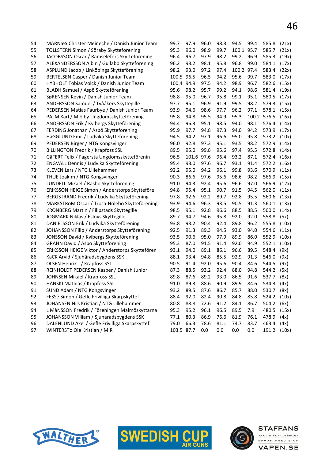| 54 | MARNæS Christer Meineche / Danish Junior Team   | 99.7       | 97.9       | 96.0 | 98.3 | 94.5       | 99.4 | 585.8       | (21x) |
|----|-------------------------------------------------|------------|------------|------|------|------------|------|-------------|-------|
| 55 | TOLLSTERN Simon / Söraby Skytteförening         | 95.3       | 96.0       | 98.9 | 99.7 | 100.1 95.7 |      | 585.7       | (21x) |
| 56 | JACOBSSON Oscar / Ramselefors Skytteförening    | 96.4       | 96.7       | 97.9 | 98.2 | 99.2       | 96.9 | 585.3       | (19x) |
| 57 | ALEXANDERSSON Albin / Gullabo Skytteförening    | 96.2       | 98.2       | 98.1 | 95.8 | 96.8       | 99.0 | 584.1       | (17x) |
| 58 | ASPLUND Jacob / Linköpings Skytteförening       | 98.2       | 93.0       | 97.2 | 97.4 | 100.2 97.4 |      | 583.4       | (22x) |
| 59 | BERTELSEN Casper / Danish Junior Team           | 100.5      | 96.5       | 96.5 | 94.2 | 95.6       | 99.7 | 583.0       | (17x) |
| 60 | HYBHOLT Tobias Volck / Danish Junior Team       | 100.4 94.9 |            | 97.5 | 94.2 | 98.9       | 96.7 | 582.6       | (15x) |
| 61 | BLADH Samuel / Aspö Skytteförening              | 95.6       | 98.2       | 95.7 | 99.2 | 94.1       | 98.6 | 581.4       | (19x) |
| 62 | SøRENSEN Kevin / Danish Junior Team             | 98.8       | 95.0       | 96.7 | 95.8 | 99.1       | 95.1 | 580.5       | (17x) |
| 63 | ANDERSSON Samuel / Tvååkers Skyttegille         | 97.7       | 95.1       | 96.9 | 91.9 | 99.5       | 98.2 | 579.3       | (15x) |
| 64 | PEDERSEN Matias Faurbye / Danish Junior Team    | 93.9       | 94.6       | 98.6 | 97.7 | 96.2       | 97.1 | 578.1       | (15x) |
| 65 | PALM Karl / Mjölby Ungdomsskytteförening        | 95.8       | 94.8       | 95.5 | 94.9 | 95.3       |      | 100.2 576.5 | (16x) |
| 66 | ANDERSSON Erik / Kvibergs Skytteförening        | 94.4       | 96.3       | 95.1 | 98.5 | 94.0       | 98.1 | 576.4       | (14x) |
| 67 | FERDING Jonathan / Aspö Skytteförening          | 95.9       | 97.7       | 94.8 | 97.3 | 94.0       | 94.2 | 573.9       | (17x) |
| 68 | HäGGLUND Emil / Ludvika Skytteförening          | 94.5       | 94.2       | 97.1 | 96.6 | 95.0       | 95.8 | 573.2       | (10x) |
| 69 | PEDERSEN Birger / NTG Kongsvinger               | 96.0       | 92.8       | 97.3 | 95.1 | 93.5       | 98.2 | 572.9       | (14x) |
| 70 | <b>BILLINGTON Fredrik / Krapfoss SSL</b>        | 89.5       | 95.0       | 99.8 | 95.6 | 97.4       | 95.5 | 572.8       | (14x) |
| 71 | GäFERT Felix / Fagersta Ungdomsskytteförenin    | 96.5       | 101.6 97.6 |      | 96.4 | 93.2       | 87.1 | 572.4       | (16x) |
| 72 | ENGVALL Dennis / Ludvika Skytteförening         | 95.4       | 98.0       | 97.6 | 96.7 | 93.1       | 91.4 | 572.2       | (16x) |
| 73 | KLEVEN Lars / NTG Lillehammer                   | 92.2       | 95.0       | 94.2 | 96.1 | 99.8       | 93.6 | 570.9       | (11x) |
| 74 | THUE Joakim / NTG Kongsvinger                   | 90.3       | 86.6       | 97.6 | 95.6 | 98.6       | 98.2 | 566.9       | (15x) |
| 75 | LUNDELL Mikael / Rasbo Skytteförening           | 91.0       | 94.3       | 92.4 | 95.6 | 96.6       | 97.0 | 566.9       | (12x) |
| 76 | ERIKSSON HEIGE Simon / Anderstorps Skytteföre   | 94.8       | 95.4       | 95.1 | 90.7 | 91.5       | 94.5 | 562.0       | (11x) |
| 77 | BERGSTRAND Fredrik / Ludvika Skytteförening     | 97.8       | 92.6       | 92.2 | 89.7 | 92.8       | 95.5 | 560.6       | (13x) |
| 78 | MARKSTRÖM Oscar / Trosa-Hölebo Skytteförening   | 93.9       | 94.6       | 96.3 | 93.5 | 90.5       | 91.3 | 560.1       | (13x) |
| 79 | KRONBERG Martin / Filipstads Skyttegille        | 98.5       | 95.1       | 92.8 | 96.6 | 88.5       | 88.5 | 560.0       | (14x) |
| 80 | JOGMARK Niklas / Eslövs Skyttegille             | 89.7       | 94.7       | 94.6 | 95.8 | 92.0       | 92.0 | 558.8       | (5x)  |
| 81 | DANIELSSON Erik / Ludvika Skytteförening        | 93.8       | 93.2       | 90.4 | 92.4 | 89.8       | 96.2 | 555.8       | (10x) |
| 82 | JOHANSSON Filip / Anderstorps Skytteförening    | 92.5       | 91.3       | 89.3 | 94.5 | 93.0       | 94.0 | 554.6       | (11x) |
| 83 | JONSSON David / Kvibergs Skytteförening         | 93.5       | 90.6       | 95.0 | 97.9 | 89.9       | 86.0 | 552.9       | (10x) |
| 84 | GRAHN David / Aspö Skytteförening               | 95.3       | 87.0       | 91.5 | 91.4 | 92.0       | 94.9 | 552.1       | (10x) |
| 85 | ERIKSSON HEIGE Viktor / Anderstorps Skyttefören | 93.1       | 94.0       | 89.1 | 86.1 | 96.6       | 89.5 | 548.4       | (9x)  |
| 86 | KäCK Arvid / Sjuhäradsbygdens SSK               | 88.1       | 93.4       | 94.8 | 85.5 | 92.9       | 91.3 | 546.0       | (9x)  |
| 87 | OLSEN Henrik J / Krapfoss SSL                   | 90.5       | 91.4       | 92.0 | 95.6 | 90.4       | 84.6 | 544.5       | (9x)  |
| 88 | REINHOLDT PEDERSEN Kasper / Danish Junior       | 87.3       | 88.5       | 93.2 | 92.4 | 88.0       | 94.8 | 544.2       | (5x)  |
| 89 | JOHNSEN Mikael / Krapfoss SSL                   | 89.8       | 87.6       | 89.2 | 93.0 | 86.5       | 91.6 | 537.7       | (8x)  |
| 90 | <b>HANSKI Mathias / Krapfoss SSL</b>            | 91.0       | 89.3       | 88.6 | 90.9 | 89.9       | 84.6 | 534.3       | (4x)  |
| 91 | SUND Adam / NTG Kongsvinger                     | 93.2       | 89.5       | 87.6 | 86.7 | 85.7       | 88.0 | 530.7       | (8x)  |
| 92 | FESSé Simon / Gefle Frivilliga Skarpskyttef     | 88.4       | 92.0       | 82.4 | 90.8 | 84.8       | 85.8 | 524.2       | (10x) |
| 93 | JOHANSEN Nils Kristian / NTG Lillehammer        | 80.8       | 88.8       | 72.6 | 91.2 | 84.1       | 86.7 | 504.2       | (6x)  |
| 94 | L MåNSSON Fredrik / Föreningen Malmöskyttarna   | 95.3       | 95.2       | 96.1 | 96.5 | 89.5       | 7.9  | 480.5       | (15x) |
| 95 | JOHANSSON Villiam / Sjuhäradsbygdens SSK        | 77.1       | 80.3       | 86.9 | 76.6 | 81.9       | 76.1 | 478.9       | (4x)  |
| 96 | DALENLUND Axel / Gefle Frivilliga Skarpskyttef  | 79.0       | 66.3       | 78.6 | 81.1 | 74.7       | 83.7 | 463.4       | (4x)  |
| 97 | WINTERSTø Ole Kristian / MIR                    | 103.5 87.7 |            | 0.0  | 0.0  | 0.0        | 0.0  | 191.2       | (10x) |





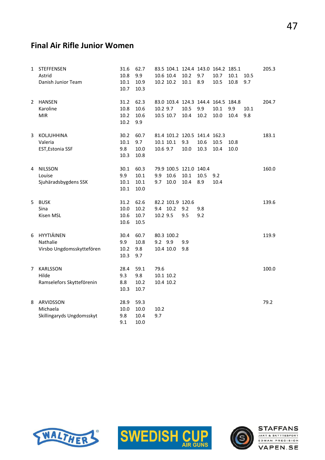#### Final Air Rifle Junior Women

| 1             | <b>STEFFENSEN</b>         | 31.6 | 62.7 |          |                  |                        | 83.5 104.1 124.4 143.0 164.2 185.1 |      |      |      | 205.3 |
|---------------|---------------------------|------|------|----------|------------------|------------------------|------------------------------------|------|------|------|-------|
|               | Astrid                    | 10.8 | 9.9  |          | 10.6 10.4        | 10.2                   | 9.7                                | 10.7 | 10.1 | 10.5 |       |
|               | Danish Junior Team        | 10.1 | 10.9 |          | 10.2 10.2        | 10.1                   | 8.9                                | 10.5 | 10.8 | 9.7  |       |
|               |                           | 10.7 | 10.3 |          |                  |                        |                                    |      |      |      |       |
| $\mathcal{L}$ | <b>HANSEN</b>             | 31.2 | 62.3 |          |                  |                        | 83.0 103.4 124.3 144.4 164.5 184.8 |      |      |      | 204.7 |
|               | Karoline                  | 10.8 | 10.6 | 10.2 9.7 |                  | 10.5                   | 9.9                                | 10.1 | 9.9  | 10.1 |       |
|               | <b>MIR</b>                | 10.2 | 10.6 |          | 10.5 10.7        | 10.4                   | 10.2                               | 10.0 | 10.4 | 9.8  |       |
|               |                           | 10.2 | 9.9  |          |                  |                        |                                    |      |      |      |       |
| 3             | <b>KOLJUHHINA</b>         | 30.2 | 60.7 |          |                  |                        | 81.4 101.2 120.5 141.4 162.3       |      |      |      | 183.1 |
|               | Valeria                   | 10.1 | 9.7  |          | 10.1 10.1        | 9.3                    | 10.6                               | 10.5 | 10.8 |      |       |
|               | EST, Estonia SSF          | 9.8  | 10.0 | 10.6 9.7 |                  | 10.0                   | 10.3                               | 10.4 | 10.0 |      |       |
|               |                           | 10.3 | 10.8 |          |                  |                        |                                    |      |      |      |       |
| 4             | <b>NILSSON</b>            | 30.1 | 60.3 |          |                  | 79.9 100.5 121.0 140.4 |                                    |      |      |      | 160.0 |
|               | Louise                    | 9.9  | 10.1 | 9.9      | 10.6             | 10.1                   | 10.5                               | 9.2  |      |      |       |
|               | Sjuhäradsbygdens SSK      | 10.1 | 10.1 | 9.7      | 10.0             | 10.4                   | 8.9                                | 10.4 |      |      |       |
|               |                           | 10.1 | 10.0 |          |                  |                        |                                    |      |      |      |       |
| 5             | <b>BUSK</b>               | 31.2 | 62.6 |          | 82.2 101.9 120.6 |                        |                                    |      |      |      | 139.6 |
|               | Sina                      | 10.0 | 10.2 |          | 9.4 10.2         | 9.2                    | 9.8                                |      |      |      |       |
|               | Kisen MSL                 | 10.6 | 10.7 | 10.2 9.5 |                  | 9.5                    | 9.2                                |      |      |      |       |
|               |                           | 10.6 | 10.5 |          |                  |                        |                                    |      |      |      |       |
| 6             | HYYTIÄINEN                | 30.4 | 60.7 |          | 80.3 100.2       |                        |                                    |      |      |      | 119.9 |
|               | Nathalie                  | 9.9  | 10.8 | 9.2 9.9  |                  | 9.9                    |                                    |      |      |      |       |
|               | Virsbo Ungdomsskyttefören | 10.2 | 9.8  |          | 10.4 10.0        | 9.8                    |                                    |      |      |      |       |
|               |                           | 10.3 | 9.7  |          |                  |                        |                                    |      |      |      |       |
| 7             | <b>KARLSSON</b>           | 28.4 | 59.1 | 79.6     |                  |                        |                                    |      |      |      | 100.0 |
|               | Hilde                     | 9.3  | 9.8  |          | 10.1 10.2        |                        |                                    |      |      |      |       |
|               | Ramselefors Skytteförenin | 8.8  | 10.2 |          | 10.4 10.2        |                        |                                    |      |      |      |       |
|               |                           | 10.3 | 10.7 |          |                  |                        |                                    |      |      |      |       |
| 8             | ARVIDSSON                 | 28.9 | 59.3 |          |                  |                        |                                    |      |      |      | 79.2  |
|               | Michaela                  | 10.0 | 10.0 | 10.2     |                  |                        |                                    |      |      |      |       |
|               | Skillingaryds Ungdomsskyt | 9.8  | 10.4 | 9.7      |                  |                        |                                    |      |      |      |       |
|               |                           | 9.1  | 10.0 |          |                  |                        |                                    |      |      |      |       |
|               |                           |      |      |          |                  |                        |                                    |      |      |      |       |





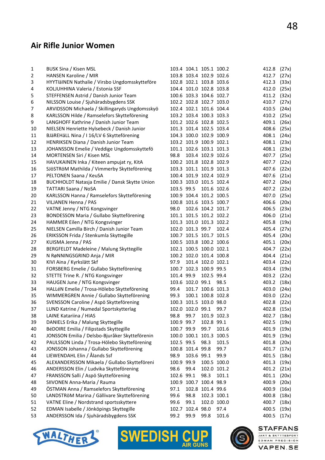#### Air Rifle Junior Women

| 1  | <b>BUSK Sina / Kisen MSL</b>                   |            | 103.4 104.1 105.1 100.2 |                   |             | 412.8       | (27x) |
|----|------------------------------------------------|------------|-------------------------|-------------------|-------------|-------------|-------|
| 2  | HANSEN Karoline / MIR                          |            | 103.8 103.4 102.9 102.6 |                   |             | 412.7       | (27x) |
| 3  | HYYTIäINEN Nathalie / Virsbo Ungdomsskytteföre |            | 102.8 102.1 103.8 103.6 |                   |             | 412.3       | (33x) |
| 4  | KOLJUHHINA Valeria / Estonia SSF               |            | 104.4 101.0 102.8 103.8 |                   |             | 412.0       | (25x) |
| 5  | STEFFENSEN Astrid / Danish Junior Team         |            | 100.6 103.3 104.6 102.7 |                   |             | 411.2       | (32x) |
| 6  | NILSSON Louise / Sjuhäradsbygdens SSK          |            | 102.2 102.8 102.7 103.0 |                   |             | 410.7       | (27x) |
| 7  | ARVIDSSON Michaela / Skillingaryds Ungdomsskyö |            | 102.4 102.1 101.6 104.4 |                   |             | 410.5       | (24x) |
| 8  | KARLSSON Hilde / Ramselefors Skytteförening    |            | 103.2 103.4 100.3 103.3 |                   |             | 410.2       | (25x) |
| 9  | LANGHOFF Kathrine / Danish Junior Team         |            | 101.2 102.6 102.8 102.5 |                   |             | 409.1       | (26x) |
| 10 | NIELSEN Henriette Hylsebeck / Danish Junior    |            | 101.3 101.4 102.5 103.4 |                   |             | 408.6       | (25x) |
| 11 | BJäREHäLL Nina / I 16/LV 6 Skytteförening      |            | 104.3 100.0 102.9 100.9 |                   |             | 408.1       | (24x) |
| 12 | HENRIKSEN Diana / Danish Junior Team           |            | 103.2 101.9 100.9 102.1 |                   |             | 408.1       | (23x) |
| 13 | JOHANSSON Emelie / Veddige Ungdomsskyttefö     |            | 101.1 102.6 103.1 101.3 |                   |             | 408.1       | (23x) |
| 14 | MORTENSEN Siri / Kisen MSL                     | 98.8       |                         | 103.4 102.9 102.6 |             | 407.7       | (25x) |
| 15 | HAVUKAINEN Inka / Kiteen ampujat ry, KitA      |            | 100.2 101.8 102.8 102.9 |                   |             | 407.7       | (22x) |
| 16 | SJÖSTRÖM Mathilda / Vimmerby Skytteförening    |            | 103.3 101.1 101.9 101.3 |                   |             | 407.6       | (22x) |
| 17 | PELTONEN Saana / KeuSA                         |            | 100.4 101.9 102.4 102.9 |                   |             | 407.6       | (21x) |
| 18 | BUCHHOLDT Natasja Emilie / Dansk Skytte Union  |            | 100.3 103.0 101.5 102.4 |                   |             | 407.2       | (26x) |
| 19 | <b>TATTARI Saana / NoSA</b>                    |            | 103.5 99.5 101.6 102.6  |                   |             | 407.2       | (22x) |
| 20 | KARLSSON Hanna / Ramselefors Skytteförening    |            | 100.9 104.4 101.2 100.5 |                   |             | 407.0       | (25x) |
| 21 | VILJANEN Henna / PAS                           |            | 100.8 101.6 103.5 100.7 |                   |             | 406.6       | (20x) |
| 22 | VATNE Jenny / NTG Kongsvinger                  | 98.0       |                         | 102.6 104.2 101.7 |             | 406.5       | (23x) |
| 23 | BONDESSON Maria / Gullabo Skytteförening       |            | 101.1 101.5 101.2 102.2 |                   |             | 406.0       | (21x) |
| 24 | HAMMER Eilen / NTG Kongsvinger                 |            | 101.3 101.0 101.3 102.2 |                   |             | 405.8       | (19x) |
| 25 | NIELSEN Camilla Birch / Danish Junior Team     |            | 102.0 101.3 99.7        |                   | 102.4       | 405.4       | (27x) |
| 26 | ERIKSSON Frida / Stenkumla Skyttegille         |            | 100.7 101.5 101.7 101.5 |                   |             | 405.4       | (20x) |
| 27 | KUISMA Jenna / PAS                             |            | 100.5 103.8 100.2 100.6 |                   |             | 405.1       | (20x) |
| 28 | BERGFELDT Madeleine / Malung Skyttegille       |            | 102.1 100.5 100.0 102.1 |                   |             | 404.7       | (22x) |
| 29 | N RøNNINGSGRIND Anja / MIR                     |            | 100.2 102.0 101.4 100.8 |                   |             | 404.4       | (21x) |
| 30 | KIVI Aina / Kyrkslätt Skf                      | 97.9       |                         | 101.4 102.0 102.1 |             | 403.4       | (22x) |
| 31 | FORSBERG Emelie / Gullabo Skytteförening       |            | 100.7 102.3 100.9 99.5  |                   |             | 403.4       | (19x) |
| 32 | STETTE Trine R. / NTG Kongsvinger              | 101.4 99.9 |                         | 102.5 99.4        |             | 403.2       | (22x) |
| 33 | HAUGEN June / NTG Kongsvinger                  |            | 103.6 102.0 99.1        |                   | 98.5        | 403.2       | (18x) |
| 34 | HALLéN Emelie / Trosa-Hölebo Skytteförening    | 99.4       |                         | 101.7 100.6 101.3 |             | 403.0       | (24x) |
| 35 | WIMMERGREN Annie / Gullabo Skytteförening      | 99.3       |                         | 100.1 100.8 102.8 |             | 403.0       | (22x) |
| 36 | SVENSSON Caroline / Aspö Skytteförening        |            | 100.3 101.5 103.0 98.0  |                   |             | 402.8       | (22x) |
| 37 | LUND Katrine / Numedal Sportskytterlag         |            | 102.0 102.0 99.1        |                   | 99.7        | 402.8 (15x) |       |
| 38 | LAINE Katariina / HIAS                         | 98.8       | 99.7                    |                   | 101.9 102.3 | 402.7       | (18x) |
| 39 | DANIELS Erika / Malung Skyttegille             | 100.9 99.7 |                         | 102.8 99.1        |             | 402.5       | (19x) |
| 40 | BéDOIRE Emilia / Filipstads Skyttegille        | 100.7 99.9 |                         | 99.7              | 101.6       | 401.9       | (19x) |
| 41 | JONSSON Emilia / Delsbo-Bjuråker Skytteförenin |            | 100.0 100.1 101.3 100.5 |                   |             | 401.9       | (19x) |
| 42 | PAULSSON Linda / Trosa-Hölebo Skytteförening   | 102.5 99.5 |                         | 98.3              | 101.5       | 401.8       | (20x) |
| 43 | JONSSON Johanna / Gullabo Skytteförening       |            | 100.8 101.4 99.8        |                   | 99.7        | 401.7       | (17x) |
| 44 | LIEWENDAHL Elin / Ålands Ssf                   | 98.9       | 103.6 99.1              |                   | 99.9        | 401.5       | (18x) |
| 45 | ALEXANDERSSON Mikaela / Gullabo Skytteföreni   | 100.9 99.9 |                         |                   | 100.5 100.0 | 401.3       | (19x) |
| 46 | ANDERSSON Elin / Ludvika Skytteförening        | 98.6       | 99.4                    |                   | 102.0 101.2 | 401.2       | (21x) |
| 47 | FRANSSON Salli / Aspö Skytteförening           | 102.6 99.1 |                         | 98.3              | 101.1       | 401.1       | (20x) |
| 48 | SIIVONEN Anna-Maria / Rauma                    |            | 100.9 100.7 100.4 98.9  |                   |             | 400.9       | (20x) |
| 49 | ÖSTMAN Anna / Ramselefors Skytteförening       | 97.1       |                         | 102.8 101.4 99.6  |             | 400.9       | (16x) |
| 50 | LANDSTRöM Marina / Gällivare Skytteförening    | 99.6       | 98.8                    |                   | 102.3 100.1 | 400.8       | (18x) |
| 51 | VATNE Eline / Nordstrand sportsskyttere        | 99.6       | 99.1                    |                   | 102.0 100.0 | 400.7       | (18x) |
| 52 | EDMAN Isabelle / Jönköpings Skyttegille        |            | 102.7 102.4 98.0        |                   | 97.4        | 400.5       | (19x) |
| 53 | ANDERSSON Ida / Sjuhäradsbygdens SSK           | 99.2       | 99.9                    | 99.8              | 101.6       | 400.5       | (17x) |
|    |                                                |            |                         |                   |             |             |       |





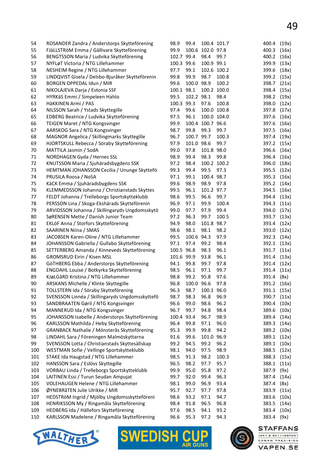**STAFFANS** 

JAKT & SKYTTESPORT<br>EDMAN PRECISION **VAPEN.SE** 

| 54  | ROSANDER Zandra / Anderstorps Skytteförening     | 98.9       | 99.4       |                  | 100.4 101.7 | 400.4       | (19x) |
|-----|--------------------------------------------------|------------|------------|------------------|-------------|-------------|-------|
| 55  | FJäLLSTRöM Emma / Gällivare Skytteförening       | 99.9       |            | 100.6 102.0 97.8 |             | 400.3       | (16x) |
| 56  | BENGTSSON Maria / Ludvika Skytteförening         | 102.7 99.4 |            | 98.4             | 99.7        | 400.2       | (16x) |
| 57  | NYFLøT Victoria / NTG Lillehammer                | 100.3 99.6 |            | 100.9 99.1       |             | 399.9       | (13x) |
| 58  | NESHEIM Regine / NTG Lillehammer                 | 97.7       | 99.1       |                  | 102.6 100.2 | 399.6       | (18x) |
| 59  | LINDQVIST Gisela / Delsbo-Bjuråker Skytteförenin | 99.8       | 99.9       | 98.7             | 100.8       | 399.2       | (15x) |
| 60  | BORGEN OPPEDAL Idun / MIR                        | 99.6       | 100.0 98.9 |                  | 100.2       | 398.7       | (21x) |
| 61  | NIKOLAJEVA Darja / Estonia SSF                   | 100.1 98.1 |            |                  | 100.2 100.0 | 398.4       | (15x) |
| 62  | HYRKäS Emmi / Simpeleen Hahlo                    | 99.5       | 102.2 98.1 |                  | 98.4        | 398.2       | (19x) |
| 63  | HäKKINEN Armi / PAS                              | 100.3 99.3 |            | 97.6             | 100.8       | 398.0       | (12x) |
| 64  | NILSSON Sarah / Ystads Skyttegille               | 97.4       | 99.6       |                  | 100.0 100.8 | 397.8       | (17x) |
| 65  | EDBERG Beatrice / Ludvika Skytteförening         | 97.5       | 96.1       |                  | 100.0 104.0 | 397.6       | (16x) |
| 66  | TEIGEN Maret / NTG Kongsvinger                   | 99.9       |            | 100.4 100.7 96.6 |             | 397.6       | (16x) |
| 67  | AARSKOG Sara / NTG Kongsvinger                   | 98.7       | 99.8       | 99.3             | 99.7        | 397.5       | (16x) |
| 68  | MAGNOR Angelica / Skillingmarks Skyttegille      | 96.7       | 100.7 99.7 |                  | 100.3       | 397.4       | (19x) |
| 69  | HJORTSKULL Rebecca / Söraby Skytteförening       | 97.9       | 101.0 98.6 |                  | 99.7        | 397.2       | (15x) |
| 70  | MATTILA Jasmin / SodA                            | 99.0       | 97.8       | 101.8 98.0       |             | 396.6       | (16x) |
| 71  | NORDHAGEN Gyda / Hernes SSL                      | 98.9       | 99.4       | 98.3             | 99.8        | 396.4       | (16x) |
| 72  | KNUTSSON Maria / Sjuhäradsbygdens SSK            | 97.2       | 98.4       |                  | 100.2 100.2 | 396.0       | (18x) |
| 73  | HEMTMAN JOHANSSON Cecilia / Ununge Skyttefö      | 99.3       | 99.4       | 99.5             | 97.3        | 395.5       | (12x) |
| 74  | PRUSILA Roosa / NoSA                             | 97.1       | 99.1       | 100.4 98.7       |             | 395.3       | (16x) |
| 75  | KäCK Emma / Sjuhäradsbygdens SSK                 | 99.6       | 98.9       | 98.9             | 97.8        | 395.2       | (14x) |
| 76  | KLEMMEDSSON Johanna / Christianstads Skyttes     | 99.5       | 96.1       | 101.2 97.7       |             | 394.5       | (16x) |
| 77  | FELDT Johanna / Trelleborgs Sportskytteklubb     | 98.6       | 99.5       | 96.6             | 99.7        | 394.4       | (13x) |
| 78  | PERSSON Lina / Skoga-Ekshärads Skytteförenin     | 96.9       | 97.1       | 99.9             | 100.4       | 394.3       | (11x) |
| 79  | ARVIDSSON Johanna / Skillingaryds Ungdomsskytö   | 99.0       | 97.7       | 97.9             | 99.4        | 394.0       | (17x) |
| 80  | SøRENSEN Mette / Danish Junior Team              | 97.2       | 96.3       | 99.7             | 100.5       | 393.7       | (13x) |
| 81  | EKLöF Anna / Storfors Skytteförening             | 94.9       | 98.0       | 101.8 98.7       |             | 393.4       | (12x) |
| 82  | <b>SAARINEN Niina / SMAS</b>                     | 98.6       | 98.1       | 98.1             | 98.2        | 393.0       | (12x) |
| 83  | JACOBSEN Karen-Oline / NTG Lillehammer           | 99.5       | 100.6 94.3 |                  | 97.9        | 392.3       | (14x) |
| 84  | JOHANSSON Gabriella / Gullabo Skytteförening     | 97.1       | 97.4       | 99.2             | 98.4        | 392.1       | (13x) |
| 85  | SETTERBERG Amanda / Kinneveds Skytteförening     | 100.5 96.8 |            | 98.3             | 96.1        | 391.7       | (11x) |
| 86  | <b>GROMSRUD Eirin / Kisen MSL</b>                | 101.6 99.9 |            | 93.8             | 96.1        | 391.4       | (13x) |
| 87  | GöTHBERG Ebba / Anderstorps Skytteförening       | 94.1       | 99.8       | 99.7             | 97.8        | 391.4       | (12x) |
| 88  | ENGDAHL Louise / Botkyrka Skytteförening         | 98.5       | 96.1       | 97.1             | 99.7        | 391.4       | (11x) |
| 89  | KJøLGåRD Kristina / NTG Lillehammer              | 98.8       | 99.2       | 95.8             | 97.6        | 391.4       | (8x)  |
| 90  | ARSKANS Michelle / Klinte Skyttegille            | 96.8       |            | 100.0 96.6       | 97.8        | 391.2 (16x) |       |
| 91  | TOLLSTERN Ida / Söraby Skytteförening            | 96.3       | 98.7       | 100.1 96.0       |             | 391.1       | (15x) |
| 92  | SVENSSON Linnéa / Skillingaryds Ungdomsskyttefö  | 98.7       | 98.3       | 96.8             | 96.9        | 390.7       | (11x) |
| 93  | SANDBRAATEN Gøril / NTG Kongsvinger              | 96.6       | 99.0       | 98.6             | 96.2        | 390.4       | (10x) |
| 94  | MANNERUD Ida / NTG Kongsvinger                   | 96.7       | 99.7       | 94.8             | 98.4        | 389.6       | (10x) |
| 95  | JOHANSSON Isabelle / Anderstorps Skytteförening  | 100.4 93.4 |            | 96.7             | 98.9        | 389.4       | (14x) |
| 96  | KARLSSON Mathilda / Heby Skytteförening          | 96.4       | 99.8       | 97.1             | 96.0        | 389.3       | (14x) |
| 97  | GRANBACK Nathalie / Mönsterås Skytteförening     | 95.3       | 99.9       | 99.8             | 94.2        | 389.2       | (10x) |
| 98  | LINDAHL Sara / Föreningen Malmöskyttarna         | 91.6       | 99.6       | 101.0 96.9       |             | 389.1       | (12x) |
| 99  | SVENSSON Lotta / Christianstads Skyttesällskap   | 99.2       | 94.5       | 99.2             | 96.2        | 389.1       | (10x) |
| 100 | WESTMAN Sofie / Vellinge Sportskytteklubb        | 98.1       | 94.0       | 97.5             | 98.9        | 388.5       | (12x) |
| 101 | STAKE Ida Haugstad / NTG Lillehammer             | 98.5       | 91.3       | 98.2             | 100.3       | 388.3       | (15x) |
| 102 | HANSSON Sara / Eslövs Skyttegille                | 96.5       | 98.2       | 97.7             | 95.7        | 388.1       | (11x) |
| 103 | VORBAU Linda / Trelleborgs Sportskytteklubb      | 99.9       | 95.0       | 95.8             | 97.2        | 387.9       | (9x)  |
| 104 | LAITINEN Essi / Turun Seudan Ampujat             | 99.7       | 92.0       | 99.4             | 96.3        | 387.4       | (14x) |
| 105 | VOLEHAUGEN Helene / NTG Lillehammer              | 98.1       | 99.0       | 96.9             | 93.4        | 387.4       | (8x)  |
| 106 | ØYNEBRåTEN Julie Ulrikke / MIR                   | 95.7       | 92.7       | 97.7             | 97.8        | 383.9       | (11x) |
| 107 | HEDSTRöM Ingrid / Mjölby Ungdomsskytteföreni     | 98.6       | 93.2       | 97.1             | 94.7        | 383.6       | (10x) |
| 108 | HENRIKSSON My / Ringamåla Skytteförening         | 98.4       | 91.8       | 96.5             | 96.8        | 383.5       | (14x) |
| 109 | HEDBERG Ida / Hällefors Skytteförening           | 97.6       | 98.5       | 94.1             | 93.2        | 383.4       | (10x) |
| 110 | KARLSSON Madelene / Ringamåla Skytteförening     | 96.6       | 95.3       | 97.2             | 94.3        | 383.4       | (9x)  |



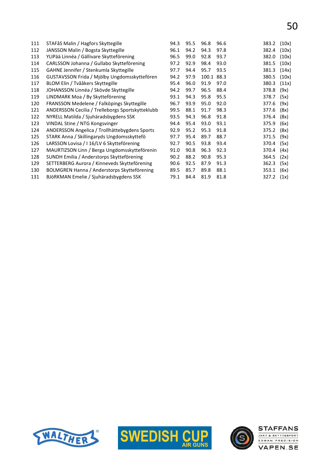| 111 | STAFåS Malin / Hagfors Skyttegille               | 94.3 | 95.5 | 96.8       | 96.6 | 383.2 | (10x) |
|-----|--------------------------------------------------|------|------|------------|------|-------|-------|
| 112 | JANSSON Malin / Bogsta Skyttegille               | 96.1 | 94.2 | 94.3       | 97.8 | 382.4 | (10x) |
| 113 | YLIPää Linnéa / Gällivare Skytteförening         | 96.5 | 99.0 | 92.8       | 93.7 | 382.0 | (10x) |
| 114 | CARLSSON Johanna / Gullabo Skytteförening        | 97.2 | 92.9 | 98.4       | 93.0 | 381.5 | (10x) |
| 115 | GAHNE Jennifer / Stenkumla Skyttegille           | 97.7 | 94.4 | 95.7       | 93.5 | 381.3 | (14x) |
| 116 | GUSTAVSSON Frida / Mjölby Ungdomsskyttefören     | 94.2 | 97.9 | 100.1 88.3 |      | 380.5 | (10x) |
| 117 | BLOM Elin / Tvååkers Skyttegille                 | 95.4 | 96.0 | 91.9       | 97.0 | 380.3 | (11x) |
| 118 | JOHANSSON Linnéa / Skövde Skyttegille            | 94.2 | 99.7 | 96.5       | 88.4 | 378.8 | (9x)  |
| 119 | LINDMARK Moa / By Skytteförening                 | 93.1 | 94.3 | 95.8       | 95.5 | 378.7 | (5x)  |
| 120 | FRANSSON Medelene / Falköpings Skyttegille       | 96.7 | 93.9 | 95.0       | 92.0 | 377.6 | (9x)  |
| 121 | ANDERSSON Cecilia / Trelleborgs Sportskytteklubb | 99.5 | 88.1 | 91.7       | 98.3 | 377.6 | (8x)  |
| 122 | NYRELL Matilda / Sjuhäradsbygdens SSK            | 93.5 | 94.3 | 96.8       | 91.8 | 376.4 | (8x)  |
| 123 | VINDAL Stine / NTG Kongsvinger                   | 94.4 | 95.4 | 93.0       | 93.1 | 375.9 | (6x)  |
| 124 | ANDERSSON Angelica / Trollhättebygdens Sports    | 92.9 | 95.2 | 95.3       | 91.8 | 375.2 | (8x)  |
| 125 | STARK Anna / Skillingaryds Ungdomsskyttefö       | 97.7 | 95.4 | 89.7       | 88.7 | 371.5 | (9x)  |
| 126 | LARSSON Lovisa / I 16/LV 6 Skytteförening        | 92.7 | 90.5 | 93.8       | 93.4 | 370.4 | (5x)  |
| 127 | MAURTIZSON Linn / Berga Ungdomsskytteförenin     | 91.0 | 90.8 | 96.3       | 92.3 | 370.4 | (4x)  |
| 128 | SUNDH Emilia / Anderstorps Skytteförening        | 90.2 | 88.2 | 90.8       | 95.3 | 364.5 | (2x)  |
| 129 | SETTERBERG Aurora / Kinneveds Skytteförening     | 90.6 | 92.5 | 87.9       | 91.3 | 362.3 | (5x)  |
| 130 | BOLMGREN Hanna / Anderstorps Skytteförening      | 89.5 | 85.7 | 89.8       | 88.1 | 353.1 | (6x)  |
| 131 | BJöRKMAN Emelie / Sjuhäradsbygdens SSK           | 79.1 | 84.4 | 81.9       | 81.8 | 327.2 | (1x)  |
|     |                                                  |      |      |            |      |       |       |





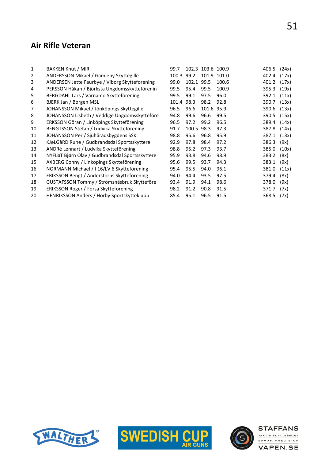#### Air Rifle Veteran

| 1  | BAKKEN Knut / MIR                               | 99.7  |       | 102.3 103.6 100.9 |       | 406.5 | (24x) |
|----|-------------------------------------------------|-------|-------|-------------------|-------|-------|-------|
| 2  | ANDERSSON Mikael / Gamleby Skyttegille          | 100.3 | 99.2  | 101.9             | 101.0 | 402.4 | (17x) |
| 3  | ANDERSEN Jette Faurbye / Viborg Skytteforening  | 99.0  | 102.1 | 99.5              | 100.6 | 401.2 | (17x) |
| 4  | PERSSON Håkan / Björksta Ungdomsskytteförenin   | 99.5  | 95.4  | 99.5              | 100.9 | 395.3 | (19x) |
| 5  | BERGDAHL Lars / Värnamo Skytteförening          | 99.5  | 99.1  | 97.5              | 96.0  | 392.1 | (11x) |
| 6  | BJERK Jan / Borgen MSL                          | 101.4 | 98.3  | 98.2              | 92.8  | 390.7 | (13x) |
| 7  | JOHANSSON Mikael / Jönköpings Skyttegille       | 96.5  | 96.6  | 101.6             | 95.9  | 390.6 | (13x) |
| 8  | JOHANSSON Lisbeth / Veddige Ungdomsskytteföre   | 94.8  | 99.6  | 96.6              | 99.5  | 390.5 | (15x) |
| 9  | ERKSSON Göran / Linköpings Skytteförening       | 96.5  | 97.2  | 99.2              | 96.5  | 389.4 | (14x) |
| 10 | BENGTSSON Stefan / Ludvika Skytteförening       | 91.7  | 100.5 | 98.3              | 97.3  | 387.8 | (14x) |
| 11 | JOHANSSON Per / Sjuhäradsbygdens SSK            | 98.8  | 95.6  | 96.8              | 95.9  | 387.1 | (13x) |
| 12 | KJøLGåRD Rune / Gudbrandsdal Sportsskyttere     | 92.9  | 97.8  | 98.4              | 97.2  | 386.3 | (9x)  |
| 13 | ANDRé Lennart / Ludvika Skytteförening          | 98.8  | 95.2  | 97.3              | 93.7  | 385.0 | (10x) |
| 14 | NYFLøT Bjørn Olav / Gudbrandsdal Sportsskyttere | 95.9  | 93.8  | 94.6              | 98.9  | 383.2 | (8x)  |
| 15 | AXBERG Conny / Linköpings Skytteförening        | 95.6  | 99.5  | 93.7              | 94.3  | 383.1 | (9x)  |
| 16 | NORMANN Michael / I 16/LV 6 Skytteförening      | 95.4  | 95.5  | 94.0              | 96.1  | 381.0 | (11x) |
| 17 | ERIKSSON Bengt / Anderstorps Skytteförening     | 94.0  | 94.4  | 93.5              | 97.5  | 379.4 | (8x)  |
| 18 | GUSTAFSSON Tommy / Strömsnäsbruk Skytteföre     | 93.4  | 91.9  | 94.1              | 98.6  | 378.0 | (9x)  |
| 19 | ERIKSSON Roger / Forsa Skytteförening           | 98.2  | 91.2  | 90.8              | 91.5  | 371.7 | (7x)  |
| 20 | HENRIKSSON Anders / Hörby Sportskytteklubb      | 85.4  | 95.1  | 96.5              | 91.5  | 368.5 | (7x)  |
|    |                                                 |       |       |                   |       |       |       |





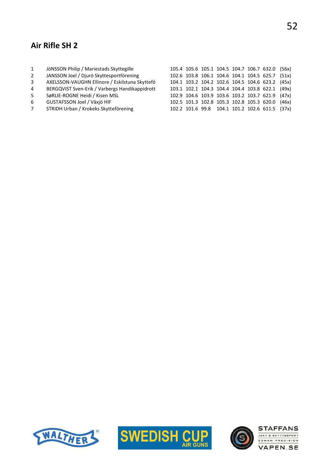## Air Rifle SH 2

| 1              | JÖNSSON Philip / Mariestads Skyttegille        |  |  |  | 105.4 105.6 105.1 104.5 104.7 106.7 632.0 (56x) |  |
|----------------|------------------------------------------------|--|--|--|-------------------------------------------------|--|
| 2              | JANSSON Joel / Djurö Skyttesportförening       |  |  |  | 102.6 103.8 106.1 104.6 104.1 104.5 625.7 (51x) |  |
| $\overline{3}$ | AXELSSON-VAUGHN Ellinore / Eskilstuna Skyttefö |  |  |  | 104.1 103.2 104.2 102.6 104.5 104.6 623.2 (45x) |  |
| $\overline{4}$ | BERGQVIST Sven-Erik / Varbergs Handikappidrott |  |  |  | 103.1 102.1 104.3 104.4 104.4 103.8 622.1 (49x) |  |
| -5             | SøRLIE-ROGNE Heidi / Kisen MSL                 |  |  |  | 102.9 104.6 103.9 103.6 103.2 103.7 621.9 (47x) |  |
| -6             | GUSTAFSSON Joel / Växjö HIF                    |  |  |  | 102.5 101.3 102.8 105.3 102.8 105.3 620.0 (46x) |  |
| $7^{\circ}$    | STRIDH Urban / Krokeks Skytteförening          |  |  |  | 102.2 101.6 99.8 104.1 101.2 102.6 611.5 (37x)  |  |
|                |                                                |  |  |  |                                                 |  |





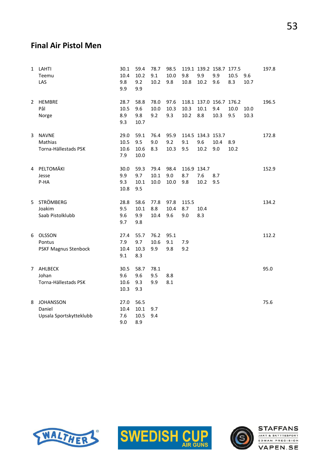#### Final Air Pistol Men

| $\mathbf{1}$   | LAHTI<br>Teemu<br>LAS                                 | 30.1<br>10.4<br>9.8<br>9.9  | 59.4<br>10.2<br>9.2<br>9.9  | 78.7<br>9.1<br>10.2  | 98.5<br>10.0<br>9.8 | 9.8<br>10.8               | 9.9<br>10.2                      | 119.1 139.2 158.7 177.5<br>9.9<br>9.6  | 10.5<br>8.3 | 9.6<br>10.7  | 197.8 |
|----------------|-------------------------------------------------------|-----------------------------|-----------------------------|----------------------|---------------------|---------------------------|----------------------------------|----------------------------------------|-------------|--------------|-------|
| $\overline{2}$ | <b>HEMBRE</b><br>Pål<br>Norge                         | 28.7<br>10.5<br>8.9<br>9.3  | 58.8<br>9.6<br>9.8<br>10.7  | 78.0<br>10.0<br>9.2  | 97.6<br>10.3<br>9.3 | 10.3<br>10.2              | 10.1<br>8.8                      | 118.1 137.0 156.7 176.2<br>9.4<br>10.3 | 10.0<br>9.5 | 10.0<br>10.3 | 196.5 |
| 3              | <b>NAVNE</b><br>Mathias<br>Torna-Hällestads PSK       | 29.0<br>10.5<br>10.6<br>7.9 | 59.1<br>9.5<br>10.6<br>10.0 | 76.4<br>9.0<br>8.3   | 95.9<br>9.2<br>10.3 | 9.1<br>9.5                | 114.5 134.3 153.7<br>9.6<br>10.2 | 10.4<br>9.0                            | 8.9<br>10.2 |              | 172.8 |
| 4              | PELTOMÄKI<br>Jesse<br>P-HA                            | 30.0<br>9.9<br>9.3<br>10.8  | 59.3<br>9.7<br>10.1<br>9.5  | 79.4<br>10.1<br>10.0 | 98.4<br>9.0<br>10.0 | 116.9 134.7<br>8.7<br>9.8 | 7.6<br>10.2                      | 8.7<br>9.5                             |             |              | 152.9 |
| 5              | STRÖMBERG<br>Joakim<br>Saab Pistolklubb               | 28.8<br>9.5<br>9.6<br>9.7   | 58.6<br>10.1<br>9.9<br>9.8  | 77.8<br>8.8<br>10.4  | 97.8<br>10.4<br>9.6 | 115.5<br>8.7<br>9.0       | 10.4<br>8.3                      |                                        |             |              | 134.2 |
| 6              | OLSSON<br>Pontus<br>PSKF Magnus Stenbock              | 27.4<br>7.9<br>10.4<br>9.1  | 55.7<br>9.7<br>10.3<br>8.3  | 76.2<br>10.6<br>9.9  | 95.1<br>9.1<br>9.8  | 7.9<br>9.2                |                                  |                                        |             |              | 112.2 |
| 7              | AHLBECK<br>Johan<br>Torna-Hällestads PSK              | 30.5<br>9.6<br>10.6<br>10.3 | 58.7<br>9.6<br>9.3<br>9.3   | 78.1<br>9.5<br>9.9   | 8.8<br>8.1          |                           |                                  |                                        |             |              | 95.0  |
| 8              | <b>JOHANSSON</b><br>Daniel<br>Upsala Sportskytteklubb | 27.0<br>10.4<br>7.6<br>9.0  | 56.5<br>10.1<br>10.5<br>8.9 | 9.7<br>9.4           |                     |                           |                                  |                                        |             |              | 75.6  |





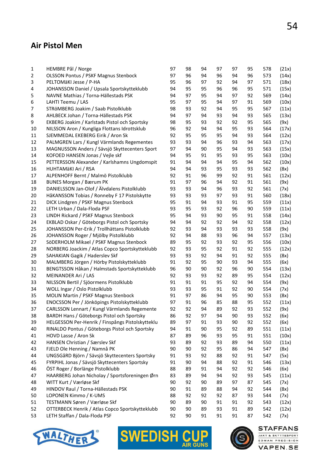#### Air Pistol Men

| 1              | HEMBRE Pål / Norge                                          | 97       | 98       | 94 | 97 | 97       | 95       | 578 | (21x) |
|----------------|-------------------------------------------------------------|----------|----------|----|----|----------|----------|-----|-------|
| $\overline{2}$ | <b>OLSSON Pontus / PSKF Magnus Stenbock</b>                 | 97       | 96       | 94 | 96 | 94       | 96       | 573 | (14x) |
| 3              | PELTOMÄKI Jesse / P-HA                                      | 95       | 96       | 97 | 92 | 94       | 97       | 571 | (18x) |
| 4              | JOHANSSON Daniel / Upsala Sportskytteklubb                  | 94       | 95       | 95 | 96 | 96       | 95       | 571 | (15x) |
| 5              | NAVNE Mathias / Torna-Hällestads PSK                        | 94       | 97       | 95 | 94 | 97       | 92       | 569 | (14x) |
| 6              | LAHTI Teemu / LAS                                           | 95       | 97       | 95 | 94 | 97       | 91       | 569 | (10x) |
| 7              | STRÖMBERG Joakim / Saab Pistolklubb                         | 98       | 93       | 92 | 94 | 95       | 95       | 567 | (11x) |
| 8              | AHLBECK Johan / Torna-Hällestads PSK                        | 94       | 97       | 94 | 93 | 94       | 93       | 565 | (13x) |
| 9              | EKBERG Joakim / Karlstads Pistol och Sportsky               | 98       | 95       | 93 | 92 | 92       | 95       | 565 | (9x)  |
| 10             | NILSSON Aron / Kungliga Flottans Idrottsklub                | 96       | 92       | 94 | 94 | 95       | 93       | 564 | (17x) |
| 11             | SJEMMEDAL EKEBERG Eirik / Aron Sk                           | 92       | 95       | 95 | 95 | 94       | 93       | 564 | (12x) |
| 12             | PALMGREN Lars / Kungl Värmlands Regementes                  | 93       | 93       | 94 | 96 | 93       | 94       | 563 | (17x) |
| 13             | MAGNUSSON Anders / Sävsjö Skyttecenters Sport               | 97       | 94       | 90 | 95 | 94       | 93       | 563 | (15x) |
| 14             | KOFOED HANSEN Jonas / Vejle skf                             | 94       | 95       | 91 | 95 | 93       | 95       | 563 | (10x) |
| 15             | PETTERSSON Alexander / Karlshamns Ungdomspit                | 91       | 94       | 94 | 94 | 95       | 94       | 562 | (10x) |
| 16             | HUHTAMÄKI Ari / RSA                                         | 94       | 94       | 93 | 95 | 93       | 93       | 562 | (8x)  |
| 17             | ALPENHOFF Bernt / Malmö Pistolklubb                         | 92       | 91       | 96 | 99 | 92       | 91       | 561 | (12x) |
| 18             | <b>BUNES Morgan / Bærum PK</b>                              | 91       | 97       | 96 | 94 | 92       | 91       | 561 | (9x)  |
| 19             | DANIELSSON Jan-Olof / Älvdalens Pistolklubb                 | 93       | 93       | 94 | 96 | 93       | 92       | 561 | (7x)  |
| 20             | HåKANSSON Tobias / Ronneby F 17 Pistolskytte                | 93       | 93       | 93 | 97 | 93       | 91       | 560 | (18x) |
| 21             | DICK Lindgren / PSKF Magnus Stenbock                        | 95       | 91       | 94 | 93 | 91       | 95       | 559 | (11x) |
| 22             | LETH Urban / Dala-Floda PSF                                 | 93       | 95       | 93 | 92 | 96       | 90       | 559 | (11x) |
| 23             | LINDH Rickard / PSKF Magnus Stenbock                        | 95       | 94       | 93 | 90 | 95       | 91       | 558 | (14x) |
| 24             | EKBLAD Oskar / Göteborgs Pistol och Sportsky                | 94       | 94       | 92 | 92 | 94       | 92       | 558 | (12x) |
| 25             | JOHANSSON Per-Erik / Trollhättans Pistolklubb               | 92       | 93       | 94 | 93 | 93       | 93       | 558 | (9x)  |
| 26             | JOHANSSON Roger / Mjölby Pistolklubb                        | 92       | 94       | 88 | 93 | 96       | 94       | 557 | (13x) |
| 27             | SÖDERHOLM Mikael / PSKF Magnus Stenbock                     | 89       | 95       | 92 | 93 | 92       | 95       | 556 | (10x) |
| 28             | NORBERG Joackim / Atlas Copco Sportskytteklubb              | 92       | 93       | 95 | 92 | 91       | 92       | 555 | (12x) |
| 29             | SAHAKIAN Gagik / Haderslev Skf                              | 93       | 93       | 92 | 94 | 91       | 92       | 555 | (8x)  |
| 30             | MALMBERG Jörgen / Hörby Pistolskytteklubb                   | 91       | 92       | 95 | 90 | 93       | 94       | 555 | (6x)  |
| 31             | BENGTSSON Håkan / Halmstads Sportskytteklubb                | 96       | 90       | 90 | 92 | 96       | 90       | 554 | (13x) |
| 32             | MEINANDER Ari / LAS                                         | 92       | 93       | 93 | 92 | 89       | 95       | 554 | (12x) |
| 33             | NILSSON Bertil / Sjöormens Pistolklubb                      | 91       | 91       | 91 | 95 | 92       | 94       | 554 | (9x)  |
| 34             | WOLL Ingar / Oslo Pistolklubb                               | 93       | 93       | 95 | 91 | 92       | 90       | 554 | (7x)  |
| 35             | MOLIN Martin / PSKF Magnus Stenbock                         | 91       | 97       | 86 | 94 | 95       | 90       | 553 | (8x)  |
| 36             | ENOCSSON Per / Jönköpings Pistolskytteklubb                 | 97       | 91       | 96 | 85 | 88       | 95       | 552 | (11x) |
| 37             | CARLSSON Lennart / Kungl Värmlands Regemente                | 92       | 92       | 94 | 89 | 92       | 93       | 552 | (9x)  |
| 38             | BARDH Hans / Göteborgs Pistol och Sportsky                  | 86       | 92       | 97 | 94 | 90       | 93       | 552 | (6x)  |
| 39             | HELGESSON Per-Henrik / Finspångs Pistolskytteklu            | 89       | 97       | 91 | 93 | 90       | 92       | 552 | (6x)  |
| 40             | RINALDO Pontus / Göteborgs Pistol och Sportsky              | 94       | 91       | 90 | 95 | 92       | 89       | 551 | (11x) |
| 41             | HOVD Lasse / Aron Sk                                        | 87       | 89       | 96 | 93 | 95       | 91       | 551 | (10x) |
| 42             | HANSEN Christian / Særslev Skf                              | 93       | 89       | 92 | 93 | 89       | 94       | 550 | (11x) |
| 43             | FJELD Ole Henning / Namnå PK                                | 90       | 90       | 92 | 95 | 86       | 94       | 547 | (8x)  |
| 44             | UNGSGåRD Björn / Sävsjö Skyttecenters Sportsky              | 91       | 93       | 92 | 88 | 92       | 91       | 547 | (5x)  |
| 45             | FYRPIHL Jonas / Sävsjö Skyttecenters Sportsky               | 91       | 90       | 94 | 88 | 92       | 91       | 546 | (13x) |
| 46             | ÖST Roger / Borlänge Pistolklubb                            | 88       | 89       | 91 | 94 | 92       | 92       | 546 | (6x)  |
| 47             | HAARBERG Johan Nicholay / Sportsforeningen Ørn              | 83       | 89       | 94 | 94 | 92       | 93       | 545 | (11x) |
| 48             | WITT Kurt / Værløse Skf                                     | 90       | 92       | 90 | 89 | 97       | 87       | 545 | (7x)  |
|                |                                                             | 90       | 91       | 89 | 88 | 94       | 92       | 544 |       |
| 49<br>50       | HINDOV Raul / Torna-Hällestads PSK<br>LOPONEN Kimmo / K-UMS | 88       | 92       | 92 | 92 | 87       | 93       | 544 | (8x)  |
|                | TESTMANN Søren / Værløse Skf                                | 90       | 89       | 90 | 91 | 91       | 92       |     | (7x)  |
| 51             |                                                             |          |          |    |    |          |          | 543 | (12x) |
| 52<br>53       | OTTERBECK Henrik / Atlas Copco Sportskytteklubb             | 90<br>92 | 90<br>90 | 89 | 93 | 91<br>91 | 89<br>87 | 542 | (12x) |
|                | LETH Staffan / Dala-Floda PSF                               |          |          | 91 | 91 |          |          | 542 | (7x)  |







#### **STAFFANS**

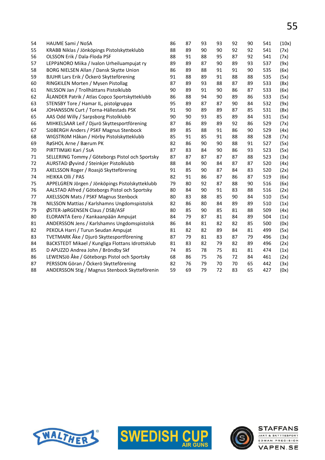| 54 | HAUME Sami / NoSA                                | 86 | 87 | 93 | 93 | 92 | 90 | 541 | (10x) |
|----|--------------------------------------------------|----|----|----|----|----|----|-----|-------|
| 55 | KRABB Niklas / Jönköpings Pistolskytteklubb      | 88 | 89 | 90 | 90 | 92 | 92 | 541 | (7x)  |
| 56 | OLSSON Erik / Dala-Floda PSF                     | 88 | 91 | 88 | 95 | 87 | 92 | 541 | (7x)  |
| 57 | LEPPäNORO Miika / Ivalon Urheiluampujat ry       | 89 | 89 | 87 | 90 | 89 | 93 | 537 | (9x)  |
| 58 | BORG NIELSEN Allan / Dansk Skytte Union          | 86 | 89 | 88 | 91 | 91 | 90 | 535 | (6x)  |
| 59 | BJUHR Lars Erik / Öckerö Skytteförening          | 91 | 88 | 89 | 91 | 88 | 88 | 535 | (5x)  |
| 60 | RINGKILEN Morten / Mysen Pistollag               | 87 | 89 | 93 | 88 | 87 | 89 | 533 | (8x)  |
| 61 | NILSSON Jan / Trollhättans Pistolklubb           | 90 | 89 | 91 | 90 | 86 | 87 | 533 | (6x)  |
| 62 | ÅLANDER Patrik / Atlas Copco Sportskytteklubb    | 86 | 88 | 94 | 90 | 89 | 86 | 533 | (5x)  |
| 63 | STENSBY Tore / Hamar IL, pistolgruppa            | 95 | 89 | 87 | 87 | 90 | 84 | 532 | (9x)  |
| 64 | JOHANSSON Curt / Torna-Hällestads PSK            | 91 | 90 | 89 | 89 | 87 | 85 | 531 | (8x)  |
| 65 | AAS Odd Willy / Sarpsborg Pistolklubb            | 90 | 90 | 93 | 85 | 89 | 84 | 531 | (5x)  |
| 66 | MIHKELSAAR Leif / Djurö Skyttesportförening      | 87 | 86 | 89 | 89 | 92 | 86 | 529 | (7x)  |
| 67 | SJÖBERGH Anders / PSKF Magnus Stenbock           | 89 | 85 | 88 | 91 | 86 | 90 | 529 | (4x)  |
| 68 | WIGSTRöM Håkan / Hörby Pistolskytteklubb         | 85 | 91 | 85 | 91 | 88 | 88 | 528 | (7x)  |
| 69 | RøSHOL Arne / Bærum PK                           | 82 | 86 | 90 | 90 | 88 | 91 | 527 | (5x)  |
| 70 | PIRTTIMÄKI Kari / SsA                            | 87 | 83 | 84 | 90 | 86 | 93 | 523 | (5x)  |
| 71 | SELLERING Tommy / Göteborgs Pistol och Sportsky  | 87 | 87 | 87 | 87 | 87 | 88 | 523 | (3x)  |
| 72 | AURSTAD Øyvind / Steinkjer Pistolklubb           | 88 | 84 | 90 | 84 | 87 | 87 | 520 | (4x)  |
| 73 | AXELSSON Roger / Roasjö Skytteförening           | 91 | 85 | 90 | 87 | 84 | 83 | 520 | (2x)  |
| 74 | <b>HEIKKA Olli / PAS</b>                         | 82 | 91 | 86 | 87 | 86 | 87 | 519 | (6x)  |
| 75 | APPELGREN Jörgen / Jönköpings Pistolskytteklubb  | 79 | 80 | 92 | 87 | 88 | 90 | 516 | (6x)  |
| 76 | AALSTAD Alfred / Göteborgs Pistol och Sportsky   | 80 | 84 | 90 | 91 | 83 | 88 | 516 | (2x)  |
| 77 | AXELSSON Mats / PSKF Magnus Stenbock             | 80 | 83 | 88 | 85 | 90 | 84 | 510 | (5x)  |
| 78 | NILSSON Mattias / Karlshamns Ungdomspistolsk     | 82 | 86 | 80 | 84 | 89 | 89 | 510 | (1x)  |
| 79 | ØSTER-JøRGENSEN Claus / DSB/ASF                  | 80 | 85 | 90 | 85 | 81 | 88 | 509 | (4x)  |
| 80 | ELORANTA Eero / Kankaanpään Ampujat              | 84 | 79 | 87 | 81 | 84 | 89 | 504 | (1x)  |
| 81 | ANDERSSON Jens / Karlshamns Ungdomspistolsk      | 86 | 84 | 81 | 82 | 82 | 85 | 500 | (0x)  |
| 82 | PEKOLA Harri / Turun Seudan Ampujat              | 81 | 82 | 82 | 89 | 84 | 81 | 499 | (5x)  |
| 83 | TVETMARK Åke / Djurö Skyttesportförening         | 87 | 79 | 81 | 83 | 87 | 79 | 496 | (3x)  |
| 84 | BäCKSTEDT Mikael / Kungliga Flottans Idrottsklub | 81 | 83 | 82 | 79 | 82 | 89 | 496 | (2x)  |
| 85 | D APUZZO Andrea John / Bröndby Skf               | 74 | 85 | 78 | 75 | 81 | 81 | 474 | (1x)  |
| 86 | LEWENSJö Åke / Göteborgs Pistol och Sportsky     | 68 | 86 | 75 | 76 | 72 | 84 | 461 | (2x)  |
| 87 | PERSSON Göran / Öckerö Skytteförening            | 82 | 76 | 79 | 70 | 70 | 65 | 442 | (3x)  |
| 88 | ANDERSSON Stig / Magnus Stenbock Skytteförenin   | 59 | 69 | 79 | 72 | 83 | 65 | 427 | (0x)  |
|    |                                                  |    |    |    |    |    |    |     |       |





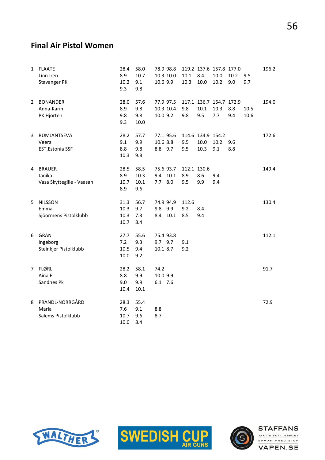#### Final Air Pistol Women

| 1              | <b>FLAATE</b><br>Linn Iren<br>Stavanger PK           | 28.4<br>8.9<br>10.2<br>9.3   | 58.0<br>10.7<br>9.1<br>9.8  | 78.9 98.8<br>10.3 10.0<br>10.6 9.9 |                 | 10.1<br>10.3              | 119.2 137.6 157.8 177.0<br>8.4<br>10.0 | 10.0<br>10.2 | 10.2<br>9.0 | 9.5<br>9.7   | 196.2 |
|----------------|------------------------------------------------------|------------------------------|-----------------------------|------------------------------------|-----------------|---------------------------|----------------------------------------|--------------|-------------|--------------|-------|
| 2              | <b>BONANDER</b><br>Anna-Karin<br>PK Hjorten          | 28.0<br>8.9<br>9.8<br>9.3    | 57.6<br>9.8<br>9.8<br>10.0  | 77.9 97.5<br>10.3 10.4<br>10.0 9.2 |                 | 9.8<br>9.8                | 117.1 136.7 154.7 172.9<br>10.1<br>9.5 | 10.3<br>7.7  | 8.8<br>9.4  | 10.5<br>10.6 | 194.0 |
| 3              | RUMJANTSEVA<br>Veera<br>EST, Estonia SSF             | 28.2<br>9.1<br>8.8<br>10.3   | 57.7<br>9.9<br>9.8<br>9.8   | 77.1 95.6<br>10.6 8.8<br>8.8 9.7   |                 | 9.5<br>9.5                | 114.6 134.9 154.2<br>10.0<br>10.3      | 10.2<br>9.1  | 9.6<br>8.8  |              | 172.6 |
| 4              | <b>BRAUER</b><br>Janika<br>Vasa Skyttegille - Vaasan | 28.5<br>8.9<br>10.7<br>8.9   | 58.5<br>10.3<br>10.1<br>9.6 | 75.6 93.7<br>9.4<br>7.7            | 10.1<br>$8.0\,$ | 112.1 130.6<br>8.9<br>9.5 | 8.6<br>9.9                             | 9.4<br>9.4   |             |              | 149.4 |
| 5              | <b>NILSSON</b><br>Emma<br>Sjöormens Pistolklubb      | 31.3<br>10.3<br>10.3<br>10.7 | 56.7<br>9.7<br>7.3<br>8.4   | 74.9 94.9<br>9.8<br>8.4            | 9.9<br>10.1     | 112.6<br>9.2<br>8.5       | 8.4<br>9.4                             |              |             |              | 130.4 |
| 6              | GRAN<br>Ingeborg<br>Steinkjer Pistolklubb            | 27.7<br>7.2<br>10.5<br>10.0  | 55.6<br>9.3<br>9.4<br>9.2   | 75.4 93.8<br>9.7 9.7<br>10.1 8.7   |                 | 9.1<br>9.2                |                                        |              |             |              | 112.1 |
| 7 <sup>7</sup> | <b>FLØRLI</b><br>Aina E<br>Sandnes Pk                | 28.2<br>8.8<br>9.0<br>10.4   | 58.1<br>9.9<br>9.9<br>10.1  | 74.2<br>10.0 9.9<br>6.1 7.6        |                 |                           |                                        |              |             |              | 91.7  |
| 8              | PRANDL-NORRGÅRD<br>Maria<br>Salems Pistolklubb       | 28.3<br>7.6<br>10.7<br>10.0  | 55.4<br>9.1<br>9.6<br>8.4   | 8.8<br>8.7                         |                 |                           |                                        |              |             |              | 72.9  |





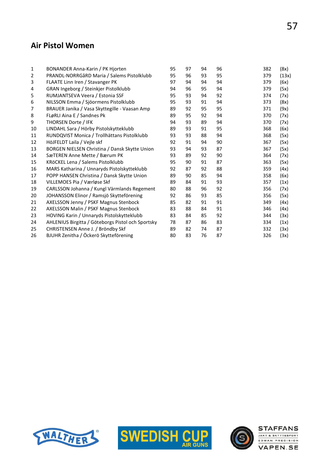#### Air Pistol Women

| 1  | BONANDER Anna-Karin / PK Hjorten                  | 95 | 97 | 94 | 96 | 382 | (8x)  |
|----|---------------------------------------------------|----|----|----|----|-----|-------|
| 2  | PRANDL-NORRGåRD Maria / Salems Pistolklubb        | 95 | 96 | 93 | 95 | 379 | (13x) |
| 3  | FLAATE Linn Iren / Stavanger PK                   | 97 | 94 | 94 | 94 | 379 | (6x)  |
| 4  | GRAN Ingeborg / Steinkjer Pistolklubb             | 94 | 96 | 95 | 94 | 379 | (5x)  |
| 5  | RUMJANTSEVA Veera / Estonia SSF                   | 95 | 93 | 94 | 92 | 374 | (7x)  |
| 6  | NILSSON Emma / Sjöormens Pistolklubb              | 95 | 93 | 91 | 94 | 373 | (8x)  |
| 7  | BRAUER Janika / Vasa Skyttegille - Vaasan Amp     | 89 | 92 | 95 | 95 | 371 | (9x)  |
| 8  | FLøRLI Aina E / Sandnes Pk                        | 89 | 95 | 92 | 94 | 370 | (7x)  |
| 9  | THORSEN Dorte / IFK                               | 94 | 93 | 89 | 94 | 370 | (7x)  |
| 10 | LINDAHL Sara / Hörby Pistolskytteklubb            | 89 | 93 | 91 | 95 | 368 | (6x)  |
| 11 | RUNDQVIST Monica / Trollhättans Pistolklubb       | 93 | 93 | 88 | 94 | 368 | (5x)  |
| 12 | HöJFELDT Laila / Vejle skf                        | 92 | 91 | 94 | 90 | 367 | (5x)  |
| 13 | BORGEN NIELSEN Christina / Dansk Skytte Union     | 93 | 94 | 93 | 87 | 367 | (5x)  |
| 14 | SæTEREN Anne Mette / Bærum PK                     | 93 | 89 | 92 | 90 | 364 | (7x)  |
| 15 | KRöCKEL Lena / Salems Pistolklubb                 | 95 | 90 | 91 | 87 | 363 | (5x)  |
| 16 | MARS Katharina / Unnaryds Pistolskytteklubb       | 92 | 87 | 92 | 88 | 359 | (4x)  |
| 17 | POPP HANSEN Christina / Dansk Skytte Union        | 89 | 90 | 85 | 94 | 358 | (6x)  |
| 18 | VILLEMOES Pia / Værløse Skf                       | 89 | 84 | 91 | 93 | 357 | (1x)  |
| 19 | CARLSSON Johanna / Kungl Värmlands Regement       | 80 | 88 | 96 | 92 | 356 | (7x)  |
| 20 | JOHANSSON Elinor / Ramsjö Skytteförening          | 92 | 86 | 93 | 85 | 356 | (5x)  |
| 21 | AXELSSON Jenny / PSKF Magnus Stenbock             | 85 | 82 | 91 | 91 | 349 | (4x)  |
| 22 | AXELSSON Malin / PSKF Magnus Stenbock             | 83 | 88 | 84 | 91 | 346 | (4x)  |
| 23 | HOVING Karin / Unnaryds Pistolskytteklubb         | 83 | 84 | 85 | 92 | 344 | (3x)  |
| 24 | AHLENIUS Birgitta / Göteborgs Pistol och Sportsky | 78 | 87 | 86 | 83 | 334 | (1x)  |
| 25 | CHRISTENSEN Anne J. / Bröndby Skf                 | 89 | 82 | 74 | 87 | 332 | (3x)  |
| 26 | BJUHR Zenitha / Öckerö Skytteförening             | 80 | 83 | 76 | 87 | 326 | (3x)  |





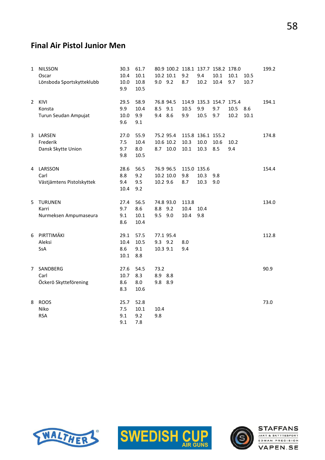#### Final Air Pistol Junior Men

| $\mathbf{1}$   | <b>NILSSON</b><br>Oscar<br>Lönsboda Sportskytteklubb | 30.3<br>10.4<br>10.0<br>9.9 | 61.7<br>$10.1\,$<br>10.8<br>10.5 | 9.0 9.2                    | 10.2 10.1                          | 9.2<br>8.7                | 9.4<br>10.2                       | 80.9 100.2 118.1 137.7 158.2 178.0<br>10.1<br>10.4 | 10.1<br>9.7  | 10.5<br>10.7 | 199.2 |
|----------------|------------------------------------------------------|-----------------------------|----------------------------------|----------------------------|------------------------------------|---------------------------|-----------------------------------|----------------------------------------------------|--------------|--------------|-------|
| $\overline{2}$ | KIVI<br>Konsta<br>Turun Seudan Ampujat               | 29.5<br>9.9<br>10.0<br>9.6  | 58.9<br>10.4<br>9.9<br>9.1       | 8.5 9.1<br>9.4 8.6         | 76.8 94.5                          | 10.5<br>9.9               | 9.9<br>10.5                       | 114.9 135.3 154.7 175.4<br>9.7<br>9.7              | 10.5<br>10.2 | 8.6<br>10.1  | 194.1 |
|                | 3 LARSEN<br>Frederik<br>Dansk Skytte Union           | 27.0<br>7.5<br>9.7<br>9.8   | 55.9<br>10.4<br>8.0<br>10.5      |                            | 75.2 95.4<br>10.6 10.2<br>8.7 10.0 | 10.3<br>10.1              | 115.8 136.1 155.2<br>10.0<br>10.3 | 10.6<br>8.5                                        | 10.2<br>9.4  |              | 174.8 |
|                | 4 LARSSON<br>Carl<br>Västjämtens Pistolskyttek       | 28.6<br>8.8<br>9.4<br>10.4  | 56.5<br>9.2<br>9.5<br>9.2        | 10.2 9.6                   | 76.9 96.5<br>10.2 10.0             | 115.0 135.6<br>9.8<br>8.7 | 10.3<br>10.3                      | 9.8<br>9.0                                         |              |              | 154.4 |
| 5              | <b>TURUNEN</b><br>Karri<br>Nurmeksen Ampumaseura     | 27.4<br>9.7<br>9.1<br>8.6   | 56.5<br>8.6<br>$10.1\,$<br>10.4  | 8.8 9.2<br>9.5 9.0         | 74.8 93.0                          | 113.8<br>10.4<br>10.4     | 10.4<br>9.8                       |                                                    |              |              | 134.0 |
| 6              | PIRTTIMÄKI<br>Aleksi<br>SsA                          | 29.1<br>10.4<br>8.6<br>10.1 | 57.5<br>10.5<br>9.1<br>8.8       | 9.3 9.2<br>10.3 9.1        | 77.1 95.4                          | 8.0<br>9.4                |                                   |                                                    |              |              | 112.8 |
| $\overline{7}$ | SANDBERG<br>Carl<br>Öckerö Skytteförening            | 27.6<br>10.7<br>8.6<br>8.3  | 54.5<br>8.3<br>8.0<br>10.6       | 73.2<br>8.9 8.8<br>9.8 8.9 |                                    |                           |                                   |                                                    |              |              | 90.9  |
| 8              | <b>ROOS</b><br>Niko<br><b>RSA</b>                    | 25.7<br>7.5<br>9.1<br>9.1   | 52.8<br>10.1<br>9.2<br>7.8       | 10.4<br>9.8                |                                    |                           |                                   |                                                    |              |              | 73.0  |





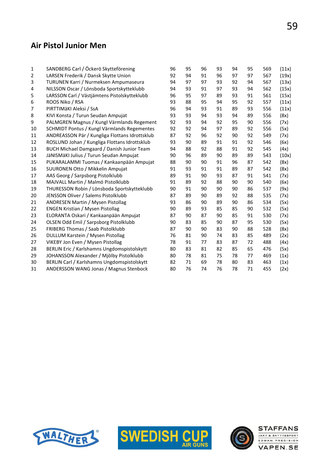#### Air Pistol Junior Men

| 1  | SANDBERG Carl / Öckerö Skytteförening          | 96 | 95 | 96 | 93 | 94 | 95 | 569 | (11x) |
|----|------------------------------------------------|----|----|----|----|----|----|-----|-------|
| 2  | LARSEN Frederik / Dansk Skytte Union           | 92 | 94 | 91 | 96 | 97 | 97 | 567 | (19x) |
| 3  | TURUNEN Karri / Nurmeksen Ampumaseura          | 94 | 97 | 97 | 93 | 92 | 94 | 567 | (13x) |
| 4  | NILSSON Oscar / Lönsboda Sportskytteklubb      | 94 | 93 | 91 | 97 | 93 | 94 | 562 | (15x) |
| 5  | LARSSON Carl / Västjämtens Pistolskytteklubb   | 96 | 95 | 97 | 89 | 93 | 91 | 561 | (15x) |
| 6  | ROOS Niko / RSA                                | 93 | 88 | 95 | 94 | 95 | 92 | 557 | (11x) |
| 7  | PIRTTIMÄKI Aleksi / SsA                        | 96 | 94 | 93 | 91 | 89 | 93 | 556 | (11x) |
| 8  | KIVI Konsta / Turun Seudan Ampujat             | 93 | 93 | 94 | 93 | 94 | 89 | 556 | (8x)  |
| 9  | PALMGREN Magnus / Kungl Värmlands Regement     | 92 | 93 | 94 | 92 | 95 | 90 | 556 | (7x)  |
| 10 | SCHMIDT Pontus / Kungl Värmlands Regementes    | 92 | 92 | 94 | 97 | 89 | 92 | 556 | (5x)  |
| 11 | ANDREASSON Pär / Kungliga Flottans Idrottsklub | 87 | 92 | 96 | 92 | 90 | 92 | 549 | (7x)  |
| 12 | ROSLUND Johan / Kungliga Flottans Idrottsklub  | 93 | 90 | 89 | 91 | 91 | 92 | 546 | (6x)  |
| 13 | BUCH Michael Damgaard / Danish Junior Team     | 94 | 88 | 92 | 88 | 91 | 92 | 545 | (4x)  |
| 14 | JäNISMäKI Julius / Turun Seudan Ampujat        | 90 | 96 | 89 | 90 | 89 | 89 | 543 | (10x) |
| 15 | PUKARALAMMI Tuomas / Kankaanpään Ampujat       | 88 | 90 | 90 | 91 | 96 | 87 | 542 | (8x)  |
| 16 | SUURONEN Otto / Mikkelin Ampujat               | 91 | 93 | 91 | 91 | 89 | 87 | 542 | (8x)  |
| 17 | AAS Georg / Sarpsborg Pistolklubb              | 89 | 91 | 90 | 93 | 87 | 91 | 541 | (7x)  |
| 18 | MAJVALL Martin / Malmö Pistolklubb             | 91 | 89 | 92 | 88 | 90 | 90 | 540 | (6x)  |
| 19 | THURESSON Robin / Lönsboda Sportskytteklubb    | 90 | 91 | 90 | 90 | 90 | 86 | 537 | (9x)  |
| 20 | JENSSON Oliver / Salems Pistolklubb            | 87 | 89 | 90 | 89 | 92 | 88 | 535 | (7x)  |
| 21 | ANDRESEN Martin / Mysen Pistollag              | 93 | 86 | 90 | 89 | 90 | 86 | 534 | (5x)  |
| 22 | <b>ENGEN Kristian / Mysen Pistollag</b>        | 90 | 89 | 93 | 85 | 85 | 90 | 532 | (5x)  |
| 23 | ELORANTA Oskari / Kankaanpään Ampujat          | 87 | 90 | 87 | 90 | 85 | 91 | 530 | (7x)  |
| 24 | OLSEN Odd Emil / Sarpsborg Pistolklubb         | 90 | 83 | 85 | 90 | 87 | 95 | 530 | (5x)  |
| 25 | FRIBERG Thomas / Saab Pistolklubb              | 87 | 90 | 90 | 83 | 90 | 88 | 528 | (8x)  |
| 26 | DULLUM Karstein / Mysen Pistollag              | 76 | 81 | 90 | 74 | 83 | 85 | 489 | (2x)  |
| 27 | VIKEBY Jon Even / Mysen Pistollag              | 78 | 91 | 77 | 83 | 87 | 72 | 488 | (4x)  |
| 28 | BERLIN Eric / Karlshamns Ungdomspistolskytt    | 80 | 83 | 81 | 82 | 85 | 65 | 476 | (5x)  |
| 29 | JOHANSSON Alexander / Mjölby Pistolklubb       | 80 | 78 | 81 | 75 | 78 | 77 | 469 | (1x)  |
| 30 | BERLIN Carl / Karlshamns Ungdomspistolskytt    | 82 | 71 | 69 | 78 | 80 | 83 | 463 | (1x)  |
| 31 | ANDERSSON WANG Jonas / Magnus Stenbock         | 80 | 76 | 74 | 76 | 78 | 71 | 455 | (2x)  |
|    |                                                |    |    |    |    |    |    |     |       |





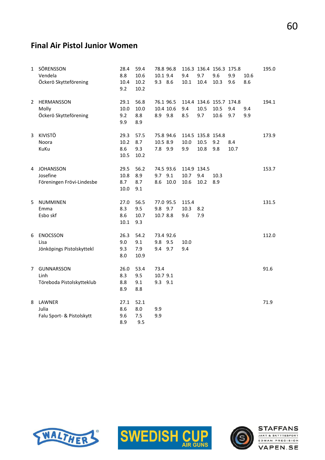# Final Air Pistol Junior Women

| $\mathbf{1}$ | SÖRENSSON<br>Vendela<br>Öckerö Skytteförening          | 28.4<br>8.8<br>10.4<br>9.2  | 59.4<br>10.6<br>10.2<br>10.2 | 78.8 96.8<br>10.1 9.4<br>9.3 8.6  |      | 9.4<br>10.1                 | 9.7<br>10.4                       | 116.3 136.4 156.3 175.8<br>9.6<br>10.3  | 9.9<br>9.6  | 10.6<br>8.6 | 195.0 |
|--------------|--------------------------------------------------------|-----------------------------|------------------------------|-----------------------------------|------|-----------------------------|-----------------------------------|-----------------------------------------|-------------|-------------|-------|
| 2            | HERMANSSON<br>Molly<br>Öckerö Skytteförening           | 29.1<br>10.0<br>9.2<br>9.9  | 56.8<br>10.0<br>8.8<br>8.9   | 76.1 96.5<br>10.4 10.6<br>8.9 9.8 |      | 9.4<br>8.5                  | 10.5<br>9.7                       | 114.4 134.6 155.7 174.8<br>10.5<br>10.6 | 9.4<br>9.7  | 9.4<br>9.9  | 194.1 |
| 3            | <b>KIVISTÖ</b><br>Noora<br>KuKu                        | 29.3<br>10.2<br>8.6<br>10.5 | 57.5<br>8.7<br>9.3<br>10.2   | 75.8 94.6<br>10.5 8.9<br>7.8 9.9  |      | 10.0<br>9.9                 | 114.5 135.8 154.8<br>10.5<br>10.8 | 9.2<br>9.8                              | 8.4<br>10.7 |             | 173.9 |
|              | 4 JOHANSSON<br>Josefine<br>Föreningen Frövi-Lindesbe   | 29.5<br>10.8<br>8.7<br>10.0 | 56.2<br>8.9<br>8.7<br>9.1    | 74.5 93.6<br>9.7<br>9.1<br>8.6    | 10.0 | 114.9 134.5<br>10.7<br>10.6 | 9.4<br>10.2                       | 10.3<br>8.9                             |             |             | 153.7 |
| 5            | <b>NUMMINEN</b><br>Emma<br>Esbo skf                    | 27.0<br>8.3<br>8.6<br>10.1  | 56.5<br>9.5<br>10.7<br>9.3   | 77.0 95.5<br>9.8 9.7<br>10.7 8.8  |      | 115.4<br>10.3<br>9.6        | 8.2<br>7.9                        |                                         |             |             | 131.5 |
| 6            | <b>ENOCSSON</b><br>Lisa<br>Jönköpings Pistolskyttekl   | 26.3<br>9.0<br>9.3<br>8.0   | 54.2<br>9.1<br>7.9<br>10.9   | 73.4 92.6<br>9.8 9.5<br>9.4 9.7   |      | 10.0<br>9.4                 |                                   |                                         |             |             | 112.0 |
| 7            | <b>GUNNARSSON</b><br>Linh<br>Töreboda Pistolskytteklub | 26.0<br>8.3<br>8.8<br>8.9   | 53.4<br>9.5<br>9.1<br>8.8    | 73.4<br>10.7 9.1<br>9.3 9.1       |      |                             |                                   |                                         |             |             | 91.6  |
| 8            | LAWNER<br>Julia<br>Falu Sport- & Pistolskytt           | 27.1<br>8.6<br>9.6<br>8.9   | 52.1<br>8.0<br>7.5<br>9.5    | 9.9<br>9.9                        |      |                             |                                   |                                         |             |             | 71.9  |





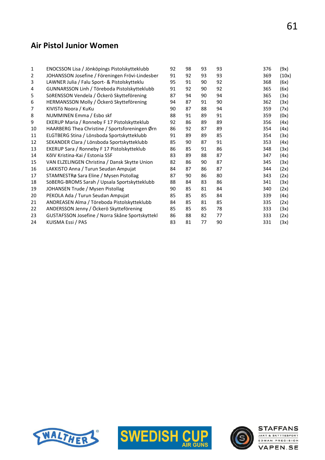#### Air Pistol Junior Women

| 1  | ENOCSSON Lisa / Jönköpings Pistolskytteklubb    | 92 | 98 | 93 | 93 | 376 | (9x)  |
|----|-------------------------------------------------|----|----|----|----|-----|-------|
| 2  | JOHANSSON Josefine / Föreningen Frövi-Lindesber | 91 | 92 | 93 | 93 | 369 | (10x) |
| 3  | LAWNER Julia / Falu Sport- & Pistolskytteklu    | 95 | 91 | 90 | 92 | 368 | (6x)  |
| 4  | GUNNARSSON Linh / Töreboda Pistolskytteklubb    | 91 | 92 | 90 | 92 | 365 | (6x)  |
| 5  | SöRENSSON Vendela / Öckerö Skytteförening       | 87 | 94 | 90 | 94 | 365 | (3x)  |
| 6  | HERMANSSON Molly / Öckerö Skytteförening        | 94 | 87 | 91 | 90 | 362 | (3x)  |
| 7  | KIVISTÖ Noora / KuKu                            | 90 | 87 | 88 | 94 | 359 | (7x)  |
| 8  | NUMMINEN Emma / Esbo skf                        | 88 | 91 | 89 | 91 | 359 | (0x)  |
| 9  | EKERUP Maria / Ronneby F 17 Pistolskytteklub    | 92 | 86 | 89 | 89 | 356 | (4x)  |
| 10 | HAARBERG Thea Christine / Sportsforeningen Ørn  | 86 | 92 | 87 | 89 | 354 | (4x)  |
| 11 | ELGTBERG Stina / Lönsboda Sportskytteklubb      | 91 | 89 | 89 | 85 | 354 | (3x)  |
| 12 | SEKANDER Clara / Lönsboda Sportskytteklubb      | 85 | 90 | 87 | 91 | 353 | (4x)  |
| 13 | EKERUP Sara / Ronneby F 17 Pistolskytteklub     | 86 | 85 | 91 | 86 | 348 | (3x)  |
| 14 | KõlV Kristina-Kai / Estonia SSF                 | 83 | 89 | 88 | 87 | 347 | (4x)  |
| 15 | VAN ELZELINGEN Christina / Dansk Skytte Union   | 82 | 86 | 90 | 87 | 345 | (3x)  |
| 16 | LAKKISTO Anna / Turun Seudan Ampujat            | 84 | 87 | 86 | 87 | 344 | (2x)  |
| 17 | STAMNESTRø Sara Eline / Mysen Pistollag         | 87 | 90 | 86 | 80 | 343 | (2x)  |
| 18 | SöBERG-BROMS Sarah / Upsala Sportskytteklubb    | 88 | 84 | 83 | 86 | 341 | (3x)  |
| 19 | JOHANSEN Trude / Mysen Pistollag                | 90 | 85 | 81 | 84 | 340 | (2x)  |
| 20 | PEKOLA Ada / Turun Seudan Ampujat               | 85 | 85 | 85 | 84 | 339 | (4x)  |
| 21 | ANDREASEN Alma / Töreboda Pistolskytteklubb     | 84 | 85 | 81 | 85 | 335 | (2x)  |
| 22 | ANDERSSON Jenny / Öckerö Skytteförening         | 85 | 85 | 85 | 78 | 333 | (3x)  |
| 23 | GUSTAFSSON Josefine / Norra Skåne Sportskyttekl | 86 | 88 | 82 | 77 | 333 | (2x)  |
| 24 | KUISMA Essi / PAS                               | 83 | 81 | 77 | 90 | 331 | (3x)  |
|    |                                                 |    |    |    |    |     |       |





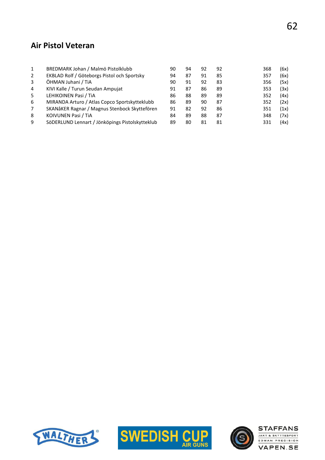#### Air Pistol Veteran

| $\mathbf{1}$<br>2 | BREDMARK Johan / Malmö Pistolklubb              | 90 | 94 | 92 | 92 | 368 | (6x) |
|-------------------|-------------------------------------------------|----|----|----|----|-----|------|
|                   | EKBLAD Rolf / Göteborgs Pistol och Sportsky     | 94 | 87 | 91 | 85 | 357 | (6x) |
| 3                 | ÖHMAN Juhani / TiA                              | 90 | 91 | 92 | 83 | 356 | (5x) |
| 4                 | KIVI Kalle / Turun Seudan Ampujat               | 91 | 87 | 86 | 89 | 353 | (3x) |
| 5                 | LEHIKOINEN Pasi / TiA                           | 86 | 88 | 89 | 89 | 352 | (4x) |
| 6                 | MIRANDA Arturo / Atlas Copco Sportskytteklubb   | 86 | 89 | 90 | 87 | 352 | (2x) |
| $\overline{7}$    | SKANåKER Ragnar / Magnus Stenbock Skyttefören   | 91 | 82 | 92 | 86 | 351 | (1x) |
| 8                 | KOIVUNEN Pasi / TIA                             | 84 | 89 | 88 | 87 | 348 | (7x) |
| 9                 | SöDERLUND Lennart / Jönköpings Pistolskytteklub | 89 | 80 | 81 | 81 | 331 | (4x) |





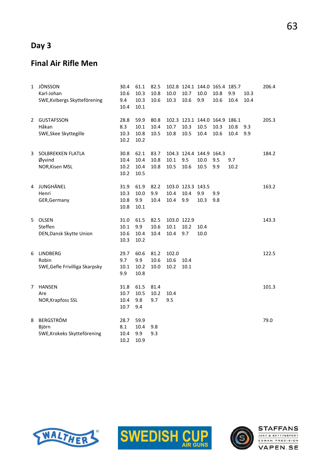## Day 3

#### Final Air Rifle Men

| 1 | JÖNSSON<br>Karl-Johan<br>SWE, Kvibergs Skytteförening      | 30.4<br>10.6<br>9.4<br>10.4  | 61.1<br>10.3<br>10.3<br>10.1 | 82.5<br>10.8<br>10.6 | 10.0<br>10.3                | 102.8 124.1 144.0 165.4 185.7<br>10.7<br>10.6 | 10.0<br>9.9  | 10.8<br>10.6 | 9.9<br>10.4  | 10.3<br>10.4 | 206.4 |
|---|------------------------------------------------------------|------------------------------|------------------------------|----------------------|-----------------------------|-----------------------------------------------|--------------|--------------|--------------|--------------|-------|
| 2 | <b>GUSTAFSSON</b><br>Håkan<br>SWE, Skee Skyttegille        | 28.8<br>8.3<br>10.3<br>10.2  | 59.9<br>10.1<br>10.8<br>10.2 | 80.8<br>10.4<br>10.5 | 10.7<br>10.8                | 102.3 123.1 144.0 164.9 186.1<br>10.3<br>10.5 | 10.5<br>10.4 | 10.3<br>10.6 | 10.8<br>10.4 | 9.3<br>9.9   | 205.3 |
| 3 | SOLBREKKEN FLATLA<br>Øyvind<br>NOR, Kisen MSL              | 30.8<br>10.4<br>10.2<br>10.2 | 62.1<br>10.4<br>10.4<br>10.5 | 83.7<br>10.8<br>10.8 | 10.1<br>10.5                | 104.3 124.4 144.9 164.3<br>9.5<br>10.6        | 10.0<br>10.5 | 9.5<br>9.9   | 9.7<br>10.2  |              | 184.2 |
| 4 | JUNGHÄNEL<br>Henri<br>GER, Germany                         | 31.9<br>10.3<br>10.8<br>10.8 | 61.9<br>10.0<br>9.9<br>10.1  | 82.2<br>9.9<br>10.4  | 10.4<br>10.4                | 103.0 123.3 143.5<br>10.4<br>9.9              | 9.9<br>10.3  | 9.9<br>9.8   |              |              | 163.2 |
| 5 | <b>OLSEN</b><br>Steffen<br>DEN, Dansk Skytte Union         | 31.0<br>10.1<br>10.6<br>10.3 | 61.5<br>9.9<br>10.4<br>10.2  | 82.5<br>10.6<br>10.4 | 103.0 122.9<br>10.1<br>10.4 | 10.2<br>9.7                                   | 10.4<br>10.0 |              |              |              | 143.3 |
| 6 | <b>LINDBERG</b><br>Robin<br>SWE, Gefle Frivilliga Skarpsky | 29.7<br>9.7<br>10.1<br>9.9   | 60.6<br>9.9<br>10.2<br>10.8  | 81.2<br>10.6<br>10.0 | 102.0<br>10.6<br>10.2       | 10.4<br>10.1                                  |              |              |              |              | 122.5 |
| 7 | <b>HANSEN</b><br>Are<br>NOR, Krapfoss SSL                  | 31.8<br>10.7<br>10.4<br>10.7 | 61.5<br>10.5<br>9.8<br>9.4   | 81.4<br>10.2<br>9.7  | 10.4<br>9.5                 |                                               |              |              |              |              | 101.3 |
| 8 | <b>BERGSTRÖM</b><br>Björn<br>SWE, Krokeks Skytteförening   | 28.7<br>8.1<br>10.4<br>10.2  | 59.9<br>10.4<br>9.9<br>10.9  | 9.8<br>9.3           |                             |                                               |              |              |              |              | 79.0  |





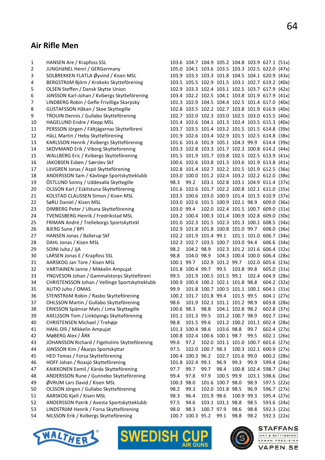**STAFFANS** 

JAKT & SKYTTESPORT

EDMAN PRECISION

**VAPEN.SE** 

# Air Rifle Men

| 1  | HANSEN Are / Krapfoss SSL                      |            |                  |                                    |                  |                  |      | 103.6 104.7 104.9 105.2 104.8 103.9 627.1 (51x) |  |
|----|------------------------------------------------|------------|------------------|------------------------------------|------------------|------------------|------|-------------------------------------------------|--|
| 2  | JUNGHäNEL Henri / GERGermany                   |            |                  |                                    |                  |                  |      | 105.0 104.1 103.6 103.5 103.3 102.5 622.0 (47x) |  |
| 3  | SOLBREKKEN FLATLA Øyvind / Kisen MSL           |            |                  |                                    |                  |                  |      | 103.9 103.3 103.3 101.8 104.5 104.1 620.9 (43x) |  |
| 4  | BERGSTRÖM Björn / Krokeks Skytteförening       |            |                  |                                    |                  |                  |      | 103.5 105.5 102.9 101.5 103.1 102.7 619.2 (40x) |  |
| 5  | OLSEN Steffen / Dansk Skytte Union             |            |                  |                                    |                  |                  |      | 102.9 103.3 102.4 103.1 102.5 103.7 617.9 (42x) |  |
| 6  | JöNSSON Karl-Johan / Kvibergs Skytteförening   |            |                  |                                    |                  |                  |      | 103.4 102.2 102.5 104.1 103.8 101.9 617.9 (41x) |  |
| 7  | LINDBERG Robin / Gefle Frivilliga Skarpsky     |            |                  |                                    |                  |                  |      | 101.3 102.9 104.5 104.4 102.5 101.4 617.0 (40x) |  |
| 8  | GUSTAFSSON Håkan / Skee Skyttegille            |            |                  |                                    |                  |                  |      | 102.8 103.5 102.2 102.7 103.8 101.9 616.9 (40x) |  |
| 9  | TROUIN Dennis / Gullabo Skytteförening         |            |                  |                                    |                  |                  |      | 102.7 102.0 102.3 103.0 102.5 103.0 615.5 (40x) |  |
| 10 | HAGELUND Endre / Klepp MSL                     |            |                  |                                    |                  |                  |      | 101.4 102.6 104.1 101.3 102.4 103.5 615.3 (40x) |  |
| 11 | PERSSON Jörgen / Fältjägarnas Skytteföreni     |            |                  |                                    |                  |                  |      | 103.7 103.5 101.4 103.2 101.5 101.5 614.8 (39x) |  |
| 12 | HäLL Martin / Heby Skytteförening              |            |                  |                                    |                  |                  |      | 101.9 102.6 103.4 102.9 101.5 102.5 614.8 (38x) |  |
| 13 | KARLSSON Henrik / Kvibergs Skytteförening      |            |                  | 101.6 101.6 101.9 105.1 104.3 99.9 |                  |                  |      | 614.4 (39x)                                     |  |
| 14 | SKOVMAND Erik / Viborg Skytteforening          |            |                  |                                    |                  |                  |      | 103.3 102.8 103.3 101.7 102.3 100.8 614.2 (44x) |  |
| 15 | WALLBERG Eric / Kvibergs Skytteförening        |            |                  |                                    |                  |                  |      | 101.5 101.9 101.7 103.8 102.5 102.5 613.9 (41x) |  |
| 16 | JAKOBSEN Esben / Særslev Skf                   |            |                  |                                    |                  |                  |      | 100.6 102.6 103.8 101.3 103.6 101.9 613.8 (41x) |  |
| 17 | LöVGREN Jonas / Aspö Skytteförening            |            |                  |                                    |                  |                  |      | 102.8 101.4 102.7 102.2 101.5 101.9 612.5 (36x) |  |
| 18 | ANDERSSON Sam / Kävlinge Sportskytteklubb      |            |                  |                                    |                  |                  |      | 103.0 100.0 101.2 102.4 103.2 102.2 612.0 (38x) |  |
| 19 | ÖSTLUND Sonny / Uddevalla Skyttegille          | 98.3       | 99.2             |                                    |                  |                  |      | 103.1 102.8 103.1 104.9 611.4 (37x)             |  |
| 20 | OLSSON Karl / Eskilstuna Skytteförening        |            |                  |                                    |                  |                  |      | 101.6 102.6 101.7 102.2 100.8 102.1 611.0 (35x) |  |
| 21 | KOLSTAD CLAUSSEN Simon / Kisen MSL             |            |                  |                                    |                  |                  |      | 103.5 100.6 103.0 100.9 101.4 101.5 610.9 (37x) |  |
| 22 | SøRLI Daniel / Kisen MSL                       |            |                  | 103.0 102.6 101.5 100.9 102.1 98.9 |                  |                  |      | 609.0 (36x)                                     |  |
| 23 | DIMBERG Peter / Ultuna Skytteförening          |            |                  |                                    |                  |                  |      | 103.0 99.4 102.0 102.4 101.5 100.7 609.0 (31x)  |  |
| 24 | <b>TVENGSBERG Henrik / Fredrikstad MSL</b>     |            |                  |                                    |                  |                  |      | 103.2 100.4 100.3 101.4 100.9 102.8 609.0 (30x) |  |
| 25 | FRIMAN André / Trelleborgs Sportskyttekl       |            |                  |                                    |                  |                  |      | 101.0 102.3 101.5 102.3 101.3 100.1 608.5 (34x) |  |
| 26 | BJERG Sune / BPI                               |            |                  | 102.9 101.8 101.8 100.8 101.0 99.7 |                  |                  |      | 608.0 (36x)                                     |  |
| 27 | HANSEN Jonas / Ballerup Skf                    |            |                  |                                    |                  |                  |      | 102.2 101.9 101.4 99.1 101.1 101.0 606.7 (34x)  |  |
| 28 | DAHL Jonas / Kisen MSL                         |            |                  | 102.3 102.7 103.5 100.7 103.0 94.4 |                  |                  |      | 606.6 (34x)                                     |  |
| 29 | SOINI Juha / JjA                               | 98.2       |                  | 104.2 98.9                         |                  |                  |      | 102.3 101.2 101.6 606.4 (32x)                   |  |
| 30 | LARSEN Jonas E / Krapfoss SSL                  | 98.8       |                  | 104.0 98.9                         |                  |                  |      | 104.3 100.4 100.0 606.4 (28x)                   |  |
| 31 | AARSKOG Jan Tore / Kisen MSL                   | 100.1 99.7 |                  |                                    | 102.9 101.2 99.7 |                  |      | 102.0 605.6 (23x)                               |  |
| 32 | VARTIAINEN Janne / Mikkelin Ampujat            |            |                  | 101.8 100.4 99.7                   | 99.5             | 103.8 99.8       |      | 605.0 (31x)                                     |  |
| 33 | YNGVESON Johan / Gammalstorps Skytteföreni     | 99.5       |                  | 101.9 100.5 101.5 99.1             |                  |                  |      | 102.4 604.9 (28x)                               |  |
| 34 | CHRISTENSSON Johan / Vellinge Sportskytteklubb |            |                  | 100.9 100.4 100.2 102.1 101.8 98.8 |                  |                  |      | 604.2 (32x)                                     |  |
| 35 | AUTIO Juho / OMAS                              | 99.9       |                  |                                    |                  |                  |      | 101.8 100.7 100.5 101.1 100.1 604.1 (31x)       |  |
| 36 | STENSTRöM Robin / Rasbo Skytteförening         |            |                  | 100.2 101.7 101.8 99.4             |                  | 101.5 99.5       |      | 604.1 (27x)                                     |  |
| 37 | OHLSSON Martin / Gullabo Skytteförening        | 98.6       |                  | 101.9 102.1 101.1 101.2 98.9       |                  |                  |      | 603.8 (28x)                                     |  |
| 38 | ERIKSSON Spännar Mats / Lima Skyttegille       | 100.6 98.3 |                  | 98.8                               |                  | 104.1 102.8 98.2 |      | 602.8 (37x)                                     |  |
| 39 | AXELSSON Tom / Linköpings Skytteförening       |            | 101.1 101.3 99.5 |                                    |                  | 101.2 100.7 98.9 |      | 602.7 (24x)                                     |  |
| 40 | CHRISTENSEN Michael / Trehøje                  | 98.8       | 101.5 99.6       |                                    |                  |                  |      | 101.2 100.2 101.1 602.4 (28x)                   |  |
| 41 | HAHL Olli / Mikkelin Ampujat                   |            | 101.3 100.4 98.6 |                                    | 103.6 98.8       |                  | 99.7 | 602.4 (27x)                                     |  |
| 42 | MøBERG Alex / ÅRK                              |            |                  | 100.8 102.4 100.6 100.1 98.7       |                  |                  | 99.5 | 602.1 (26x)                                     |  |
| 43 | JOHANSSON Richard / Figeholms Skytteförening   | 99.6       | 97.2             |                                    |                  |                  |      | 102.0 101.1 101.0 100.7 601.6 (27x)             |  |
| 44 | JöNSSON Kim / Åkarps Sportskyttar              | 97.5       |                  | 102.0 100.7 98.3                   |                  |                  |      | 100.3 102.1 600.9 (27x)                         |  |
| 45 | HED Tomas / Forsa Skytteförening               |            | 100.4 100.3 96.2 |                                    |                  | 102.7 101.6 99.0 |      | 600.2 (28x)                                     |  |
| 46 | HOFF Johan / Roasjö Skytteförening             |            | 101.8 102.4 99.1 |                                    | 96.9             | 99.3             | 99.9 | 599.4 (24x)                                     |  |
| 47 | KAIKKONEN Eemil / Kärda Skytteförening         | 97.7       | 99.7             | 99.7                               | 98.4             |                  |      | 100.8 102.4 598.7 (24x)                         |  |
| 48 | ANDERSSON Rune / Gunnebo Skytteförening        | 99.4       | 97.8             | 97.9                               | 100.5 99.9       |                  |      | 103.1 598.6 (26x)                               |  |
| 49 | ØVRUM Lars David / Kisen MSL                   | 100.3 98.0 |                  |                                    | 101.6 100.7 98.0 |                  | 98.9 | 597.5 (22x)                                     |  |
| 50 | OLSSON Jörgen / Gullabo Skytteförening         | 98.2       | 99.3             |                                    | 102.0 101.8 98.5 |                  | 96.9 | 596.7 (27x)                                     |  |
| 51 | AARSKOG Kjell / Kisen MSL                      | 98.3       | 96.4             | 101.9 98.6                         |                  | 100.9 99.3       |      | 595.4 (27x)                                     |  |
| 52 | ANDERSSON Patrik / Avesta Sportskytteklubb     | 97.5       | 94.6             |                                    | 103.1 101.1 98.8 |                  | 98.5 | 593.6 (24x)                                     |  |
| 53 | LINDSTRöM Henrik / Forsa Skytteförening        | 98.0       | 98.3             | 100.7 97.9                         |                  | 98.6             | 98.8 | 592.3 (22x)                                     |  |
| 54 | NILSSON Erik / Kvibergs Skytteförening         |            | 100.7 100.3 95.2 |                                    | 99.1             | 98.8             | 98.2 | 592.3 (22x)                                     |  |



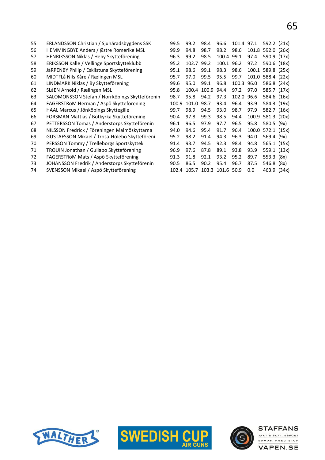| 55 | ERLANDSSON Christian / Sjuhäradsbygdens SSK    | 99.5  | 99.2  | 98.4        | 96.6                         | 101.4 97.1 |       | 592.2 (21x) |  |
|----|------------------------------------------------|-------|-------|-------------|------------------------------|------------|-------|-------------|--|
| 56 | HEMMINGBYE Anders / Østre Romerike MSL         | 99.9  | 94.8  | 98.7        | 98.2                         | 98.6       | 101.8 | 592.0 (26x) |  |
| 57 | HENRIKSSON Niklas / Heby Skytteförening        | 96.3  | 99.2  | 98.5        | 100.4 99.1                   |            | 97.4  | 590.9 (17x) |  |
| 58 | ERIKSSON Kalle / Vellinge Sportskytteklubb     | 95.2  | 102.7 | 99.2        | 100.1 96.2                   |            | 97.2  | 590.6 (18x) |  |
| 59 | JäRPENBY Philip / Eskilstuna Skytteförening    | 95.1  | 98.6  | 99.1        | 98.3                         | 98.6       | 100.1 | 589.8 (25x) |  |
| 60 | MIDTFLå Nils Kåre / Rælingen MSL               | 95.7  | 97.0  | 99.5        | 95.5                         | 99.7       | 101.0 | 588.4 (22x) |  |
| 61 | LINDMARK Niklas / By Skytteförening            | 99.6  | 95.0  | 99.1        | 96.8                         | 100.3      | 96.0  | 586.8 (24x) |  |
| 62 | SLåEN Arnold / Rælingen MSL                    | 95.8  |       | 100.4 100.9 | 94.4                         | 97.2       | 97.0  | 585.7 (17x) |  |
| 63 | SALOMONSSON Stefan / Norrköpings Skytteförenin | 98.7  | 95.8  | 94.2        | 97.3                         | 102.0      | 96.6  | 584.6 (16x) |  |
| 64 | FAGERSTRÖM Herman / Aspö Skytteförening        | 100.9 | 101.0 | 98.7        | 93.4                         | 96.4       | 93.9  | 584.3 (19x) |  |
| 65 | HAAL Marcus / Jönköpings Skyttegille           | 99.7  | 98.9  | 94.5        | 93.0                         | 98.7       | 97.9  | 582.7 (16x) |  |
| 66 | FORSMAN Mattias / Botkyrka Skytteförening      | 90.4  | 97.8  | 99.3        | 98.5                         | 94.4       | 100.9 | 581.3 (20x) |  |
| 67 | PETTERSSON Tomas / Anderstorps Skytteförenin   | 96.1  | 96.5  | 97.9        | 97.7                         | 96.5       | 95.8  | 580.5 (9x)  |  |
| 68 | NILSSON Fredrick / Föreningen Malmöskyttarna   | 94.0  | 94.6  | 95.4        | 91.7                         | 96.4       | 100.0 | 572.1 (15x) |  |
| 69 | GUSTAFSSON Mikael / Trosa-Hölebo Skytteföreni  | 95.2  | 98.2  | 91.4        | 94.3                         | 96.3       | 94.0  | 569.4 (9x)  |  |
| 70 | PERSSON Tommy / Trelleborgs Sportskyttekl      | 91.4  | 93.7  | 94.5        | 92.3                         | 98.4       | 94.8  | 565.1 (15x) |  |
| 71 | TROUIN Jonathan / Gullabo Skytteförening       | 96.9  | 97.6  | 87.8        | 89.1                         | 93.8       | 93.9  | 559.1 (13x) |  |
| 72 | FAGERSTRöM Mats / Aspö Skytteförening          | 91.3  | 91.8  | 92.1        | 93.2                         | 95.2       | 89.7  | 553.3 (8x)  |  |
| 73 | JOHANSSON Fredrik / Anderstorps Skytteförenin  | 90.5  | 86.5  | 90.2        | 95.4                         | 96.7       | 87.5  | 546.8 (8x)  |  |
| 74 | SVENSSON Mikael / Aspö Skytteförening          |       |       |             | 102.4 105.7 103.3 101.6 50.9 |            | 0.0   | 463.9 (34x) |  |





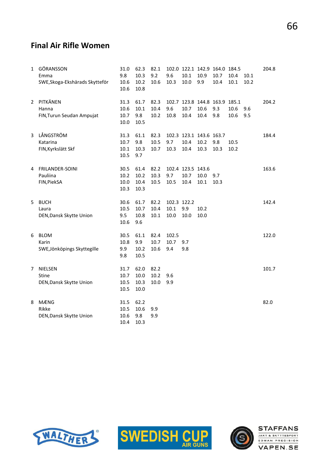# 66

#### Final Air Rifle Women

| $\mathbf{1}$ | GÖRANSSON<br>Emma<br>SWE, Skoga-Ekshärads Skytteför | 31.0<br>9.8<br>10.6 | 62.3<br>10.3<br>10.2 | 82.1<br>9.2<br>10.6 | 9.6<br>10.3 | 10.1<br>10.0            | 10.9<br>9.9 | 102.0 122.1 142.9 164.0 184.5<br>10.7<br>10.4 | 10.4<br>10.1 | 10.1<br>10.2 | 204.8 |
|--------------|-----------------------------------------------------|---------------------|----------------------|---------------------|-------------|-------------------------|-------------|-----------------------------------------------|--------------|--------------|-------|
|              |                                                     | 10.6                | 10.8                 |                     |             |                         |             |                                               |              |              |       |
| 2            | PITKÄNEN                                            | 31.3                | 61.7                 | 82.3                |             |                         |             | 102.7 123.8 144.8 163.9 185.1                 |              |              | 204.2 |
|              | Hanna                                               | 10.6                | 10.1                 | 10.4                | 9.6         | 10.7                    | 10.6        | 9.3                                           | 10.6         | 9.6          |       |
|              | FIN, Turun Seudan Ampujat                           | 10.7                | 9.8                  | 10.2                | 10.8        | 10.4                    | 10.4        | 9.8                                           | 10.6         | 9.5          |       |
|              |                                                     | 10.0                | 10.5                 |                     |             |                         |             |                                               |              |              |       |
| 3            | LÅNGSTRÖM                                           | 31.3                | 61.1                 | 82.3                |             | 102.3 123.1 143.6 163.7 |             |                                               |              |              | 184.4 |
|              | Katarina                                            | 10.7                | 9.8                  | 10.5                | 9.7         | 10.4                    | 10.2        | 9.8                                           | 10.5         |              |       |
|              | FIN, Kyrkslätt Skf                                  | 10.1                | 10.3                 | 10.7                | 10.3        | 10.4                    | 10.3        | 10.3                                          | 10.2         |              |       |
|              |                                                     | 10.5                | 9.7                  |                     |             |                         |             |                                               |              |              |       |
| 4            | FRILANDER-SOINI                                     | 30.5                | 61.4                 | 82.2                |             | 102.4 123.5 143.6       |             |                                               |              |              | 163.6 |
|              | Pauliina                                            | 10.2                | 10.2                 | 10.3                | 9.7         | 10.7                    | 10.0        | 9.7                                           |              |              |       |
|              | FIN, PiekSA                                         | 10.0                | 10.4                 | 10.5                | 10.5        | 10.4                    | $10.1\,$    | 10.3                                          |              |              |       |
|              |                                                     | 10.3                | 10.3                 |                     |             |                         |             |                                               |              |              |       |
| 5            | <b>BUCH</b>                                         | 30.6                | 61.7                 | 82.2                | 102.3 122.2 |                         |             |                                               |              |              | 142.4 |
|              | Laura                                               | 10.5                | 10.7                 | 10.4                | 10.1        | 9.9                     | 10.2        |                                               |              |              |       |
|              | DEN, Dansk Skytte Union                             | 9.5                 | 10.8                 | 10.1                | 10.0        | 10.0                    | 10.0        |                                               |              |              |       |
|              |                                                     | 10.6                | 9.6                  |                     |             |                         |             |                                               |              |              |       |
| 6            | <b>BLOM</b>                                         | 30.5                | 61.1                 | 82.4                | 102.5       |                         |             |                                               |              |              | 122.0 |
|              | Karin                                               | 10.8                | 9.9                  | 10.7                | 10.7        | 9.7                     |             |                                               |              |              |       |
|              | SWE, Jönköpings Skyttegille                         | 9.9                 | 10.2                 | 10.6                | 9.4         | 9.8                     |             |                                               |              |              |       |
|              |                                                     | 9.8                 | 10.5                 |                     |             |                         |             |                                               |              |              |       |
| 7            | <b>NIELSEN</b>                                      | 31.7                | 62.0                 | 82.2                |             |                         |             |                                               |              |              | 101.7 |
|              | Stine                                               | 10.7                | 10.0                 | 10.2                | 9.6         |                         |             |                                               |              |              |       |
|              | DEN, Dansk Skytte Union                             | 10.5                | 10.3                 | 10.0                | 9.9         |                         |             |                                               |              |              |       |
|              |                                                     | 10.5                | 10.0                 |                     |             |                         |             |                                               |              |              |       |
| 8            | <b>MÆNG</b>                                         | 31.5                | 62.2                 |                     |             |                         |             |                                               |              |              | 82.0  |
|              | Rikke                                               | 10.5                | 10.6                 | 9.9                 |             |                         |             |                                               |              |              |       |
|              | DEN, Dansk Skytte Union                             | 10.6                | 9.8                  | 9.9                 |             |                         |             |                                               |              |              |       |
|              |                                                     | 10.4                | 10.3                 |                     |             |                         |             |                                               |              |              |       |





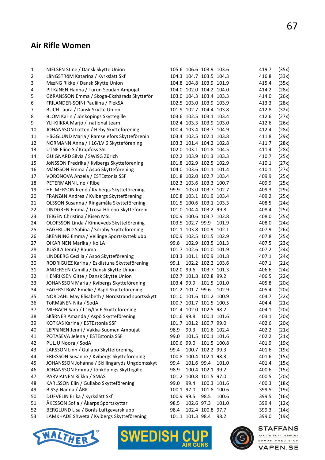#### Air Rifle Women

| 1  | NIELSEN Stine / Dansk Skytte Union                     |            | 105.6 106.6 103.9 103.6 |                   |             | 419.7          | (35x) |
|----|--------------------------------------------------------|------------|-------------------------|-------------------|-------------|----------------|-------|
| 2  | LåNGSTRöM Katarina / Kyrkslätt Skf                     |            | 104.3 104.7 103.5 104.3 |                   |             | 416.8          | (33x) |
| 3  | MæNG Rikke / Dansk Skytte Union                        |            | 104.8 104.8 103.9 101.9 |                   |             | 415.4          | (35x) |
| 4  | PITKäNEN Hanna / Turun Seudan Ampujat                  |            | 104.0 102.0 104.2 104.0 |                   |             | 414.2          | (28x) |
| 5  | GöRANSSON Emma / Skoga-Ekshärads Skytteför             |            | 103.0 104.3 103.4 103.3 |                   |             | 414.0          | (26x) |
| 6  | FRILANDER-SOINI Pauliina / PiekSA                      |            | 102.5 103.0 103.9 103.9 |                   |             | 413.3          | (28x) |
| 7  | BUCH Laura / Dansk Skytte Union                        |            | 101.9 102.7 104.4 103.8 |                   |             | 412.8          | (32x) |
| 8  | BLOM Karin / Jönköpings Skyttegille                    |            | 103.6 102.5 103.1 103.4 |                   |             | 412.6          | (27x) |
| 9  | YLI-KIIKKA Marjo / national team                       |            | 102.4 103.3 103.9 103.0 |                   |             | 412.6          | (26x) |
| 10 | JOHANSSON Lotten / Heby Skytteförening                 |            | 100.4 103.4 103.7 104.9 |                   |             | 412.4          | (28x) |
| 11 | HäGGLUND Maria / Ramselefors Skytteförenin             |            | 103.4 102.5 102.1 103.8 |                   |             | 411.8          | (29x) |
| 12 | NORMANN Anna / I 16/LV 6 Skytteförening                |            | 103.3 101.4 104.2 102.8 |                   |             | 411.7          | (28x) |
| 13 | UTNE Eline S / Krapfoss SSL                            |            | 102.0 103.1 101.8 104.5 |                   |             | 411.4          | (28x) |
| 14 | GUIGNARD Silvia / SWISG Zürich                         |            | 102.2 103.9 101.3 103.3 |                   |             | 410.7          | (25x) |
| 15 | JÖNSSON Fredrika / Kvibergs Skytteförening             |            | 101.8 102.9 102.5 102.9 |                   |             | 410.1          | (27x) |
| 16 | MåNSSON Emma / Aspö Skytteförening                     |            | 104.0 103.6 101.1 101.4 |                   |             | 410.1          | (27x) |
| 17 | VORONOVA Anzela / ESTEstonia SSF                       |            | 101.8 102.0 102.7 103.4 |                   |             | 409.9          | (25x) |
| 18 | PETERMANN Line / Ribe                                  |            | 102.3 103.6 103.3 100.7 |                   |             | 409.9          | (25x) |
| 19 | HELMERSON Irené / Kvibergs Skytteförening              | 99.9       |                         | 103.0 103.7 102.7 |             | 409.3          | (29x) |
| 20 | FRANZéN Andrea / Kvibergs Skytteförening               |            | 100.8 103.1 101.9 103.4 |                   |             | 409.2          | (25x) |
| 21 | OLSSON Susanna / Ringamåla Skytteförening              |            | 101.5 100.6 103.1 103.3 |                   |             | 408.5          | (24x) |
| 22 | LINDGREN Emma / Trosa-Hölebo Skytteföreni              |            | 101.0 104.4 103.2 99.8  |                   |             | 408.4          | (25x) |
| 23 | TEIGEN Christina / Kisen MSL                           |            | 100.9 100.6 103.7 102.8 |                   |             | 408.0          | (25x) |
| 24 | OLOFSSON Linda / Kinneveds Skytteförening              |            | 103.5 102.7 99.9        |                   | 101.9       | 408.0          | (24x) |
| 25 | FAGERLUND Sabina / Söraby Skytteförening               |            | 101.1 103.8 100.9 102.1 |                   |             | 407.9          | (26x) |
| 26 | SKENNING Emma / Vellinge Sportskytteklubb              |            | 100.9 102.5 101.5 102.9 |                   |             | 407.8          | (25x) |
| 27 | OIKARINEN Marika / KoiLA                               | 99.8       |                         | 102.9 103.5 101.3 |             | 407.5          | (23x) |
| 28 | JUSSILA Jenni / Rauma                                  |            | 101.7 102.6 101.0 101.9 |                   |             | 407.2          | (24x) |
| 29 | LINDBERG Cecilia / Aspö Skytteförening                 |            | 103.3 101.1 100.9 101.8 |                   |             | 407.1          | (24x) |
| 30 | RODRIGUEZ Karina / Eskilstuna Skytteförening           | 99.1       |                         | 102.2 102.2 103.6 |             | 407.1          | (21x) |
| 31 | ANDERSEN Camilla / Dansk Skytte Union                  | 102.0 99.6 |                         | 103.7 101.3       |             | 406.6          | (24x) |
| 32 | HENRIKSEN Gitte / Dansk Skytte Union                   |            | 102.7 101.8 102.8 99.2  |                   |             | 406.5          | (22x) |
| 33 | JOHANSSON Maria / Kvibergs Skytteförening              | 103.4 99.9 |                         |                   | 101.5 101.0 | 405.8          | (20x) |
| 34 | FAGERSTRöM Emelie / Aspö Skytteförening                |            | 101.2 101.7 99.6        |                   | 102.9       | 405.4          | (20x) |
| 35 | NORDAHL May Elisabeth / Nordstrand sportsskytt         |            | 101.0 101.6 101.2 100.9 |                   |             | 404.7          | (22x) |
| 36 | TÖRMÄNEN Nita / SodA                                   |            | 100.7 101.7 101.5 100.5 |                   |             | 404.4          | (21x) |
| 37 | MIEBACH Sara / I 16/LV 6 Skytteförening                |            | 101.4 102.0 102.5 98.2  |                   |             | 404.1          | (20x) |
| 38 | SKåRNER Amanda / Aspö Skytteförening                   |            | 101.6 99.8              | 100.1 101.6       |             | 403.1          | (20x) |
|    | KOTKAS Karina / ESTEstonia SSF                         |            | 101.7 101.2 100.7 99.0  |                   |             | 402.6          |       |
| 39 |                                                        |            |                         |                   | 101.6 102.4 |                | (20x) |
| 40 | LEPPäNEN Jenni / Vakka-Suomen Ampujat                  | 98.9       | 99.3                    |                   |             | 402.2<br>402.2 | (21x) |
| 41 | POTASEVA Jelena / ESTEstonia SSF<br>PULJU Noora / SodA | 99.0       |                         | 101.5 100.1 101.6 |             |                | (21x) |
| 42 |                                                        | 100.6 99.0 |                         | 101.5 100.8       |             | 401.9          | (19x) |
| 43 | LARSSON Linn / Gullabo Skytteförening                  | 99.4       |                         | 100.7 102.2 99.3  |             | 401.6          | (19x) |
| 44 | ERIKSSON Susanne / Kvibergs Skytteförening             |            | 100.8 100.4 102.1 98.3  |                   |             | 401.6          | (15x) |
| 45 | JOHANSSON Johanna / Skillingaryds Ungdomsskyt          | 99.4       | 101.6 99.4              |                   | 101.0       | 401.4          | (15x) |
| 46 | JOHANSSON Emma / Jönköpings Skyttegille                | 98.9       |                         | 100.4 102.1 99.2  |             | 400.6          | (15x) |
| 47 | PARVIAINEN Riikka / SMAS                               |            | 101.2 100.8 101.5 97.0  |                   |             | 400.5          | (20x) |
| 48 | KARLSSON Elin / Gullabo Skytteförening                 | 99.0       | 99.4                    | 100.3 101.6       |             | 400.3          | (18x) |
| 49 | BISSø Nanna / ÅRK                                      | 100.1 97.0 |                         | 101.8 100.6       |             | 399.5          | (19x) |
| 50 | DUFVELIN Erika / Kyrkslätt Skf                         | 100.9 99.5 |                         | 98.5              | 100.6       | 399.5          | (16x) |
| 51 | ÅKESSON Sofia / Åkarps Sportskyttar                    | 98.5       | 102.6 97.3              |                   | 101.0       | 399.4          | (12x) |
| 52 | BERGLUND Lisa / Borås Luftgevärsklubb                  | 98.4       |                         | 102.4 100.8 97.7  |             | 399.3          | (14x) |
| 53 | LAMKHADE Shweta / Kvibergs Skytteförening              |            | 101.1 101.3 98.4        |                   | 98.2        | 399.0          | (19x) |







JAKT & SKYTTESPORT EDMAN PRECISION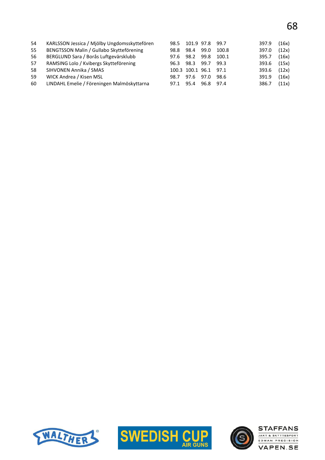| 54 | KARLSSON Jessica / Mjölby Ungdomsskyttefören | 98.5 |                       | 101.9 97.8 99.7 |       | 397.9 | (16x) |
|----|----------------------------------------------|------|-----------------------|-----------------|-------|-------|-------|
| 55 | BENGTSSON Malin / Gullabo Skytteförening     | 98.8 | 98.4                  | 99.0            | 100.8 | 397.0 | (12x) |
| 56 | BERGLUND Sara / Borås Luftgevärsklubb        | 97.6 | 98.2                  | 99.8            | 100.1 | 395.7 | (16x) |
| 57 | RAMSING Lolo / Kvibergs Skytteförening       | 96.3 | 98.3 99.7             |                 | 99.3  | 393.6 | (15x) |
| 58 | SIHVONEN Annika / SMAS                       |      | 100.3 100.1 96.1 97.1 |                 |       | 393.6 | (12x) |
| 59 | WICK Andrea / Kisen MSL                      | 98.7 | 97.6                  | 97.0            | 98.6  | 391.9 | (16x) |
| 60 | LINDAHL Emelie / Föreningen Malmöskyttarna   | 97.1 | 95.4                  | 96.8 97.4       |       | 386.7 | (11x) |





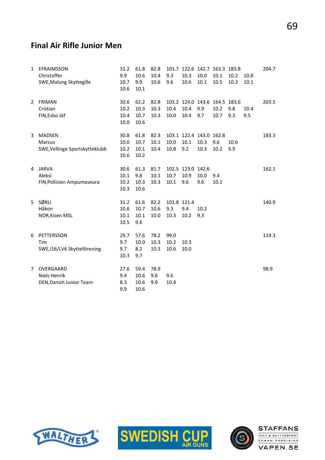## Final Air Rifle Junior Men

| 1              | <b>EFRAIMSSON</b><br>Christoffer                          | 31.2<br>9.9                  | 61.8<br>10.6                 | 82.8<br>10.4         | 9.3                        | 10.3                             | 101.7 122.6 142.7 163.3 183.8<br>10.0   | 10.1        | 10.2        | 10.8 | 204.7 |
|----------------|-----------------------------------------------------------|------------------------------|------------------------------|----------------------|----------------------------|----------------------------------|-----------------------------------------|-------------|-------------|------|-------|
|                | SWE, Malung Skyttegille                                   | 10.7<br>10.6                 | 9.9<br>10.1                  | 10.6                 | 9.6                        | 10.6                             | 10.1                                    | 10.5        | 10.3        | 10.1 |       |
| 2              | <b>FRIMAN</b><br>Cristian                                 | 30.6<br>10.2                 | 62.2<br>10.3                 | 82.8<br>10.3         | 10.4                       | 10.4                             | 103.2 124.0 143.6 164.5 183.6<br>9.9    | 10.2        | 9.8         | 10.4 | 203.5 |
|                | FIN, Esbo skf                                             | 10.4<br>10.0                 | 10.7<br>10.6                 | 10.3                 | 10.0                       | 10.4                             | 9.7                                     | 10.7        | 9.3         | 9.5  |       |
| 3              | <b>MADSEN</b><br>Marcus<br>SWE, Vellinge Sportskytteklubb | 30.8<br>10.0<br>10.2<br>10.6 | 61.8<br>10.7<br>10.1<br>10.2 | 82.3<br>10.1<br>10.4 | 10.0<br>10.8               | 10.1<br>9.2                      | 103.1 122.4 143.0 162.8<br>10.3<br>10.3 | 9.6<br>10.2 | 10.6<br>9.9 |      | 183.3 |
| 4              | <b>JARVA</b><br>Aleksi<br>FIN, Poliisien Ampumaseura      | 30.6<br>10.1<br>10.2<br>10.3 | 61.3<br>9.8<br>10.3<br>10.6  | 81.7<br>10.1<br>10.3 | 10.7<br>10.1               | 102.5 123.0 142.6<br>10.9<br>9.6 | 10.0<br>9.6                             | 9.4<br>10.1 |             |      | 162.1 |
| 5              | SØRLI<br>Håkon<br>NOR, Kisen MSL                          | 31.2<br>10.6<br>10.1<br>10.5 | 61.6<br>10.7<br>10.1<br>9.6  | 82.2<br>10.6<br>10.0 | 101.8 121.4<br>9.3<br>10.3 | 9.4<br>10.2                      | 10.2<br>9.3                             |             |             |      | 140.9 |
| 6              | PETTERSSON<br>Tim<br>SWE, 116/LV6 Skytteförening          | 29.7<br>9.7<br>9.7<br>10.3   | 57.6<br>10.0<br>8.2<br>9.7   | 78.2<br>10.3<br>10.3 | 99.0<br>10.2<br>10.6       | 10.3<br>10.0                     |                                         |             |             |      | 119.3 |
| $\overline{7}$ | OVERGAARD<br>Niels Henrik<br>DEN, Danish Junior Team      | 27.6<br>9.4<br>8.3<br>9.9    | 59.4<br>10.6<br>10.6<br>10.6 | 78.9<br>9.6<br>9.9   | 9.6<br>10.4                |                                  |                                         |             |             |      | 98.9  |





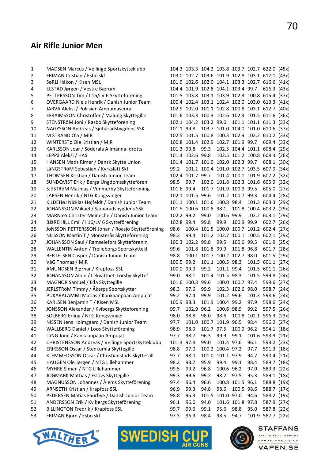# 

**STAFFANS** 

JAKT & SKYTTESPORT EDMAN PRECISION

**VAPEN.SE** 

# Air Rifle Junior Men

| 1  | MADSEN Marcus / Vellinge Sportskytteklubb          |            |                              |                        |                  |                                    | 104.3 103.3 104.2 103.8 103.7 102.7 622.0 (45x) |                   |  |
|----|----------------------------------------------------|------------|------------------------------|------------------------|------------------|------------------------------------|-------------------------------------------------|-------------------|--|
| 2  | FRIMAN Cristian / Esbo skf                         |            |                              |                        |                  |                                    | 103.0 102.7 103.6 101.9 102.8 103.1 617.1 (43x) |                   |  |
| 3  | SøRLI Håkon / Kisen MSL                            |            |                              |                        |                  |                                    | 101.9 102.6 102.0 104.1 103.3 102.7 616.6 (41x) |                   |  |
| 4  | ELSTAD Jørgen / Vestre Bærum                       |            |                              |                        |                  | 104.4 101.9 102.8 104.1 103.4 99.7 |                                                 | $616.3$ (43x)     |  |
| 5  | PETTERSSON Tim / I 16/LV 6 Skytteförening          |            |                              |                        |                  |                                    | 101.5 103.8 103.1 103.9 102.3 100.8 615.4 (37x) |                   |  |
| 6  | <b>OVERGAARD Niels Henrik / Danish Junior Team</b> |            |                              |                        |                  |                                    | 100.4 102.4 103.1 102.4 102.0 103.0 613.3 (41x) |                   |  |
| 7  | JARVA Aleksi / Poliisien Ampumaseura               |            |                              |                        |                  |                                    | 102.9 102.0 101.1 102.8 100.8 103.1 612.7 (40x) |                   |  |
| 8  | EFRAIMSSON Christoffer / Malung Skyttegille        |            |                              |                        |                  |                                    | 101.6 103.3 100.3 102.6 102.3 101.5 611.6 (36x) |                   |  |
| 9  | STENSTRöM Joni / Rasbo Skytteförening              |            | 102.1 104.2 103.2 99.6       |                        |                  |                                    | 101.1 101.1 611.3 (33x)                         |                   |  |
| 10 | NAGYSSON Andreas / Sjuhäradsbygdens SSK            | 101.1 99.8 |                              |                        |                  |                                    | 103.7 101.0 104.0 101.0 610.6 (37x)             |                   |  |
| 11 | M STRAND Ola / MIR                                 |            |                              |                        |                  |                                    | 102.5 101.5 100.8 100.3 102.9 102.2 610.2 (33x) |                   |  |
| 12 | WINTERSTø Ole Kristian / MIR                       |            |                              |                        |                  | 100.8 101.4 102.9 102.7 101.9 99.7 |                                                 | 609.4 (33x)       |  |
| 13 | KARLSSON Joar / Söderala Allmänna Idrotts          | 101.3 99.8 |                              | 99.3                   |                  |                                    | 102.5 104.4 101.1 608.4 (29x)                   |                   |  |
| 14 | LEPPä Aleksi / HAS                                 |            | 101.4 102.6 99.8             |                        |                  |                                    | 102.5 101.2 100.8 608.3 (26x)                   |                   |  |
| 15 | HANSEN Mads Rimer / Dansk Skytte Union             |            |                              |                        |                  | 101.4 101.7 101.0 102.0 102.3 99.7 |                                                 | 608.1 (30x)       |  |
| 16 | LåNGSTRöM Sebastian / Kyrkslätt Skf                | 99.2       |                              |                        |                  |                                    | 101.1 100.4 101.0 102.7 103.5 607.9 (34x)       |                   |  |
| 17 | THOMSEN Kristian / Danish Junior Team              |            | 102.4 101.7 99.7             |                        |                  |                                    | 101.4 100.1 101.9 607.2 (32x)                   |                   |  |
| 18 | SUNDQVIST Erik / Berga Ungdomsskytteföreni         | 98.5       | 99.7                         |                        |                  |                                    | 102.0 101.8 102.3 101.6 605.9 (32x)             |                   |  |
| 19 | SJÖSTRÖM Mathias / Vimmerby Skytteförening         | 101.6 99.4 |                              |                        |                  | 101.7 101.9 100.9 99.5             |                                                 | 605.0 (27x)       |  |
| 20 | LARSEN Henrik / NTG Kongsvinger                    |            | 102.1 101.5 99.6             |                        |                  | 101.2 100.7 99.3                   |                                                 | 604.4 (28x)       |  |
| 21 | KILDEHøJ Nicklas Højfeldt / Danish Junior Team     |            | 101.1 100.1 101.6 100.8 98.4 |                        |                  |                                    |                                                 | 101.3 603.3 (29x) |  |
| 22 | JOHANSSON Mikael / Sjuhäradsbygdens SSK            |            | 101.5 100.6 100.8 98.1       |                        |                  |                                    | 101.8 100.4 603.2 (29x)                         |                   |  |
| 23 | MARNæS Christer Meineche / Danish Junior Team      | 102.2 99.2 |                              | 99.0                   | 100.6 99.9       |                                    |                                                 | 102.2 603.1 (29x) |  |
| 24 | BJäREHäLL Emil / I 16/LV 6 Skytteförening          | 102.8 99.4 |                              | 99.8                   | 99.9             | 100.9 99.9                         |                                                 | 602.7 (26x)       |  |
| 25 | JÖNSSON PETTERSSON Johan / Roasjö Skytteförening   | 98.6       |                              |                        |                  |                                    | 100.4 101.5 100.0 100.7 101.2 602.4 (27x)       |                   |  |
| 26 | NILSSON Martin T / Mönsterås Skytteförening        | 98.2       | 99.4                         |                        |                  |                                    | 101.2 102.7 100.1 100.5 602.1 (29x)             |                   |  |
| 27 | JOHANSSON Saul / Ramselefors Skytteförenin         | 100.3      | 102.2 99.8                   |                        | 99.5             | 100.6 99.5                         |                                                 | 601.9 (25x)       |  |
| 28 | WALLENTIN Anton / Trelleborgs Sportskyttekl        | 99.6       |                              | 101.8 101.8 99.9       |                  | 101.8 96.8                         |                                                 | 601.7 (28x)       |  |
| 29 | BERTELSEN Casper / Danish Junior Team              | 98.8       |                              |                        |                  | 100.1 101.7 100.2 102.7 98.0       |                                                 | 601.5 (29x)       |  |
| 30 | VåG Thomas / MIR                                   | 100.5 99.2 |                              |                        | 101.1 100.5 98.3 |                                    |                                                 | 101.5 601.1 (27x) |  |
| 31 | AMUNDSEN Bjørnar / Krapfoss SSL                    | 100.0 99.9 |                              | 99.2                   | 101.1 99.4       |                                    |                                                 | 101.5 601.1 (26x) |  |
| 32 | JOHANSSON Albin / Lekvattnet-Torsby Skyttef        | 99.0       | 98.1                         |                        | 101.4 101.5 98.3 |                                    |                                                 | 101.5 599.8 (24x) |  |
| 33 | MAGNOR Samuel / Eda Skyttegille                    |            | 101.6 100.3 99.6             |                        |                  | 100.0 100.7 97.4                   |                                                 | 599.6 (27x)       |  |
| 34 | JERLSTRöM Timmy / Åkarps Sportskyttar              | 98.3       | 97.6                         | 99.9                   |                  | 102.3 102.6 98.0                   |                                                 | 598.7 (24x)       |  |
| 35 | PUKARALAMMI Matias / Kankaanpään Ampujat           | 99.2       | 97.4                         | 99.9                   | 101.2 99.6       |                                    |                                                 | 101.3 598.6 (24x) |  |
| 36 | KARLSEN Benjamin T / Kisen MSL                     | 100.9 98.3 |                              |                        | 101.9 100.4 99.2 |                                    | 97.9                                            | 598.6 (24x)       |  |
| 37 | JONSSON Alexander / Kvibergs Skytteförening        | 99.7       | 102.9 96.2                   |                        | 100.6 98.9       |                                    | 99.2                                            | 597.5 (26x)       |  |
| 38 | SOLBERG Erling / NTG Kongsvinger                   | 98.0       | 98.8                         | 98.0                   | 98.6             |                                    | 100.8 102.1 596.3 (23x)                         |                   |  |
| 39 | NISSEN Jens Holmgaard / Danish Junior Team         | 97.7       |                              | 101.0 100.7 101.9 96.5 |                  |                                    | 98.4                                            | 596.2 (27x)       |  |
| 40 | WALLBERG Daniel / Loos Skytteförening              | 98.9       | 98.9                         | 101.7 97.5             |                  | 100.9 96.2                         |                                                 | 594.1 (18x)       |  |
| 41 | LåNG Jone / Kankaanpään Ampujat                    | 97.7       | 98.7                         | 96.3                   | 99.9             | 99.1                               |                                                 | 101.6 593.3 (21x) |  |
| 42 | CHRISTENSSON Andreas / Vellinge Sportskytteklubb   | 101.3      | 97.8                         | 99.0                   | 101.4 97.6       |                                    | 96.1                                            | 593.2 (23x)       |  |
| 43 | ERIKSSON Oscar / Stenkumla Skyttegille             | 98.8       | 97.0                         |                        | 100.2 100.4 97.2 |                                    | 97.7                                            | 591.3 (18x)       |  |
| 44 | KLEMMEDSSON Oscar / Christianstads Skyttesäll      | 97.7       | 98.0                         |                        | 101.0 101.1 97.9 |                                    | 94.7                                            | 590.4 (21x)       |  |
| 45 | HAUGEN Ole Jørgen / NTG Lillehammer                | 98.2       | 98.7                         | 95.9                   | 99.4             | 99.1                               | 98.4                                            | 589.7 (18x)       |  |
| 46 | MYHRE Simen / NTG Lillehammer                      | 99.5       | 99.2                         | 96.8                   | 100.6 96.2       |                                    | 97.0                                            | 589.3 (22x)       |  |
| 47 | JOGMARK Mattias / Eslövs Skyttegille               | 99.3       | 99.6                         | 99.2                   | 98.2             | 97.5                               | 95.3                                            | 589.1 (18x)       |  |
| 48 | MAGNUSSON Johannes / Ålems Skytteförening          | 97.4       | 96.4                         | 96.6                   |                  | 100.8 101.5 96.1                   |                                                 | 588.8 (19x)       |  |
| 49 | <b>ARNSETH Kristian / Krapfoss SSL</b>             | 96.9       | 99.3                         | 94.8                   | 98.6             | 100.5 98.6                         |                                                 | 588.7 (17x)       |  |
| 50 | PEDERSEN Matias Faurbye / Danish Junior Team       | 98.8       | 95.3                         |                        | 101.5 101.0 97.0 |                                    | 94.6                                            | 588.2 (19x)       |  |
| 51 | ANDERSSON Erik / Kvibergs Skytteförening           | 96.1       | 96.6                         | 94.0                   |                  | 101.6 101.8 97.8                   |                                                 | 587.9 (27x)       |  |
| 52 | <b>BILLINGTON Fredrik / Krapfoss SSL</b>           | 99.7       | 99.6                         | 99.1                   | 95.6             | 98.8                               | 95.0                                            | 587.8 (22x)       |  |
| 53 | FRIMAN Björn / Esbo skf                            | 97.3       | 96.9                         | 98.4                   | 98.5             | 94.7                               |                                                 | 101.9 587.7 (22x) |  |
|    |                                                    |            |                              |                        |                  |                                    |                                                 |                   |  |



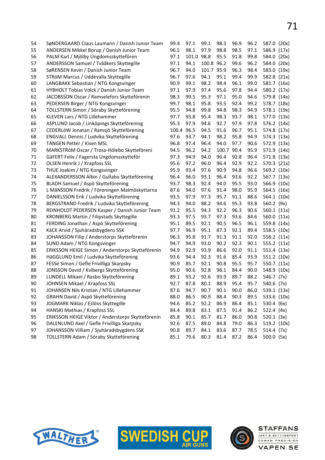| 54 | SøNDERGAARD Claus Laumann / Danish Junior Team    | 99.4  | 97.1       | 99.1       | 98.3       | 96.9 | 96.2 | 587.0 (20x)    |  |
|----|---------------------------------------------------|-------|------------|------------|------------|------|------|----------------|--|
| 55 | ANDERSEN Mikkel Borup / Danish Junior Team        | 96.5  | 98.1       | 97.9       | 98.8       | 98.5 | 97.1 | 586.9 (17x)    |  |
| 56 | PALM Karl / Mjölby Ungdomsskyttefören             | 97.1  | 101.0 98.8 |            | 95.5       | 91.8 | 99.8 | 584.0 (20x)    |  |
| 57 | ANDERSSON Samuel / Tvååkers Skyttegille           | 97.1  | 94.1       | 100.8 96.2 |            | 99.6 | 96.2 | 584.0 (20x)    |  |
| 58 | SøRENSEN Kevin / Danish Junior Team               | 96.7  | 94.0       | 101.7 95.9 |            | 96.3 | 98.4 | 583.0 (19x)    |  |
| 59 | STRÖM Marcus / Uddevalla Skyttegille              | 96.7  | 97.6       | 94.1       | 95.1       | 99.4 | 99.9 | 582.8 (21x)    |  |
| 60 | LANGBAKK Sebastian / NTG Kongsvinger              | 90.9  | 99.1       | 98.2       | 98.4       | 96.1 | 99.0 | 581.7 (16x)    |  |
| 61 | HYBHOLT Tobias Volck / Danish Junior Team         | 97.1  | 97.9       | 97.4       | 95.6       | 97.8 | 94.4 | 580.2 (17x)    |  |
| 62 | JACOBSSON Oscar / Ramselefors Skytteförenin       | 98.3  | 99.5       | 95.3       | 97.1       | 95.0 | 94.6 | 579.8 (14x)    |  |
| 63 | PEDERSEN Birger / NTG Kongsvinger                 | 99.7  | 98.1       | 95.8       | 93.5       | 92.4 | 99.2 | 578.7 (18x)    |  |
| 64 | TOLLSTERN Simon / Söraby Skytteförening           | 95.5  | 94.8       | 99.8       | 94.8       | 98.3 | 94.9 | 578.1 (19x)    |  |
| 65 | KLEVEN Lars / NTG Lillehammer                     | 97.7  | 93.8       | 95.4       | 98.3       | 93.7 | 98.1 | 577.0 (13x)    |  |
| 66 | ASPLUND Jacob / Linköpings Skytteförening         | 95.3  | 97.9       | 94.6       | 92.7       | 97.9 | 97.8 | 576.2 (14x)    |  |
| 67 | CEDERLÖW Jonatan / Ramsjö Skytteförening          | 100.4 | 96.5       | 94.5       | 91.6       | 96.7 | 95.1 | 574.8 (17x)    |  |
| 68 | ENGVALL Dennis / Ludvika Skytteförening           | 97.6  | 93.7       | 94.1       | 98.2       | 95.8 | 94.9 | 574.3 (13x)    |  |
| 69 | TANGEN Petter / Kisen MSL                         | 96.8  | 97.4       | 96.4       | 94.0       | 97.7 | 90.6 | 572.9 (13x)    |  |
| 70 | MARKSTRöM Oscar / Trosa-Hölebo Skytteföreni       | 94.5  | 96.2       | 94.2       | 100.7 90.4 |      | 95.9 | 571.9 (14x)    |  |
| 71 | GäFERT Felix / Fagersta Ungdomsskytteför          | 97.3  | 94.9       | 94.0       | 96.4       | 92.8 | 96.4 | 571.8 (13x)    |  |
| 72 | OLSEN Henrik J / Krapfoss SSL                     | 95.6  | 97.2       | 96.0       | 96.4       | 92.9 | 92.2 | 570.3 (21x)    |  |
| 73 | THUE Joakim / NTG Kongsvinger                     | 95.9  | 93.4       | 97.6       | 90.9       | 94.8 | 96.6 | 569.2 (10x)    |  |
| 74 | ALEXANDERSSON Albin / Gullabo Skytteförening      | 96.4  | 96.0       | 93.1       | 96.4       | 93.6 | 92.2 | 567.7 (13x)    |  |
| 75 | BLADH Samuel / Aspö Skytteförening                | 93.7  | 98.3       | 92.4       | 94.0       | 95.5 | 93.0 | 566.9 (10x)    |  |
| 76 | L MåNSSON Fredrik / Föreningen Malmöskyttarna     | 87.6  | 94.0       | 97.6       | 91.4       | 98.0 | 95.9 | 564.5 (16x)    |  |
| 77 | DANIELSSON Erik / Ludvika Skytteförening          | 93.5  | 97.9       | 97.3       | 95.7       | 91.1 | 88.6 | 564.1 (10x)    |  |
| 78 | BERGSTRAND Fredrik / Ludvika Skytteförening       | 94.3  | 94.0       | 88.2       | 94.6       | 95.3 | 93.8 | 560.2 (9x)     |  |
| 79 | REINHOLDT PEDERSEN Kasper / Danish Junior Team    | 91.2  | 95.5       | 94.3       | 92.2       | 96.3 | 90.6 | 560.1 (11x)    |  |
| 80 | <b>KRONBERG Martin / Filipstads Skyttegille</b>   | 93.3  | 97.5       | 93.7       | 97.3       | 93.6 | 84.6 | 560.0 (11x)    |  |
| 81 | FERDING Jonathan / Aspö Skytteförening            | 95.1  | 89.5       | 92.1       | 90.5       | 96.5 | 96.1 | 559.8 (14x)    |  |
| 82 | KäCK Arvid / Sjuhäradsbygdens SSK                 | 97.7  | 96.9       | 95.1       | 87.3       | 92.1 | 89.4 | 558.5 (10x)    |  |
| 83 | JOHANSSON Filip / Anderstorps Skytteförenin       | 96.3  | 95.8       | 91.7       | 91.3       | 91.1 | 92.0 | 558.2 (11x)    |  |
| 84 | SUND Adam / NTG Kongsvinger                       | 94.7  | 94.9       | 93.0       | 90.2       | 92.3 | 90.1 | 555.2 (11x)    |  |
| 85 | ERIKSSON HEIGE Simon / Anderstorps Skytteförenin  | 94.9  | 92.9       | 93.9       | 86.6       | 92.0 | 91.1 | 551.4 (13x)    |  |
| 86 | HäGGLUND Emil / Ludvika Skytteförening            | 93.6  | 94.4       | 92.3       | 91.6       | 85.4 | 93.9 | 551.2 (10x)    |  |
| 87 | FESSé Simon / Gefle Frivilliga Skarpsky           | 90.9  | 85.7       | 92.1       | 90.8       | 95.5 | 95.7 | 550.7 (11x)    |  |
| 88 | JONSSON David / Kvibergs Skytteförening           | 95.0  | 90.6       | 92.8       | 96.1       | 84.4 | 90.0 | 548.9 (10x)    |  |
| 89 | LUNDELL Mikael / Rasbo Skytteförening             | 89.1  | 93.2       | 92.6       | 93.9       | 89.7 | 88.2 | 546.7 (7x)     |  |
| 90 | JOHNSEN Mikael / Krapfoss SSL                     | 92.7  | 87.8       | 80.1       | 88.9       | 95.4 | 95.7 | 540.6 (7x)     |  |
| 91 | JOHANSEN Nils Kristian / NTG Lillehammer          | 87.6  | 94.7       | 90.7       | 90.1       | 90.0 | 86.0 | 539.1 (13x)    |  |
| 92 | GRAHN David / Aspö Skytteförening                 | 88.0  | 86.5       | 90.9       | 88.4       | 90.3 | 89.5 | 533.6 (10x)    |  |
| 93 | JOGMARK Niklas / Eslövs Skyttegille               | 94.6  | 85.2       | 92.2       | 86.9       | 86.4 | 85.1 | 530.4 (6x)     |  |
| 94 | HANSKI Mathias / Krapfoss SSL                     | 84.4  | 89.8       | 83.1       | 87.5       | 91.4 | 86.2 | 522.4 $(4x)$   |  |
| 95 | ERIKSSON HEIGE Viktor / Anderstorps Skytteförenin | 85.8  | 90.1       | 85.7       | 81.7       | 86.0 | 90.8 | $520.1$ $(3x)$ |  |
| 96 | DALENLUND Axel / Gefle Frivilliga Skarpsky        | 92.6  | 87.5       | 89.0       | 84.8       | 79.0 | 86.3 | 519.2 (10x)    |  |
| 97 | JOHANSSON Villiam / Sjuhäradsbygdens SSK          | 90.8  | 89.7       | 84.1       | 83.6       | 87.7 | 78.5 | 514.4 (7x)     |  |
| 98 | TOLLSTERN Adam / Söraby Skytteförening            | 85.1  | 79.6       | 80.3       | 81.4       | 87.2 | 86.4 | 500.0 (5x)     |  |





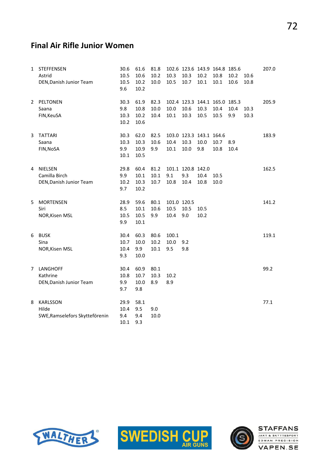# Final Air Rifle Junior Women

| 1 | <b>STEFFENSEN</b><br>Astrid<br>DEN, Danish Junior Team     | 30.6<br>10.5<br>10.5<br>9.6 | 61.6<br>10.6<br>$10.2\,$<br>10.2 | 81.8<br>10.2<br>10.0 | 10.3<br>10.5                | 10.3<br>10.7                     | 102.6 123.6 143.9 164.8 185.6<br>10.2<br>10.1 | 10.8<br>10.1 | 10.2<br>10.6 | 10.6<br>10.8 | 207.0 |
|---|------------------------------------------------------------|-----------------------------|----------------------------------|----------------------|-----------------------------|----------------------------------|-----------------------------------------------|--------------|--------------|--------------|-------|
| 2 | PELTONEN<br>Saana<br>FIN, KeuSA                            | 30.3<br>9.8<br>10.3<br>10.2 | 61.9<br>10.8<br>10.2<br>10.6     | 82.3<br>10.0<br>10.4 | 10.0<br>10.1                | 10.6<br>10.3                     | 102.4 123.3 144.1 165.0 185.3<br>10.3<br>10.5 | 10.4<br>10.5 | 10.4<br>9.9  | 10.3<br>10.3 | 205.9 |
| 3 | <b>TATTARI</b><br>Saana<br>FIN, NoSA                       | 30.3<br>10.3<br>9.9<br>10.1 | 62.0<br>10.3<br>10.9<br>10.5     | 82.5<br>10.6<br>9.9  | 10.4<br>10.1                | 10.3<br>10.0                     | 103.0 123.3 143.1 164.6<br>10.0<br>9.8        | 10.7<br>10.8 | 8.9<br>10.4  |              | 183.9 |
| 4 | <b>NIELSEN</b><br>Camilla Birch<br>DEN, Danish Junior Team | 29.8<br>9.9<br>10.2<br>9.7  | 60.4<br>10.1<br>10.3<br>10.2     | 81.2<br>10.1<br>10.7 | 9.1<br>10.8                 | 101.1 120.8 142.0<br>9.3<br>10.4 | 10.4<br>10.8                                  | 10.5<br>10.0 |              |              | 162.5 |
| 5 | <b>MORTENSEN</b><br>Siri<br>NOR, Kisen MSL                 | 28.9<br>8.5<br>10.5<br>9.9  | 59.6<br>10.1<br>10.5<br>10.1     | 80.1<br>10.6<br>9.9  | 101.0 120.5<br>10.5<br>10.4 | 10.5<br>9.0                      | 10.5<br>10.2                                  |              |              |              | 141.2 |
| 6 | <b>BUSK</b><br>Sina<br>NOR, Kisen MSL                      | 30.4<br>10.7<br>10.4<br>9.3 | 60.3<br>10.0<br>9.9<br>10.0      | 80.6<br>10.2<br>10.1 | 100.1<br>10.0<br>9.5        | 9.2<br>9.8                       |                                               |              |              |              | 119.1 |
| 7 | LANGHOFF<br>Kathrine<br>DEN, Danish Junior Team            | 30.4<br>10.8<br>9.9<br>9.7  | 60.9<br>10.7<br>10.0<br>9.8      | 80.1<br>10.3<br>8.9  | 10.2<br>8.9                 |                                  |                                               |              |              |              | 99.2  |
| 8 | KARLSSON<br>Hilde<br>SWE, Ramselefors Skytteförenin        | 29.9<br>10.4<br>9.4<br>10.1 | 58.1<br>9.5<br>9.4<br>9.3        | 9.0<br>10.0          |                             |                                  |                                               |              |              |              | 77.1  |





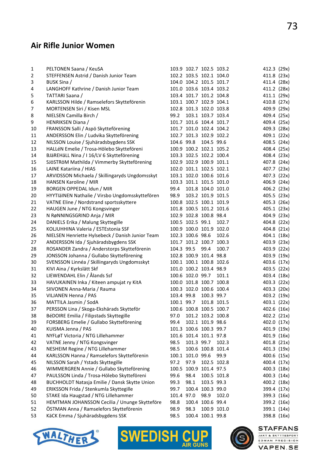#### Air Rifle Junior Women

| 1  | PELTONEN Saana / KeuSA                           |            | 103.9 102.7 102.5 103.2 |                   |             | 412.3 (29x) |  |
|----|--------------------------------------------------|------------|-------------------------|-------------------|-------------|-------------|--|
| 2  | STEFFENSEN Astrid / Danish Junior Team           |            | 102.2 103.5 102.1 104.0 |                   |             | 411.8 (23x) |  |
| 3  | BUSK Sina /                                      |            | 104.0 104.2 101.5 101.7 |                   |             | 411.4 (28x) |  |
| 4  | LANGHOFF Kathrine / Danish Junior Team           |            | 101.0 103.6 103.4 103.2 |                   |             | 411.2 (28x) |  |
| 5  | TATTARI Saana /                                  |            | 103.4 101.7 101.2 104.8 |                   |             | 411.1 (29x) |  |
| 6  | KARLSSON Hilde / Ramselefors Skytteförenin       |            | 103.1 100.7 102.9 104.1 |                   |             | 410.8 (27x) |  |
| 7  | MORTENSEN Siri / Kisen MSL                       |            | 102.8 101.3 102.0 103.8 |                   |             | 409.9 (29x) |  |
| 8  | NIELSEN Camilla Birch /                          | 99.2       |                         | 103.1 103.7 103.4 |             | 409.4 (25x) |  |
| 9  | HENRIKSEN Diana /                                |            | 101.7 101.6 104.4 101.7 |                   |             | 409.4 (25x) |  |
| 10 | FRANSSON Salli / Aspö Skytteförening             |            | 101.7 101.0 102.4 104.2 |                   |             | 409.3 (28x) |  |
| 11 | ANDERSSON Elin / Ludvika Skytteförening          |            | 102.7 101.3 102.9 102.2 |                   |             | 409.1 (22x) |  |
| 12 | NILSSON Louise / Sjuhäradsbygdens SSK            |            | 104.6 99.8 104.5 99.6   |                   |             | 408.5 (24x) |  |
| 13 | HALLéN Emelie / Trosa-Hölebo Skytteföreni        |            | 100.9 100.2 102.1 105.2 |                   |             | 408.4 (25x) |  |
| 14 | BJäREHäLL Nina / I 16/LV 6 Skytteförening        |            | 103.3 102.5 102.2 100.4 |                   |             | 408.4 (23x) |  |
| 15 | SJÖSTRÖM Mathilda / Vimmerby Skytteförening      |            | 102.9 102.9 100.9 101.1 |                   |             | 407.8 (24x) |  |
| 16 | LAINE Katariina / HIAS                           |            | 102.0 101.1 102.5 102.1 |                   |             | 407.7 (23x) |  |
| 17 | ARVIDSSON Michaela / Skillingaryds Ungdomsskyt   |            | 103.1 102.0 100.6 101.6 |                   |             | 407.3 (22x) |  |
| 18 | HANSEN Karoline / MIR                            |            | 103.3 101.1 101.5 101.0 |                   |             | 406.9 (24x) |  |
| 19 | BORGEN OPPEDAL Idun / MIR                        | 99.4       |                         | 101.8 104.0 101.0 |             | 406.2 (23x) |  |
| 20 | HYYTIäINEN Nathalie / Virsbo Ungdomsskyttefören  | 98.9       |                         | 103.2 101.9 101.5 |             | 405.5 (23x) |  |
| 21 | VATNE Eline / Nordstrand sportsskyttere          |            | 100.8 102.5 100.1 101.9 |                   |             | 405.3 (26x) |  |
| 22 | HAUGEN June / NTG Kongsvinger                    |            | 101.8 100.5 101.2 101.6 |                   |             | 405.1 (23x) |  |
| 23 | N RøNNINGSGRIND Anja / MIR                       |            | 102.9 102.8 100.8 98.4  |                   |             | 404.9 (23x) |  |
| 24 | DANIELS Erika / Malung Skyttegille               |            | 100.5 102.5 99.1        |                   | 102.7       | 404.8 (22x) |  |
| 25 | KOLJUHHINA Valeria / ESTEstonia SSF              |            | 100.9 100.0 101.9 102.0 |                   |             | 404.8 (21x) |  |
| 26 | NIELSEN Henriette Hylsebeck / Danish Junior Team |            | 102.3 100.6 98.6        |                   | 102.6       | 404.1 (18x) |  |
| 27 | ANDERSSON Ida / Sjuhäradsbygdens SSK             |            | 101.7 101.2 100.7 100.3 |                   |             | 403.9 (23x) |  |
| 28 | ROSANDER Zandra / Anderstorps Skytteförenin      |            | 104.3 99.5 99.4         |                   | 100.7       | 403.9 (22x) |  |
| 29 | JONSSON Johanna / Gullabo Skytteförening         |            | 102.8 100.9 101.4 98.8  |                   |             | 403.9 (19x) |  |
| 30 | SVENSSON Linnéa / Skillingaryds Ungdomsskyt      |            | 100.1 100.1 100.8 102.6 |                   |             | 403.6 (17x) |  |
| 31 | KIVI Aina / Kyrkslätt Skf                        |            | 101.0 100.2 103.4 98.9  |                   |             | 403.5 (22x) |  |
| 32 | LIEWENDAHL Elin / Ålands Ssf                     |            | 100.6 102.0 99.7        |                   | 101.1       | 403.4 (18x) |  |
| 33 | HAVUKAINEN Inka / Kiteen ampujat ry KitA         |            | 100.0 101.8 100.7 100.8 |                   |             | 403.3 (22x) |  |
| 34 | SIIVONEN Anna-Maria / Rauma                      |            | 100.3 102.0 100.6 100.4 |                   |             | 403.3 (20x) |  |
| 35 | VILJANEN Henna / PAS                             |            | 103.4 99.8              | 100.3 99.7        |             | 403.2 (19x) |  |
| 36 | MATTILA Jasmin / SodA                            |            | 100.1 99.7              | 101.8 101.5       |             | 403.1 (22x) |  |
| 37 | PERSSON Lina / Skoga-Ekshärads Skytteför         |            | 100.6 100.8 100.5 100.7 |                   |             | 402.6 (16x) |  |
| 38 | BéDOIRE Emilia / Filipstads Skyttegille          | 97.0       |                         | 101.2 103.2 100.8 |             | 402.2 (21x) |  |
| 39 | FORSBERG Emelie / Gullabo Skytteförening         | 99.4       |                         | 102.1 101.9 98.6  |             | 402.0 (17x) |  |
| 40 | KUISMA Jenna / PAS                               |            | 101.3 100.6 100.3 99.7  |                   |             | 401.9 (19x) |  |
| 41 | NYFLøT Victoria / NTG Lillehammer                |            | 101.6 101.4 101.1 97.8  |                   |             | 401.9 (16x) |  |
| 42 | VATNE Jenny / NTG Kongsvinger                    | 98.5       | 101.3 99.7              |                   | 102.3       | 401.8 (21x) |  |
| 43 | NESHEIM Regine / NTG Lillehammer                 | 98.5       |                         | 100.6 100.8 101.4 |             | 401.3 (19x) |  |
| 44 | KARLSSON Hanna / Ramselefors Skytteförenin       |            | 100.1 101.0 99.6        |                   | 99.9        | 400.6 (15x) |  |
| 45 | NILSSON Sarah / Ystads Skyttegille               | 97.2       | 97.9                    |                   | 102.5 102.8 | 400.4 (17x) |  |
| 46 | WIMMERGREN Annie / Gullabo Skytteförening        |            | 100.5 100.9 101.4 97.5  |                   |             | 400.3 (18x) |  |
| 47 | PAULSSON Linda / Trosa-Hölebo Skytteföreni       | 99.6       | 98.4                    |                   | 100.5 101.8 | 400.3 (14x) |  |
| 48 | BUCHHOLDT Natasja Emilie / Dansk Skytte Union    | 99.3       | 98.1                    | 103.5 99.3        |             | 400.2 (18x) |  |
| 49 | ERIKSSON Frida / Stenkumla Skyttegille           | 99.7       |                         | 100.4 100.3 99.0  |             | 399.4 (17x) |  |
| 50 | STAKE Ida Haugstad / NTG Lillehammer             | 101.4 97.0 |                         | 98.9              | 102.0       | 399.3 (16x) |  |
| 51 | HEMTMAN JOHANSSON Cecilia / Ununge Skytteföre    | 98.8       |                         | 100.4 100.6 99.4  |             | 399.2 (16x) |  |
| 52 | ÖSTMAN Anna / Ramselefors Skytteförenin          | 98.9       | 98.3                    |                   | 100.9 101.0 | 399.1 (14x) |  |
| 53 | KäCK Emma / Sjuhäradsbygdens SSK                 | 98.5       |                         | 100.4 100.1 99.8  |             | 398.8 (16x) |  |





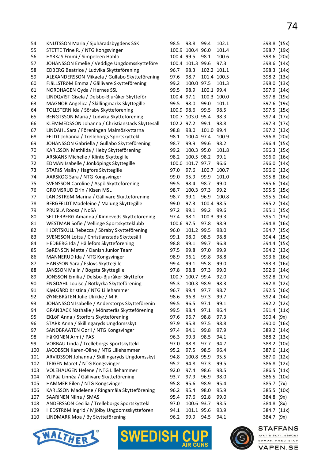| 54  | KNUTSSON Maria / Sjuhäradsbygdens SSK           | 98.5       | 98.8             | 99.4       | 102.1       | 398.8 (15x) |  |
|-----|-------------------------------------------------|------------|------------------|------------|-------------|-------------|--|
| 55  | STETTE Trine R. / NTG Kongsvinger               |            | 100.9 100.4 96.0 |            | 101.4       | 398.7 (19x) |  |
| 56  | HYRKäS Emmi / Simpeleen Hahlo                   | 100.4 99.5 |                  | 98.1       | 100.6       | 398.6 (20x) |  |
| 57  | JOHANSSON Emelie / Veddige Ungdomsskytteföre    |            | 100.4 101.3 99.6 |            | 97.3        | 398.6 (14x) |  |
| 58  | EDBERG Beatrice / Ludvika Skytteförening        | 96.7       | 98.3             |            | 102.2 101.1 | 398.3 (14x) |  |
| 59  | ALEXANDERSSON Mikaela / Gullabo Skytteförening  | 97.6       | 98.7             |            | 101.4 100.5 | 398.2 (13x) |  |
| 60  | FJäLLSTRöM Emma / Gällivare Skytteförening      | 99.2       | 100.0 97.5       |            | 101.3       | 398.0 (13x) |  |
| 61  | NORDHAGEN Gyda / Hernes SSL                     | 99.5       | 98.9             | 100.1 99.4 |             | 397.9 (14x) |  |
| 62  | LINDQVIST Gisela / Delsbo-Bjuråker Skytteför    | 100.4 97.1 |                  |            | 100.3 100.0 | 397.8 (19x) |  |
| 63  | MAGNOR Angelica / Skillingmarks Skyttegille     | 99.5       | 98.0             | 99.0       | 101.1       | 397.6 (19x) |  |
| 64  | TOLLSTERN Ida / Söraby Skytteförening           | 100.9 98.6 |                  | 99.5       | 98.5        | 397.5 (15x) |  |
| 65  | BENGTSSON Maria / Ludvika Skytteförening        |            | 100.7 103.0 95.4 |            | 98.3        | 397.4 (17x) |  |
| 66  | KLEMMEDSSON Johanna / Christianstads Skyttesäll | 102.2 97.2 |                  | 99.1       | 98.8        | 397.3 (17x) |  |
| 67  | LINDAHL Sara / Föreningen Malmöskyttarna        | 98.8       | 98.0             | 101.0 99.4 |             | 397.2 (13x) |  |
| 68  | FELDT Johanna / Trelleborgs Sportskyttekl       | 98.1       | 100.4 97.4       |            | 100.9       | 396.8 (20x) |  |
| 69  | JOHANSSON Gabriella / Gullabo Skytteförening    | 98.7       | 99.9             | 99.6       | 98.2        | 396.4 (15x) |  |
| 70  | KARLSSON Mathilda / Heby Skytteförening         | 99.2       | 100.3 95.0       |            | 101.8       | 396.3 (15x) |  |
| 71  | ARSKANS Michelle / Klinte Skyttegille           | 98.2       | 100.5 98.2       |            | 99.1        | 396.0 (16x) |  |
| 72  | EDMAN Isabelle / Jönköpings Skyttegille         |            | 100.0 101.7 97.7 |            | 96.6        | 396.0 (14x) |  |
| 73  | STAFåS Malin / Hagfors Skyttegille              | 97.0       | 97.6             | 100.7      | 100.7       | 396.0 (13x) |  |
| 74  | AARSKOG Sara / NTG Kongsvinger                  | 99.0       | 95.9             | 99.9       | 101.0       | 395.8 (16x) |  |
| 75  | SVENSSON Caroline / Aspö Skytteförening         | 99.5       | 98.4             | 98.7       | 99.0        | 395.6 (14x) |  |
| 76  | <b>GROMSRUD Eirin / Kisen MSL</b>               | 98.7       | 100.3 97.3       |            | 99.2        | 395.5 (15x) |  |
| 77  | LANDSTRÖM Marina / Gällivare Skytteförening     | 98.7       | 99.1             | 96.9       | 100.8       | 395.5 (14x) |  |
| 78  | BERGFELDT Madeleine / Malung Skyttegille        | 99.0       | 97.3             | 100.4 98.5 |             | 395.2 (14x) |  |
| 79  | PRUSILA Roosa / NoSA                            | 97.2       | 99.1             | 99.2       | 99.6        | 395.1 (15x) |  |
| 80  | SETTERBERG Amanda / Kinneveds Skytteförening    | 97.4       | 98.1             | 100.3 99.3 |             | 395.1 (13x) |  |
| 81  | WESTMAN Sofie / Vellinge Sportskytteklubb       | 100.6 97.5 |                  | 97.8       | 98.9        | 394.8 (16x) |  |
| 82  | HJORTSKULL Rebecca / Söraby Skytteförening      | 96.0       | 101.2 99.5       |            | 98.0        | 394.7 (15x) |  |
| 83  | SVENSSON Lotta / Christianstads Skyttesäll      | 99.1       | 98.0             | 98.5       | 98.8        | 394.4 (15x) |  |
| 84  | HEDBERG Ida / Hällefors Skytteförening          | 98.8       | 99.1             | 99.7       | 96.8        | 394.4 (15x) |  |
| 85  | SøRENSEN Mette / Danish Junior Team             | 97.5       | 99.8             | 97.0       | 99.9        | 394.2 (13x) |  |
| 86  | MANNERUD Ida / NTG Kongsvinger                  | 98.9       | 96.1             | 99.8       | 98.8        | 393.6 (16x) |  |
| 87  | HANSSON Sara / Eslövs Skyttegille               | 99.4       | 99.1             | 95.8       | 99.0        | 393.3 (16x) |  |
| 88  | JANSSON Malin / Bogsta Skyttegille              | 97.8       | 98.8             | 97.3       | 99.0        | 392.9 (14x) |  |
| 89  | JONSSON Emilia / Delsbo-Bjuråker Skytteför      | 100.7      | 100.7 99.4       |            | 92.0        | 392.8 (17x) |  |
| 90  | ENGDAHL Louise / Botkyrka Skytteförening        | 95.3       | 100.3 98.9       |            | 98.3        | 392.8 (12x) |  |
| 91  | KJøLGåRD Kristina / NTG Lillehammer             | 96.7       | 99.4             | 97.7       | 98.7        | 392.5 (16x) |  |
| 92  | ØYNEBRåTEN Julie Ulrikke / MIR                  | 98.6       | 96.8             | 97.3       | 99.7        | 392.4 (14x) |  |
| 93  | JOHANSSON Isabelle / Anderstorps Skytteförenin  | 99.5       | 96.5             | 97.1       | 99.1        | 392.2 (12x) |  |
| 94  | GRANBACK Nathalie / Mönsterås Skytteförening    | 99.5       | 98.4             | 97.1       | 96.4        | 391.4 (11x) |  |
| 95  | EKLöF Anna / Storfors Skytteförening            | 97.6       | 96.7             | 98.8       | 97.3        | 390.4 (9x)  |  |
| 96  | STARK Anna / Skillingaryds Ungdomsskyt          | 97.9       | 95.8             | 97.5       | 98.8        | 390.0 (16x) |  |
| 97  | SANDBRAATEN Gøril / NTG Kongsvinger             | 97.4       | 94.1             | 99.8       | 97.9        | 389.2 (14x) |  |
| 98  | HäKKINEN Armi / PAS                             | 96.3       | 99.3             | 98.5       | 94.1        | 388.2 (13x) |  |
| 99  | VORBAU Linda / Trelleborgs Sportskyttekl        | 97.0       | 98.8             | 97.7       | 94.7        | 388.2 (10x) |  |
| 100 | JACOBSEN Karen-Oline / NTG Lillehammer          | 95.2       | 97.5             | 98.5       | 96.4        | 387.6 (11x) |  |
| 101 | ARVIDSSON Johanna / Skillingaryds Ungdomsskyt   | 94.8       | 100.8 95.9       |            | 95.5        | 387.0 (12x) |  |
| 102 | TEIGEN Maret / NTG Kongsvinger                  | 95.2       | 94.8             | 97.3       | 99.5        | 386.8 (12x) |  |
| 103 | VOLEHAUGEN Helene / NTG Lillehammer             | 92.0       | 97.4             | 98.6       | 98.5        | 386.5 (11x) |  |
| 104 | YLIPää Linnéa / Gällivare Skytteförening        | 93.7       | 97.9             | 96.9       | 98.0        | 386.5 (10x) |  |
| 105 | HAMMER Eilen / NTG Kongsvinger                  | 95.8       | 95.6             | 98.9       | 95.4        | 385.7 (7x)  |  |
| 106 | KARLSSON Madelene / Ringamåla Skytteförening    | 96.2       | 95.4             | 98.0       | 95.9        | 385.5 (10x) |  |
| 107 | <b>SAARINEN Niina / SMAS</b>                    | 95.4       | 97.6             | 92.8       | 99.0        | 384.8 (9x)  |  |
| 108 | ANDERSSON Cecilia / Trelleborgs Sportskyttekl   | 97.0       | 100.6 93.7       |            | 93.5        | 384.8 (8x)  |  |
| 109 | HEDSTRöM Ingrid / Mjölby Ungdomsskyttefören     | 94.1       | 101.1 95.6       |            | 93.9        | 384.7 (11x) |  |
| 110 | LINDMARK Moa / By Skytteförening                | 96.2       | 99.9             | 94.5       | 94.1        | 384.7 (9x)  |  |





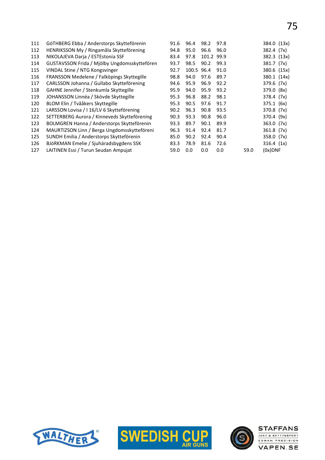| 111 | GöTHBERG Ebba / Anderstorps Skytteförenin    | 91.6 | 96.4  | 98.2       | 97.8 |      | 384.0 (13x) |
|-----|----------------------------------------------|------|-------|------------|------|------|-------------|
| 112 | HENRIKSSON My / Ringamåla Skytteförening     | 94.8 | 95.0  | 96.6       | 96.0 |      | 382.4 (7x)  |
| 113 | NIKOLAJEVA Darja / ESTEstonia SSF            | 83.4 | 97.8  | 101.2 99.9 |      |      | 382.3 (13x) |
| 114 | GUSTAVSSON Frida / Mjölby Ungdomsskyttefören | 93.7 | 98.5  | 90.2       | 99.3 |      | 381.7 (7x)  |
| 115 | VINDAL Stine / NTG Kongsvinger               | 92.7 | 100.5 | 96.4       | 91.0 |      | 380.6 (15x) |
| 116 | FRANSSON Medelene / Falköpings Skyttegille   | 98.8 | 94.0  | 97.6       | 89.7 |      | 380.1 (14x) |
| 117 | CARLSSON Johanna / Gullabo Skytteförening    | 94.6 | 95.9  | 96.9       | 92.2 |      | 379.6 (7x)  |
| 118 | GAHNE Jennifer / Stenkumla Skyttegille       | 95.9 | 94.0  | 95.9       | 93.2 |      | 379.0 (8x)  |
| 119 | JOHANSSON Linnéa / Skövde Skyttegille        | 95.3 | 96.8  | 88.2       | 98.1 |      | 378.4 (7x)  |
| 120 | BLOM Elin / Tvååkers Skyttegille             | 95.3 | 90.5  | 97.6       | 91.7 |      | 375.1 (6x)  |
| 121 | LARSSON Lovisa / I 16/LV 6 Skytteförening    | 90.2 | 96.3  | 90.8       | 93.5 |      | 370.8 (7x)  |
| 122 | SETTERBERG Aurora / Kinneveds Skytteförening | 90.3 | 93.3  | 90.8       | 96.0 |      | 370.4 (9x)  |
| 123 | BOLMGREN Hanna / Anderstorps Skytteförenin   | 93.3 | 89.7  | 90.1       | 89.9 |      | 363.0 (7x)  |
| 124 | MAURTIZSON Linn / Berga Ungdomsskytteföreni  | 96.3 | 91.4  | 92.4       | 81.7 |      | 361.8 (7x)  |
| 125 | SUNDH Emilia / Anderstorps Skytteförenin     | 85.0 | 90.2  | 92.4       | 90.4 |      | 358.0 (7x)  |
| 126 | BJöRKMAN Emelie / Sjuhäradsbygdens SSK       | 83.3 | 78.9  | 81.6       | 72.6 |      | 316.4 (1x)  |
| 127 | LAITINEN Essi / Turun Seudan Ampujat         | 59.0 | 0.0   | 0.0        | 0.0  | 59.0 | $(0x)$ DNF  |
|     |                                              |      |       |            |      |      |             |





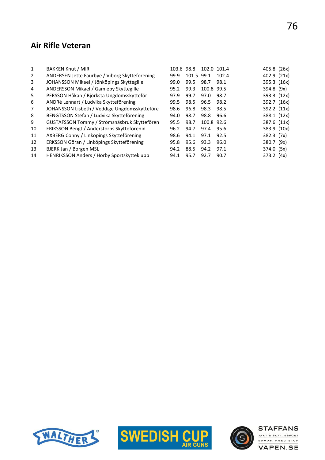### Air Rifle Veteran

| 1  | <b>BAKKEN Knut / MIR</b>                       | 103.6 | 98.8  | 102.0 101.4 |       | 405.8 (26x)  |  |
|----|------------------------------------------------|-------|-------|-------------|-------|--------------|--|
| 2  | ANDERSEN Jette Faurbye / Viborg Skytteforening | 99.9  | 101.5 | 99.1        | 102.4 | 402.9 (21x)  |  |
| 3  | JOHANSSON Mikael / Jönköpings Skyttegille      | 99.0  | 99.5  | 98.7        | 98.1  | 395.3 (16x)  |  |
| 4  | ANDERSSON Mikael / Gamleby Skyttegille         | 95.2  | 99.3  | 100.8 99.5  |       | 394.8 (9x)   |  |
| 5  | PERSSON Håkan / Björksta Ungdomsskytteför      | 97.9  | 99.7  | 97.0        | 98.7  | 393.3 (12x)  |  |
| 6  | ANDRé Lennart / Ludvika Skytteförening         | 99.5  | 98.5  | 96.5        | 98.2  | 392.7 (16x)  |  |
| 7  | JOHANSSON Lisbeth / Veddige Ungdomsskytteföre  | 98.6  | 96.8  | 98.3        | 98.5  | 392.2 (11x)  |  |
| 8  | BENGTSSON Stefan / Ludvika Skytteförening      | 94.0  | 98.7  | 98.8        | 96.6  | 388.1 (12x)  |  |
| 9  | GUSTAFSSON Tommy / Strömsnäsbruk Skyttefören   | 95.5  | 98.7  | 100.8 92.6  |       | 387.6 (11x)  |  |
| 10 | ERIKSSON Bengt / Anderstorps Skytteförenin     | 96.2  | 94.7  | 97.4        | 95.6  | 383.9 (10x)  |  |
| 11 | AXBERG Conny / Linköpings Skytteförening       | 98.6  | 94.1  | 97.1        | 92.5  | $382.3$ (7x) |  |
| 12 | ERKSSON Göran / Linköpings Skytteförening      | 95.8  | 95.6  | 93.3        | 96.0  | 380.7 (9x)   |  |
| 13 | BJERK Jan / Borgen MSL                         | 94.2  | 88.5  | 94.2        | 97.1  | 374.0 (5x)   |  |
| 14 | HENRIKSSON Anders / Hörby Sportskytteklubb     | 94.1  | 95.7  | 92.7        | 90.7  | $373.2$ (4x) |  |
|    |                                                |       |       |             |       |              |  |





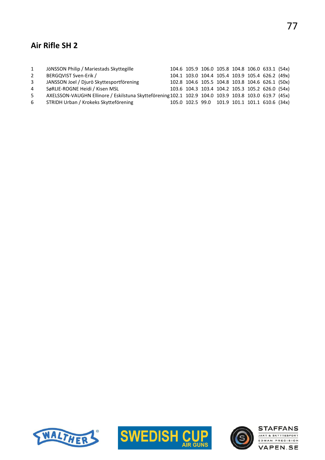## Air Rifle SH 2

| $\mathbf{1}$   | JÖNSSON Philip / Mariestads Skyttegille                                                              |  |  |  | 104.6 105.9 106.0 105.8 104.8 106.0 633.1 (54x) |  |
|----------------|------------------------------------------------------------------------------------------------------|--|--|--|-------------------------------------------------|--|
| 2              | BERGQVIST Sven-Erik /                                                                                |  |  |  | 104.1 103.0 104.4 105.4 103.9 105.4 626.2 (49x) |  |
| 3              | JANSSON Joel / Djurö Skyttesportförening                                                             |  |  |  | 102.8 104.6 105.5 104.8 103.8 104.6 626.1 (50x) |  |
| $\overline{4}$ | SøRLIE-ROGNE Heidi / Kisen MSL                                                                       |  |  |  | 103.6 104.3 103.4 104.2 105.3 105.2 626.0 (54x) |  |
| 5              | AXELSSON-VAUGHN Ellinore / Eskilstuna Skytteförening 102.1 102.9 104.0 103.9 103.8 103.0 619.7 (45x) |  |  |  |                                                 |  |
| 6              | STRIDH Urban / Krokeks Skytteförening                                                                |  |  |  | 105.0 102.5 99.0 101.9 101.1 101.1 610.6 (34x)  |  |





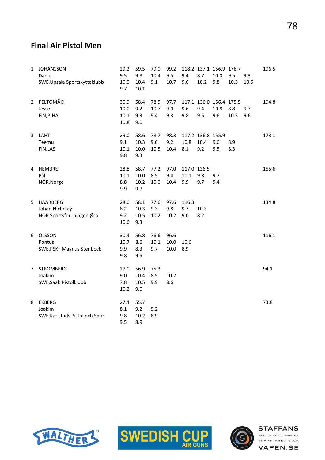#### Final Air Pistol Men

| 1                     | <b>JOHANSSON</b><br>Daniel<br>SWE, Upsala Sportskytteklubb     | 29.2<br>9.5<br>10.0<br>9.7   | 59.5<br>9.8<br>10.4<br>10.1  | 79.0<br>10.4<br>9.1 | 99.2<br>9.5<br>10.7  | 9.4<br>9.6                 | 8.7<br>10.2                      | 118.2 137.1 156.9 176.7<br>10.0<br>9.8 | 9.5<br>10.3 | 9.3<br>10.5 | 196.5 |
|-----------------------|----------------------------------------------------------------|------------------------------|------------------------------|---------------------|----------------------|----------------------------|----------------------------------|----------------------------------------|-------------|-------------|-------|
| $\mathbf{2}^{\prime}$ | PELTOMÄKI<br>Jesse<br>FIN, P-HA                                | 30.9<br>10.0<br>10.1<br>10.8 | 58.4<br>9.2<br>9.3<br>9.0    | 78.5<br>10.7<br>9.4 | 97.7<br>9.9<br>9.3   | 9.6<br>9.8                 | 9.4<br>9.5                       | 117.1 136.0 156.4 175.5<br>10.8<br>9.6 | 8.8<br>10.3 | 9.7<br>9.6  | 194.8 |
| 3                     | LAHTI<br>Teemu<br>FIN, LAS                                     | 29.0<br>9.1<br>10.1<br>9.8   | 58.6<br>10.3<br>10.0<br>9.3  | 78.7<br>9.6<br>10.5 | 98.3<br>9.2<br>10.4  | 10.8<br>8.1                | 117.2 136.8 155.9<br>10.4<br>9.2 | 9.6<br>9.5                             | 8.9<br>8.3  |             | 173.1 |
| 4                     | <b>HEMBRE</b><br>Pål<br>NOR, Norge                             | 28.8<br>10.1<br>8.8<br>9.9   | 58.7<br>10.0<br>10.2<br>9.7  | 77.2<br>8.5<br>10.0 | 97.0<br>9.4<br>10.4  | 117.0 136.5<br>10.1<br>9.9 | 9.8<br>9.7                       | 9.7<br>9.4                             |             |             | 155.6 |
| 5                     | <b>HAARBERG</b><br>Johan Nicholay<br>NOR, Sportsforeningen Ørn | 28.0<br>8.2<br>9.2<br>10.6   | 58.1<br>10.3<br>10.5<br>9.3  | 77.6<br>9.3<br>10.2 | 97.6<br>9.8<br>10.2  | 116.3<br>9.7<br>9.0        | 10.3<br>8.2                      |                                        |             |             | 134.8 |
| 6                     | <b>OLSSON</b><br>Pontus<br><b>SWE, PSKF Magnus Stenbock</b>    | 30.4<br>10.7<br>9.9<br>9.8   | 56.8<br>8.6<br>8.3<br>9.5    | 76.6<br>10.1<br>9.7 | 96.6<br>10.0<br>10.0 | 10.6<br>8.9                |                                  |                                        |             |             | 116.1 |
| 7                     | <b>STRÖMBERG</b><br>Joakim<br>SWE, Saab Pistolklubb            | 27.0<br>9.0<br>7.8<br>10.2   | 56.9<br>10.4<br>10.5<br>9.0  | 75.3<br>8.5<br>9.9  | 10.2<br>8.6          |                            |                                  |                                        |             |             | 94.1  |
| 8                     | <b>EKBERG</b><br>Joakim<br>SWE, Karlstads Pistol och Spor      | 27.4<br>8.1<br>9.8<br>9.5    | 55.7<br>9.2<br>$10.2$<br>8.9 | 9.2<br>8.9          |                      |                            |                                  |                                        |             |             | 73.8  |





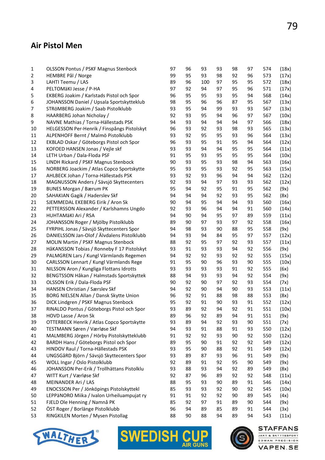#### Air Pistol Men

| 1        | <b>OLSSON Pontus / PSKF Magnus Stenbock</b>                                            | 97       | 96 | 93  | 93 | 98       | 97 | 574        | (18x) |
|----------|----------------------------------------------------------------------------------------|----------|----|-----|----|----------|----|------------|-------|
| 2        | HEMBRE Pål / Norge                                                                     | 99       | 95 | 93  | 98 | 92       | 96 | 573        | (17x) |
| 3        | LAHTI Teemu / LAS                                                                      | 89       | 96 | 100 | 97 | 95       | 95 | 572        | (18x) |
| 4        | PELTOMÄKI Jesse / P-HA                                                                 | 97       | 92 | 94  | 97 | 95       | 96 | 571        | (17x) |
| 5        | EKBERG Joakim / Karlstads Pistol och Spor                                              | 96       | 95 | 95  | 93 | 95       | 94 | 568        | (14x) |
| 6        | JOHANSSON Daniel / Upsala Sportskytteklub                                              | 98       | 95 | 96  | 96 | 87       | 95 | 567        | (13x) |
| 7        | STRÖMBERG Joakim / Saab Pistolklubb                                                    | 93       | 95 | 94  | 99 | 93       | 93 | 567        | (13x) |
| 8        | HAARBERG Johan Nicholay /                                                              | 92       | 93 | 95  | 94 | 96       | 97 | 567        | (10x) |
| 9        | NAVNE Mathias / Torna-Hällestads PSK                                                   | 94       | 93 | 94  | 94 | 94       | 97 | 566        | (18x) |
| 10       | HELGESSON Per-Henrik / Finspångs Pistolskyt                                            | 96       | 93 | 92  | 93 | 98       | 93 | 565        | (13x) |
| 11       | ALPENHOFF Bernt / Malmö Pistolklubb                                                    | 93       | 92 | 95  | 95 | 93       | 96 | 564        | (13x) |
| 12       | EKBLAD Oskar / Göteborgs Pistol och Spor                                               | 96       | 93 | 95  | 91 | 95       | 94 | 564        | (12x) |
| 13       | KOFOED HANSEN Jonas / Vejle skf                                                        | 93       | 93 | 94  | 94 | 95       | 95 | 564        | (11x) |
| 14       | LETH Urban / Dala-Floda PSF                                                            | 91       | 95 | 93  | 95 | 95       | 95 | 564        | (10x) |
| 15       | LINDH Rickard / PSKF Magnus Stenbock                                                   | 90       | 93 | 95  | 93 | 98       | 94 | 563        | (16x) |
| 16       | NORBERG Joackim / Atlas Copco Sportskytte                                              | 95       | 93 | 95  | 93 | 92       | 95 | 563        | (15x) |
| 17       | AHLBECK Johan / Torna-Hällestads PSK                                                   | 93       | 92 | 93  | 96 | 94       | 94 | 562        | (12x) |
| 18       | MAGNUSSON Anders / Sävsjö Skyttecenters                                                | 92       | 93 | 94  | 97 | 93       | 93 | 562        | (12x) |
| 19       | <b>BUNES Morgan / Bærum PK</b>                                                         | 95       | 94 | 92  | 95 | 91       | 95 | 562        | (9x)  |
| 20       | SAHAKIAN Gagik / Haderslev Skf                                                         | 94       | 94 | 94  | 92 | 93       | 95 | 562        | (8x)  |
| 21       | SJEMMEDAL EKEBERG Eirik / Aron Sk                                                      | 90       | 94 | 95  | 94 | 94       | 93 | 560        | (16x) |
| 22       | PETTERSSON Alexander / Karlshamns Ungdo                                                | 92       | 93 | 96  | 94 | 94       | 91 | 560        | (14x) |
| 23       | HUHTAMÄKI Ari / RSA                                                                    | 94       | 90 | 94  | 95 | 97       | 89 | 559        | (11x) |
| 24       | JOHANSSON Roger / Mjölby Pistolklubb                                                   | 89       | 90 | 97  | 93 | 97       | 92 | 558        | (16x) |
| 25       | FYRPIHL Jonas / Sävsjö Skyttecenters Spor                                              | 94       | 98 | 93  | 90 | 88       | 95 | 558        | (9x)  |
| 26       | DANIELSSON Jan-Olof / Älvdalens Pistolklubb                                            | 94       | 93 | 94  | 84 | 95       | 97 | 557        | (12x) |
| 27       | MOLIN Martin / PSKF Magnus Stenbock                                                    | 88       | 92 | 95  | 97 | 92       | 93 | 557        | (11x) |
| 28       | HåKANSSON Tobias / Ronneby F 17 Pistolskyt                                             | 93       | 91 | 93  | 93 | 94       | 92 | 556        | (9x)  |
| 29       | PALMGREN Lars / Kungl Värmlands Regemen                                                | 94       | 92 | 92  | 93 | 92       | 92 | 555        | (15x) |
| 30       | CARLSSON Lennart / Kungl Värmlands Rege                                                | 91       | 95 | 90  | 96 | 93       | 90 | 555        | (10x) |
| 31       | NILSSON Aron / Kungliga Flottans Idrotts                                               | 93       | 93 | 93  | 93 | 91       | 92 | 555        | (6x)  |
| 32       | BENGTSSON Håkan / Halmstads Sportskyttek                                               | 88       | 94 | 93  | 93 | 94       | 92 | 554        | (9x)  |
| 33       | OLSSON Erik / Dala-Floda PSF                                                           | 90       | 92 | 90  | 97 | 92       | 93 | 554        | (7x)  |
| 34       | HANSEN Christian / Særslev Skf                                                         | 94       | 92 | 90  | 94 | 90       | 93 | 553        | (11x) |
| 35       | BORG NIELSEN Allan / Dansk Skytte Union                                                | 96       | 92 | 91  | 88 | 98       | 88 | 553        | (8x)  |
| 36       | DICK Lindgren / PSKF Magnus Stenbock                                                   | 95       | 92 | 91  | 90 | 93       | 91 | 552        | (12x) |
| 37       | RINALDO Pontus / Göteborgs Pistol och Spor                                             | 93       | 89 | 92  | 94 | 92       | 91 | 551        | (10x) |
| 38       | HOVD Lasse / Aron Sk                                                                   | 89       | 96 | 92  | 89 | 94       | 91 | 551        | (9x)  |
| 39       | OTTERBECK Henrik / Atlas Copco Sportskytte                                             | 93       | 89 | 94  | 92 | 93       | 90 | 551        | (7x)  |
| 40       | TESTMANN Søren / Værløse Skf                                                           | 94       | 93 | 91  | 88 | 91       | 93 | 550        | (12x) |
| 41       | MALMBERG Jörgen / Hörby Pistolskytteklubb                                              | 91       | 92 | 92  | 93 | 90       | 92 | 550        | (12x) |
| 42       | BARDH Hans / Göteborgs Pistol och Spor                                                 | 89       | 95 | 90  | 91 | 92       | 92 | 549        | (12x) |
| 43       | HINDOV Raul / Torna-Hällestads PSK                                                     | 93       | 95 | 90  | 88 | 92       | 91 | 549        | (12x) |
| 44       | UNGSGåRD Björn / Sävsjö Skyttecenters Spor                                             | 93       | 89 | 87  | 93 | 96       | 91 | 549        | (9x)  |
| 45       | WOLL Ingar / Oslo Pistolklubb                                                          | 92       | 89 | 91  | 92 | 95       | 90 | 549        | (9x)  |
| 46       | JOHANSSON Per-Erik / Trollhättans Pistolklu                                            | 93       | 88 | 93  | 94 | 92       | 89 | 549        | (8x)  |
| 47       | WITT Kurt / Værløse Skf                                                                | 92       | 87 | 96  | 89 | 92       | 92 | 548        | (11x) |
| 48       | MEINANDER Ari / LAS                                                                    | 88       | 95 | 93  | 90 | 89       | 91 | 546        |       |
|          |                                                                                        |          | 93 | 93  | 92 |          | 92 |            | (14x) |
| 49<br>50 | ENOCSSON Per / Jönköpings Pistolskyttekl<br>LEPPäNORO Miika / Ivalon Urheiluampujat ry | 85<br>91 | 91 | 92  | 92 | 90<br>90 | 89 | 545<br>545 | (10x) |
| 51       |                                                                                        | 85       | 92 | 97  | 91 |          | 90 | 544        | (4x)  |
|          | FJELD Ole Henning / Namnå PK                                                           |          |    |     |    | 89       |    |            | (9x)  |
| 52       | ÖST Roger / Borlänge Pistolklubb                                                       | 96       | 94 | 89  | 85 | 89       | 91 | 544        | (3x)  |
| 53       | RINGKILEN Morten / Mysen Pistollag                                                     | 88       | 90 | 88  | 94 | 89       | 94 | 543        | (11x) |





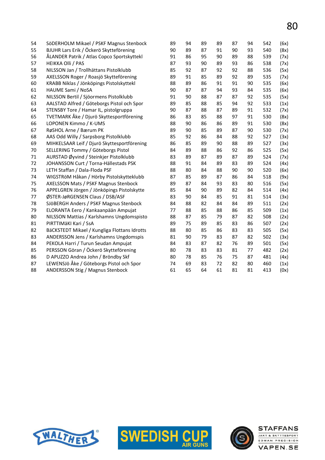| 54 | SöDERHOLM Mikael / PSKF Magnus Stenbock      | 89 | 94 | 89 | 89 | 87 | 94 | 542 | (6x) |
|----|----------------------------------------------|----|----|----|----|----|----|-----|------|
| 55 | BJUHR Lars Erik / Öckerö Skytteförening      | 90 | 89 | 87 | 91 | 90 | 93 | 540 | (8x) |
| 56 | ÅLANDER Patrik / Atlas Copco Sportskyttekl   | 91 | 86 | 95 | 90 | 89 | 88 | 539 | (7x) |
| 57 | <b>HEIKKA Olli / PAS</b>                     | 87 | 93 | 90 | 89 | 93 | 86 | 538 | (7x) |
| 58 | NILSSON Jan / Trollhättans Pistolklubb       | 85 | 92 | 87 | 92 | 92 | 88 | 536 | (5x) |
| 59 | AXELSSON Roger / Roasjö Skytteförening       | 89 | 91 | 85 | 89 | 92 | 89 | 535 | (7x) |
| 60 | KRABB Niklas / Jönköpings Pistolskyttekl     | 88 | 89 | 86 | 91 | 91 | 90 | 535 | (6x) |
| 61 | HAUME Sami / NoSA                            | 90 | 87 | 87 | 94 | 93 | 84 | 535 | (6x) |
| 62 | NILSSON Bertil / Sjöormens Pistolklubb       | 91 | 90 | 88 | 87 | 87 | 92 | 535 | (5x) |
| 63 | AALSTAD Alfred / Göteborgs Pistol och Spor   | 89 | 85 | 88 | 85 | 94 | 92 | 533 | (1x) |
| 64 | STENSBY Tore / Hamar IL, pistolgruppa        | 90 | 87 | 88 | 87 | 89 | 91 | 532 | (7x) |
| 65 | TVETMARK Åke / Djurö Skyttesportförening     | 86 | 83 | 85 | 88 | 97 | 91 | 530 | (8x) |
| 66 | LOPONEN Kimmo / K-UMS                        | 88 | 90 | 86 | 86 | 89 | 91 | 530 | (8x) |
| 67 | RøSHOL Arne / Bærum PK                       | 89 | 90 | 85 | 89 | 87 | 90 | 530 | (7x) |
| 68 | AAS Odd Willy / Sarpsborg Pistolklubb        | 85 | 92 | 86 | 84 | 88 | 92 | 527 | (3x) |
| 69 | MIHKELSAAR Leif / Djurö Skyttesportförening  | 86 | 85 | 89 | 90 | 88 | 89 | 527 | (3x) |
| 70 | SELLERING Tommy / Göteborgs Pistol           | 84 | 89 | 88 | 86 | 92 | 86 | 525 | (5x) |
| 71 | AURSTAD Øyvind / Steinkjer Pistolklubb       | 83 | 89 | 87 | 89 | 87 | 89 | 524 | (7x) |
| 72 | JOHANSSON Curt / Torna-Hällestads PSK        | 88 | 91 | 84 | 89 | 83 | 89 | 524 | (4x) |
| 73 | LETH Staffan / Dala-Floda PSF                | 88 | 80 | 84 | 88 | 90 | 90 | 520 | (6x) |
| 74 | WIGSTRÖM Håkan / Hörby Pistolskytteklubb     | 87 | 85 | 89 | 87 | 86 | 84 | 518 | (9x) |
| 75 | AXELSSON Mats / PSKF Magnus Stenbock         | 89 | 87 | 84 | 93 | 83 | 80 | 516 | (5x) |
| 76 | APPELGREN Jörgen / Jönköpings Pistolskytte   | 85 | 84 | 90 | 89 | 82 | 84 | 514 | (4x) |
| 77 | ØSTER-JøRGENSEN Claus / DSB/ASF              | 83 | 90 | 84 | 85 | 91 | 81 | 514 | (3x) |
| 78 | SJÖBERGH Anders / PSKF Magnus Stenbock       | 84 | 88 | 82 | 84 | 84 | 89 | 511 | (2x) |
| 79 | ELORANTA Eero / Kankaanpään Ampujat          | 77 | 88 | 85 | 88 | 86 | 85 | 509 | (1x) |
| 80 | NILSSON Mattias / Karlshamns Ungdomspisto    | 88 | 87 | 85 | 79 | 87 | 82 | 508 | (2x) |
| 81 | PIRTTIMÄKI Kari / SsA                        | 89 | 75 | 89 | 85 | 83 | 86 | 507 | (2x) |
| 82 | BäCKSTEDT Mikael / Kungliga Flottans Idrotts | 88 | 80 | 85 | 86 | 83 | 83 | 505 | (5x) |
| 83 | ANDERSSON Jens / Karlshamns Ungdomspis       | 81 | 90 | 79 | 83 | 87 | 82 | 502 | (3x) |
| 84 | PEKOLA Harri / Turun Seudan Ampujat          | 84 | 83 | 87 | 82 | 76 | 89 | 501 | (5x) |
| 85 | PERSSON Göran / Öckerö Skytteförening        | 80 | 78 | 83 | 83 | 81 | 77 | 482 | (2x) |
| 86 | D APUZZO Andrea John / Bröndby Skf           | 80 | 78 | 85 | 76 | 75 | 87 | 481 | (4x) |
| 87 | LEWENSJö Åke / Göteborgs Pistol och Spor     | 74 | 69 | 83 | 72 | 82 | 80 | 460 | (1x) |
| 88 | <b>ANDERSSON Stig / Magnus Stenbock</b>      | 61 | 65 | 64 | 61 | 81 | 81 | 413 | (0x) |
|    |                                              |    |    |    |    |    |    |     |      |





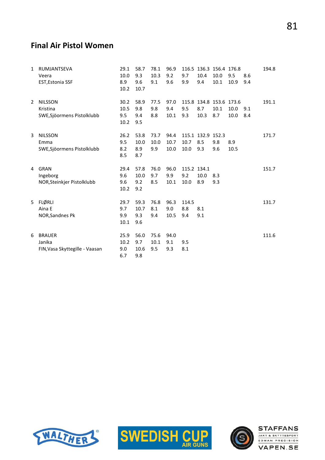#### Final Air Pistol Women

| 1 | RUMJANTSEVA<br>Veera<br><b>EST, Estonia SSF</b>           | 29.1<br>10.0<br>8.9<br>10.2 | 58.7<br>9.3<br>9.6<br>10.7 | 78.1<br>10.3<br>9.1 | 96.9<br>9.2<br>9.6   | 9.7<br>9.9                 | 10.4<br>9.4                     | 116.5 136.3 156.4 176.8<br>10.0<br>10.1 | 9.5<br>10.9  | 8.6<br>9.4 | 194.8 |
|---|-----------------------------------------------------------|-----------------------------|----------------------------|---------------------|----------------------|----------------------------|---------------------------------|-----------------------------------------|--------------|------------|-------|
| 2 | <b>NILSSON</b><br>Kristina<br>SWE, Sjöormens Pistolklubb  | 30.2<br>10.5<br>9.5<br>10.2 | 58.9<br>9.8<br>9.4<br>9.5  | 77.5<br>9.8<br>8.8  | 97.0<br>9.4<br>10.1  | 9.5<br>9.3                 | 8.7<br>10.3                     | 115.8 134.8 153.6 173.6<br>10.1<br>8.7  | 10.0<br>10.0 | 9.1<br>8.4 | 191.1 |
| 3 | <b>NILSSON</b><br>Emma<br>SWE, Sjöormens Pistolklubb      | 26.2<br>9.5<br>8.2<br>8.5   | 53.8<br>10.0<br>8.9<br>8.7 | 73.7<br>10.0<br>9.9 | 94.4<br>10.7<br>10.0 | 10.7<br>10.0               | 115.1 132.9 152.3<br>8.5<br>9.3 | 9.8<br>9.6                              | 8.9<br>10.5  |            | 171.7 |
| 4 | <b>GRAN</b><br>Ingeborg<br>NOR, Steinkjer Pistolklubb     | 29.4<br>9.6<br>9.6<br>10.2  | 57.8<br>10.0<br>9.2<br>9.2 | 76.0<br>9.7<br>8.5  | 96.0<br>9.9<br>10.1  | 115.2 134.1<br>9.2<br>10.0 | 10.0<br>8.9                     | 8.3<br>9.3                              |              |            | 151.7 |
| 5 | <b>FLØRLI</b><br>Aina E<br>NOR, Sandnes Pk                | 29.7<br>9.7<br>9.9<br>10.1  | 59.3<br>10.7<br>9.3<br>9.6 | 76.8<br>8.1<br>9.4  | 96.3<br>9.0<br>10.5  | 114.5<br>8.8<br>9.4        | 8.1<br>9.1                      |                                         |              |            | 131.7 |
| 6 | <b>BRAUER</b><br>Janika<br>FIN, Vasa Skyttegille - Vaasan | 25.9<br>10.2<br>9.0<br>6.7  | 56.0<br>9.7<br>10.6<br>9.8 | 75.6<br>10.1<br>9.5 | 94.0<br>9.1<br>9.3   | 9.5<br>8.1                 |                                 |                                         |              |            | 111.6 |





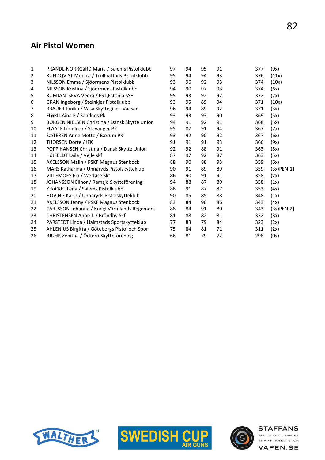#### Air Pistol Women

| 1  | PRANDL-NORRGåRD Maria / Salems Pistolklubb    | 97 | 94 | 95 | 91 | 377 | (9x)             |
|----|-----------------------------------------------|----|----|----|----|-----|------------------|
| 2  | RUNDQVIST Monica / Trollhättans Pistolklubb   | 95 | 94 | 94 | 93 | 376 | (11x)            |
| 3  | NILSSON Emma / Sjöormens Pistolklubb          | 93 | 96 | 92 | 93 | 374 | (10x)            |
| 4  | NILSSON Kristina / Sjöormens Pistolklubb      | 94 | 90 | 97 | 93 | 374 | (6x)             |
| 5  | RUMJANTSEVA Veera / EST, Estonia SSF          | 95 | 93 | 92 | 92 | 372 | (7x)             |
| 6  | GRAN Ingeborg / Steinkjer Pistolklubb         | 93 | 95 | 89 | 94 | 371 | (10x)            |
| 7  | BRAUER Janika / Vasa Skyttegille - Vaasan     | 96 | 94 | 89 | 92 | 371 | (3x)             |
| 8  | FLøRLI Aina E / Sandnes Pk                    | 93 | 93 | 93 | 90 | 369 | (5x)             |
| 9  | BORGEN NIELSEN Christina / Dansk Skytte Union | 94 | 91 | 92 | 91 | 368 | (5x)             |
| 10 | FLAATE Linn Iren / Stavanger PK               | 95 | 87 | 91 | 94 | 367 | (7x)             |
| 11 | SæTEREN Anne Mette / Bærum PK                 | 93 | 92 | 90 | 92 | 367 | (6x)             |
| 12 | THORSEN Dorte / IFK                           | 91 | 91 | 91 | 93 | 366 | (9x)             |
| 13 | POPP HANSEN Christina / Dansk Skytte Union    | 92 | 92 | 88 | 91 | 363 | (5x)             |
| 14 | HöJFELDT Laila / Vejle skf                    | 87 | 97 | 92 | 87 | 363 | (5x)             |
| 15 | AXELSSON Malin / PSKF Magnus Stenbock         | 88 | 90 | 88 | 93 | 359 | (6x)             |
| 16 | MARS Katharina / Unnaryds Pistolskytteklub    | 90 | 91 | 89 | 89 | 359 | $(3x)$ PEN $[1]$ |
| 17 | VILLEMOES Pia / Værløse Skf                   | 86 | 90 | 91 | 91 | 358 | (2x)             |
| 18 | JOHANSSON Elinor / Ramsjö Skytteförening      | 94 | 88 | 87 | 89 | 358 | (1x)             |
| 19 | KRöCKEL Lena / Salems Pistolklubb             | 88 | 91 | 87 | 87 | 353 | (4x)             |
| 20 | HOVING Karin / Unnaryds Pistolskytteklub      | 90 | 85 | 85 | 88 | 348 | (1x)             |
| 21 | AXELSSON Jenny / PSKF Magnus Stenbock         | 83 | 84 | 90 | 86 | 343 | (4x)             |
| 22 | CARLSSON Johanna / Kungl Värmlands Regement   | 88 | 84 | 91 | 80 | 343 | $(3x)$ PEN $[2]$ |
| 23 | CHRISTENSEN Anne J. / Bröndby Skf             | 81 | 88 | 82 | 81 | 332 | (3x)             |
| 24 | PARSTEDT Linda / Halmstads Sportskytteklub    | 77 | 83 | 79 | 84 | 323 | (2x)             |
| 25 | AHLENIUS Birgitta / Göteborgs Pistol och Spor | 75 | 84 | 81 | 71 | 311 | (2x)             |
| 26 | BJUHR Zenitha / Öckerö Skytteförening         | 66 | 81 | 79 | 72 | 298 | (0x)             |





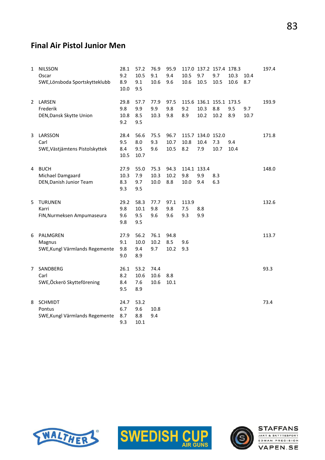#### Final Air Pistol Junior Men

| $\mathbf{1}$ | <b>NILSSON</b><br>Oscar<br>SWE,Lönsboda Sportskytteklubb   | 28.1<br>9.2<br>8.9<br>10.0 | 57.2<br>10.5<br>9.1<br>9.5     | 76.9<br>9.1<br>10.6  | 95.9<br>9.4<br>9.6   | 10.5<br>10.6               | 9.7<br>10.5                      | 117.0 137.2 157.4 178.3<br>9.7<br>10.5 | 10.3<br>10.6 | 10.4<br>8.7 | 197.4 |
|--------------|------------------------------------------------------------|----------------------------|--------------------------------|----------------------|----------------------|----------------------------|----------------------------------|----------------------------------------|--------------|-------------|-------|
| 2            | LARSEN<br>Frederik<br>DEN, Dansk Skytte Union              | 29.8<br>9.8<br>10.8<br>9.2 | 57.7<br>9.9<br>8.5<br>9.5      | 77.9<br>9.9<br>10.3  | 97.5<br>9.8<br>9.8   | 9.2<br>8.9                 | 10.3<br>10.2                     | 115.6 136.1 155.1 173.5<br>8.8<br>10.2 | 9.5<br>8.9   | 9.7<br>10.7 | 193.9 |
| 3            | LARSSON<br>Carl<br>SWE, Västjämtens Pistolskyttek          | 28.4<br>9.5<br>8.4<br>10.5 | 56.6<br>8.0<br>9.5<br>10.7     | 75.5<br>9.3<br>9.6   | 96.7<br>10.7<br>10.5 | 10.8<br>8.2                | 115.7 134.0 152.0<br>10.4<br>7.9 | 7.3<br>10.7                            | 9.4<br>10.4  |             | 171.8 |
| 4            | <b>BUCH</b><br>Michael Damgaard<br>DEN, Danish Junior Team | 27.9<br>10.3<br>8.3<br>9.3 | 55.0<br>7.9<br>9.7<br>9.5      | 75.3<br>10.3<br>10.0 | 94.3<br>10.2<br>8.8  | 114.1 133.4<br>9.8<br>10.0 | 9.9<br>9.4                       | 8.3<br>6.3                             |              |             | 148.0 |
| 5            | <b>TURUNEN</b><br>Karri<br>FIN, Nurmeksen Ampumaseura      | 29.2<br>9.8<br>9.6<br>9.8  | 58.3<br>$10.1\,$<br>9.5<br>9.5 | 77.7<br>9.8<br>9.6   | 97.1<br>9.8<br>9.6   | 113.9<br>7.5<br>9.3        | 8.8<br>9.9                       |                                        |              |             | 132.6 |
| 6            | PALMGREN<br>Magnus<br>SWE, Kungl Värmlands Regemente       | 27.9<br>9.1<br>9.8<br>9.0  | 56.2<br>10.0<br>9.4<br>8.9     | 76.1<br>10.2<br>9.7  | 94.8<br>8.5<br>10.2  | 9.6<br>9.3                 |                                  |                                        |              |             | 113.7 |
| 7            | SANDBERG<br>Carl<br>SWE,Öckerö Skytteförening              | 26.1<br>8.2<br>8.4<br>9.5  | 53.2<br>10.6<br>7.6<br>8.9     | 74.4<br>10.6<br>10.6 | 8.8<br>10.1          |                            |                                  |                                        |              |             | 93.3  |
| 8            | <b>SCHMIDT</b><br>Pontus<br>SWE, Kungl Värmlands Regemente | 24.7<br>6.7<br>8.7<br>9.3  | 53.2<br>9.6<br>8.8<br>10.1     | 10.8<br>9.4          |                      |                            |                                  |                                        |              |             | 73.4  |





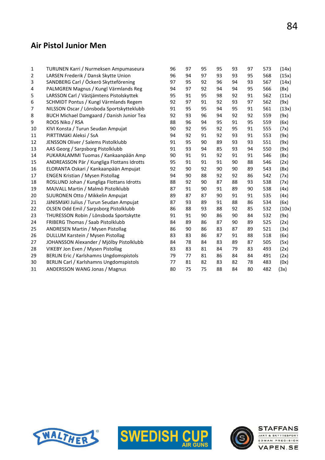#### Air Pistol Junior Men

| 1              | TURUNEN Karri / Nurmeksen Ampumaseura            | 96 | 97 | 95 | 95 | 93 | 97 | 573 | (14x) |
|----------------|--------------------------------------------------|----|----|----|----|----|----|-----|-------|
| $\overline{2}$ | LARSEN Frederik / Dansk Skytte Union             | 96 | 94 | 97 | 93 | 93 | 95 | 568 | (15x) |
| 3              | SANDBERG Carl / Öckerö Skytteförening            | 97 | 95 | 92 | 96 | 94 | 93 | 567 | (14x) |
| 4              | PALMGREN Magnus / Kungl Värmlands Reg            | 94 | 97 | 92 | 94 | 94 | 95 | 566 | (8x)  |
| 5              | LARSSON Carl / Västjämtens Pistolskyttek         | 95 | 91 | 95 | 98 | 92 | 91 | 562 | (11x) |
| 6              | SCHMIDT Pontus / Kungl Värmlands Regem           | 92 | 97 | 91 | 92 | 93 | 97 | 562 | (9x)  |
| 7              | NILSSON Oscar / Lönsboda Sportskytteklubb        | 91 | 95 | 95 | 94 | 95 | 91 | 561 | (13x) |
| 8              | <b>BUCH Michael Damgaard / Danish Junior Tea</b> | 92 | 93 | 96 | 94 | 92 | 92 | 559 | (9x)  |
| 9              | ROOS Niko / RSA                                  | 88 | 96 | 94 | 95 | 91 | 95 | 559 | (6x)  |
| 10             | KIVI Konsta / Turun Seudan Ampujat               | 90 | 92 | 95 | 92 | 95 | 91 | 555 | (7x)  |
| 11             | PIRTTIMÄKI Aleksi / SsA                          | 94 | 92 | 91 | 92 | 93 | 91 | 553 | (9x)  |
| 12             | JENSSON Oliver / Salems Pistolklubb              | 91 | 95 | 90 | 89 | 93 | 93 | 551 | (9x)  |
| 13             | AAS Georg / Sarpsborg Pistolklubb                | 91 | 93 | 94 | 85 | 93 | 94 | 550 | (9x)  |
| 14             | PUKARALAMMI Tuomas / Kankaanpään Amp             | 90 | 91 | 91 | 92 | 91 | 91 | 546 | (8x)  |
| 15             | ANDREASSON Pär / Kungliga Flottans Idrotts       | 95 | 91 | 91 | 91 | 90 | 88 | 546 | (2x)  |
| 16             | ELORANTA Oskari / Kankaanpään Ampujat            | 92 | 90 | 92 | 90 | 90 | 89 | 543 | (8x)  |
| 17             | <b>ENGEN Kristian / Mysen Pistollag</b>          | 94 | 90 | 88 | 92 | 92 | 86 | 542 | (7x)  |
| 18             | ROSLUND Johan / Kungliga Flottans Idrotts        | 88 | 92 | 90 | 87 | 88 | 93 | 538 | (7x)  |
| 19             | MAJVALL Martin / Malmö Pistolklubb               | 87 | 91 | 90 | 91 | 89 | 90 | 538 | (4x)  |
| 20             | SUURONEN Otto / Mikkelin Ampujat                 | 89 | 87 | 87 | 90 | 91 | 91 | 535 | (4x)  |
| 21             | JäNISMäKI Julius / Turun Seudan Ampujat          | 87 | 93 | 89 | 91 | 88 | 86 | 534 | (6x)  |
| 22             | OLSEN Odd Emil / Sarpsborg Pistolklubb           | 86 | 88 | 93 | 88 | 92 | 85 | 532 | (10x) |
| 23             | THURESSON Robin / Lönsboda Sportskytte           | 91 | 91 | 90 | 86 | 90 | 84 | 532 | (9x)  |
| 24             | FRIBERG Thomas / Saab Pistolklubb                | 84 | 89 | 86 | 87 | 90 | 89 | 525 | (2x)  |
| 25             | ANDRESEN Martin / Mysen Pistollag                | 86 | 90 | 86 | 83 | 87 | 89 | 521 | (3x)  |
| 26             | DULLUM Karstein / Mysen Pistollag                | 83 | 83 | 86 | 87 | 91 | 88 | 518 | (6x)  |
| 27             | JOHANSSON Alexander / Mjölby Pistolklubb         | 84 | 78 | 84 | 83 | 89 | 87 | 505 | (5x)  |
| 28             | VIKEBY Jon Even / Mysen Pistollag                | 83 | 83 | 81 | 84 | 79 | 83 | 493 | (2x)  |
| 29             | BERLIN Eric / Karlshamns Ungdomspistols          | 79 | 77 | 81 | 86 | 84 | 84 | 491 | (2x)  |
| 30             | BERLIN Carl / Karlshamns Ungdomspistols          | 77 | 81 | 82 | 83 | 82 | 78 | 483 | (0x)  |
| 31             | ANDERSSON WANG Jonas / Magnus                    | 80 | 75 | 75 | 88 | 84 | 80 | 482 | (3x)  |
|                |                                                  |    |    |    |    |    |    |     |       |





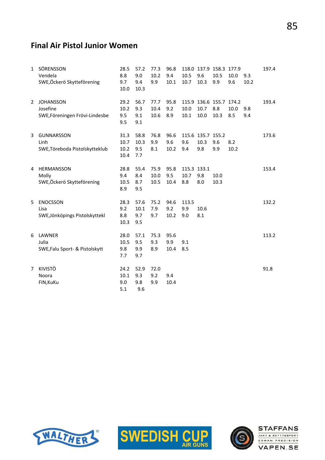# Final Air Pistol Junior Women

| 1 | SÖRENSSON<br>Vendela<br>SWE,Öckerö Skytteförening              | 28.5<br>8.8<br>9.7<br>10.0   | 57.2<br>9.0<br>9.4<br>10.3 | 77.3<br>10.2<br>9.9  | 96.8<br>9.4<br>10.1 | 10.5<br>10.7               | 9.6<br>10.3                      | 118.0 137.9 158.3 177.9<br>10.5<br>9.9 | 10.0<br>9.6 | 9.3<br>10.2 | 197.4 |
|---|----------------------------------------------------------------|------------------------------|----------------------------|----------------------|---------------------|----------------------------|----------------------------------|----------------------------------------|-------------|-------------|-------|
| 2 | <b>JOHANSSON</b><br>Josefine<br>SWE, Föreningen Frövi-Lindesbe | 29.2<br>10.2<br>9.5<br>9.5   | 56.7<br>9.3<br>9.1<br>9.1  | 77.7<br>10.4<br>10.6 | 95.8<br>9.2<br>8.9  | 10.0<br>10.1               | 10.7<br>10.0                     | 115.9 136.6 155.7 174.2<br>8.8<br>10.3 | 10.0<br>8.5 | 9.8<br>9.4  | 193.4 |
| 3 | <b>GUNNARSSON</b><br>Linh<br>SWE, Töreboda Pistolskytteklub    | 31.3<br>10.7<br>10.2<br>10.4 | 58.8<br>10.3<br>9.5<br>7.7 | 76.8<br>9.9<br>8.1   | 96.6<br>9.6<br>10.2 | 9.6<br>9.4                 | 115.6 135.7 155.2<br>10.3<br>9.8 | 9.6<br>9.9                             | 8.2<br>10.2 |             | 173.6 |
| 4 | HERMANSSON<br>Molly<br>SWE,Öckerö Skytteförening               | 28.8<br>9.4<br>10.5<br>8.9   | 55.4<br>8.4<br>8.7<br>9.5  | 75.9<br>10.0<br>10.5 | 95.8<br>9.5<br>10.4 | 115.3 133.1<br>10.7<br>8.8 | 9.8<br>8.0                       | 10.0<br>10.3                           |             |             | 153.4 |
| 5 | <b>ENOCSSON</b><br>Lisa<br>SWE, Jönköpings Pistolskyttekl      | 28.3<br>9.2<br>8.8<br>10.3   | 57.6<br>10.1<br>9.7<br>9.5 | 75.2<br>7.9<br>9.7   | 94.6<br>9.2<br>10.2 | 113.5<br>9.9<br>9.0        | 10.6<br>8.1                      |                                        |             |             | 132.2 |
| 6 | LAWNER<br>Julia<br>SWE, Falu Sport- & Pistolskytt              | 28.0<br>10.5<br>9.8<br>7.7   | 57.1<br>9.5<br>9.9<br>9.7  | 75.3<br>9.3<br>8.9   | 95.6<br>9.9<br>10.4 | 9.1<br>8.5                 |                                  |                                        |             |             | 113.2 |
| 7 | <b>KIVISTÖ</b><br>Noora<br>FIN, KuKu                           | 24.2<br>10.1<br>9.0<br>5.1   | 52.9<br>9.3<br>9.8<br>9.6  | 72.0<br>9.2<br>9.9   | 9.4<br>10.4         |                            |                                  |                                        |             |             | 91.8  |





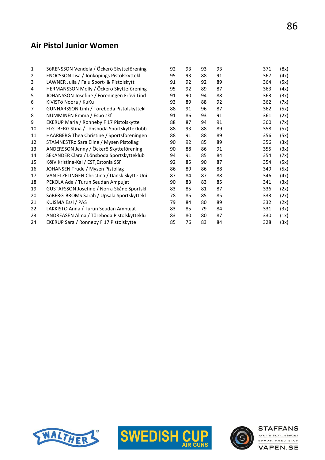#### Air Pistol Junior Women

| $\mathbf{1}$ | SöRENSSON Vendela / Öckerö Skytteförening   | 92 | 93 | 93 | 93 | 371 | (8x) |
|--------------|---------------------------------------------|----|----|----|----|-----|------|
| 2            | ENOCSSON Lisa / Jönköpings Pistolskyttekl   | 95 | 93 | 88 | 91 | 367 | (4x) |
| 3            | LAWNER Julia / Falu Sport- & Pistolskytt    | 91 | 92 | 92 | 89 | 364 | (5x) |
| 4            | HERMANSSON Molly / Öckerö Skytteförening    | 95 | 92 | 89 | 87 | 363 | (4x) |
| 5            | JOHANSSON Josefine / Föreningen Frövi-Lind  | 91 | 90 | 94 | 88 | 363 | (3x) |
| 6            | KIVISTÖ Noora / KuKu                        | 93 | 89 | 88 | 92 | 362 | (7x) |
| 7            | GUNNARSSON Linh / Töreboda Pistolskyttekl   | 88 | 91 | 96 | 87 | 362 | (5x) |
| 8            | NUMMINEN Emma / Esbo skf                    | 91 | 86 | 93 | 91 | 361 | (2x) |
| 9            | EKERUP Maria / Ronneby F 17 Pistolskytte    | 88 | 87 | 94 | 91 | 360 | (7x) |
| 10           | ELGTBERG Stina / Lönsboda Sportskytteklubb  | 88 | 93 | 88 | 89 | 358 | (5x) |
| 11           | HAARBERG Thea Christine / Sportsforeningen  | 88 | 91 | 88 | 89 | 356 | (5x) |
| 12           | STAMNESTRø Sara Eline / Mysen Pistollag     | 90 | 92 | 85 | 89 | 356 | (3x) |
| 13           | ANDERSSON Jenny / Öckerö Skytteförening     | 90 | 88 | 86 | 91 | 355 | (3x) |
| 14           | SEKANDER Clara / Lönsboda Sportskytteklub   | 94 | 91 | 85 | 84 | 354 | (7x) |
| 15           | KõlV Kristina-Kai / EST, Estonia SSF        | 92 | 85 | 90 | 87 | 354 | (5x) |
| 16           | JOHANSEN Trude / Mysen Pistollag            | 86 | 89 | 86 | 88 | 349 | (5x) |
| 17           | VAN ELZELINGEN Christina / Dansk Skytte Uni | 87 | 84 | 87 | 88 | 346 | (4x) |
| 18           | PEKOLA Ada / Turun Seudan Ampujat           | 90 | 83 | 83 | 85 | 341 | (3x) |
| 19           | GUSTAFSSON Josefine / Norra Skåne Sportskl  | 83 | 85 | 81 | 87 | 336 | (2x) |
| 20           | SöBERG-BROMS Sarah / Upsala Sportskyttekl   | 78 | 85 | 85 | 85 | 333 | (2x) |
| 21           | KUISMA Essi / PAS                           | 79 | 84 | 80 | 89 | 332 | (2x) |
| 22           | LAKKISTO Anna / Turun Seudan Ampujat        | 83 | 85 | 79 | 84 | 331 | (3x) |
| 23           | ANDREASEN Alma / Töreboda Pistolskytteklu   | 83 | 80 | 80 | 87 | 330 | (1x) |
| 24           | EKERUP Sara / Ronneby F 17 Pistolskytte     | 85 | 76 | 83 | 84 | 328 | (3x) |
|              |                                             |    |    |    |    |     |      |